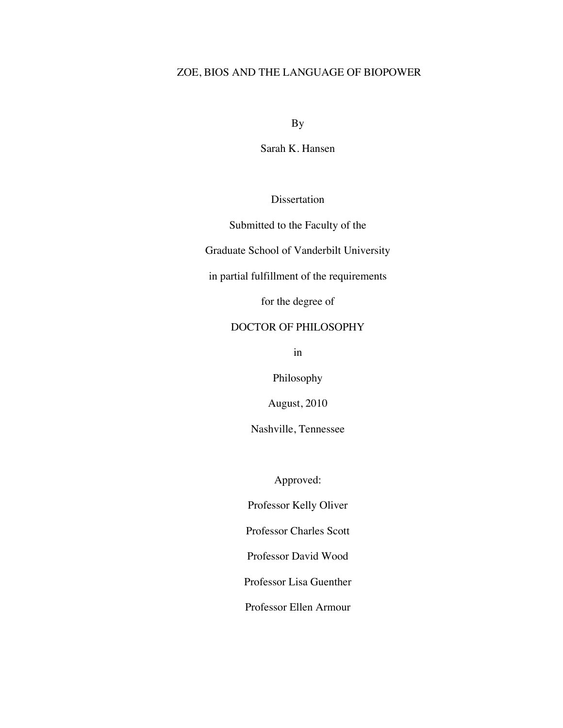# ZOE, BIOS AND THE LANGUAGE OF BIOPOWER

By

Sarah K. Hansen

Dissertation

Submitted to the Faculty of the

Graduate School of Vanderbilt University

in partial fulfillment of the requirements

for the degree of

# DOCTOR OF PHILOSOPHY

in

Philosophy

August, 2010

Nashville, Tennessee

Approved:

Professor Kelly Oliver

Professor Charles Scott

Professor David Wood

Professor Lisa Guenther

Professor Ellen Armour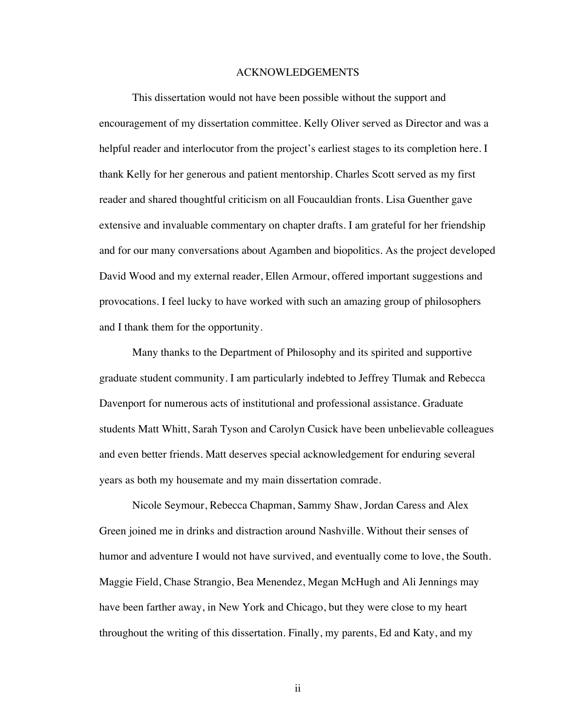### ACKNOWLEDGEMENTS

This dissertation would not have been possible without the support and encouragement of my dissertation committee. Kelly Oliver served as Director and was a helpful reader and interlocutor from the project's earliest stages to its completion here. I thank Kelly for her generous and patient mentorship. Charles Scott served as my first reader and shared thoughtful criticism on all Foucauldian fronts. Lisa Guenther gave extensive and invaluable commentary on chapter drafts. I am grateful for her friendship and for our many conversations about Agamben and biopolitics. As the project developed David Wood and my external reader, Ellen Armour, offered important suggestions and provocations. I feel lucky to have worked with such an amazing group of philosophers and I thank them for the opportunity.

Many thanks to the Department of Philosophy and its spirited and supportive graduate student community. I am particularly indebted to Jeffrey Tlumak and Rebecca Davenport for numerous acts of institutional and professional assistance. Graduate students Matt Whitt, Sarah Tyson and Carolyn Cusick have been unbelievable colleagues and even better friends. Matt deserves special acknowledgement for enduring several years as both my housemate and my main dissertation comrade.

Nicole Seymour, Rebecca Chapman, Sammy Shaw, Jordan Caress and Alex Green joined me in drinks and distraction around Nashville. Without their senses of humor and adventure I would not have survived, and eventually come to love, the South. Maggie Field, Chase Strangio, Bea Menendez, Megan McHugh and Ali Jennings may have been farther away, in New York and Chicago, but they were close to my heart throughout the writing of this dissertation. Finally, my parents, Ed and Katy, and my

ii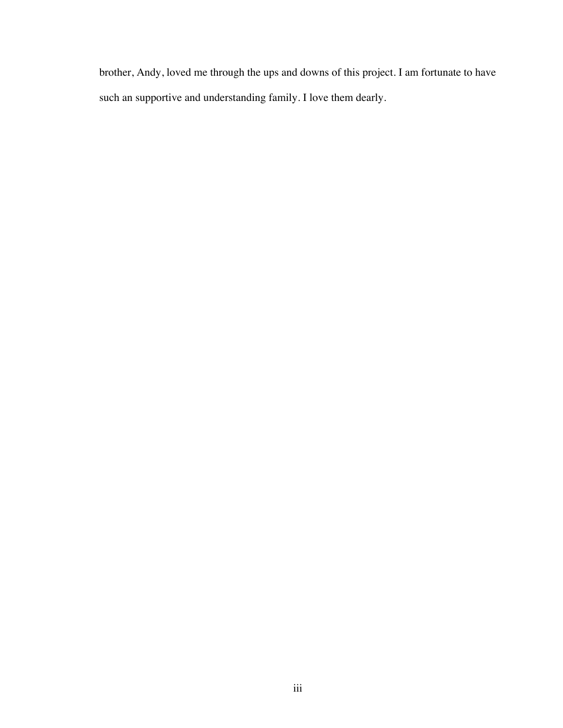brother, Andy, loved me through the ups and downs of this project. I am fortunate to have such an supportive and understanding family. I love them dearly.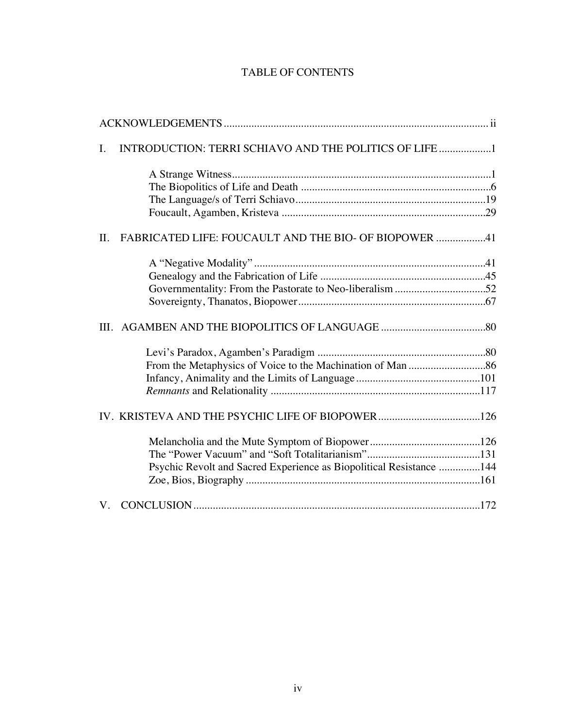# TABLE OF CONTENTS

| I.  | INTRODUCTION: TERRI SCHIAVO AND THE POLITICS OF LIFE 1              |  |
|-----|---------------------------------------------------------------------|--|
|     |                                                                     |  |
|     |                                                                     |  |
|     |                                                                     |  |
|     |                                                                     |  |
| II. | FABRICATED LIFE: FOUCAULT AND THE BIO- OF BIOPOWER 41               |  |
|     |                                                                     |  |
|     |                                                                     |  |
|     |                                                                     |  |
|     |                                                                     |  |
|     |                                                                     |  |
|     |                                                                     |  |
|     |                                                                     |  |
|     |                                                                     |  |
|     |                                                                     |  |
|     |                                                                     |  |
|     |                                                                     |  |
|     |                                                                     |  |
|     | Psychic Revolt and Sacred Experience as Biopolitical Resistance 144 |  |
|     |                                                                     |  |
|     |                                                                     |  |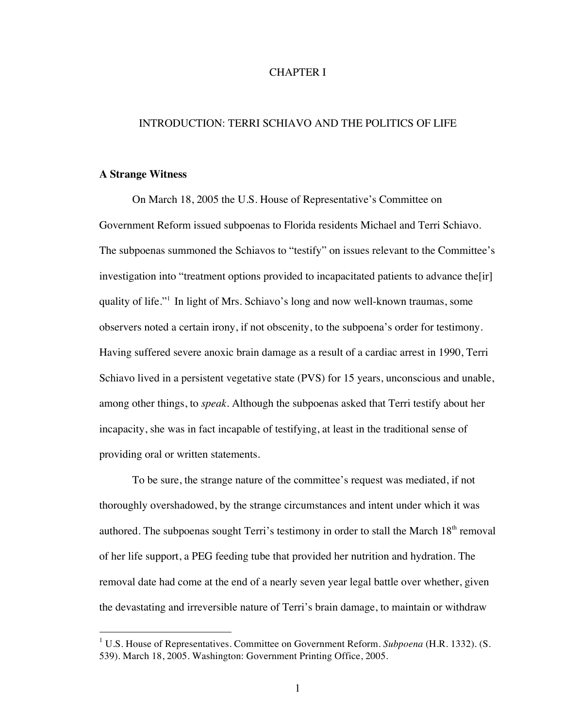### CHAPTER I

### INTRODUCTION: TERRI SCHIAVO AND THE POLITICS OF LIFE

#### **A Strange Witness**

On March 18, 2005 the U.S. House of Representative's Committee on Government Reform issued subpoenas to Florida residents Michael and Terri Schiavo. The subpoenas summoned the Schiavos to "testify" on issues relevant to the Committee's investigation into "treatment options provided to incapacitated patients to advance the[ir] quality of life."1 In light of Mrs. Schiavo's long and now well-known traumas, some observers noted a certain irony, if not obscenity, to the subpoena's order for testimony. Having suffered severe anoxic brain damage as a result of a cardiac arrest in 1990, Terri Schiavo lived in a persistent vegetative state (PVS) for 15 years, unconscious and unable, among other things, to *speak*. Although the subpoenas asked that Terri testify about her incapacity, she was in fact incapable of testifying, at least in the traditional sense of providing oral or written statements.

To be sure, the strange nature of the committee's request was mediated, if not thoroughly overshadowed, by the strange circumstances and intent under which it was authored. The subpoenas sought Terri's testimony in order to stall the March  $18<sup>th</sup>$  removal of her life support, a PEG feeding tube that provided her nutrition and hydration. The removal date had come at the end of a nearly seven year legal battle over whether, given the devastating and irreversible nature of Terri's brain damage, to maintain or withdraw

 <sup>1</sup> U.S. House of Representatives. Committee on Government Reform. *Subpoena* (H.R. 1332). (S. 539). March 18, 2005. Washington: Government Printing Office, 2005.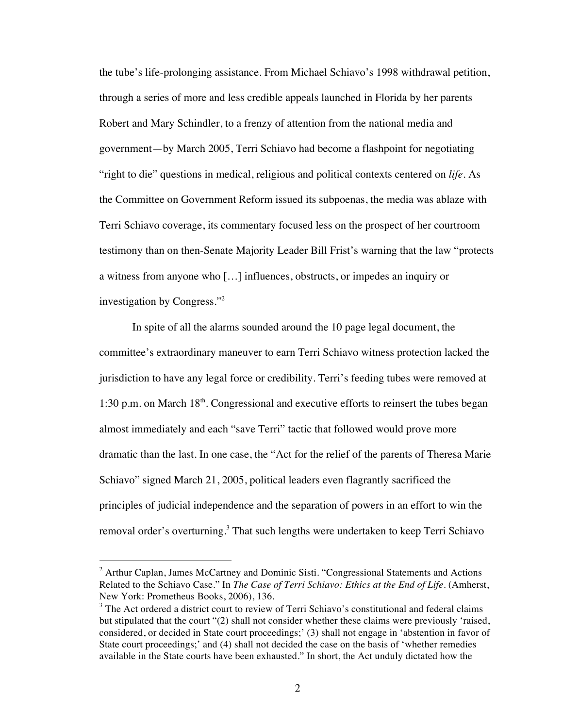the tube's life-prolonging assistance. From Michael Schiavo's 1998 withdrawal petition, through a series of more and less credible appeals launched in Florida by her parents Robert and Mary Schindler, to a frenzy of attention from the national media and government—by March 2005, Terri Schiavo had become a flashpoint for negotiating "right to die" questions in medical, religious and political contexts centered on *life*. As the Committee on Government Reform issued its subpoenas, the media was ablaze with Terri Schiavo coverage, its commentary focused less on the prospect of her courtroom testimony than on then-Senate Majority Leader Bill Frist's warning that the law "protects a witness from anyone who […] influences, obstructs, or impedes an inquiry or investigation by Congress."2

In spite of all the alarms sounded around the 10 page legal document, the committee's extraordinary maneuver to earn Terri Schiavo witness protection lacked the jurisdiction to have any legal force or credibility. Terri's feeding tubes were removed at 1:30 p.m. on March  $18<sup>th</sup>$ . Congressional and executive efforts to reinsert the tubes began almost immediately and each "save Terri" tactic that followed would prove more dramatic than the last. In one case, the "Act for the relief of the parents of Theresa Marie Schiavo" signed March 21, 2005, political leaders even flagrantly sacrificed the principles of judicial independence and the separation of powers in an effort to win the removal order's overturning.<sup>3</sup> That such lengths were undertaken to keep Terri Schiavo

 $2$  Arthur Caplan, James McCartney and Dominic Sisti. "Congressional Statements and Actions Related to the Schiavo Case." In *The Case of Terri Schiavo: Ethics at the End of Life*. (Amherst, New York: Prometheus Books, 2006), 136.

 $3$  The Act ordered a district court to review of Terri Schiavo's constitutional and federal claims but stipulated that the court "(2) shall not consider whether these claims were previously 'raised, considered, or decided in State court proceedings;' (3) shall not engage in 'abstention in favor of State court proceedings;' and (4) shall not decided the case on the basis of 'whether remedies available in the State courts have been exhausted." In short, the Act unduly dictated how the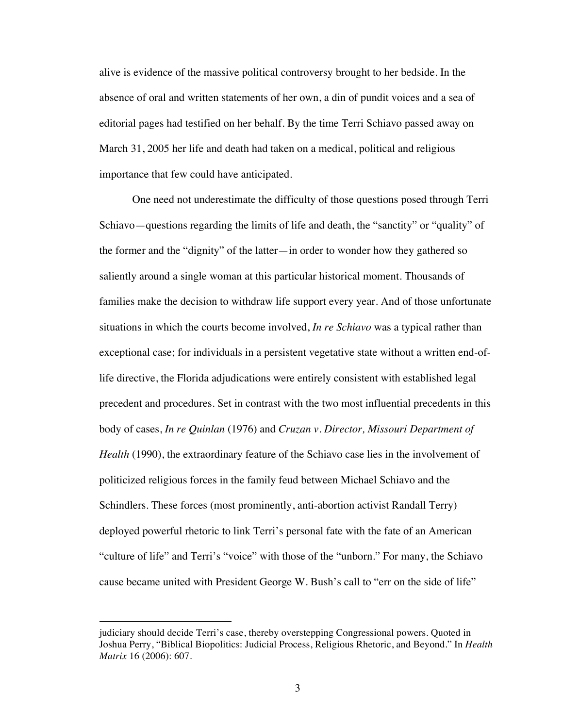alive is evidence of the massive political controversy brought to her bedside. In the absence of oral and written statements of her own, a din of pundit voices and a sea of editorial pages had testified on her behalf. By the time Terri Schiavo passed away on March 31, 2005 her life and death had taken on a medical, political and religious importance that few could have anticipated.

One need not underestimate the difficulty of those questions posed through Terri Schiavo—questions regarding the limits of life and death, the "sanctity" or "quality" of the former and the "dignity" of the latter—in order to wonder how they gathered so saliently around a single woman at this particular historical moment. Thousands of families make the decision to withdraw life support every year. And of those unfortunate situations in which the courts become involved, *In re Schiavo* was a typical rather than exceptional case; for individuals in a persistent vegetative state without a written end-oflife directive, the Florida adjudications were entirely consistent with established legal precedent and procedures. Set in contrast with the two most influential precedents in this body of cases, *In re Quinlan* (1976) and *Cruzan v. Director, Missouri Department of Health* (1990), the extraordinary feature of the Schiavo case lies in the involvement of politicized religious forces in the family feud between Michael Schiavo and the Schindlers. These forces (most prominently, anti-abortion activist Randall Terry) deployed powerful rhetoric to link Terri's personal fate with the fate of an American "culture of life" and Terri's "voice" with those of the "unborn." For many, the Schiavo cause became united with President George W. Bush's call to "err on the side of life"

 $\overline{a}$ 

judiciary should decide Terri's case, thereby overstepping Congressional powers. Quoted in Joshua Perry, "Biblical Biopolitics: Judicial Process, Religious Rhetoric, and Beyond." In *Health Matrix* 16 (2006): 607.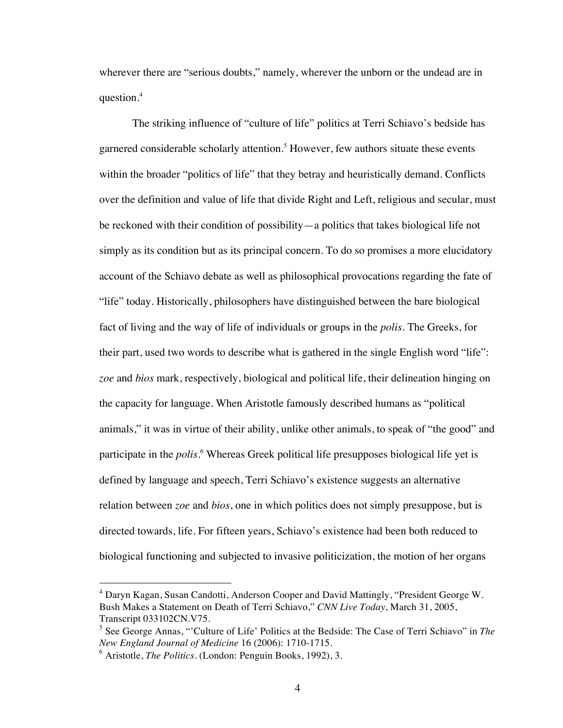wherever there are "serious doubts," namely, wherever the unborn or the undead are in question.<sup>4</sup>

The striking influence of "culture of life" politics at Terri Schiavo's bedside has garnered considerable scholarly attention.<sup>5</sup> However, few authors situate these events within the broader "politics of life" that they betray and heuristically demand. Conflicts over the definition and value of life that divide Right and Left, religious and secular, must be reckoned with their condition of possibility—a politics that takes biological life not simply as its condition but as its principal concern. To do so promises a more elucidatory account of the Schiavo debate as well as philosophical provocations regarding the fate of "life" today. Historically, philosophers have distinguished between the bare biological fact of living and the way of life of individuals or groups in the *polis.* The Greeks, for their part, used two words to describe what is gathered in the single English word "life": *zoe* and *bios* mark, respectively, biological and political life, their delineation hinging on the capacity for language. When Aristotle famously described humans as "political animals," it was in virtue of their ability, unlike other animals, to speak of "the good" and participate in the *polis*. 6 Whereas Greek political life presupposes biological life yet is defined by language and speech, Terri Schiavo's existence suggests an alternative relation between *zoe* and *bios*, one in which politics does not simply presuppose, but is directed towards, life. For fifteen years, Schiavo's existence had been both reduced to biological functioning and subjected to invasive politicization, the motion of her organs

 $4$  Daryn Kagan, Susan Candotti, Anderson Cooper and David Mattingly, "President George W. Bush Makes a Statement on Death of Terri Schiavo," *CNN Live Today*, March 31, 2005, Transcript 033102CN.V75.

<sup>5</sup> See George Annas, "'Culture of Life' Politics at the Bedside: The Case of Terri Schiavo" in *The New England Journal of Medicine* 16 (2006): 1710-1715.

<sup>6</sup> Aristotle, *The Politics*. (London: Penguin Books, 1992), 3.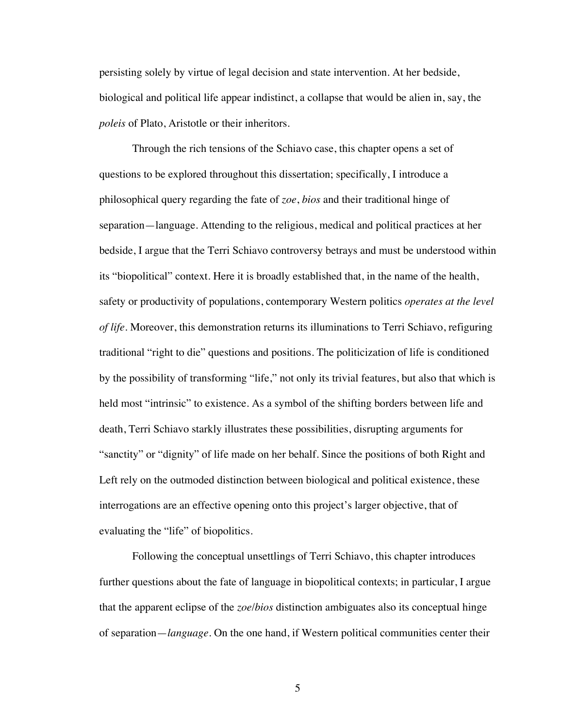persisting solely by virtue of legal decision and state intervention. At her bedside, biological and political life appear indistinct, a collapse that would be alien in, say, the *poleis* of Plato, Aristotle or their inheritors.

Through the rich tensions of the Schiavo case, this chapter opens a set of questions to be explored throughout this dissertation; specifically, I introduce a philosophical query regarding the fate of *zoe*, *bios* and their traditional hinge of separation—language. Attending to the religious, medical and political practices at her bedside, I argue that the Terri Schiavo controversy betrays and must be understood within its "biopolitical" context. Here it is broadly established that, in the name of the health, safety or productivity of populations, contemporary Western politics *operates at the level of life*. Moreover, this demonstration returns its illuminations to Terri Schiavo, refiguring traditional "right to die" questions and positions. The politicization of life is conditioned by the possibility of transforming "life," not only its trivial features, but also that which is held most "intrinsic" to existence. As a symbol of the shifting borders between life and death, Terri Schiavo starkly illustrates these possibilities, disrupting arguments for "sanctity" or "dignity" of life made on her behalf. Since the positions of both Right and Left rely on the outmoded distinction between biological and political existence, these interrogations are an effective opening onto this project's larger objective, that of evaluating the "life" of biopolitics.

Following the conceptual unsettlings of Terri Schiavo, this chapter introduces further questions about the fate of language in biopolitical contexts; in particular, I argue that the apparent eclipse of the *zoe*/*bios* distinction ambiguates also its conceptual hinge of separation—*language*. On the one hand, if Western political communities center their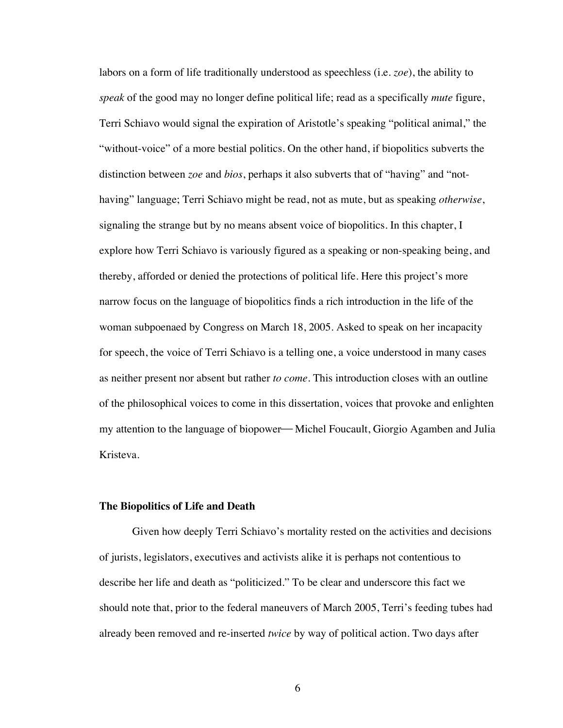labors on a form of life traditionally understood as speechless (i.e. *zoe*), the ability to *speak* of the good may no longer define political life; read as a specifically *mute* figure, Terri Schiavo would signal the expiration of Aristotle's speaking "political animal," the "without-voice" of a more bestial politics. On the other hand, if biopolitics subverts the distinction between *zoe* and *bios*, perhaps it also subverts that of "having" and "nothaving" language; Terri Schiavo might be read, not as mute, but as speaking *otherwise*, signaling the strange but by no means absent voice of biopolitics. In this chapter, I explore how Terri Schiavo is variously figured as a speaking or non-speaking being, and thereby, afforded or denied the protections of political life. Here this project's more narrow focus on the language of biopolitics finds a rich introduction in the life of the woman subpoenaed by Congress on March 18, 2005. Asked to speak on her incapacity for speech, the voice of Terri Schiavo is a telling one, a voice understood in many cases as neither present nor absent but rather *to come*. This introduction closes with an outline of the philosophical voices to come in this dissertation, voices that provoke and enlighten my attention to the language of biopower—Michel Foucault, Giorgio Agamben and Julia Kristeva.

### **The Biopolitics of Life and Death**

Given how deeply Terri Schiavo's mortality rested on the activities and decisions of jurists, legislators, executives and activists alike it is perhaps not contentious to describe her life and death as "politicized." To be clear and underscore this fact we should note that, prior to the federal maneuvers of March 2005, Terri's feeding tubes had already been removed and re-inserted *twice* by way of political action. Two days after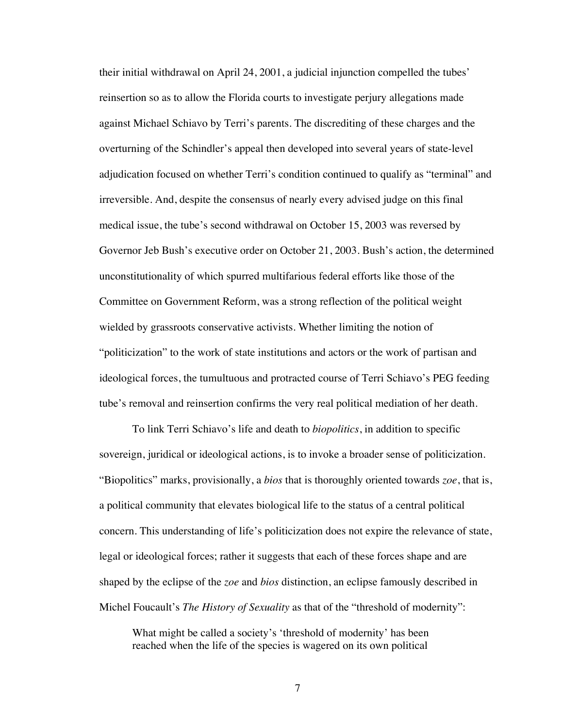their initial withdrawal on April 24, 2001, a judicial injunction compelled the tubes' reinsertion so as to allow the Florida courts to investigate perjury allegations made against Michael Schiavo by Terri's parents. The discrediting of these charges and the overturning of the Schindler's appeal then developed into several years of state-level adjudication focused on whether Terri's condition continued to qualify as "terminal" and irreversible. And, despite the consensus of nearly every advised judge on this final medical issue, the tube's second withdrawal on October 15, 2003 was reversed by Governor Jeb Bush's executive order on October 21, 2003. Bush's action, the determined unconstitutionality of which spurred multifarious federal efforts like those of the Committee on Government Reform, was a strong reflection of the political weight wielded by grassroots conservative activists. Whether limiting the notion of "politicization" to the work of state institutions and actors or the work of partisan and ideological forces, the tumultuous and protracted course of Terri Schiavo's PEG feeding tube's removal and reinsertion confirms the very real political mediation of her death.

To link Terri Schiavo's life and death to *biopolitics*, in addition to specific sovereign, juridical or ideological actions, is to invoke a broader sense of politicization. "Biopolitics" marks, provisionally, a *bios* that is thoroughly oriented towards *zoe*, that is, a political community that elevates biological life to the status of a central political concern. This understanding of life's politicization does not expire the relevance of state, legal or ideological forces; rather it suggests that each of these forces shape and are shaped by the eclipse of the *zoe* and *bios* distinction, an eclipse famously described in Michel Foucault's *The History of Sexuality* as that of the "threshold of modernity":

What might be called a society's 'threshold of modernity' has been reached when the life of the species is wagered on its own political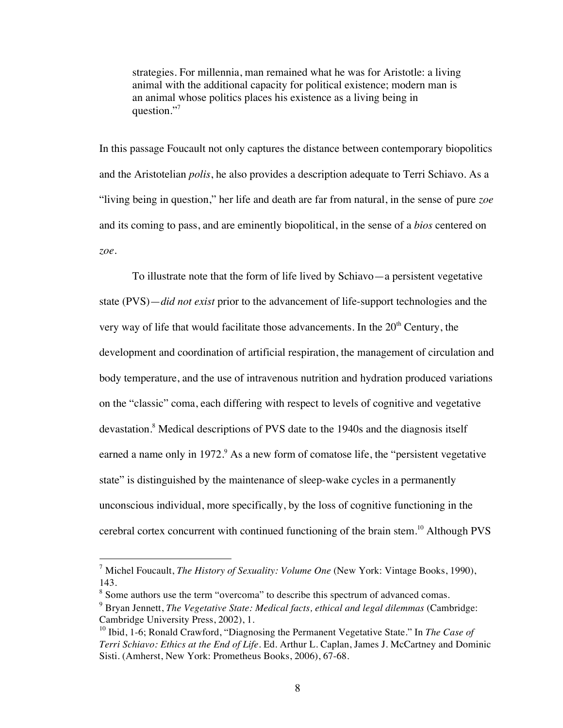strategies. For millennia, man remained what he was for Aristotle: a living animal with the additional capacity for political existence; modern man is an animal whose politics places his existence as a living being in question."

In this passage Foucault not only captures the distance between contemporary biopolitics and the Aristotelian *polis*, he also provides a description adequate to Terri Schiavo. As a "living being in question," her life and death are far from natural, in the sense of pure *zoe* and its coming to pass, and are eminently biopolitical, in the sense of a *bios* centered on *zoe*.

To illustrate note that the form of life lived by Schiavo—a persistent vegetative state (PVS)—*did not exist* prior to the advancement of life-support technologies and the very way of life that would facilitate those advancements. In the  $20<sup>th</sup>$  Century, the development and coordination of artificial respiration, the management of circulation and body temperature, and the use of intravenous nutrition and hydration produced variations on the "classic" coma, each differing with respect to levels of cognitive and vegetative devastation.<sup>8</sup> Medical descriptions of PVS date to the 1940s and the diagnosis itself earned a name only in 1972. $\degree$  As a new form of comatose life, the "persistent vegetative state" is distinguished by the maintenance of sleep-wake cycles in a permanently unconscious individual, more specifically, by the loss of cognitive functioning in the cerebral cortex concurrent with continued functioning of the brain stem.<sup>10</sup> Although PVS

 <sup>7</sup> Michel Foucault, *The History of Sexuality: Volume One* (New York: Vintage Books, 1990), 143.

<sup>&</sup>lt;sup>8</sup> Some authors use the term "overcoma" to describe this spectrum of advanced comas.

<sup>9</sup> Bryan Jennett, *The Vegetative State: Medical facts, ethical and legal dilemmas* (Cambridge: Cambridge University Press, 2002), 1.

<sup>10</sup> Ibid, 1-6; Ronald Crawford, "Diagnosing the Permanent Vegetative State." In *The Case of Terri Schiavo: Ethics at the End of Life.* Ed. Arthur L. Caplan, James J. McCartney and Dominic Sisti. (Amherst, New York: Prometheus Books, 2006), 67-68.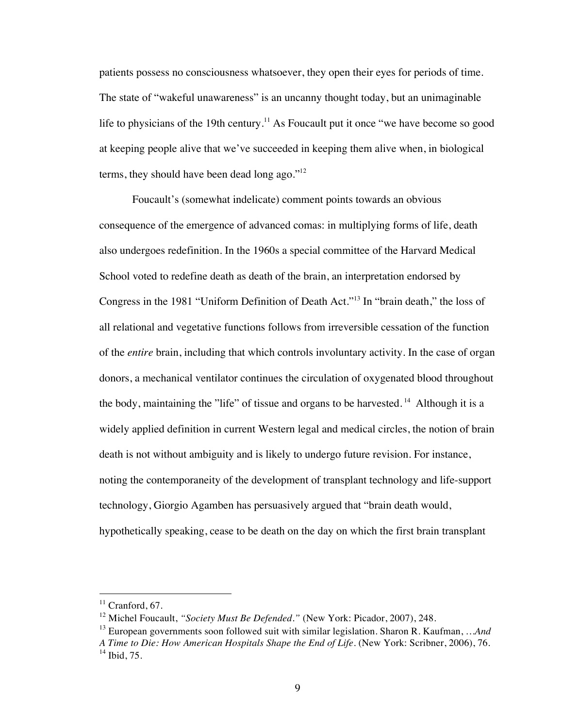patients possess no consciousness whatsoever, they open their eyes for periods of time. The state of "wakeful unawareness" is an uncanny thought today, but an unimaginable life to physicians of the 19th century.<sup>11</sup> As Foucault put it once "we have become so good at keeping people alive that we've succeeded in keeping them alive when, in biological terms, they should have been dead long ago." $12$ 

Foucault's (somewhat indelicate) comment points towards an obvious consequence of the emergence of advanced comas: in multiplying forms of life, death also undergoes redefinition. In the 1960s a special committee of the Harvard Medical School voted to redefine death as death of the brain, an interpretation endorsed by Congress in the 1981 "Uniform Definition of Death Act."13 In "brain death," the loss of all relational and vegetative functions follows from irreversible cessation of the function of the *entire* brain, including that which controls involuntary activity. In the case of organ donors, a mechanical ventilator continues the circulation of oxygenated blood throughout the body, maintaining the "life" of tissue and organs to be harvested.<sup>14</sup> Although it is a widely applied definition in current Western legal and medical circles, the notion of brain death is not without ambiguity and is likely to undergo future revision. For instance, noting the contemporaneity of the development of transplant technology and life-support technology, Giorgio Agamben has persuasively argued that "brain death would, hypothetically speaking, cease to be death on the day on which the first brain transplant

 $11$  Cranford, 67.

<sup>&</sup>lt;sup>12</sup> Michel Foucault, "Society Must Be Defended." (New York: Picador, 2007), 248.

<sup>13</sup> European governments soon followed suit with similar legislation. Sharon R. Kaufman, *…And* 

*A Time to Die: How American Hospitals Shape the End of Life*. (New York: Scribner, 2006), 76.  $14$  Ibid, 75.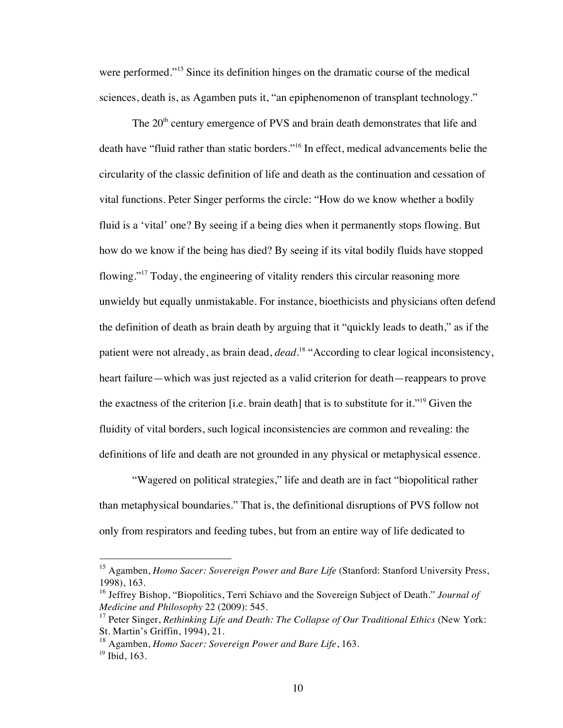were performed."15 Since its definition hinges on the dramatic course of the medical sciences, death is, as Agamben puts it, "an epiphenomenon of transplant technology."

The 20<sup>th</sup> century emergence of PVS and brain death demonstrates that life and death have "fluid rather than static borders."16 In effect, medical advancements belie the circularity of the classic definition of life and death as the continuation and cessation of vital functions. Peter Singer performs the circle: "How do we know whether a bodily fluid is a 'vital' one? By seeing if a being dies when it permanently stops flowing. But how do we know if the being has died? By seeing if its vital bodily fluids have stopped flowing."17 Today, the engineering of vitality renders this circular reasoning more unwieldy but equally unmistakable. For instance, bioethicists and physicians often defend the definition of death as brain death by arguing that it "quickly leads to death," as if the patient were not already, as brain dead, *dead*. 18 "According to clear logical inconsistency, heart failure—which was just rejected as a valid criterion for death—reappears to prove the exactness of the criterion [i.e. brain death] that is to substitute for it."19 Given the fluidity of vital borders, such logical inconsistencies are common and revealing: the definitions of life and death are not grounded in any physical or metaphysical essence.

"Wagered on political strategies," life and death are in fact "biopolitical rather than metaphysical boundaries." That is, the definitional disruptions of PVS follow not only from respirators and feeding tubes, but from an entire way of life dedicated to

<sup>&</sup>lt;sup>15</sup> Agamben, *Homo Sacer: Sovereign Power and Bare Life* (Stanford: Stanford University Press, 1998), 163.

<sup>&</sup>lt;sup>16</sup> Jeffrey Bishop, "Biopolitics, Terri Schiavo and the Sovereign Subject of Death." *Journal of Medicine and Philosophy* 22 (2009): 545.

<sup>&</sup>lt;sup>17</sup> Peter Singer, *Rethinking Life and Death: The Collapse of Our Traditional Ethics* (New York: St. Martin's Griffin, 1994), 21.

<sup>18</sup> Agamben, *Homo Sacer: Sovereign Power and Bare Life*, 163.

 $19$  Ibid, 163.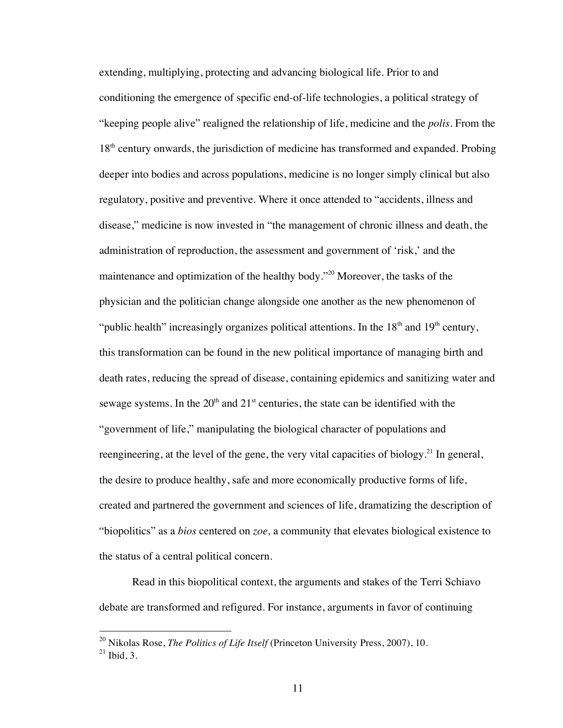extending, multiplying, protecting and advancing biological life. Prior to and conditioning the emergence of specific end-of-life technologies, a political strategy of "keeping people alive" realigned the relationship of life, medicine and the *polis*. From the  $18<sup>th</sup>$  century onwards, the jurisdiction of medicine has transformed and expanded. Probing deeper into bodies and across populations, medicine is no longer simply clinical but also regulatory, positive and preventive. Where it once attended to "accidents, illness and disease," medicine is now invested in "the management of chronic illness and death, the administration of reproduction, the assessment and government of 'risk,' and the maintenance and optimization of the healthy body."20 Moreover, the tasks of the physician and the politician change alongside one another as the new phenomenon of "public health" increasingly organizes political attentions. In the  $18<sup>th</sup>$  and  $19<sup>th</sup>$  century, this transformation can be found in the new political importance of managing birth and death rates, reducing the spread of disease, containing epidemics and sanitizing water and sewage systems. In the  $20<sup>th</sup>$  and  $21<sup>st</sup>$  centuries, the state can be identified with the "government of life," manipulating the biological character of populations and reengineering, at the level of the gene, the very vital capacities of biology.<sup>21</sup> In general, the desire to produce healthy, safe and more economically productive forms of life, created and partnered the government and sciences of life, dramatizing the description of "biopolitics" as a *bios* centered on *zoe,* a community that elevates biological existence to the status of a central political concern.

Read in this biopolitical context, the arguments and stakes of the Terri Schiavo debate are transformed and refigured. For instance, arguments in favor of continuing

 <sup>20</sup> Nikolas Rose, *The Politics of Life Itself* (Princeton University Press, 2007), 10.

 $21$  Ibid, 3.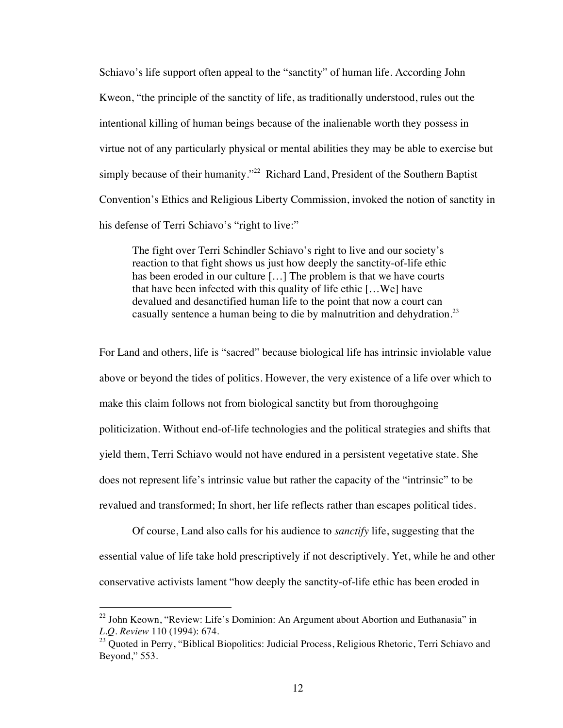Schiavo's life support often appeal to the "sanctity" of human life. According John Kweon, "the principle of the sanctity of life, as traditionally understood, rules out the intentional killing of human beings because of the inalienable worth they possess in virtue not of any particularly physical or mental abilities they may be able to exercise but simply because of their humanity."<sup>22</sup> Richard Land, President of the Southern Baptist Convention's Ethics and Religious Liberty Commission, invoked the notion of sanctity in his defense of Terri Schiavo's "right to live:"

The fight over Terri Schindler Schiavo's right to live and our society's reaction to that fight shows us just how deeply the sanctity-of-life ethic has been eroded in our culture [...] The problem is that we have courts that have been infected with this quality of life ethic […We] have devalued and desanctified human life to the point that now a court can casually sentence a human being to die by malnutrition and dehydration.<sup>23</sup>

For Land and others, life is "sacred" because biological life has intrinsic inviolable value above or beyond the tides of politics. However, the very existence of a life over which to make this claim follows not from biological sanctity but from thoroughgoing politicization. Without end-of-life technologies and the political strategies and shifts that yield them, Terri Schiavo would not have endured in a persistent vegetative state. She does not represent life's intrinsic value but rather the capacity of the "intrinsic" to be revalued and transformed; In short, her life reflects rather than escapes political tides.

Of course, Land also calls for his audience to *sanctify* life, suggesting that the essential value of life take hold prescriptively if not descriptively. Yet, while he and other conservative activists lament "how deeply the sanctity-of-life ethic has been eroded in

 $^{22}$  John Keown, "Review: Life's Dominion: An Argument about Abortion and Euthanasia" in *L.Q. Review* 110 (1994): 674.

 $^{23}$  Quoted in Perry, "Biblical Biopolitics: Judicial Process, Religious Rhetoric, Terri Schiavo and Beyond," 553.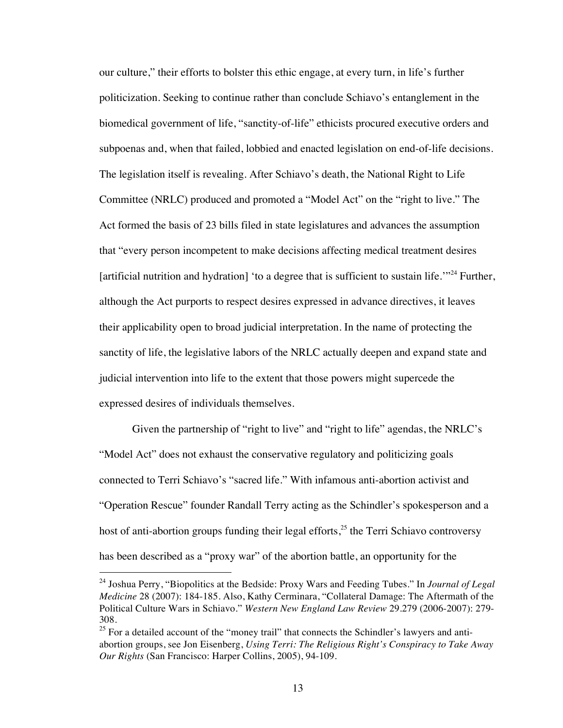our culture," their efforts to bolster this ethic engage, at every turn, in life's further politicization. Seeking to continue rather than conclude Schiavo's entanglement in the biomedical government of life, "sanctity-of-life" ethicists procured executive orders and subpoenas and, when that failed, lobbied and enacted legislation on end-of-life decisions. The legislation itself is revealing. After Schiavo's death, the National Right to Life Committee (NRLC) produced and promoted a "Model Act" on the "right to live." The Act formed the basis of 23 bills filed in state legislatures and advances the assumption that "every person incompetent to make decisions affecting medical treatment desires [artificial nutrition and hydration] 'to a degree that is sufficient to sustain life.<sup> $124$ </sup> Further, although the Act purports to respect desires expressed in advance directives, it leaves their applicability open to broad judicial interpretation. In the name of protecting the sanctity of life, the legislative labors of the NRLC actually deepen and expand state and judicial intervention into life to the extent that those powers might supercede the expressed desires of individuals themselves.

Given the partnership of "right to live" and "right to life" agendas, the NRLC's "Model Act" does not exhaust the conservative regulatory and politicizing goals connected to Terri Schiavo's "sacred life." With infamous anti-abortion activist and "Operation Rescue" founder Randall Terry acting as the Schindler's spokesperson and a host of anti-abortion groups funding their legal efforts,<sup>25</sup> the Terri Schiavo controversy has been described as a "proxy war" of the abortion battle, an opportunity for the

 <sup>24</sup> Joshua Perry, "Biopolitics at the Bedside: Proxy Wars and Feeding Tubes." In *Journal of Legal Medicine* 28 (2007): 184-185. Also, Kathy Cerminara, "Collateral Damage: The Aftermath of the Political Culture Wars in Schiavo." *Western New England Law Review* 29.279 (2006-2007): 279- 308.

 $25$  For a detailed account of the "money trail" that connects the Schindler's lawyers and antiabortion groups, see Jon Eisenberg, *Using Terri: The Religious Right's Conspiracy to Take Away Our Rights* (San Francisco: Harper Collins, 2005), 94-109.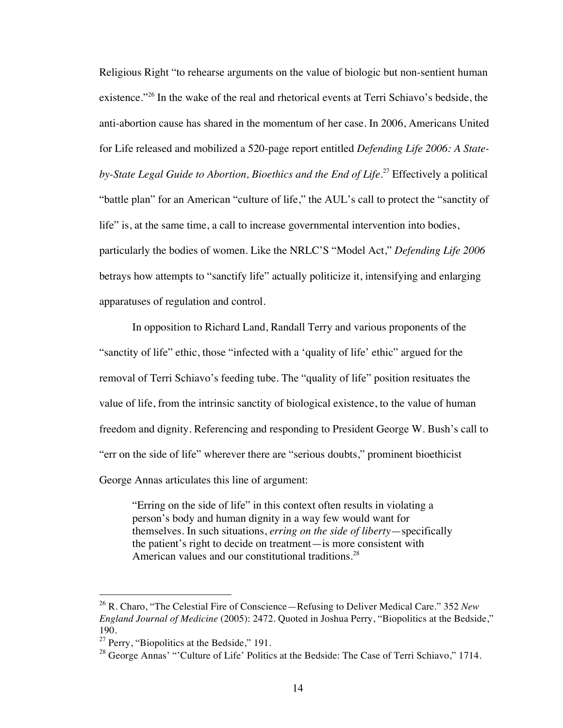Religious Right "to rehearse arguments on the value of biologic but non-sentient human existence."<sup>26</sup> In the wake of the real and rhetorical events at Terri Schiavo's bedside, the anti-abortion cause has shared in the momentum of her case. In 2006, Americans United for Life released and mobilized a 520-page report entitled *Defending Life 2006: A State*by-State Legal Guide to Abortion, Bioethics and the End of Life.<sup>27</sup> Effectively a political "battle plan" for an American "culture of life," the AUL's call to protect the "sanctity of life" is, at the same time, a call to increase governmental intervention into bodies, particularly the bodies of women. Like the NRLC'S "Model Act," *Defending Life 2006* betrays how attempts to "sanctify life" actually politicize it, intensifying and enlarging apparatuses of regulation and control.

In opposition to Richard Land, Randall Terry and various proponents of the "sanctity of life" ethic, those "infected with a 'quality of life' ethic" argued for the removal of Terri Schiavo's feeding tube. The "quality of life" position resituates the value of life, from the intrinsic sanctity of biological existence, to the value of human freedom and dignity. Referencing and responding to President George W. Bush's call to "err on the side of life" wherever there are "serious doubts," prominent bioethicist George Annas articulates this line of argument:

"Erring on the side of life" in this context often results in violating a person's body and human dignity in a way few would want for themselves. In such situations, *erring on the side of liberty*—specifically the patient's right to decide on treatment—is more consistent with American values and our constitutional traditions.<sup>28</sup>

 <sup>26</sup> R. Charo, "The Celestial Fire of Conscience—Refusing to Deliver Medical Care." 352 *New England Journal of Medicine* (2005): 2472. Quoted in Joshua Perry, "Biopolitics at the Bedside," 190.

 $^{27}$  Perry, "Biopolitics at the Bedside," 191.

 $^{28}$  George Annas' "'Culture of Life' Politics at the Bedside: The Case of Terri Schiavo," 1714.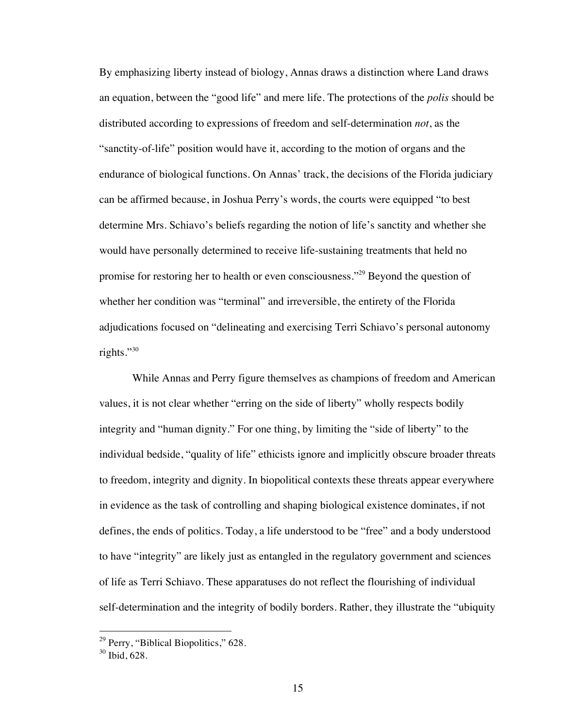By emphasizing liberty instead of biology, Annas draws a distinction where Land draws an equation, between the "good life" and mere life. The protections of the *polis* should be distributed according to expressions of freedom and self-determination *not*, as the "sanctity-of-life" position would have it, according to the motion of organs and the endurance of biological functions. On Annas' track, the decisions of the Florida judiciary can be affirmed because, in Joshua Perry's words, the courts were equipped "to best determine Mrs. Schiavo's beliefs regarding the notion of life's sanctity and whether she would have personally determined to receive life-sustaining treatments that held no promise for restoring her to health or even consciousness."29 Beyond the question of whether her condition was "terminal" and irreversible, the entirety of the Florida adjudications focused on "delineating and exercising Terri Schiavo's personal autonomy rights."<sup>30</sup>

While Annas and Perry figure themselves as champions of freedom and American values, it is not clear whether "erring on the side of liberty" wholly respects bodily integrity and "human dignity." For one thing, by limiting the "side of liberty" to the individual bedside, "quality of life" ethicists ignore and implicitly obscure broader threats to freedom, integrity and dignity. In biopolitical contexts these threats appear everywhere in evidence as the task of controlling and shaping biological existence dominates, if not defines, the ends of politics. Today, a life understood to be "free" and a body understood to have "integrity" are likely just as entangled in the regulatory government and sciences of life as Terri Schiavo. These apparatuses do not reflect the flourishing of individual self-determination and the integrity of bodily borders. Rather, they illustrate the "ubiquity

 $29$  Perry, "Biblical Biopolitics," 628.

 $30$  Ibid, 628.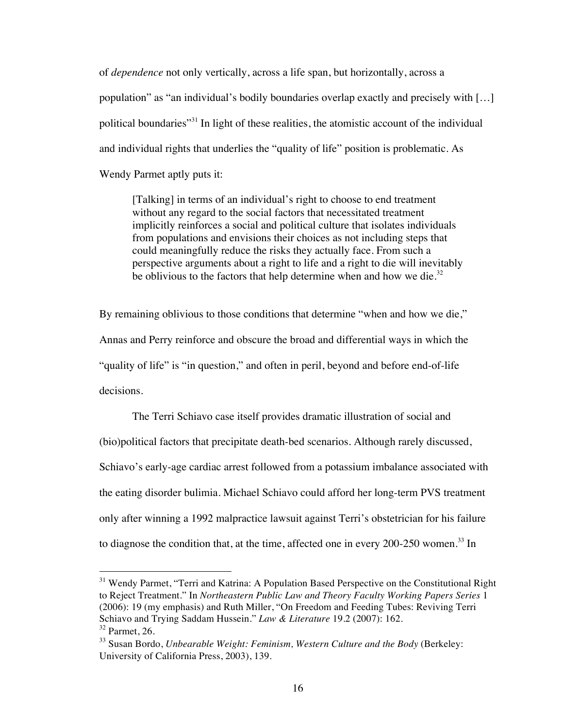of *dependence* not only vertically, across a life span, but horizontally, across a population" as "an individual's bodily boundaries overlap exactly and precisely with […] political boundaries"31 In light of these realities, the atomistic account of the individual and individual rights that underlies the "quality of life" position is problematic. As Wendy Parmet aptly puts it:

[Talking] in terms of an individual's right to choose to end treatment without any regard to the social factors that necessitated treatment implicitly reinforces a social and political culture that isolates individuals from populations and envisions their choices as not including steps that could meaningfully reduce the risks they actually face. From such a perspective arguments about a right to life and a right to die will inevitably be oblivious to the factors that help determine when and how we die. $32$ 

By remaining oblivious to those conditions that determine "when and how we die," Annas and Perry reinforce and obscure the broad and differential ways in which the "quality of life" is "in question," and often in peril, beyond and before end-of-life decisions.

The Terri Schiavo case itself provides dramatic illustration of social and (bio)political factors that precipitate death-bed scenarios. Although rarely discussed, Schiavo's early-age cardiac arrest followed from a potassium imbalance associated with the eating disorder bulimia. Michael Schiavo could afford her long-term PVS treatment only after winning a 1992 malpractice lawsuit against Terri's obstetrician for his failure to diagnose the condition that, at the time, affected one in every 200-250 women.<sup>33</sup> In

 $31$  Wendy Parmet, "Terri and Katrina: A Population Based Perspective on the Constitutional Right to Reject Treatment." In *Northeastern Public Law and Theory Faculty Working Papers Series* 1 (2006): 19 (my emphasis) and Ruth Miller, "On Freedom and Feeding Tubes: Reviving Terri Schiavo and Trying Saddam Hussein." *Law & Literature* 19.2 (2007): 162.  $32$  Parmet, 26.

<sup>33</sup> Susan Bordo, *Unbearable Weight: Feminism, Western Culture and the Body* (Berkeley: University of California Press, 2003), 139.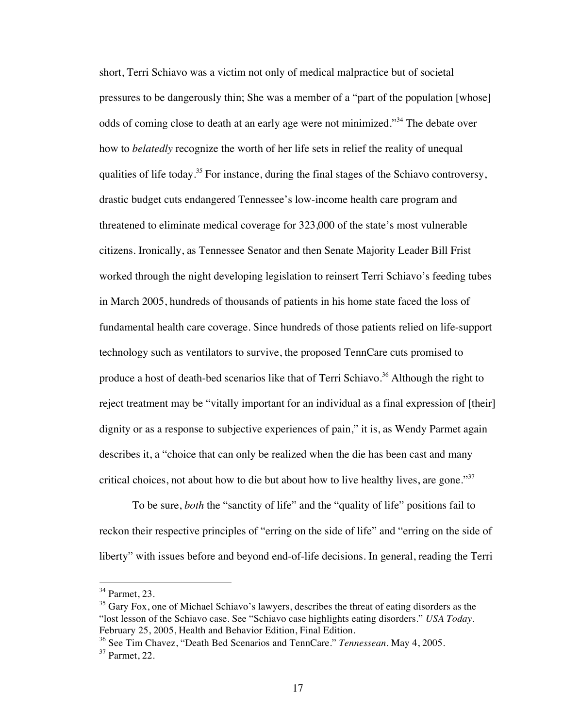short, Terri Schiavo was a victim not only of medical malpractice but of societal pressures to be dangerously thin; She was a member of a "part of the population [whose] odds of coming close to death at an early age were not minimized."34 The debate over how to *belatedly* recognize the worth of her life sets in relief the reality of unequal qualities of life today.<sup>35</sup> For instance, during the final stages of the Schiavo controversy, drastic budget cuts endangered Tennessee's low-income health care program and threatened to eliminate medical coverage for 323,000 of the state's most vulnerable citizens. Ironically, as Tennessee Senator and then Senate Majority Leader Bill Frist worked through the night developing legislation to reinsert Terri Schiavo's feeding tubes in March 2005, hundreds of thousands of patients in his home state faced the loss of fundamental health care coverage. Since hundreds of those patients relied on life-support technology such as ventilators to survive, the proposed TennCare cuts promised to produce a host of death-bed scenarios like that of Terri Schiavo.<sup>36</sup> Although the right to reject treatment may be "vitally important for an individual as a final expression of [their] dignity or as a response to subjective experiences of pain," it is, as Wendy Parmet again describes it, a "choice that can only be realized when the die has been cast and many critical choices, not about how to die but about how to live healthy lives, are gone." $37$ 

To be sure, *both* the "sanctity of life" and the "quality of life" positions fail to reckon their respective principles of "erring on the side of life" and "erring on the side of liberty" with issues before and beyond end-of-life decisions. In general, reading the Terri

 <sup>34</sup> Parmet, 23.

<sup>&</sup>lt;sup>35</sup> Gary Fox, one of Michael Schiavo's lawyers, describes the threat of eating disorders as the "lost lesson of the Schiavo case. See "Schiavo case highlights eating disorders." *USA Today*. February 25, 2005, Health and Behavior Edition, Final Edition.

<sup>36</sup> See Tim Chavez, "Death Bed Scenarios and TennCare." *Tennessean*. May 4, 2005.

<sup>37</sup> Parmet, 22.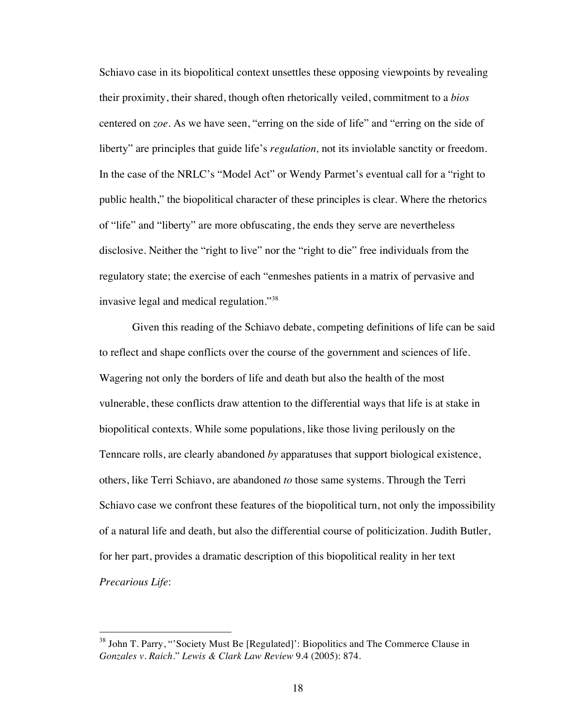Schiavo case in its biopolitical context unsettles these opposing viewpoints by revealing their proximity, their shared, though often rhetorically veiled, commitment to a *bios* centered on *zoe*. As we have seen, "erring on the side of life" and "erring on the side of liberty" are principles that guide life's *regulation,* not its inviolable sanctity or freedom. In the case of the NRLC's "Model Act" or Wendy Parmet's eventual call for a "right to public health," the biopolitical character of these principles is clear. Where the rhetorics of "life" and "liberty" are more obfuscating, the ends they serve are nevertheless disclosive. Neither the "right to live" nor the "right to die" free individuals from the regulatory state; the exercise of each "enmeshes patients in a matrix of pervasive and invasive legal and medical regulation."<sup>38</sup>

Given this reading of the Schiavo debate, competing definitions of life can be said to reflect and shape conflicts over the course of the government and sciences of life. Wagering not only the borders of life and death but also the health of the most vulnerable, these conflicts draw attention to the differential ways that life is at stake in biopolitical contexts. While some populations, like those living perilously on the Tenncare rolls, are clearly abandoned *by* apparatuses that support biological existence, others, like Terri Schiavo, are abandoned *to* those same systems. Through the Terri Schiavo case we confront these features of the biopolitical turn, not only the impossibility of a natural life and death, but also the differential course of politicization. Judith Butler, for her part, provides a dramatic description of this biopolitical reality in her text *Precarious Life*:

 $38$  John T. Parry, "Society Must Be [Regulated]': Biopolitics and The Commerce Clause in *Gonzales v. Raich*." *Lewis & Clark Law Review* 9.4 (2005): 874.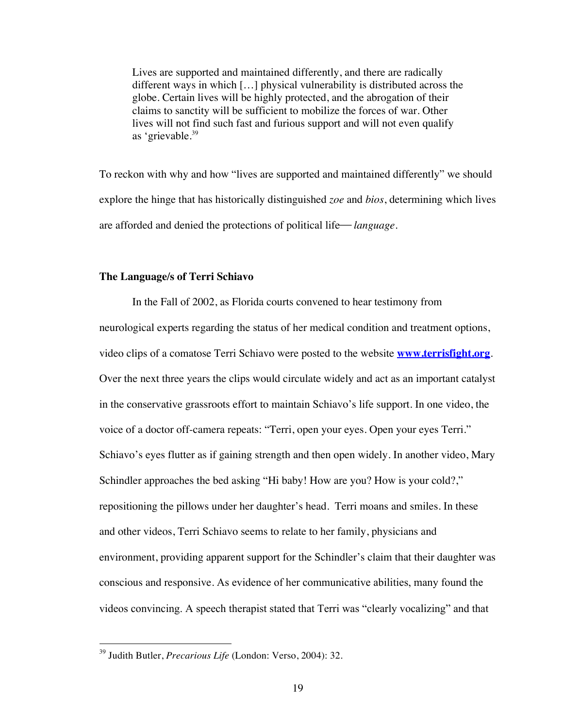Lives are supported and maintained differently, and there are radically different ways in which […] physical vulnerability is distributed across the globe. Certain lives will be highly protected, and the abrogation of their claims to sanctity will be sufficient to mobilize the forces of war. Other lives will not find such fast and furious support and will not even qualify as 'grievable.<sup>39</sup>

To reckon with why and how "lives are supported and maintained differently" we should explore the hinge that has historically distinguished *zoe* and *bios*, determining which lives are afforded and denied the protections of political life—*language*.

#### **The Language/s of Terri Schiavo**

In the Fall of 2002, as Florida courts convened to hear testimony from neurological experts regarding the status of her medical condition and treatment options, video clips of a comatose Terri Schiavo were posted to the website **www.terrisfight.org**. Over the next three years the clips would circulate widely and act as an important catalyst in the conservative grassroots effort to maintain Schiavo's life support. In one video, the voice of a doctor off-camera repeats: "Terri, open your eyes. Open your eyes Terri." Schiavo's eyes flutter as if gaining strength and then open widely. In another video, Mary Schindler approaches the bed asking "Hi baby! How are you? How is your cold?," repositioning the pillows under her daughter's head. Terri moans and smiles. In these and other videos, Terri Schiavo seems to relate to her family, physicians and environment, providing apparent support for the Schindler's claim that their daughter was conscious and responsive. As evidence of her communicative abilities, many found the videos convincing. A speech therapist stated that Terri was "clearly vocalizing" and that

 <sup>39</sup> Judith Butler, *Precarious Life* (London: Verso, 2004): 32.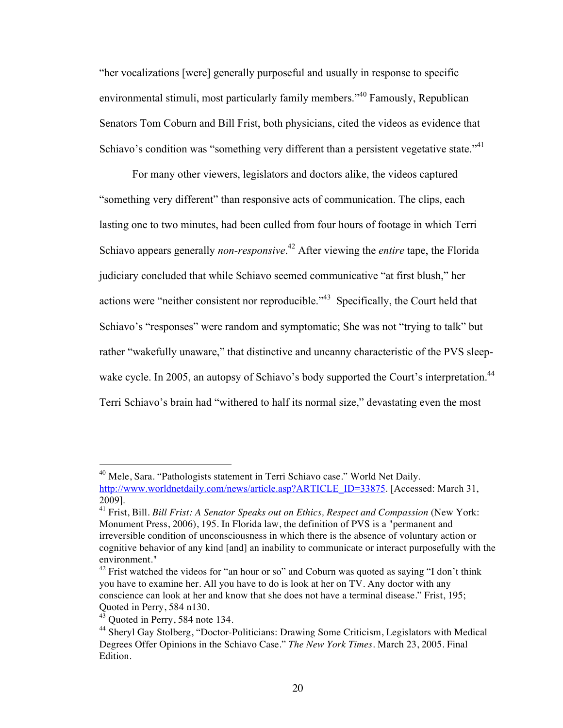"her vocalizations [were] generally purposeful and usually in response to specific environmental stimuli, most particularly family members."<sup>40</sup> Famously, Republican Senators Tom Coburn and Bill Frist, both physicians, cited the videos as evidence that Schiavo's condition was "something very different than a persistent vegetative state."<sup>41</sup>

For many other viewers, legislators and doctors alike, the videos captured "something very different" than responsive acts of communication. The clips, each lasting one to two minutes, had been culled from four hours of footage in which Terri Schiavo appears generally *non-responsive*. 42 After viewing the *entire* tape, the Florida judiciary concluded that while Schiavo seemed communicative "at first blush," her actions were "neither consistent nor reproducible."43 Specifically, the Court held that Schiavo's "responses" were random and symptomatic; She was not "trying to talk" but rather "wakefully unaware," that distinctive and uncanny characteristic of the PVS sleepwake cycle. In 2005, an autopsy of Schiavo's body supported the Court's interpretation.<sup>44</sup> Terri Schiavo's brain had "withered to half its normal size," devastating even the most

 $40$  Mele, Sara. "Pathologists statement in Terri Schiavo case." World Net Daily. http://www.worldnetdaily.com/news/article.asp?ARTICLE\_ID=33875. [Accessed: March 31, 2009].

<sup>41</sup> Frist, Bill. *Bill Frist: A Senator Speaks out on Ethics, Respect and Compassion* (New York: Monument Press, 2006), 195. In Florida law, the definition of PVS is a "permanent and irreversible condition of unconsciousness in which there is the absence of voluntary action or cognitive behavior of any kind [and] an inability to communicate or interact purposefully with the environment."

 $42$  Frist watched the videos for "an hour or so" and Coburn was quoted as saying "I don't think you have to examine her. All you have to do is look at her on TV. Any doctor with any conscience can look at her and know that she does not have a terminal disease." Frist, 195; Quoted in Perry, 584 n130.

<sup>&</sup>lt;sup>43</sup> Ouoted in Perry, 584 note 134.

<sup>44</sup> Sheryl Gay Stolberg, "Doctor-Politicians: Drawing Some Criticism, Legislators with Medical Degrees Offer Opinions in the Schiavo Case." *The New York Times*. March 23, 2005. Final Edition.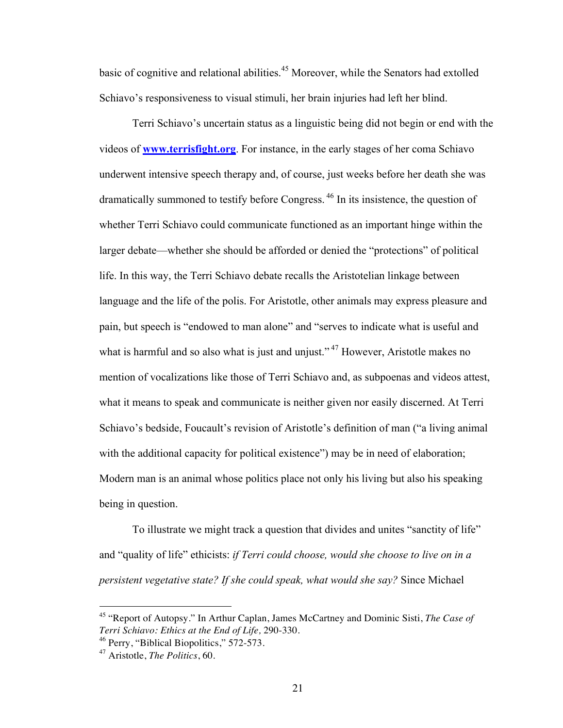basic of cognitive and relational abilities.<sup>45</sup> Moreover, while the Senators had extolled Schiavo's responsiveness to visual stimuli, her brain injuries had left her blind.

Terri Schiavo's uncertain status as a linguistic being did not begin or end with the videos of **www.terrisfight.org**. For instance, in the early stages of her coma Schiavo underwent intensive speech therapy and, of course, just weeks before her death she was dramatically summoned to testify before Congress. 46 In its insistence, the question of whether Terri Schiavo could communicate functioned as an important hinge within the larger debate—whether she should be afforded or denied the "protections" of political life. In this way, the Terri Schiavo debate recalls the Aristotelian linkage between language and the life of the polis. For Aristotle, other animals may express pleasure and pain, but speech is "endowed to man alone" and "serves to indicate what is useful and what is harmful and so also what is just and unjust."<sup>47</sup> However, Aristotle makes no mention of vocalizations like those of Terri Schiavo and, as subpoenas and videos attest, what it means to speak and communicate is neither given nor easily discerned. At Terri Schiavo's bedside, Foucault's revision of Aristotle's definition of man ("a living animal with the additional capacity for political existence") may be in need of elaboration; Modern man is an animal whose politics place not only his living but also his speaking being in question.

To illustrate we might track a question that divides and unites "sanctity of life" and "quality of life" ethicists: *if Terri could choose, would she choose to live on in a persistent vegetative state? If she could speak, what would she say?* Since Michael

 <sup>45</sup> "Report of Autopsy." In Arthur Caplan, James McCartney and Dominic Sisti, *The Case of Terri Schiavo: Ethics at the End of Life,* 290-330.

<sup>&</sup>lt;sup>46</sup> Perry, "Biblical Biopolitics," 572-573.

<sup>47</sup> Aristotle, *The Politics*, 60.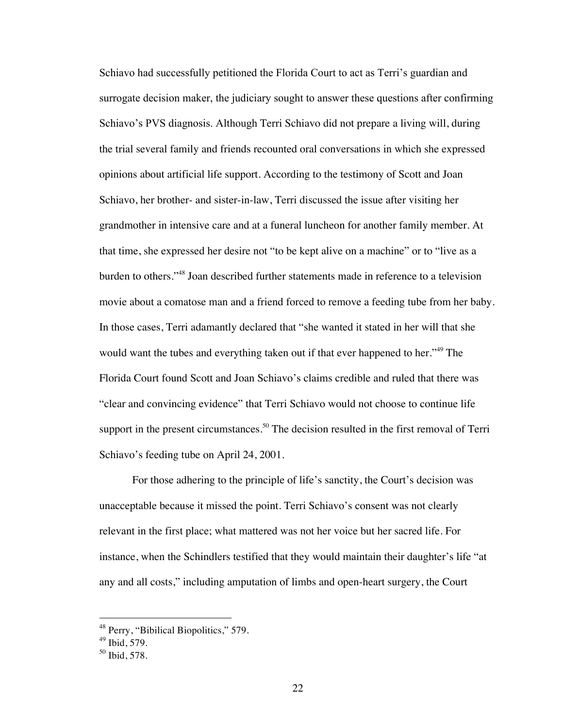Schiavo had successfully petitioned the Florida Court to act as Terri's guardian and surrogate decision maker, the judiciary sought to answer these questions after confirming Schiavo's PVS diagnosis. Although Terri Schiavo did not prepare a living will, during the trial several family and friends recounted oral conversations in which she expressed opinions about artificial life support. According to the testimony of Scott and Joan Schiavo, her brother- and sister-in-law, Terri discussed the issue after visiting her grandmother in intensive care and at a funeral luncheon for another family member. At that time, she expressed her desire not "to be kept alive on a machine" or to "live as a burden to others."48 Joan described further statements made in reference to a television movie about a comatose man and a friend forced to remove a feeding tube from her baby. In those cases, Terri adamantly declared that "she wanted it stated in her will that she would want the tubes and everything taken out if that ever happened to her."<sup>49</sup> The Florida Court found Scott and Joan Schiavo's claims credible and ruled that there was "clear and convincing evidence" that Terri Schiavo would not choose to continue life support in the present circumstances.<sup>50</sup> The decision resulted in the first removal of Terri Schiavo's feeding tube on April 24, 2001.

For those adhering to the principle of life's sanctity, the Court's decision was unacceptable because it missed the point. Terri Schiavo's consent was not clearly relevant in the first place; what mattered was not her voice but her sacred life. For instance, when the Schindlers testified that they would maintain their daughter's life "at any and all costs," including amputation of limbs and open-heart surgery, the Court

<sup>&</sup>lt;sup>48</sup> Perry, "Bibilical Biopolitics," 579.

 $49$  Ibid, 579.

<sup>50</sup> Ibid, 578.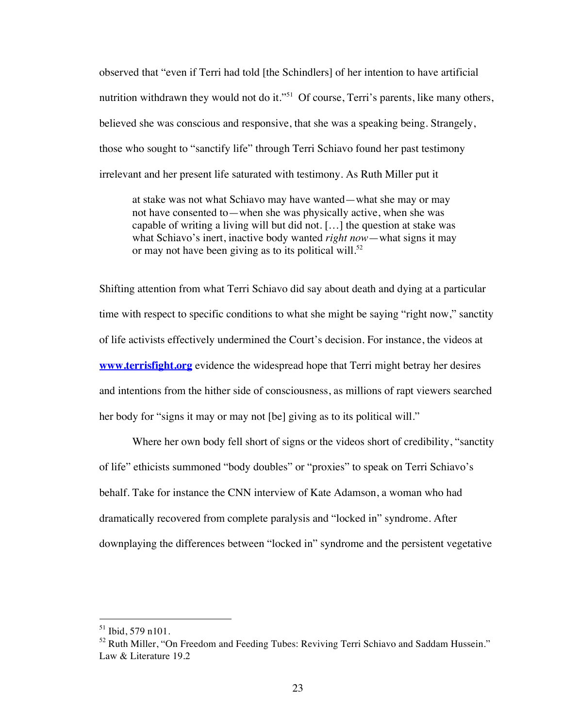observed that "even if Terri had told [the Schindlers] of her intention to have artificial nutrition withdrawn they would not do it."<sup>51</sup> Of course, Terri's parents, like many others, believed she was conscious and responsive, that she was a speaking being. Strangely, those who sought to "sanctify life" through Terri Schiavo found her past testimony irrelevant and her present life saturated with testimony. As Ruth Miller put it

at stake was not what Schiavo may have wanted—what she may or may not have consented to—when she was physically active, when she was capable of writing a living will but did not. […] the question at stake was what Schiavo's inert, inactive body wanted *right now*—what signs it may or may not have been giving as to its political will. $52$ 

Shifting attention from what Terri Schiavo did say about death and dying at a particular time with respect to specific conditions to what she might be saying "right now," sanctity of life activists effectively undermined the Court's decision. For instance, the videos at **www.terrisfight.org** evidence the widespread hope that Terri might betray her desires and intentions from the hither side of consciousness, as millions of rapt viewers searched her body for "signs it may or may not [be] giving as to its political will."

Where her own body fell short of signs or the videos short of credibility, "sanctity of life" ethicists summoned "body doubles" or "proxies" to speak on Terri Schiavo's behalf. Take for instance the CNN interview of Kate Adamson, a woman who had dramatically recovered from complete paralysis and "locked in" syndrome. After downplaying the differences between "locked in" syndrome and the persistent vegetative

 $51$  Ibid, 579 n101.

 $52$  Ruth Miller, "On Freedom and Feeding Tubes: Reviving Terri Schiavo and Saddam Hussein." Law & Literature 19.2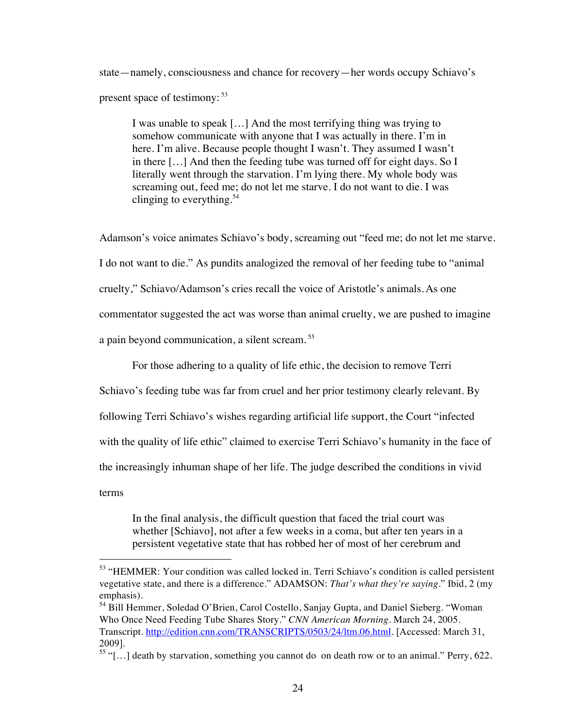state—namely, consciousness and chance for recovery—her words occupy Schiavo's present space of testimony:  $53$ 

I was unable to speak […] And the most terrifying thing was trying to somehow communicate with anyone that I was actually in there. I'm in here. I'm alive. Because people thought I wasn't. They assumed I wasn't in there […] And then the feeding tube was turned off for eight days. So I literally went through the starvation. I'm lying there. My whole body was screaming out, feed me; do not let me starve. I do not want to die. I was clinging to everything.<sup>54</sup>

Adamson's voice animates Schiavo's body, screaming out "feed me; do not let me starve. I do not want to die." As pundits analogized the removal of her feeding tube to "animal cruelty," Schiavo/Adamson's cries recall the voice of Aristotle's animals. As one commentator suggested the act was worse than animal cruelty, we are pushed to imagine a pain beyond communication, a silent scream. <sup>55</sup>

For those adhering to a quality of life ethic, the decision to remove Terri

Schiavo's feeding tube was far from cruel and her prior testimony clearly relevant. By

following Terri Schiavo's wishes regarding artificial life support, the Court "infected

with the quality of life ethic" claimed to exercise Terri Schiavo's humanity in the face of

the increasingly inhuman shape of her life. The judge described the conditions in vivid

terms

In the final analysis, the difficult question that faced the trial court was whether [Schiavo], not after a few weeks in a coma, but after ten years in a persistent vegetative state that has robbed her of most of her cerebrum and

 <sup>53</sup> "HEMMER: Your condition was called locked in. Terri Schiavo's condition is called persistent vegetative state, and there is a difference." ADAMSON: *That's what they're saying*." Ibid, 2 (my emphasis).

<sup>54</sup> Bill Hemmer, Soledad O'Brien, Carol Costello, Sanjay Gupta, and Daniel Sieberg. "Woman Who Once Need Feeding Tube Shares Story." *CNN American Morning*. March 24, 2005. Transcript. http://edition.cnn.com/TRANSCRIPTS/0503/24/ltm.06.html. [Accessed: March 31, 2009].

<sup>&</sup>lt;sup>55</sup> "[...] death by starvation, something you cannot do on death row or to an animal." Perry, 622.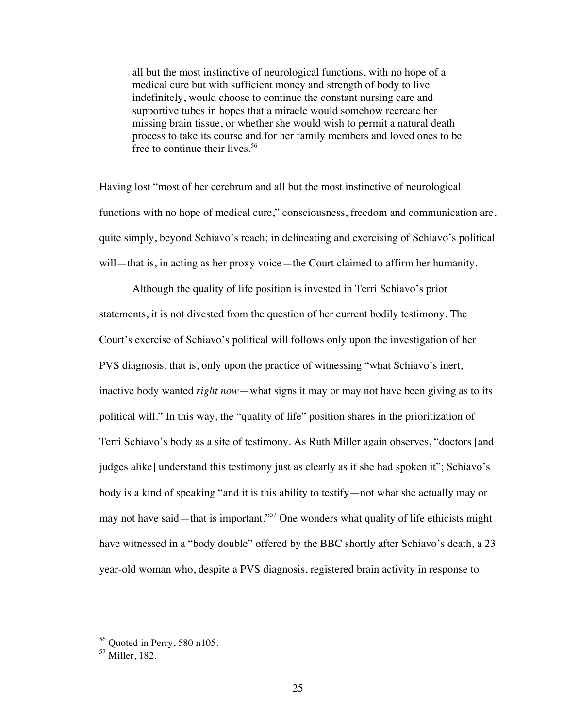all but the most instinctive of neurological functions, with no hope of a medical cure but with sufficient money and strength of body to live indefinitely, would choose to continue the constant nursing care and supportive tubes in hopes that a miracle would somehow recreate her missing brain tissue, or whether she would wish to permit a natural death process to take its course and for her family members and loved ones to be free to continue their lives.<sup>56</sup>

Having lost "most of her cerebrum and all but the most instinctive of neurological functions with no hope of medical cure," consciousness, freedom and communication are, quite simply, beyond Schiavo's reach; in delineating and exercising of Schiavo's political will—that is, in acting as her proxy voice—the Court claimed to affirm her humanity.

Although the quality of life position is invested in Terri Schiavo's prior statements, it is not divested from the question of her current bodily testimony. The Court's exercise of Schiavo's political will follows only upon the investigation of her PVS diagnosis, that is, only upon the practice of witnessing "what Schiavo's inert, inactive body wanted *right now*—what signs it may or may not have been giving as to its political will." In this way, the "quality of life" position shares in the prioritization of Terri Schiavo's body as a site of testimony. As Ruth Miller again observes, "doctors [and judges alike] understand this testimony just as clearly as if she had spoken it"; Schiavo's body is a kind of speaking "and it is this ability to testify—not what she actually may or may not have said—that is important."57 One wonders what quality of life ethicists might have witnessed in a "body double" offered by the BBC shortly after Schiavo's death, a 23 year-old woman who, despite a PVS diagnosis, registered brain activity in response to

 $56$  Quoted in Perry, 580 n105.

<sup>57</sup> Miller, 182.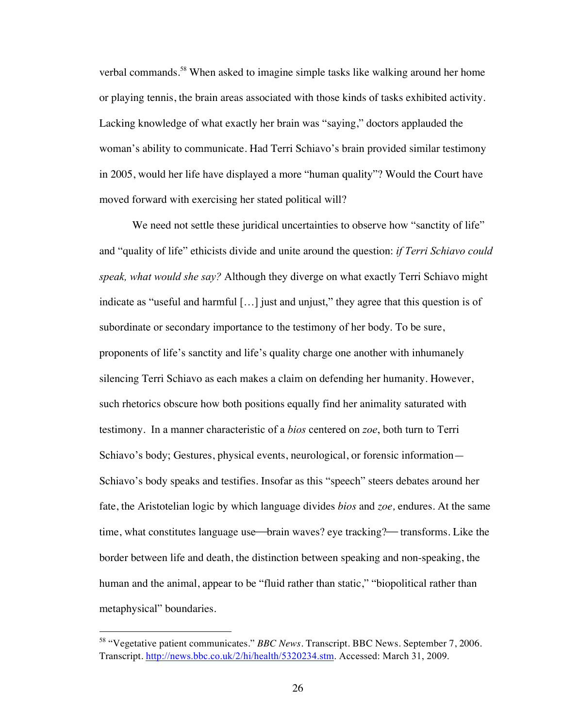verbal commands.<sup>58</sup> When asked to imagine simple tasks like walking around her home or playing tennis, the brain areas associated with those kinds of tasks exhibited activity. Lacking knowledge of what exactly her brain was "saying," doctors applauded the woman's ability to communicate. Had Terri Schiavo's brain provided similar testimony in 2005, would her life have displayed a more "human quality"? Would the Court have moved forward with exercising her stated political will?

We need not settle these juridical uncertainties to observe how "sanctity of life" and "quality of life" ethicists divide and unite around the question: *if Terri Schiavo could speak, what would she say?* Although they diverge on what exactly Terri Schiavo might indicate as "useful and harmful […] just and unjust," they agree that this question is of subordinate or secondary importance to the testimony of her body. To be sure, proponents of life's sanctity and life's quality charge one another with inhumanely silencing Terri Schiavo as each makes a claim on defending her humanity. However, such rhetorics obscure how both positions equally find her animality saturated with testimony. In a manner characteristic of a *bios* centered on *zoe*, both turn to Terri Schiavo's body; Gestures, physical events, neurological, or forensic information— Schiavo's body speaks and testifies. Insofar as this "speech" steers debates around her fate, the Aristotelian logic by which language divides *bios* and *zoe,* endures. At the same time, what constitutes language use—brain waves? eye tracking?—transforms. Like the border between life and death, the distinction between speaking and non-speaking, the human and the animal, appear to be "fluid rather than static," "biopolitical rather than metaphysical" boundaries.

 <sup>58</sup> "Vegetative patient communicates." *BBC News.* Transcript. BBC News. September 7, 2006. Transcript. http://news.bbc.co.uk/2/hi/health/5320234.stm. Accessed: March 31, 2009.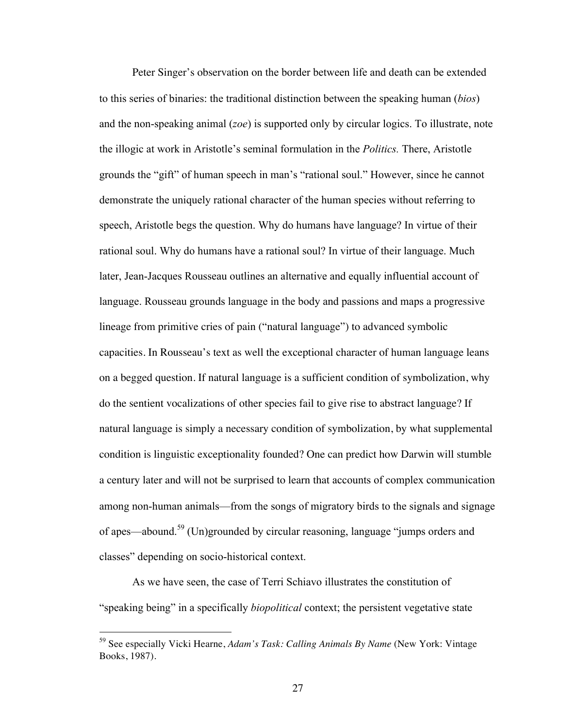Peter Singer's observation on the border between life and death can be extended to this series of binaries: the traditional distinction between the speaking human (*bios*) and the non-speaking animal (*zoe*) is supported only by circular logics. To illustrate, note the illogic at work in Aristotle's seminal formulation in the *Politics.* There, Aristotle grounds the "gift" of human speech in man's "rational soul." However, since he cannot demonstrate the uniquely rational character of the human species without referring to speech, Aristotle begs the question. Why do humans have language? In virtue of their rational soul. Why do humans have a rational soul? In virtue of their language. Much later, Jean-Jacques Rousseau outlines an alternative and equally influential account of language. Rousseau grounds language in the body and passions and maps a progressive lineage from primitive cries of pain ("natural language") to advanced symbolic capacities. In Rousseau's text as well the exceptional character of human language leans on a begged question. If natural language is a sufficient condition of symbolization, why do the sentient vocalizations of other species fail to give rise to abstract language? If natural language is simply a necessary condition of symbolization, by what supplemental condition is linguistic exceptionality founded? One can predict how Darwin will stumble a century later and will not be surprised to learn that accounts of complex communication among non-human animals—from the songs of migratory birds to the signals and signage of apes—abound.59 (Un)grounded by circular reasoning, language "jumps orders and classes" depending on socio-historical context.

As we have seen, the case of Terri Schiavo illustrates the constitution of "speaking being" in a specifically *biopolitical* context; the persistent vegetative state

 <sup>59</sup> See especially Vicki Hearne, *Adam's Task: Calling Animals By Name* (New York: Vintage Books, 1987).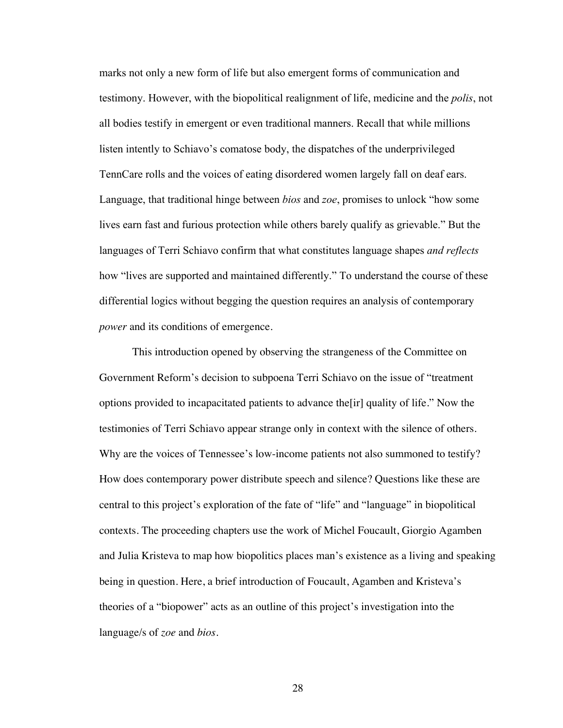marks not only a new form of life but also emergent forms of communication and testimony. However, with the biopolitical realignment of life, medicine and the *polis*, not all bodies testify in emergent or even traditional manners. Recall that while millions listen intently to Schiavo's comatose body, the dispatches of the underprivileged TennCare rolls and the voices of eating disordered women largely fall on deaf ears. Language, that traditional hinge between *bios* and *zoe*, promises to unlock "how some lives earn fast and furious protection while others barely qualify as grievable." But the languages of Terri Schiavo confirm that what constitutes language shapes *and reflects* how "lives are supported and maintained differently." To understand the course of these differential logics without begging the question requires an analysis of contemporary *power* and its conditions of emergence.

This introduction opened by observing the strangeness of the Committee on Government Reform's decision to subpoena Terri Schiavo on the issue of "treatment options provided to incapacitated patients to advance the[ir] quality of life." Now the testimonies of Terri Schiavo appear strange only in context with the silence of others. Why are the voices of Tennessee's low-income patients not also summoned to testify? How does contemporary power distribute speech and silence? Questions like these are central to this project's exploration of the fate of "life" and "language" in biopolitical contexts. The proceeding chapters use the work of Michel Foucault, Giorgio Agamben and Julia Kristeva to map how biopolitics places man's existence as a living and speaking being in question. Here, a brief introduction of Foucault, Agamben and Kristeva's theories of a "biopower" acts as an outline of this project's investigation into the language/s of *zoe* and *bios*.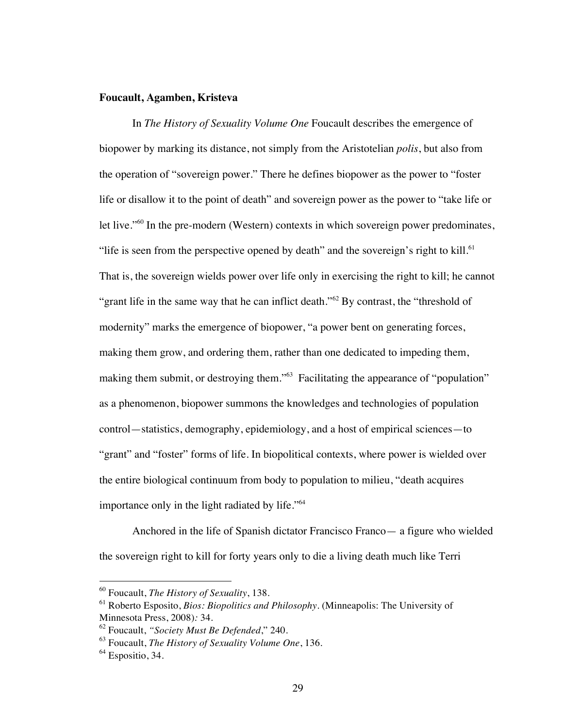### **Foucault, Agamben, Kristeva**

In *The History of Sexuality Volume One* Foucault describes the emergence of biopower by marking its distance, not simply from the Aristotelian *polis*, but also from the operation of "sovereign power." There he defines biopower as the power to "foster life or disallow it to the point of death" and sovereign power as the power to "take life or let live."<sup>60</sup> In the pre-modern (Western) contexts in which sovereign power predominates, "life is seen from the perspective opened by death" and the sovereign's right to kill. $61$ That is, the sovereign wields power over life only in exercising the right to kill; he cannot "grant life in the same way that he can inflict death."<sup>62</sup> By contrast, the "threshold of modernity" marks the emergence of biopower, "a power bent on generating forces, making them grow, and ordering them, rather than one dedicated to impeding them, making them submit, or destroying them."<sup>63</sup> Facilitating the appearance of "population" as a phenomenon, biopower summons the knowledges and technologies of population control—statistics, demography, epidemiology, and a host of empirical sciences—to "grant" and "foster" forms of life. In biopolitical contexts, where power is wielded over the entire biological continuum from body to population to milieu, "death acquires importance only in the light radiated by life."<sup>64</sup>

Anchored in the life of Spanish dictator Francisco Franco— a figure who wielded the sovereign right to kill for forty years only to die a living death much like Terri

 <sup>60</sup> Foucault, *The History of Sexuality*, 138.

<sup>61</sup> Roberto Esposito, *Bios: Biopolitics and Philosophy.* (Minneapolis: The University of Minnesota Press, 2008)*:* 34.

<sup>62</sup> Foucault, *"Society Must Be Defended*," 240.

<sup>63</sup> Foucault, *The History of Sexuality Volume One*, 136.

 $<sup>64</sup>$  Espositio, 34.</sup>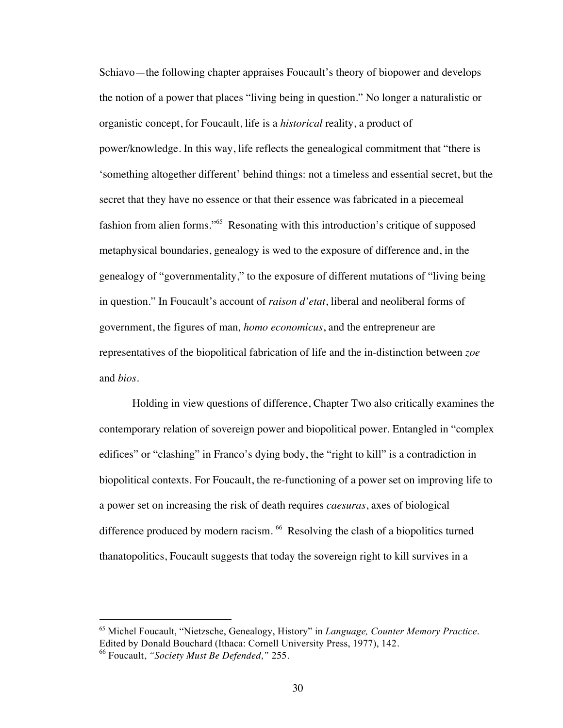Schiavo—the following chapter appraises Foucault's theory of biopower and develops the notion of a power that places "living being in question." No longer a naturalistic or organistic concept, for Foucault, life is a *historical* reality, a product of power/knowledge. In this way, life reflects the genealogical commitment that "there is 'something altogether different' behind things: not a timeless and essential secret, but the secret that they have no essence or that their essence was fabricated in a piecemeal fashion from alien forms."65 Resonating with this introduction's critique of supposed metaphysical boundaries, genealogy is wed to the exposure of difference and, in the genealogy of "governmentality," to the exposure of different mutations of "living being in question." In Foucault's account of *raison d'etat*, liberal and neoliberal forms of government, the figures of man*, homo economicus*, and the entrepreneur are representatives of the biopolitical fabrication of life and the in-distinction between *zoe* and *bios*.

Holding in view questions of difference, Chapter Two also critically examines the contemporary relation of sovereign power and biopolitical power. Entangled in "complex edifices" or "clashing" in Franco's dying body, the "right to kill" is a contradiction in biopolitical contexts. For Foucault, the re-functioning of a power set on improving life to a power set on increasing the risk of death requires *caesuras*, axes of biological difference produced by modern racism. <sup>66</sup> Resolving the clash of a biopolitics turned thanatopolitics, Foucault suggests that today the sovereign right to kill survives in a

 <sup>65</sup> Michel Foucault, "Nietzsche, Genealogy, History" in *Language, Counter Memory Practice*. Edited by Donald Bouchard (Ithaca: Cornell University Press, 1977), 142.

<sup>66</sup> Foucault, *"Society Must Be Defended,"* 255.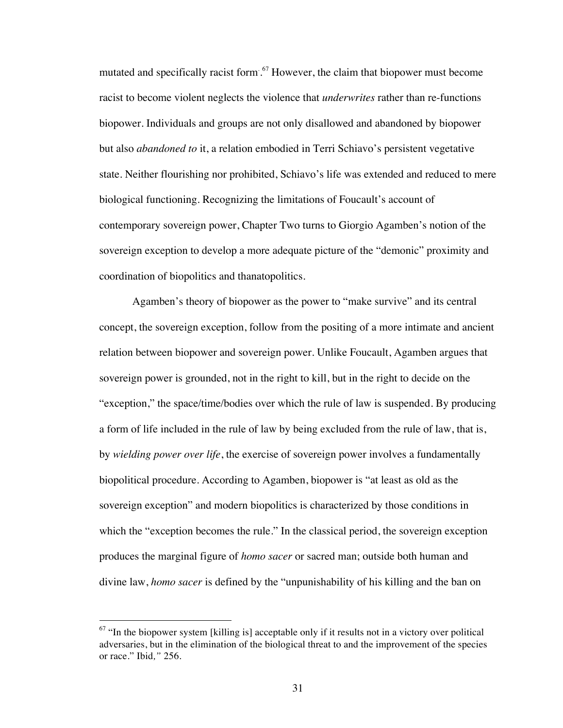mutated and specifically racist form.<sup>67</sup> However, the claim that biopower must become racist to become violent neglects the violence that *underwrites* rather than re-functions biopower. Individuals and groups are not only disallowed and abandoned by biopower but also *abandoned to* it, a relation embodied in Terri Schiavo's persistent vegetative state. Neither flourishing nor prohibited, Schiavo's life was extended and reduced to mere biological functioning. Recognizing the limitations of Foucault's account of contemporary sovereign power, Chapter Two turns to Giorgio Agamben's notion of the sovereign exception to develop a more adequate picture of the "demonic" proximity and coordination of biopolitics and thanatopolitics.

Agamben's theory of biopower as the power to "make survive" and its central concept, the sovereign exception, follow from the positing of a more intimate and ancient relation between biopower and sovereign power. Unlike Foucault, Agamben argues that sovereign power is grounded, not in the right to kill, but in the right to decide on the "exception," the space/time/bodies over which the rule of law is suspended. By producing a form of life included in the rule of law by being excluded from the rule of law, that is, by *wielding power over life*, the exercise of sovereign power involves a fundamentally biopolitical procedure. According to Agamben, biopower is "at least as old as the sovereign exception" and modern biopolitics is characterized by those conditions in which the "exception becomes the rule." In the classical period, the sovereign exception produces the marginal figure of *homo sacer* or sacred man; outside both human and divine law, *homo sacer* is defined by the "unpunishability of his killing and the ban on

 $67$  "In the biopower system [killing is] acceptable only if it results not in a victory over political adversaries, but in the elimination of the biological threat to and the improvement of the species or race." Ibid*,"* 256.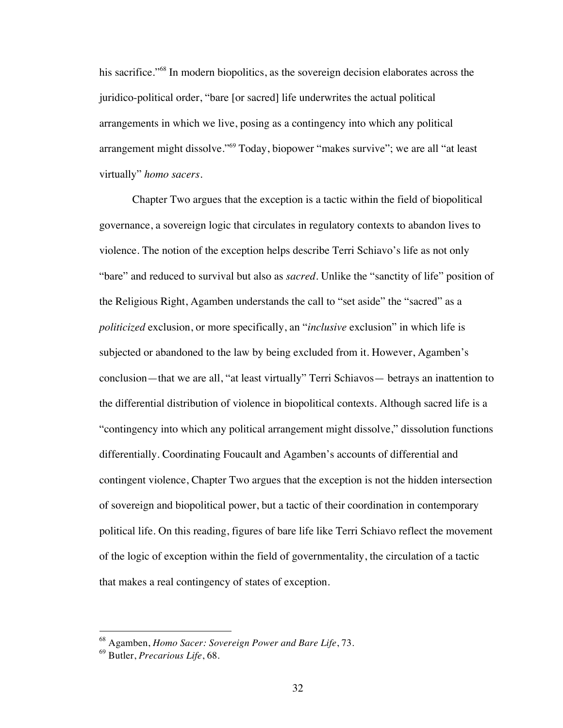his sacrifice."<sup>68</sup> In modern biopolitics, as the sovereign decision elaborates across the juridico-political order, "bare [or sacred] life underwrites the actual political arrangements in which we live, posing as a contingency into which any political arrangement might dissolve."<sup>69</sup> Today, biopower "makes survive"; we are all "at least virtually" *homo sacers*.

Chapter Two argues that the exception is a tactic within the field of biopolitical governance, a sovereign logic that circulates in regulatory contexts to abandon lives to violence. The notion of the exception helps describe Terri Schiavo's life as not only "bare" and reduced to survival but also as *sacred*. Unlike the "sanctity of life" position of the Religious Right, Agamben understands the call to "set aside" the "sacred" as a *politicized* exclusion, or more specifically, an "*inclusive* exclusion" in which life is subjected or abandoned to the law by being excluded from it. However, Agamben's conclusion—that we are all, "at least virtually" Terri Schiavos— betrays an inattention to the differential distribution of violence in biopolitical contexts. Although sacred life is a "contingency into which any political arrangement might dissolve," dissolution functions differentially. Coordinating Foucault and Agamben's accounts of differential and contingent violence, Chapter Two argues that the exception is not the hidden intersection of sovereign and biopolitical power, but a tactic of their coordination in contemporary political life. On this reading, figures of bare life like Terri Schiavo reflect the movement of the logic of exception within the field of governmentality, the circulation of a tactic that makes a real contingency of states of exception.

 <sup>68</sup> Agamben, *Homo Sacer: Sovereign Power and Bare Life*, 73.

<sup>69</sup> Butler, *Precarious Life*, 68.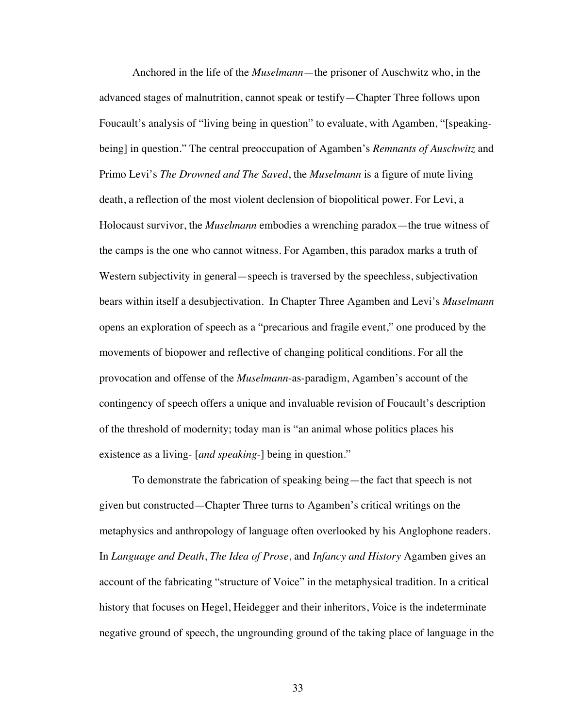Anchored in the life of the *Muselmann*—the prisoner of Auschwitz who, in the advanced stages of malnutrition, cannot speak or testify—Chapter Three follows upon Foucault's analysis of "living being in question" to evaluate, with Agamben, "[speakingbeing] in question." The central preoccupation of Agamben's *Remnants of Auschwitz* and Primo Levi's *The Drowned and The Saved*, the *Muselmann* is a figure of mute living death, a reflection of the most violent declension of biopolitical power. For Levi, a Holocaust survivor, the *Muselmann* embodies a wrenching paradox—the true witness of the camps is the one who cannot witness. For Agamben, this paradox marks a truth of Western subjectivity in general—speech is traversed by the speechless, subjectivation bears within itself a desubjectivation. In Chapter Three Agamben and Levi's *Muselmann* opens an exploration of speech as a "precarious and fragile event," one produced by the movements of biopower and reflective of changing political conditions. For all the provocation and offense of the *Muselmann*-as-paradigm, Agamben's account of the contingency of speech offers a unique and invaluable revision of Foucault's description of the threshold of modernity; today man is "an animal whose politics places his existence as a living- [*and speaking*-] being in question."

To demonstrate the fabrication of speaking being—the fact that speech is not given but constructed—Chapter Three turns to Agamben's critical writings on the metaphysics and anthropology of language often overlooked by his Anglophone readers. In *Language and Death*, *The Idea of Prose*, and *Infancy and History* Agamben gives an account of the fabricating "structure of Voice" in the metaphysical tradition. In a critical history that focuses on Hegel, Heidegger and their inheritors, *V*oice is the indeterminate negative ground of speech, the ungrounding ground of the taking place of language in the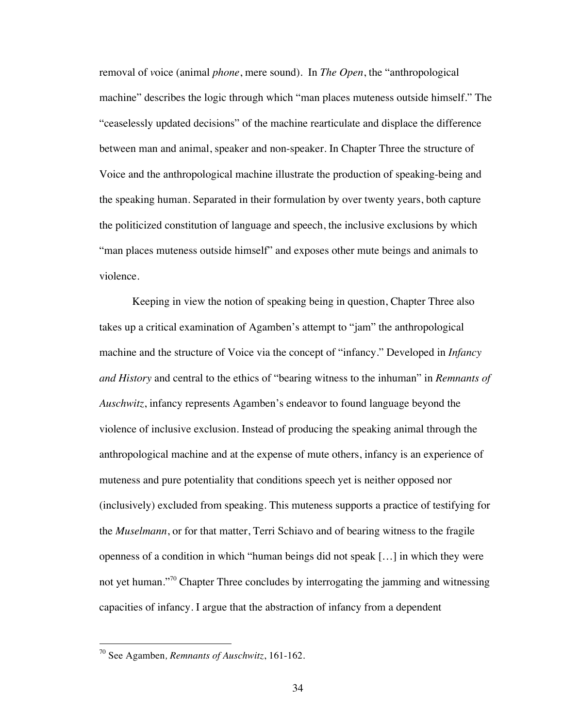removal of *v*oice (animal *phone*, mere sound). In *The Open*, the "anthropological machine" describes the logic through which "man places muteness outside himself." The "ceaselessly updated decisions" of the machine rearticulate and displace the difference between man and animal, speaker and non-speaker. In Chapter Three the structure of Voice and the anthropological machine illustrate the production of speaking-being and the speaking human. Separated in their formulation by over twenty years, both capture the politicized constitution of language and speech, the inclusive exclusions by which "man places muteness outside himself" and exposes other mute beings and animals to violence.

Keeping in view the notion of speaking being in question, Chapter Three also takes up a critical examination of Agamben's attempt to "jam" the anthropological machine and the structure of Voice via the concept of "infancy." Developed in *Infancy and History* and central to the ethics of "bearing witness to the inhuman" in *Remnants of Auschwitz*, infancy represents Agamben's endeavor to found language beyond the violence of inclusive exclusion. Instead of producing the speaking animal through the anthropological machine and at the expense of mute others, infancy is an experience of muteness and pure potentiality that conditions speech yet is neither opposed nor (inclusively) excluded from speaking. This muteness supports a practice of testifying for the *Muselmann*, or for that matter, Terri Schiavo and of bearing witness to the fragile openness of a condition in which "human beings did not speak […] in which they were not yet human."<sup>70</sup> Chapter Three concludes by interrogating the jamming and witnessing capacities of infancy. I argue that the abstraction of infancy from a dependent

 <sup>70</sup> See Agamben*, Remnants of Auschwitz*, 161-162.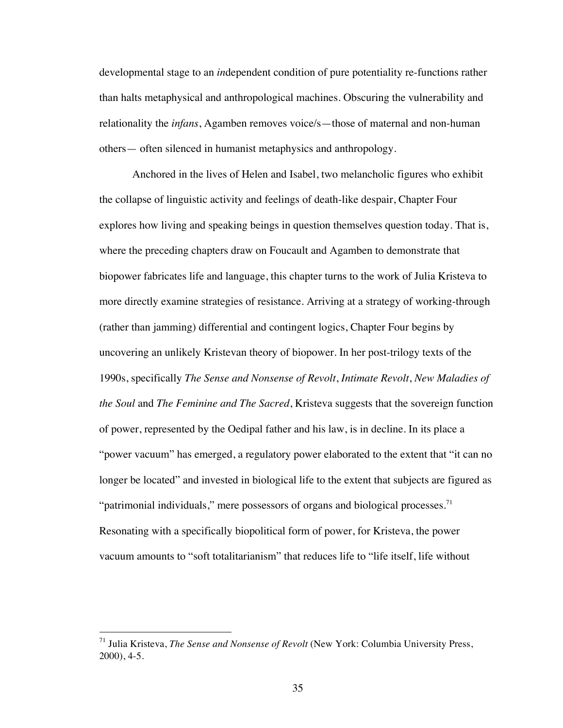developmental stage to an *in*dependent condition of pure potentiality re-functions rather than halts metaphysical and anthropological machines. Obscuring the vulnerability and relationality the *infans*, Agamben removes voice/s—those of maternal and non-human others— often silenced in humanist metaphysics and anthropology.

Anchored in the lives of Helen and Isabel, two melancholic figures who exhibit the collapse of linguistic activity and feelings of death-like despair, Chapter Four explores how living and speaking beings in question themselves question today. That is, where the preceding chapters draw on Foucault and Agamben to demonstrate that biopower fabricates life and language, this chapter turns to the work of Julia Kristeva to more directly examine strategies of resistance. Arriving at a strategy of working-through (rather than jamming) differential and contingent logics, Chapter Four begins by uncovering an unlikely Kristevan theory of biopower. In her post-trilogy texts of the 1990s, specifically *The Sense and Nonsense of Revolt*, *Intimate Revolt*, *New Maladies of the Soul* and *The Feminine and The Sacred*, Kristeva suggests that the sovereign function of power, represented by the Oedipal father and his law, is in decline. In its place a "power vacuum" has emerged, a regulatory power elaborated to the extent that "it can no longer be located" and invested in biological life to the extent that subjects are figured as "patrimonial individuals," mere possessors of organs and biological processes. $<sup>71</sup>$ </sup> Resonating with a specifically biopolitical form of power, for Kristeva, the power vacuum amounts to "soft totalitarianism" that reduces life to "life itself, life without

 <sup>71</sup> Julia Kristeva, *The Sense and Nonsense of Revolt* (New York: Columbia University Press, 2000), 4-5.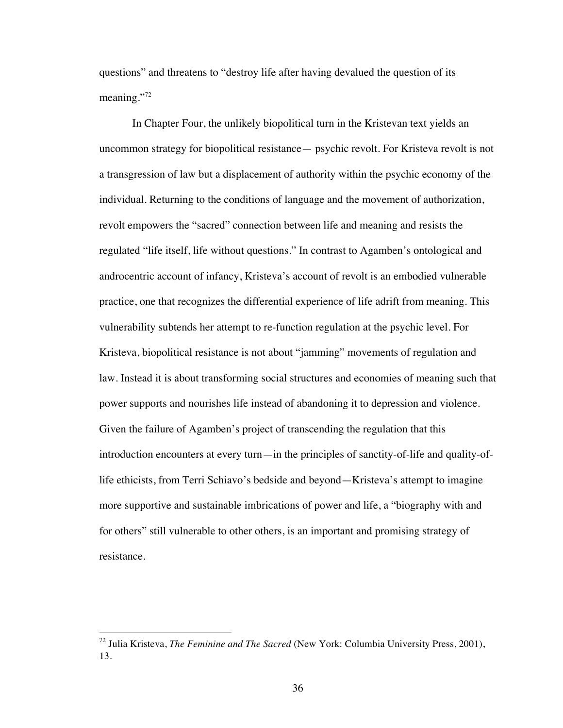questions" and threatens to "destroy life after having devalued the question of its meaning."<sup>72</sup>

In Chapter Four, the unlikely biopolitical turn in the Kristevan text yields an uncommon strategy for biopolitical resistance— psychic revolt. For Kristeva revolt is not a transgression of law but a displacement of authority within the psychic economy of the individual. Returning to the conditions of language and the movement of authorization, revolt empowers the "sacred" connection between life and meaning and resists the regulated "life itself, life without questions." In contrast to Agamben's ontological and androcentric account of infancy, Kristeva's account of revolt is an embodied vulnerable practice, one that recognizes the differential experience of life adrift from meaning. This vulnerability subtends her attempt to re-function regulation at the psychic level. For Kristeva, biopolitical resistance is not about "jamming" movements of regulation and law. Instead it is about transforming social structures and economies of meaning such that power supports and nourishes life instead of abandoning it to depression and violence. Given the failure of Agamben's project of transcending the regulation that this introduction encounters at every turn—in the principles of sanctity-of-life and quality-oflife ethicists, from Terri Schiavo's bedside and beyond—Kristeva's attempt to imagine more supportive and sustainable imbrications of power and life, a "biography with and for others" still vulnerable to other others, is an important and promising strategy of resistance.

 <sup>72</sup> Julia Kristeva, *The Feminine and The Sacred* (New York: Columbia University Press, 2001), 13.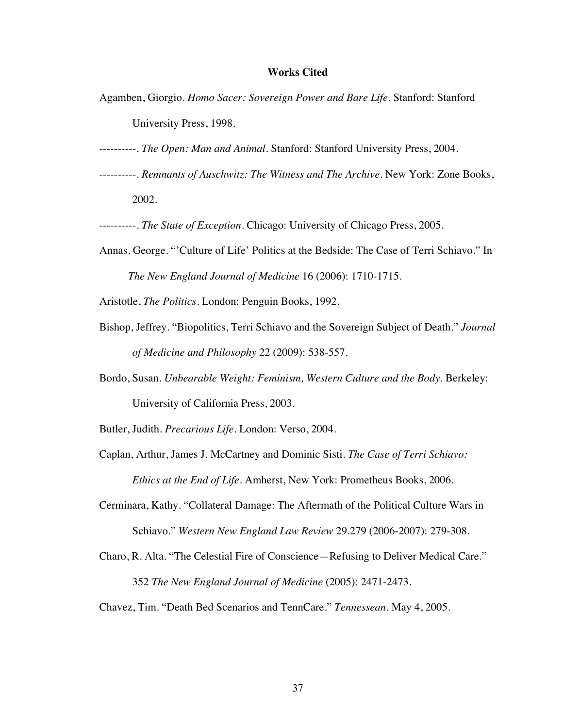# **Works Cited**

Agamben, Giorgio. *Homo Sacer: Sovereign Power and Bare Life*. Stanford: Stanford

University Press, 1998.

- ----------. *The Open: Man and Animal*. Stanford: Stanford University Press, 2004.
- ----------. *Remnants of Auschwitz: The Witness and The Archive*. New York: Zone Books, 2002.

----------. *The State of Exception*. Chicago: University of Chicago Press, 2005.

Annas, George. "'Culture of Life' Politics at the Bedside: The Case of Terri Schiavo." In *The New England Journal of Medicine* 16 (2006): 1710-1715.

Aristotle, *The Politics*. London: Penguin Books, 1992.

- Bishop, Jeffrey. "Biopolitics, Terri Schiavo and the Sovereign Subject of Death." *Journal of Medicine and Philosophy* 22 (2009): 538-557.
- Bordo, Susan. *Unbearable Weight: Feminism, Western Culture and the Body*. Berkeley: University of California Press, 2003.

Butler, Judith. *Precarious Life*. London: Verso, 2004.

- Caplan, Arthur, James J. McCartney and Dominic Sisti. *The Case of Terri Schiavo: Ethics at the End of Life.* Amherst, New York: Prometheus Books, 2006.
- Cerminara, Kathy. "Collateral Damage: The Aftermath of the Political Culture Wars in Schiavo." *Western New England Law Review* 29.279 (2006-2007): 279-308.
- Charo, R. Alta. "The Celestial Fire of Conscience—Refusing to Deliver Medical Care." 352 *The New England Journal of Medicine* (2005): 2471-2473.

Chavez, Tim. "Death Bed Scenarios and TennCare." *Tennessean*. May 4, 2005.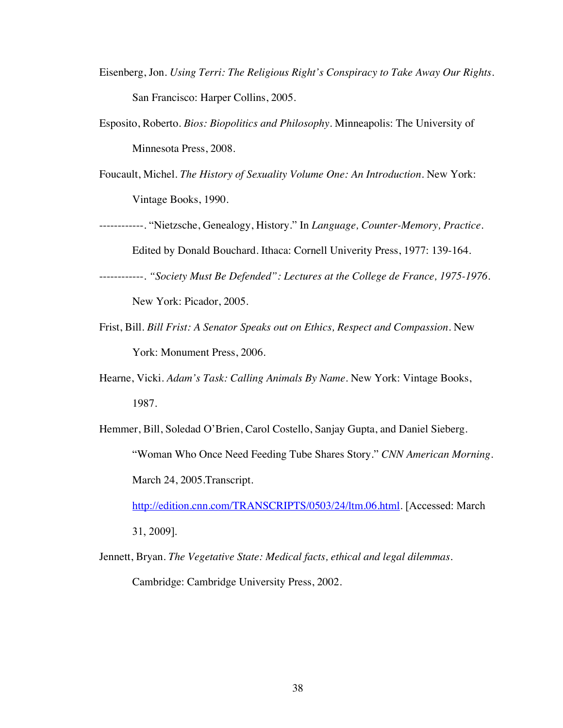- Eisenberg, Jon. *Using Terri: The Religious Right's Conspiracy to Take Away Our Rights.*  San Francisco: Harper Collins, 2005.
- Esposito, Roberto. *Bios: Biopolitics and Philosophy.* Minneapolis: The University of Minnesota Press, 2008.
- Foucault, Michel. *The History of Sexuality Volume One: An Introduction.* New York: Vintage Books, 1990.
- ------------. "Nietzsche, Genealogy, History." In *Language, Counter-Memory, Practice*. Edited by Donald Bouchard. Ithaca: Cornell Univerity Press, 1977: 139-164.
- ------------. *"Society Must Be Defended": Lectures at the College de France, 1975-1976*. New York: Picador, 2005.
- Frist, Bill. *Bill Frist: A Senator Speaks out on Ethics, Respect and Compassion*. New York: Monument Press, 2006.
- Hearne, Vicki. *Adam's Task: Calling Animals By Name*. New York: Vintage Books, 1987.
- Hemmer, Bill, Soledad O'Brien, Carol Costello, Sanjay Gupta, and Daniel Sieberg. "Woman Who Once Need Feeding Tube Shares Story." *CNN American Morning*. March 24, 2005.Transcript.

http://edition.cnn.com/TRANSCRIPTS/0503/24/ltm.06.html. [Accessed: March

31, 2009].

Jennett, Bryan. *The Vegetative State: Medical facts, ethical and legal dilemmas*. Cambridge: Cambridge University Press, 2002.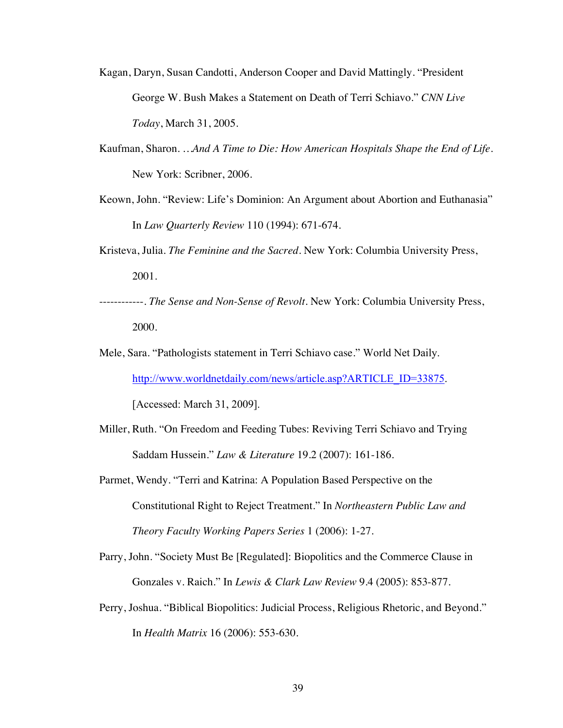- Kagan, Daryn, Susan Candotti, Anderson Cooper and David Mattingly. "President George W. Bush Makes a Statement on Death of Terri Schiavo." *CNN Live Today*, March 31, 2005.
- Kaufman, Sharon. *…And A Time to Die: How American Hospitals Shape the End of Life*. New York: Scribner, 2006.
- Keown, John. "Review: Life's Dominion: An Argument about Abortion and Euthanasia" In *Law Quarterly Review* 110 (1994): 671-674.
- Kristeva, Julia. *The Feminine and the Sacred.* New York: Columbia University Press, 2001.
- ------------. *The Sense and Non-Sense of Revolt.* New York: Columbia University Press, 2000.
- Mele, Sara. "Pathologists statement in Terri Schiavo case." World Net Daily.

http://www.worldnetdaily.com/news/article.asp?ARTICLE\_ID=33875.

[Accessed: March 31, 2009].

- Miller, Ruth. "On Freedom and Feeding Tubes: Reviving Terri Schiavo and Trying Saddam Hussein." *Law & Literature* 19.2 (2007): 161-186.
- Parmet, Wendy. "Terri and Katrina: A Population Based Perspective on the Constitutional Right to Reject Treatment." In *Northeastern Public Law and Theory Faculty Working Papers Series* 1 (2006): 1-27.
- Parry, John. "Society Must Be [Regulated]: Biopolitics and the Commerce Clause in Gonzales v. Raich." In *Lewis & Clark Law Review* 9.4 (2005): 853-877.
- Perry, Joshua. "Biblical Biopolitics: Judicial Process, Religious Rhetoric, and Beyond." In *Health Matrix* 16 (2006): 553-630.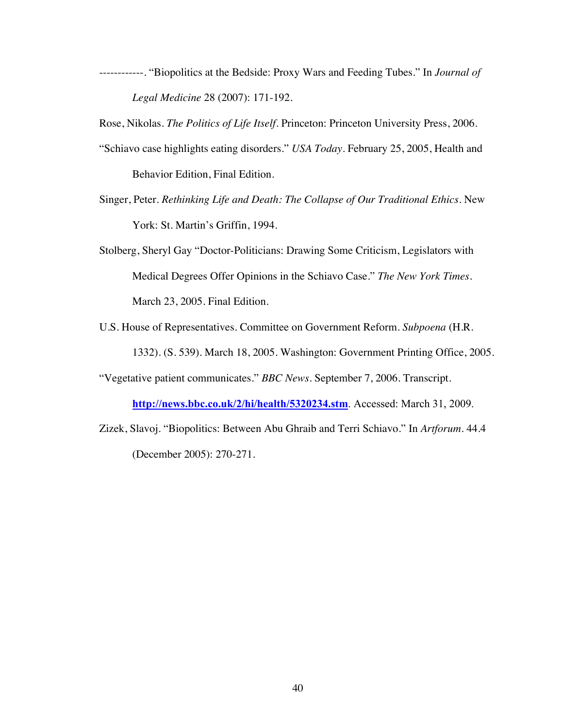------------. "Biopolitics at the Bedside: Proxy Wars and Feeding Tubes." In *Journal of Legal Medicine* 28 (2007): 171-192.

Rose, Nikolas. *The Politics of Life Itself*. Princeton: Princeton University Press, 2006.

- "Schiavo case highlights eating disorders." *USA Today*. February 25, 2005, Health and Behavior Edition, Final Edition.
- Singer, Peter. *Rethinking Life and Death: The Collapse of Our Traditional Ethics*. New York: St. Martin's Griffin, 1994.
- Stolberg, Sheryl Gay "Doctor-Politicians: Drawing Some Criticism, Legislators with Medical Degrees Offer Opinions in the Schiavo Case." *The New York Times*. March 23, 2005. Final Edition.
- U.S. House of Representatives. Committee on Government Reform. *Subpoena* (H.R. 1332). (S. 539). March 18, 2005. Washington: Government Printing Office, 2005.
- "Vegetative patient communicates." *BBC News*. September 7, 2006. Transcript.

**http://news.bbc.co.uk/2/hi/health/5320234.stm**. Accessed: March 31, 2009.

Zizek, Slavoj. "Biopolitics: Between Abu Ghraib and Terri Schiavo." In *Artforum*. 44.4 (December 2005): 270-271.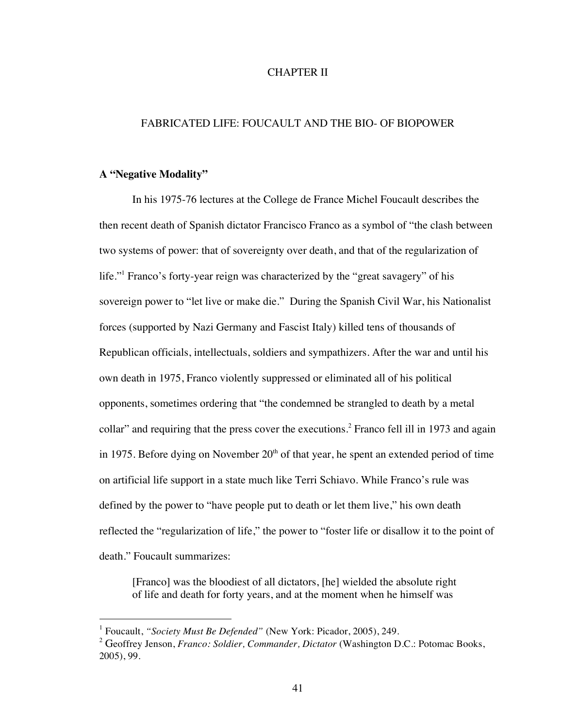# CHAPTER II

# FABRICATED LIFE: FOUCAULT AND THE BIO- OF BIOPOWER

#### **A "Negative Modality"**

In his 1975-76 lectures at the College de France Michel Foucault describes the then recent death of Spanish dictator Francisco Franco as a symbol of "the clash between two systems of power: that of sovereignty over death, and that of the regularization of life."1 Franco's forty-year reign was characterized by the "great savagery" of his sovereign power to "let live or make die." During the Spanish Civil War, his Nationalist forces (supported by Nazi Germany and Fascist Italy) killed tens of thousands of Republican officials, intellectuals, soldiers and sympathizers. After the war and until his own death in 1975, Franco violently suppressed or eliminated all of his political opponents, sometimes ordering that "the condemned be strangled to death by a metal collar" and requiring that the press cover the executions.<sup>2</sup> Franco fell ill in 1973 and again in 1975. Before dying on November  $20<sup>th</sup>$  of that year, he spent an extended period of time on artificial life support in a state much like Terri Schiavo. While Franco's rule was defined by the power to "have people put to death or let them live," his own death reflected the "regularization of life," the power to "foster life or disallow it to the point of death." Foucault summarizes:

[Franco] was the bloodiest of all dictators, [he] wielded the absolute right of life and death for forty years, and at the moment when he himself was

 <sup>1</sup> Foucault, *"Society Must Be Defended"* (New York: Picador, 2005), 249.

<sup>2</sup> Geoffrey Jenson, *Franco: Soldier, Commander, Dictator* (Washington D.C.: Potomac Books, 2005), 99.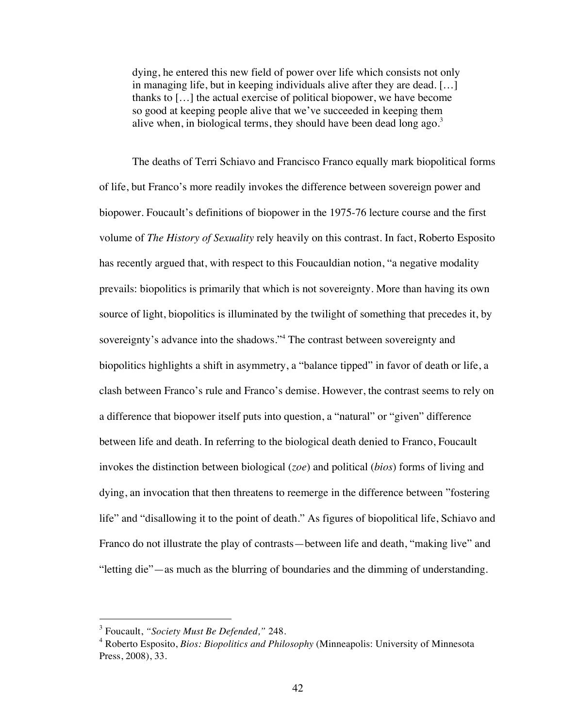dying, he entered this new field of power over life which consists not only in managing life, but in keeping individuals alive after they are dead. […] thanks to […] the actual exercise of political biopower, we have become so good at keeping people alive that we've succeeded in keeping them alive when, in biological terms, they should have been dead long ago. $3$ 

The deaths of Terri Schiavo and Francisco Franco equally mark biopolitical forms of life, but Franco's more readily invokes the difference between sovereign power and biopower. Foucault's definitions of biopower in the 1975-76 lecture course and the first volume of *The History of Sexuality* rely heavily on this contrast. In fact, Roberto Esposito has recently argued that, with respect to this Foucauldian notion, "a negative modality prevails: biopolitics is primarily that which is not sovereignty. More than having its own source of light, biopolitics is illuminated by the twilight of something that precedes it, by sovereignty's advance into the shadows."<sup>4</sup> The contrast between sovereignty and biopolitics highlights a shift in asymmetry, a "balance tipped" in favor of death or life, a clash between Franco's rule and Franco's demise. However, the contrast seems to rely on a difference that biopower itself puts into question, a "natural" or "given" difference between life and death. In referring to the biological death denied to Franco, Foucault invokes the distinction between biological (*zoe*) and political (*bios*) forms of living and dying, an invocation that then threatens to reemerge in the difference between "fostering life" and "disallowing it to the point of death." As figures of biopolitical life, Schiavo and Franco do not illustrate the play of contrasts—between life and death, "making live" and "letting die"—as much as the blurring of boundaries and the dimming of understanding.

 <sup>3</sup> Foucault, *"Society Must Be Defended,"* 248.

<sup>4</sup> Roberto Esposito, *Bios: Biopolitics and Philosophy* (Minneapolis: University of Minnesota Press, 2008), 33.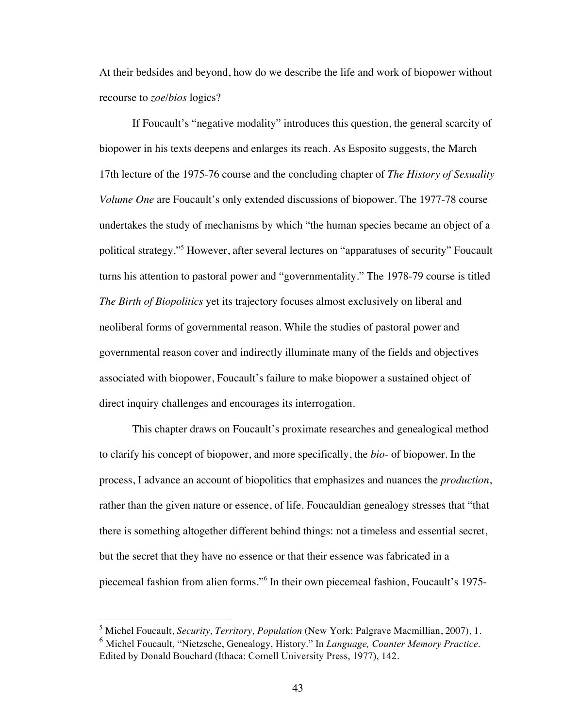At their bedsides and beyond, how do we describe the life and work of biopower without recourse to *zoe*/*bios* logics?

If Foucault's "negative modality" introduces this question, the general scarcity of biopower in his texts deepens and enlarges its reach. As Esposito suggests, the March 17th lecture of the 1975-76 course and the concluding chapter of *The History of Sexuality Volume One* are Foucault's only extended discussions of biopower. The 1977-78 course undertakes the study of mechanisms by which "the human species became an object of a political strategy."5 However, after several lectures on "apparatuses of security" Foucault turns his attention to pastoral power and "governmentality." The 1978-79 course is titled *The Birth of Biopolitics* yet its trajectory focuses almost exclusively on liberal and neoliberal forms of governmental reason. While the studies of pastoral power and governmental reason cover and indirectly illuminate many of the fields and objectives associated with biopower, Foucault's failure to make biopower a sustained object of direct inquiry challenges and encourages its interrogation.

This chapter draws on Foucault's proximate researches and genealogical method to clarify his concept of biopower, and more specifically, the *bio-* of biopower. In the process, I advance an account of biopolitics that emphasizes and nuances the *production*, rather than the given nature or essence, of life. Foucauldian genealogy stresses that "that there is something altogether different behind things: not a timeless and essential secret, but the secret that they have no essence or that their essence was fabricated in a piecemeal fashion from alien forms."<sup>6</sup> In their own piecemeal fashion, Foucault's 1975-

 <sup>5</sup> Michel Foucault, *Security, Territory, Population* (New York: Palgrave Macmillian, 2007), 1. <sup>6</sup> Michel Foucault, "Nietzsche, Genealogy, History." In *Language, Counter Memory Practice*. Edited by Donald Bouchard (Ithaca: Cornell University Press, 1977), 142.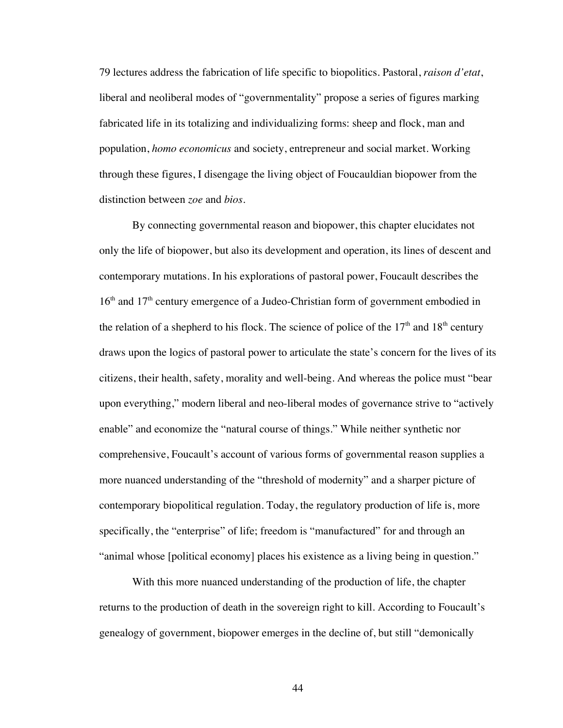79 lectures address the fabrication of life specific to biopolitics. Pastoral, *raison d'etat*, liberal and neoliberal modes of "governmentality" propose a series of figures marking fabricated life in its totalizing and individualizing forms: sheep and flock, man and population, *homo economicus* and society, entrepreneur and social market. Working through these figures, I disengage the living object of Foucauldian biopower from the distinction between *zoe* and *bios*.

By connecting governmental reason and biopower, this chapter elucidates not only the life of biopower, but also its development and operation, its lines of descent and contemporary mutations. In his explorations of pastoral power, Foucault describes the  $16<sup>th</sup>$  and  $17<sup>th</sup>$  century emergence of a Judeo-Christian form of government embodied in the relation of a shepherd to his flock. The science of police of the  $17<sup>th</sup>$  and  $18<sup>th</sup>$  century draws upon the logics of pastoral power to articulate the state's concern for the lives of its citizens, their health, safety, morality and well-being. And whereas the police must "bear upon everything," modern liberal and neo-liberal modes of governance strive to "actively enable" and economize the "natural course of things." While neither synthetic nor comprehensive, Foucault's account of various forms of governmental reason supplies a more nuanced understanding of the "threshold of modernity" and a sharper picture of contemporary biopolitical regulation. Today, the regulatory production of life is, more specifically, the "enterprise" of life; freedom is "manufactured" for and through an "animal whose [political economy] places his existence as a living being in question."

With this more nuanced understanding of the production of life, the chapter returns to the production of death in the sovereign right to kill. According to Foucault's genealogy of government, biopower emerges in the decline of, but still "demonically

44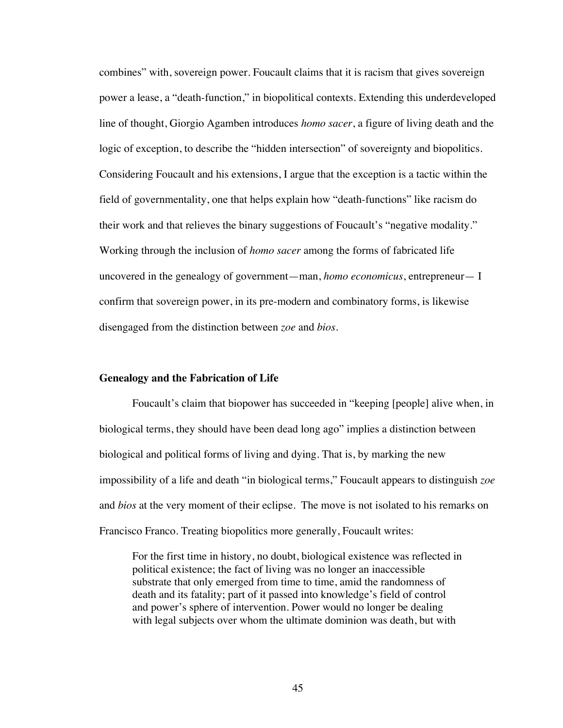combines" with, sovereign power. Foucault claims that it is racism that gives sovereign power a lease, a "death-function," in biopolitical contexts. Extending this underdeveloped line of thought, Giorgio Agamben introduces *homo sacer*, a figure of living death and the logic of exception, to describe the "hidden intersection" of sovereignty and biopolitics. Considering Foucault and his extensions, I argue that the exception is a tactic within the field of governmentality, one that helps explain how "death-functions" like racism do their work and that relieves the binary suggestions of Foucault's "negative modality." Working through the inclusion of *homo sacer* among the forms of fabricated life uncovered in the genealogy of government—man, *homo economicus*, entrepreneur— I confirm that sovereign power, in its pre-modern and combinatory forms, is likewise disengaged from the distinction between *zoe* and *bios*.

### **Genealogy and the Fabrication of Life**

Foucault's claim that biopower has succeeded in "keeping [people] alive when, in biological terms, they should have been dead long ago" implies a distinction between biological and political forms of living and dying. That is, by marking the new impossibility of a life and death "in biological terms," Foucault appears to distinguish *zoe* and *bios* at the very moment of their eclipse. The move is not isolated to his remarks on Francisco Franco. Treating biopolitics more generally, Foucault writes:

For the first time in history, no doubt, biological existence was reflected in political existence; the fact of living was no longer an inaccessible substrate that only emerged from time to time, amid the randomness of death and its fatality; part of it passed into knowledge's field of control and power's sphere of intervention. Power would no longer be dealing with legal subjects over whom the ultimate dominion was death, but with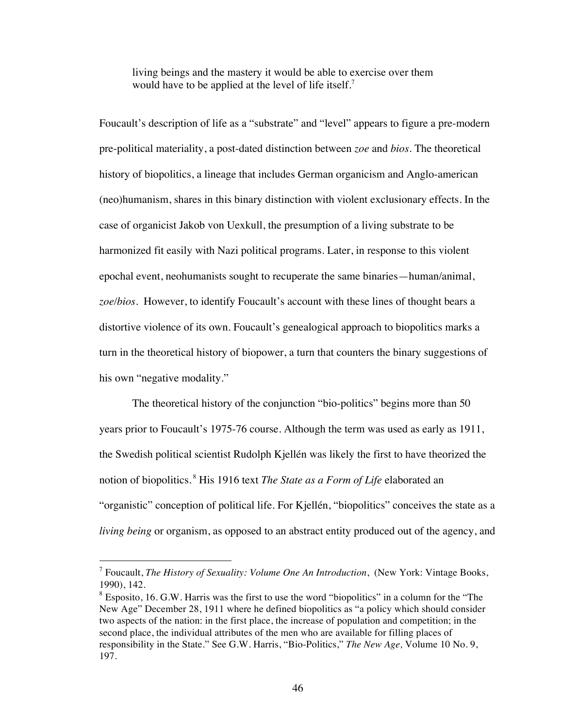living beings and the mastery it would be able to exercise over them would have to be applied at the level of life itself.<sup>7</sup>

Foucault's description of life as a "substrate" and "level" appears to figure a pre-modern pre-political materiality, a post-dated distinction between *zoe* and *bios*. The theoretical history of biopolitics, a lineage that includes German organicism and Anglo-american (neo)humanism, shares in this binary distinction with violent exclusionary effects. In the case of organicist Jakob von Uexkull, the presumption of a living substrate to be harmonized fit easily with Nazi political programs. Later, in response to this violent epochal event, neohumanists sought to recuperate the same binaries—human/animal, *zoe/bios*. However, to identify Foucault's account with these lines of thought bears a distortive violence of its own. Foucault's genealogical approach to biopolitics marks a turn in the theoretical history of biopower, a turn that counters the binary suggestions of his own "negative modality."

The theoretical history of the conjunction "bio-politics" begins more than 50 years prior to Foucault's 1975-76 course. Although the term was used as early as 1911, the Swedish political scientist Rudolph Kjellén was likely the first to have theorized the notion of biopolitics.<sup>8</sup> His 1916 text *The State as a Form of Life* elaborated an "organistic" conception of political life. For Kjellén, "biopolitics" conceives the state as a *living being* or organism, as opposed to an abstract entity produced out of the agency, and

 <sup>7</sup> Foucault, *The History of Sexuality: Volume One An Introduction*, (New York: Vintage Books, 1990), 142.

 $8$  Esposito, 16. G.W. Harris was the first to use the word "biopolitics" in a column for the "The New Age" December 28, 1911 where he defined biopolitics as "a policy which should consider two aspects of the nation: in the first place, the increase of population and competition; in the second place, the individual attributes of the men who are available for filling places of responsibility in the State." See G.W. Harris, "Bio-Politics," *The New Age,* Volume 10 No. 9, 197.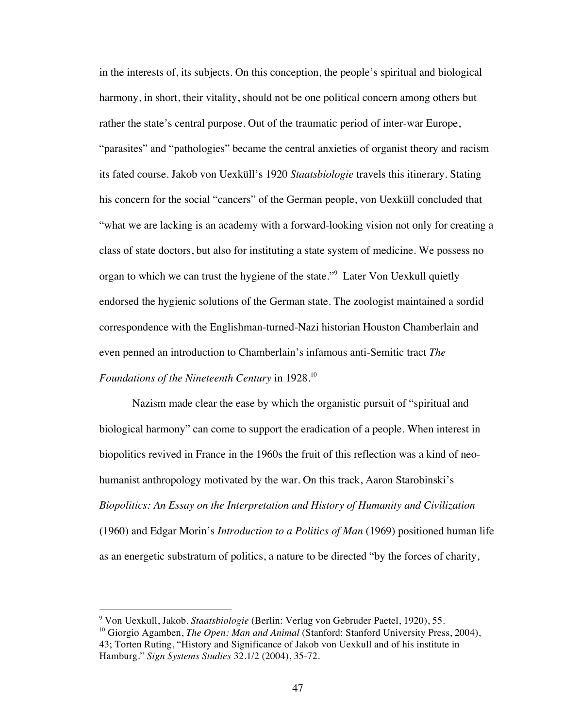in the interests of, its subjects. On this conception, the people's spiritual and biological harmony, in short, their vitality, should not be one political concern among others but rather the state's central purpose. Out of the traumatic period of inter-war Europe, "parasites" and "pathologies" became the central anxieties of organist theory and racism its fated course. Jakob von Uexküll's 1920 *Staatsbiologie* travels this itinerary. Stating his concern for the social "cancers" of the German people, von Uexküll concluded that "what we are lacking is an academy with a forward-looking vision not only for creating a class of state doctors, but also for instituting a state system of medicine. We possess no organ to which we can trust the hygiene of the state."<sup>9</sup> Later Von Uexkull quietly endorsed the hygienic solutions of the German state. The zoologist maintained a sordid correspondence with the Englishman-turned-Nazi historian Houston Chamberlain and even penned an introduction to Chamberlain's infamous anti-Semitic tract *The Foundations of the Nineteenth Century* in 1928.10

Nazism made clear the ease by which the organistic pursuit of "spiritual and biological harmony" can come to support the eradication of a people. When interest in biopolitics revived in France in the 1960s the fruit of this reflection was a kind of neohumanist anthropology motivated by the war. On this track, Aaron Starobinski's *Biopolitics: An Essay on the Interpretation and History of Humanity and Civilization* (1960) and Edgar Morin's *Introduction to a Politics of Man* (1969) positioned human life as an energetic substratum of politics, a nature to be directed "by the forces of charity,

<sup>-&</sup>lt;br>9 Von Uexkull, Jakob. *Staatsbiologie* (Berlin: Verlag von Gebruder Paetel, 1920), 55.

<sup>&</sup>lt;sup>10</sup> Giorgio Agamben, *The Open: Man and Animal* (Stanford: Stanford University Press, 2004), 43; Torten Ruting, "History and Significance of Jakob von Uexkull and of his institute in Hamburg." *Sign Systems Studies* 32.1/2 (2004), 35-72.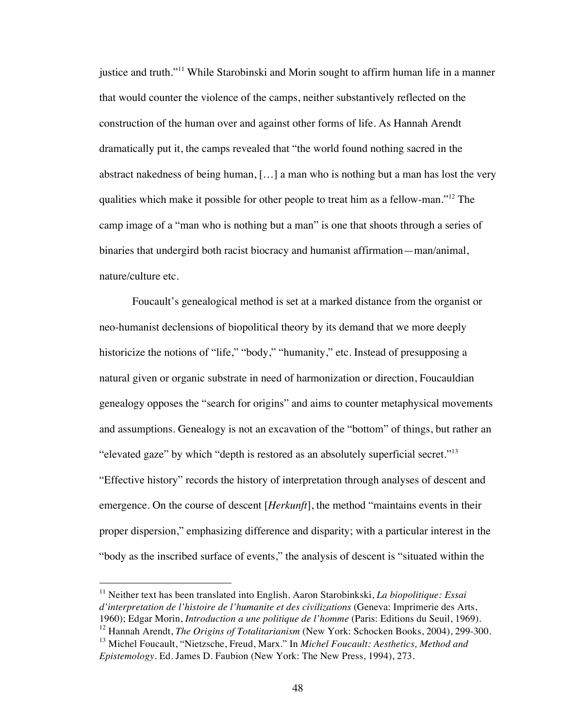justice and truth."<sup>11</sup> While Starobinski and Morin sought to affirm human life in a manner that would counter the violence of the camps, neither substantively reflected on the construction of the human over and against other forms of life. As Hannah Arendt dramatically put it, the camps revealed that "the world found nothing sacred in the abstract nakedness of being human, […] a man who is nothing but a man has lost the very qualities which make it possible for other people to treat him as a fellow-man."12 The camp image of a "man who is nothing but a man" is one that shoots through a series of binaries that undergird both racist biocracy and humanist affirmation—man/animal, nature/culture etc.

Foucault's genealogical method is set at a marked distance from the organist or neo-humanist declensions of biopolitical theory by its demand that we more deeply historicize the notions of "life," "body," "humanity," etc. Instead of presupposing a natural given or organic substrate in need of harmonization or direction, Foucauldian genealogy opposes the "search for origins" and aims to counter metaphysical movements and assumptions. Genealogy is not an excavation of the "bottom" of things, but rather an "elevated gaze" by which "depth is restored as an absolutely superficial secret."<sup>13</sup> "Effective history" records the history of interpretation through analyses of descent and emergence. On the course of descent [*Herkunft*], the method "maintains events in their proper dispersion," emphasizing difference and disparity; with a particular interest in the "body as the inscribed surface of events," the analysis of descent is "situated within the

 11 Neither text has been translated into English. Aaron Starobinkski, *La biopolitique: Essai d'interpretation de l'histoire de l'humanite et des civilizations* (Geneva: Imprimerie des Arts, 1960); Edgar Morin, *Introduction a une politique de l'homme* (Paris: Editions du Seuil, 1969). <sup>12</sup> Hannah Arendt, *The Origins of Totalitarianism* (New York: Schocken Books, 2004), 299-300.

<sup>13</sup> Michel Foucault, "Nietzsche, Freud, Marx." In *Michel Foucault: Aesthetics, Method and Epistemology*. Ed. James D. Faubion (New York: The New Press, 1994), 273.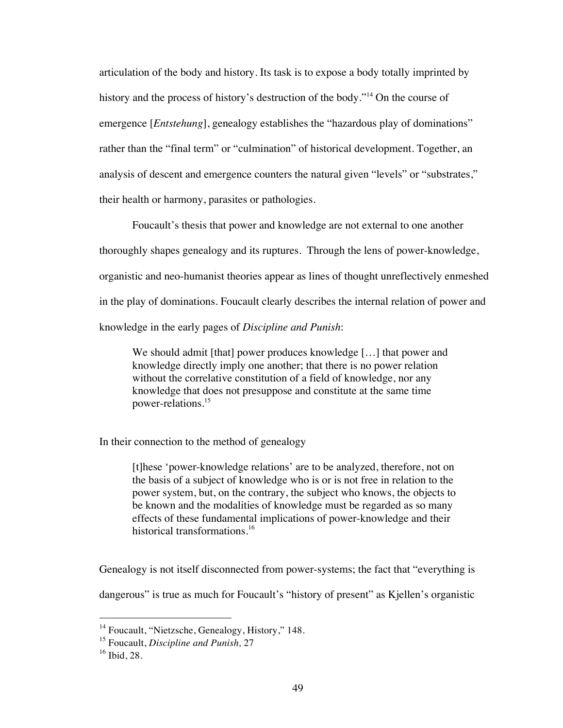articulation of the body and history. Its task is to expose a body totally imprinted by history and the process of history's destruction of the body."<sup>14</sup> On the course of emergence [*Entstehung*], genealogy establishes the "hazardous play of dominations" rather than the "final term" or "culmination" of historical development. Together, an analysis of descent and emergence counters the natural given "levels" or "substrates," their health or harmony, parasites or pathologies.

Foucault's thesis that power and knowledge are not external to one another thoroughly shapes genealogy and its ruptures. Through the lens of power-knowledge, organistic and neo-humanist theories appear as lines of thought unreflectively enmeshed in the play of dominations. Foucault clearly describes the internal relation of power and knowledge in the early pages of *Discipline and Punish*:

We should admit [that] power produces knowledge [...] that power and knowledge directly imply one another; that there is no power relation without the correlative constitution of a field of knowledge, nor any knowledge that does not presuppose and constitute at the same time power-relations.15

In their connection to the method of genealogy

[t]hese 'power-knowledge relations' are to be analyzed, therefore, not on the basis of a subject of knowledge who is or is not free in relation to the power system, but, on the contrary, the subject who knows, the objects to be known and the modalities of knowledge must be regarded as so many effects of these fundamental implications of power-knowledge and their historical transformations.<sup>16</sup>

Genealogy is not itself disconnected from power-systems; the fact that "everything is

dangerous" is true as much for Foucault's "history of present" as Kjellen's organistic

<sup>&</sup>lt;sup>14</sup> Foucault, "Nietzsche, Genealogy, History," 148.

<sup>15</sup> Foucault, *Discipline and Punish,* 27

 $16$  Ibid, 28.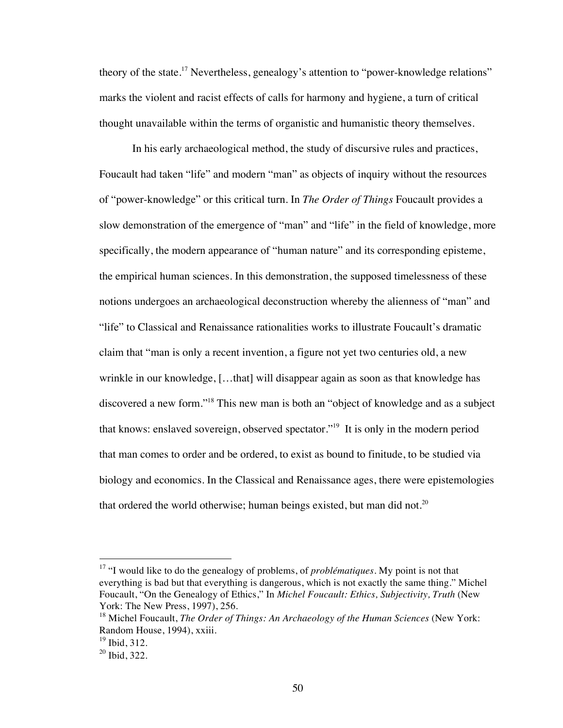theory of the state.<sup>17</sup> Nevertheless, genealogy's attention to "power-knowledge relations" marks the violent and racist effects of calls for harmony and hygiene, a turn of critical thought unavailable within the terms of organistic and humanistic theory themselves.

In his early archaeological method, the study of discursive rules and practices, Foucault had taken "life" and modern "man" as objects of inquiry without the resources of "power-knowledge" or this critical turn. In *The Order of Things* Foucault provides a slow demonstration of the emergence of "man" and "life" in the field of knowledge, more specifically, the modern appearance of "human nature" and its corresponding episteme, the empirical human sciences. In this demonstration, the supposed timelessness of these notions undergoes an archaeological deconstruction whereby the alienness of "man" and "life" to Classical and Renaissance rationalities works to illustrate Foucault's dramatic claim that "man is only a recent invention, a figure not yet two centuries old, a new wrinkle in our knowledge, […that] will disappear again as soon as that knowledge has discovered a new form."<sup>18</sup> This new man is both an "object of knowledge and as a subject that knows: enslaved sovereign, observed spectator."19 It is only in the modern period that man comes to order and be ordered, to exist as bound to finitude, to be studied via biology and economics. In the Classical and Renaissance ages, there were epistemologies that ordered the world otherwise; human beings existed, but man did not.<sup>20</sup>

 <sup>17</sup> "I would like to do the genealogy of problems, of *problématiques*. My point is not that everything is bad but that everything is dangerous, which is not exactly the same thing." Michel Foucault, "On the Genealogy of Ethics," In *Michel Foucault: Ethics, Subjectivity, Truth* (New York: The New Press, 1997), 256.

<sup>18</sup> Michel Foucault, *The Order of Things: An Archaeology of the Human Sciences* (New York: Random House, 1994), xxiii.

 $19$  Ibid, 312.

 $20$  Ibid, 322.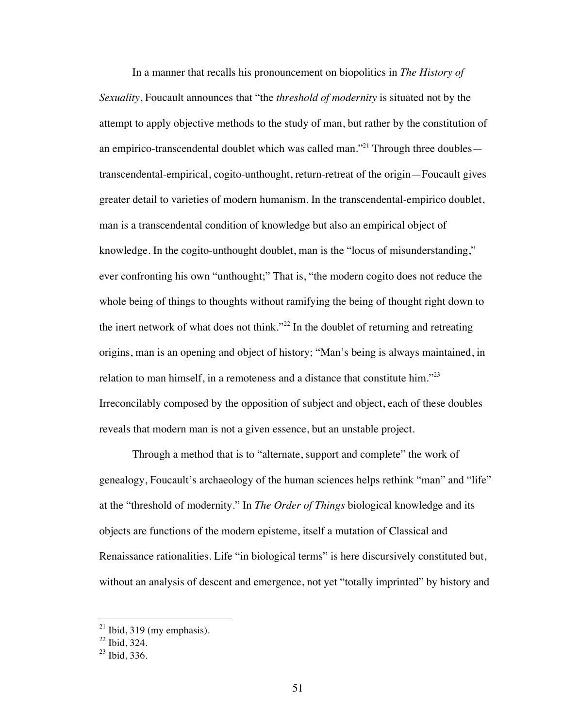In a manner that recalls his pronouncement on biopolitics in *The History of Sexuality*, Foucault announces that "the *threshold of modernity* is situated not by the attempt to apply objective methods to the study of man, but rather by the constitution of an empirico-transcendental doublet which was called man."<sup>21</sup> Through three doubles transcendental-empirical, cogito-unthought, return-retreat of the origin—Foucault gives greater detail to varieties of modern humanism. In the transcendental-empirico doublet, man is a transcendental condition of knowledge but also an empirical object of knowledge. In the cogito-unthought doublet, man is the "locus of misunderstanding," ever confronting his own "unthought;" That is, "the modern cogito does not reduce the whole being of things to thoughts without ramifying the being of thought right down to the inert network of what does not think."<sup>22</sup> In the doublet of returning and retreating origins, man is an opening and object of history; "Man's being is always maintained, in relation to man himself, in a remoteness and a distance that constitute him." $^{23}$ Irreconcilably composed by the opposition of subject and object, each of these doubles reveals that modern man is not a given essence, but an unstable project.

Through a method that is to "alternate, support and complete" the work of genealogy, Foucault's archaeology of the human sciences helps rethink "man" and "life" at the "threshold of modernity." In *The Order of Things* biological knowledge and its objects are functions of the modern episteme, itself a mutation of Classical and Renaissance rationalities. Life "in biological terms" is here discursively constituted but, without an analysis of descent and emergence, not yet "totally imprinted" by history and

 $21$  Ibid, 319 (my emphasis).

 $22$  Ibid, 324.

 $23$  Ibid, 336.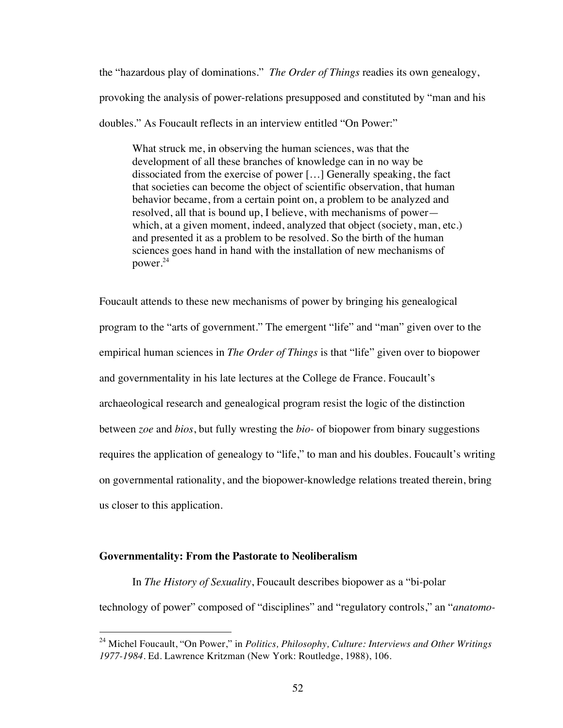the "hazardous play of dominations." *The Order of Things* readies its own genealogy, provoking the analysis of power-relations presupposed and constituted by "man and his doubles." As Foucault reflects in an interview entitled "On Power:"

What struck me, in observing the human sciences, was that the development of all these branches of knowledge can in no way be dissociated from the exercise of power […] Generally speaking, the fact that societies can become the object of scientific observation, that human behavior became, from a certain point on, a problem to be analyzed and resolved, all that is bound up, I believe, with mechanisms of power which, at a given moment, indeed, analyzed that object (society, man, etc.) and presented it as a problem to be resolved. So the birth of the human sciences goes hand in hand with the installation of new mechanisms of power.24

Foucault attends to these new mechanisms of power by bringing his genealogical program to the "arts of government." The emergent "life" and "man" given over to the empirical human sciences in *The Order of Things* is that "life" given over to biopower and governmentality in his late lectures at the College de France. Foucault's archaeological research and genealogical program resist the logic of the distinction between *zoe* and *bios*, but fully wresting the *bio-* of biopower from binary suggestions requires the application of genealogy to "life," to man and his doubles. Foucault's writing on governmental rationality, and the biopower-knowledge relations treated therein, bring us closer to this application.

#### **Governmentality: From the Pastorate to Neoliberalism**

In *The History of Sexuality*, Foucault describes biopower as a "bi-polar technology of power" composed of "disciplines" and "regulatory controls," an "*anatomo-*

 <sup>24</sup> Michel Foucault, "On Power," in *Politics, Philosophy, Culture: Interviews and Other Writings 1977-1984.* Ed. Lawrence Kritzman (New York: Routledge, 1988), 106.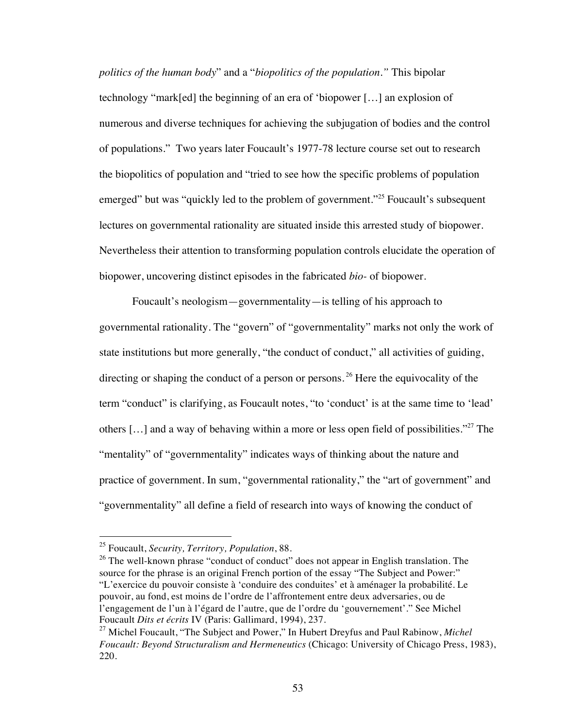*politics of the human body*" and a "*biopolitics of the population."* This bipolar technology "mark[ed] the beginning of an era of 'biopower […] an explosion of numerous and diverse techniques for achieving the subjugation of bodies and the control of populations." Two years later Foucault's 1977-78 lecture course set out to research the biopolitics of population and "tried to see how the specific problems of population emerged" but was "quickly led to the problem of government."<sup>25</sup> Foucault's subsequent lectures on governmental rationality are situated inside this arrested study of biopower. Nevertheless their attention to transforming population controls elucidate the operation of biopower, uncovering distinct episodes in the fabricated *bio-* of biopower.

Foucault's neologism—governmentality—is telling of his approach to governmental rationality. The "govern" of "governmentality" marks not only the work of state institutions but more generally, "the conduct of conduct," all activities of guiding, directing or shaping the conduct of a person or persons.<sup>26</sup> Here the equivocality of the term "conduct" is clarifying, as Foucault notes, "to 'conduct' is at the same time to 'lead' others  $[\dots]$  and a way of behaving within a more or less open field of possibilities."<sup>27</sup> The "mentality" of "governmentality" indicates ways of thinking about the nature and practice of government. In sum, "governmental rationality," the "art of government" and "governmentality" all define a field of research into ways of knowing the conduct of

 <sup>25</sup> Foucault, *Security, Territory, Population*, 88.

 $26$  The well-known phrase "conduct of conduct" does not appear in English translation. The source for the phrase is an original French portion of the essay "The Subject and Power:" "L'exercice du pouvoir consiste à 'conduire des conduites' et à aménager la probabilité. Le pouvoir, au fond, est moins de l'ordre de l'affrontement entre deux adversaries, ou de l'engagement de l'un à l'égard de l'autre, que de l'ordre du 'gouvernement'." See Michel Foucault *Dits et écrits* IV (Paris: Gallimard, 1994), 237.

<sup>27</sup> Michel Foucault, "The Subject and Power," In Hubert Dreyfus and Paul Rabinow, *Michel Foucault: Beyond Structuralism and Hermeneutics* (Chicago: University of Chicago Press, 1983), 220.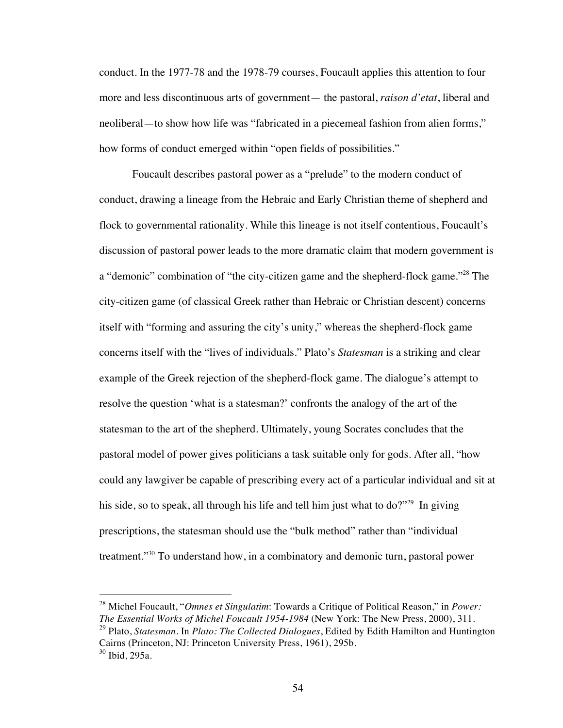conduct. In the 1977-78 and the 1978-79 courses, Foucault applies this attention to four more and less discontinuous arts of government— the pastoral, *raison d'etat*, liberal and neoliberal—to show how life was "fabricated in a piecemeal fashion from alien forms," how forms of conduct emerged within "open fields of possibilities."

Foucault describes pastoral power as a "prelude" to the modern conduct of conduct, drawing a lineage from the Hebraic and Early Christian theme of shepherd and flock to governmental rationality. While this lineage is not itself contentious, Foucault's discussion of pastoral power leads to the more dramatic claim that modern government is a "demonic" combination of "the city-citizen game and the shepherd-flock game."<sup>28</sup> The city-citizen game (of classical Greek rather than Hebraic or Christian descent) concerns itself with "forming and assuring the city's unity," whereas the shepherd-flock game concerns itself with the "lives of individuals." Plato's *Statesman* is a striking and clear example of the Greek rejection of the shepherd-flock game. The dialogue's attempt to resolve the question 'what is a statesman?' confronts the analogy of the art of the statesman to the art of the shepherd. Ultimately, young Socrates concludes that the pastoral model of power gives politicians a task suitable only for gods. After all, "how could any lawgiver be capable of prescribing every act of a particular individual and sit at his side, so to speak, all through his life and tell him just what to do?"<sup>29</sup> In giving prescriptions, the statesman should use the "bulk method" rather than "individual treatment."30 To understand how, in a combinatory and demonic turn, pastoral power

 <sup>28</sup> Michel Foucault, "*Omnes et Singulatim*: Towards a Critique of Political Reason," in *Power: The Essential Works of Michel Foucault 1954-1984* (New York: The New Press, 2000), 311. <sup>29</sup> Plato, *Statesman*. In *Plato: The Collected Dialogues*, Edited by Edith Hamilton and Huntington Cairns (Princeton, NJ: Princeton University Press, 1961), 295b.

 $30$  Ibid, 295a.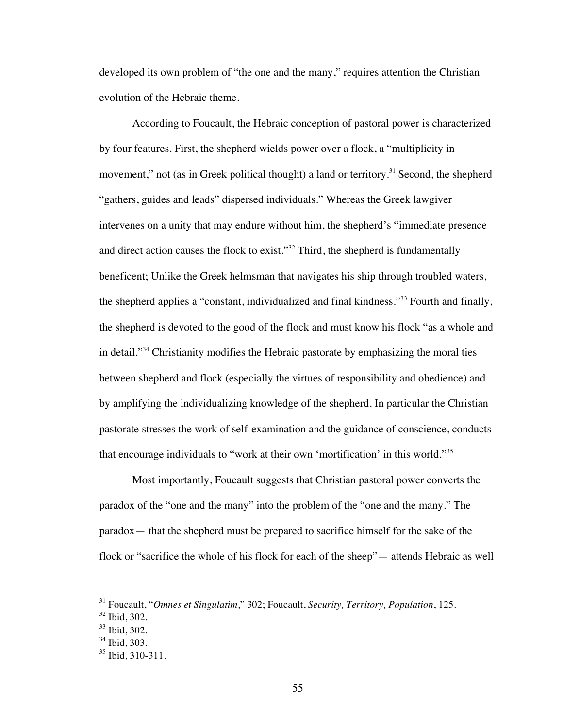developed its own problem of "the one and the many," requires attention the Christian evolution of the Hebraic theme.

According to Foucault, the Hebraic conception of pastoral power is characterized by four features. First, the shepherd wields power over a flock, a "multiplicity in movement," not (as in Greek political thought) a land or territory.<sup>31</sup> Second, the shepherd "gathers, guides and leads" dispersed individuals." Whereas the Greek lawgiver intervenes on a unity that may endure without him, the shepherd's "immediate presence and direct action causes the flock to exist."32 Third, the shepherd is fundamentally beneficent; Unlike the Greek helmsman that navigates his ship through troubled waters, the shepherd applies a "constant, individualized and final kindness."<sup>33</sup> Fourth and finally, the shepherd is devoted to the good of the flock and must know his flock "as a whole and in detail."34 Christianity modifies the Hebraic pastorate by emphasizing the moral ties between shepherd and flock (especially the virtues of responsibility and obedience) and by amplifying the individualizing knowledge of the shepherd. In particular the Christian pastorate stresses the work of self-examination and the guidance of conscience, conducts that encourage individuals to "work at their own 'mortification' in this world."<sup>35</sup>

Most importantly, Foucault suggests that Christian pastoral power converts the paradox of the "one and the many" into the problem of the "one and the many." The paradox— that the shepherd must be prepared to sacrifice himself for the sake of the flock or "sacrifice the whole of his flock for each of the sheep"— attends Hebraic as well

 <sup>31</sup> Foucault, "*Omnes et Singulatim*," 302; Foucault, *Security, Territory, Population*, 125.

<sup>32</sup> Ibid, 302.

<sup>33</sup> Ibid, 302.

<sup>34</sup> Ibid, 303.

<sup>&</sup>lt;sup>35</sup> Ibid, 310-311.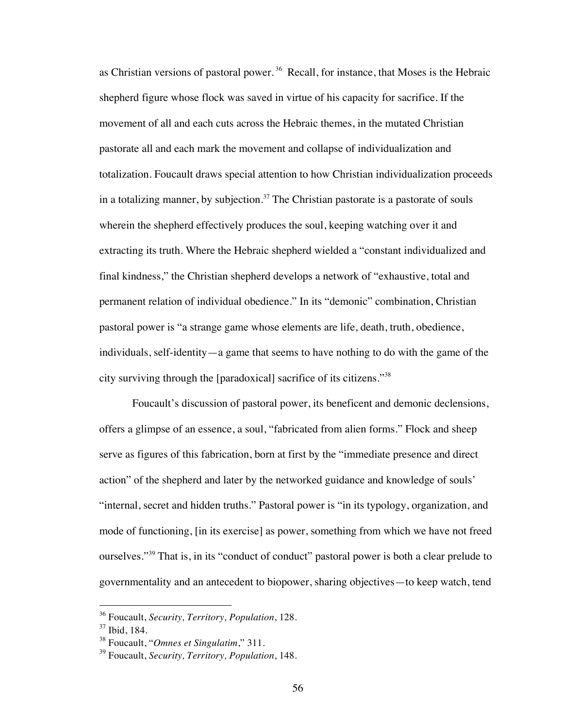as Christian versions of pastoral power.<sup>36</sup> Recall, for instance, that Moses is the Hebraic shepherd figure whose flock was saved in virtue of his capacity for sacrifice. If the movement of all and each cuts across the Hebraic themes, in the mutated Christian pastorate all and each mark the movement and collapse of individualization and totalization. Foucault draws special attention to how Christian individualization proceeds in a totalizing manner, by subjection. $37$  The Christian pastorate is a pastorate of souls wherein the shepherd effectively produces the soul, keeping watching over it and extracting its truth. Where the Hebraic shepherd wielded a "constant individualized and final kindness," the Christian shepherd develops a network of "exhaustive, total and permanent relation of individual obedience." In its "demonic" combination, Christian pastoral power is "a strange game whose elements are life, death, truth, obedience, individuals, self-identity—a game that seems to have nothing to do with the game of the city surviving through the [paradoxical] sacrifice of its citizens."<sup>38</sup>

Foucault's discussion of pastoral power, its beneficent and demonic declensions, offers a glimpse of an essence, a soul, "fabricated from alien forms." Flock and sheep serve as figures of this fabrication, born at first by the "immediate presence and direct action" of the shepherd and later by the networked guidance and knowledge of souls' "internal, secret and hidden truths." Pastoral power is "in its typology, organization, and mode of functioning, [in its exercise] as power, something from which we have not freed ourselves."<sup>39</sup> That is, in its "conduct of conduct" pastoral power is both a clear prelude to governmentality and an antecedent to biopower, sharing objectives—to keep watch, tend

 <sup>36</sup> Foucault, *Security, Territory, Population*, 128.

<sup>37</sup> Ibid, 184.

<sup>38</sup> Foucault, "*Omnes et Singulatim*," 311.

<sup>39</sup> Foucault, *Security, Territory, Population*, 148.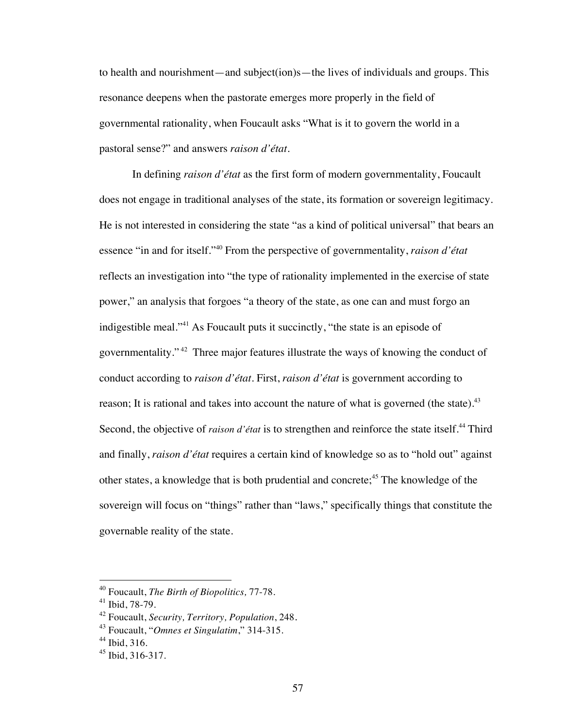to health and nourishment—and subject(ion)s—the lives of individuals and groups. This resonance deepens when the pastorate emerges more properly in the field of governmental rationality, when Foucault asks "What is it to govern the world in a pastoral sense?" and answers *raison d'état*.

In defining *raison d'état* as the first form of modern governmentality, Foucault does not engage in traditional analyses of the state, its formation or sovereign legitimacy. He is not interested in considering the state "as a kind of political universal" that bears an essence "in and for itself."40 From the perspective of governmentality, *raison d'état* reflects an investigation into "the type of rationality implemented in the exercise of state power," an analysis that forgoes "a theory of the state, as one can and must forgo an indigestible meal."<sup>41</sup> As Foucault puts it succinctly, "the state is an episode of governmentality." 42 Three major features illustrate the ways of knowing the conduct of conduct according to *raison d'état*. First, *raison d'état* is government according to reason; It is rational and takes into account the nature of what is governed (the state).<sup>43</sup> Second, the objective of *raison d'état* is to strengthen and reinforce the state itself.<sup>44</sup> Third and finally, *raison d'état* requires a certain kind of knowledge so as to "hold out" against other states, a knowledge that is both prudential and concrete;<sup>45</sup> The knowledge of the sovereign will focus on "things" rather than "laws," specifically things that constitute the governable reality of the state.

 <sup>40</sup> Foucault, *The Birth of Biopolitics,* 77-78.

<sup>41</sup> Ibid, 78-79.

<sup>42</sup> Foucault, *Security, Territory, Population*, 248.

<sup>43</sup> Foucault, "*Omnes et Singulatim*," 314-315.

 $44$  Ibid, 316.

 $45$  Ibid, 316-317.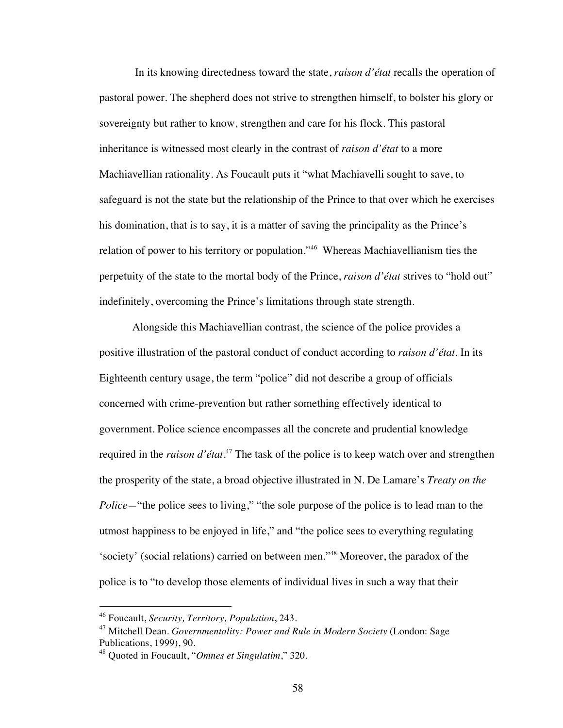In its knowing directedness toward the state, *raison d'état* recalls the operation of pastoral power. The shepherd does not strive to strengthen himself, to bolster his glory or sovereignty but rather to know, strengthen and care for his flock. This pastoral inheritance is witnessed most clearly in the contrast of *raison d'état* to a more Machiavellian rationality. As Foucault puts it "what Machiavelli sought to save, to safeguard is not the state but the relationship of the Prince to that over which he exercises his domination, that is to say, it is a matter of saving the principality as the Prince's relation of power to his territory or population."46 Whereas Machiavellianism ties the perpetuity of the state to the mortal body of the Prince, *raison d'état* strives to "hold out" indefinitely, overcoming the Prince's limitations through state strength.

Alongside this Machiavellian contrast, the science of the police provides a positive illustration of the pastoral conduct of conduct according to *raison d'état*. In its Eighteenth century usage, the term "police" did not describe a group of officials concerned with crime-prevention but rather something effectively identical to government. Police science encompasses all the concrete and prudential knowledge required in the *raison d'état*. 47 The task of the police is to keep watch over and strengthen the prosperity of the state, a broad objective illustrated in N. De Lamare's *Treaty on the Police*—"the police sees to living," "the sole purpose of the police is to lead man to the utmost happiness to be enjoyed in life," and "the police sees to everything regulating 'society' (social relations) carried on between men."48 Moreover, the paradox of the police is to "to develop those elements of individual lives in such a way that their

 <sup>46</sup> Foucault, *Security, Territory, Population*, 243.

<sup>47</sup> Mitchell Dean. *Governmentality: Power and Rule in Modern Society* (London: Sage Publications, 1999), 90.

<sup>48</sup> Quoted in Foucault, "*Omnes et Singulatim*," 320.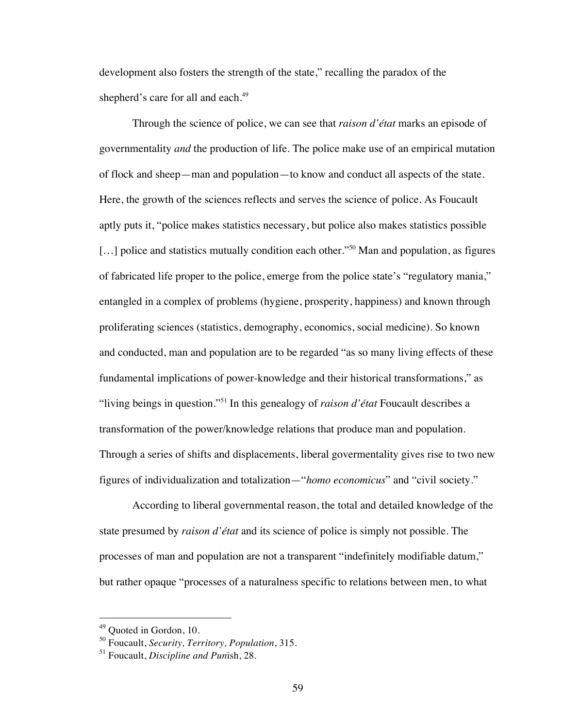development also fosters the strength of the state," recalling the paradox of the shepherd's care for all and each.<sup>49</sup>

Through the science of police, we can see that *raison d'état* marks an episode of governmentality *and* the production of life. The police make use of an empirical mutation of flock and sheep—man and population—to know and conduct all aspects of the state. Here, the growth of the sciences reflects and serves the science of police. As Foucault aptly puts it, "police makes statistics necessary, but police also makes statistics possible [...] police and statistics mutually condition each other."<sup>50</sup> Man and population, as figures of fabricated life proper to the police, emerge from the police state's "regulatory mania," entangled in a complex of problems (hygiene, prosperity, happiness) and known through proliferating sciences (statistics, demography, economics, social medicine). So known and conducted, man and population are to be regarded "as so many living effects of these fundamental implications of power-knowledge and their historical transformations," as "living beings in question."51 In this genealogy of *raison d'état* Foucault describes a transformation of the power/knowledge relations that produce man and population. Through a series of shifts and displacements, liberal govermentality gives rise to two new figures of individualization and totalization—"*homo economicus*" and "civil society."

According to liberal governmental reason, the total and detailed knowledge of the state presumed by *raison d'état* and its science of police is simply not possible. The processes of man and population are not a transparent "indefinitely modifiable datum," but rather opaque "processes of a naturalness specific to relations between men, to what

<sup>&</sup>lt;sup>49</sup> Quoted in Gordon, 10.

<sup>50</sup> Foucault, *Security, Territory, Population*, 315.

<sup>51</sup> Foucault, *Discipline and Pun*ish, 28.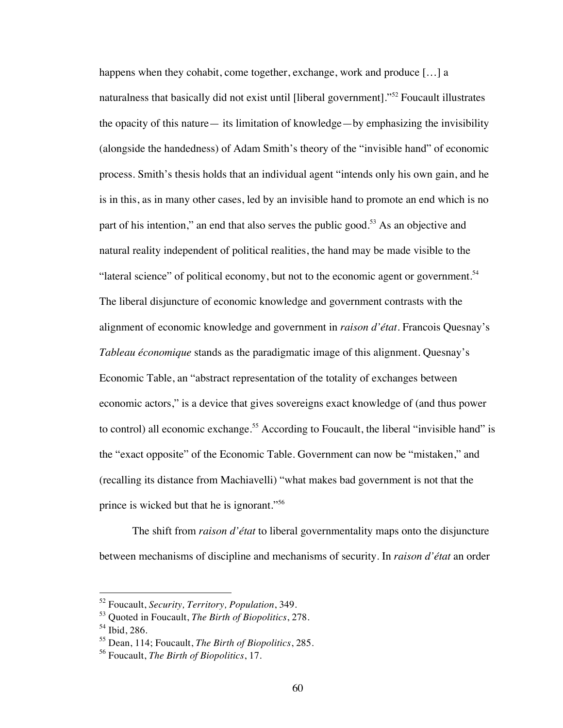happens when they cohabit, come together, exchange, work and produce [...] a naturalness that basically did not exist until [liberal government]."<sup>52</sup> Foucault illustrates the opacity of this nature— its limitation of knowledge—by emphasizing the invisibility (alongside the handedness) of Adam Smith's theory of the "invisible hand" of economic process. Smith's thesis holds that an individual agent "intends only his own gain, and he is in this, as in many other cases, led by an invisible hand to promote an end which is no part of his intention," an end that also serves the public good.<sup>53</sup> As an objective and natural reality independent of political realities, the hand may be made visible to the "lateral science" of political economy, but not to the economic agent or government.<sup>54</sup> The liberal disjuncture of economic knowledge and government contrasts with the alignment of economic knowledge and government in *raison d'état*. Francois Quesnay's *Tableau économique* stands as the paradigmatic image of this alignment. Quesnay's Economic Table, an "abstract representation of the totality of exchanges between economic actors," is a device that gives sovereigns exact knowledge of (and thus power to control) all economic exchange.<sup>55</sup> According to Foucault, the liberal "invisible hand" is the "exact opposite" of the Economic Table. Government can now be "mistaken," and (recalling its distance from Machiavelli) "what makes bad government is not that the prince is wicked but that he is ignorant."<sup>56</sup>

The shift from *raison d'état* to liberal governmentality maps onto the disjuncture between mechanisms of discipline and mechanisms of security. In *raison d'état* an order

 <sup>52</sup> Foucault, *Security, Territory, Population*, 349.

<sup>53</sup> Quoted in Foucault, *The Birth of Biopolitics*, 278.

<sup>54</sup> Ibid, 286.

<sup>55</sup> Dean, 114; Foucault, *The Birth of Biopolitics*, 285.

<sup>56</sup> Foucault, *The Birth of Biopolitics*, 17.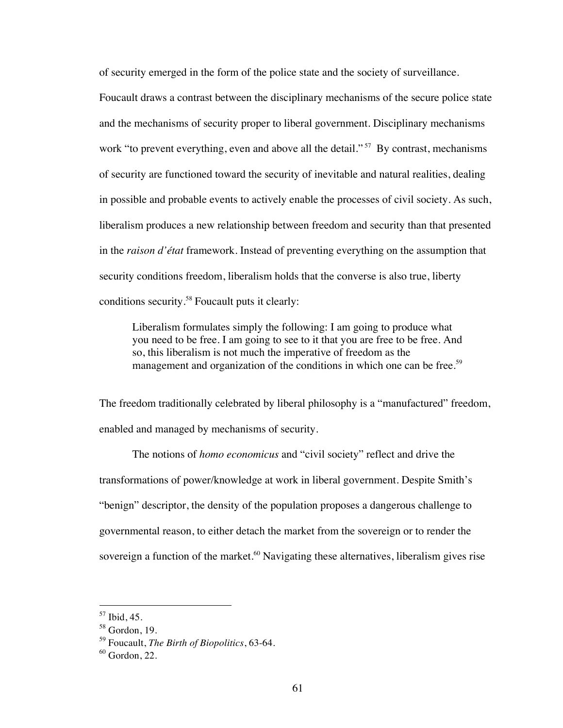of security emerged in the form of the police state and the society of surveillance.

Foucault draws a contrast between the disciplinary mechanisms of the secure police state and the mechanisms of security proper to liberal government. Disciplinary mechanisms work "to prevent everything, even and above all the detail."<sup>57</sup> By contrast, mechanisms of security are functioned toward the security of inevitable and natural realities, dealing in possible and probable events to actively enable the processes of civil society. As such, liberalism produces a new relationship between freedom and security than that presented in the *raison d'état* framework. Instead of preventing everything on the assumption that security conditions freedom, liberalism holds that the converse is also true, liberty conditions security.58 Foucault puts it clearly:

Liberalism formulates simply the following: I am going to produce what you need to be free. I am going to see to it that you are free to be free. And so, this liberalism is not much the imperative of freedom as the management and organization of the conditions in which one can be free.<sup>59</sup>

The freedom traditionally celebrated by liberal philosophy is a "manufactured" freedom, enabled and managed by mechanisms of security.

The notions of *homo economicus* and "civil society" reflect and drive the transformations of power/knowledge at work in liberal government. Despite Smith's "benign" descriptor, the density of the population proposes a dangerous challenge to governmental reason, to either detach the market from the sovereign or to render the sovereign a function of the market.<sup>60</sup> Navigating these alternatives, liberalism gives rise

 <sup>57</sup> Ibid, 45.

 $58$  Gordon, 19.

<sup>59</sup> Foucault, *The Birth of Biopolitics*, 63-64.

 $60$  Gordon, 22.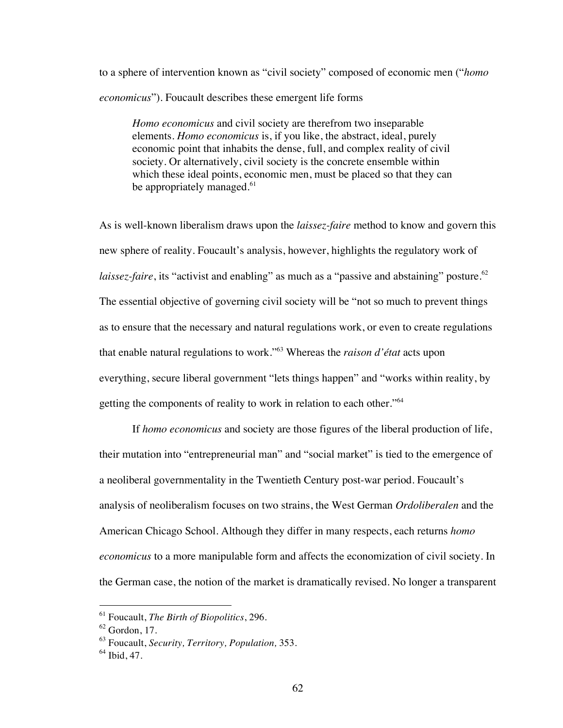to a sphere of intervention known as "civil society" composed of economic men ("*homo economicus*"). Foucault describes these emergent life forms

*Homo economicus* and civil society are therefrom two inseparable elements. *Homo economicus* is, if you like, the abstract, ideal, purely economic point that inhabits the dense, full, and complex reality of civil society. Or alternatively, civil society is the concrete ensemble within which these ideal points, economic men, must be placed so that they can be appropriately managed.<sup>61</sup>

As is well-known liberalism draws upon the *laissez-faire* method to know and govern this new sphere of reality. Foucault's analysis, however, highlights the regulatory work of *laissez-faire*, its "activist and enabling" as much as a "passive and abstaining" posture.<sup>62</sup> The essential objective of governing civil society will be "not so much to prevent things as to ensure that the necessary and natural regulations work, or even to create regulations that enable natural regulations to work."63 Whereas the *raison d'état* acts upon everything, secure liberal government "lets things happen" and "works within reality, by getting the components of reality to work in relation to each other."<sup>64</sup>

If *homo economicus* and society are those figures of the liberal production of life, their mutation into "entrepreneurial man" and "social market" is tied to the emergence of a neoliberal governmentality in the Twentieth Century post-war period. Foucault's analysis of neoliberalism focuses on two strains, the West German *Ordoliberalen* and the American Chicago School. Although they differ in many respects, each returns *homo economicus* to a more manipulable form and affects the economization of civil society. In the German case, the notion of the market is dramatically revised. No longer a transparent

 <sup>61</sup> Foucault, *The Birth of Biopolitics*, 296.

 $62$  Gordon, 17.

<sup>63</sup> Foucault, *Security, Territory, Population,* 353.

 $64$  Ibid, 47.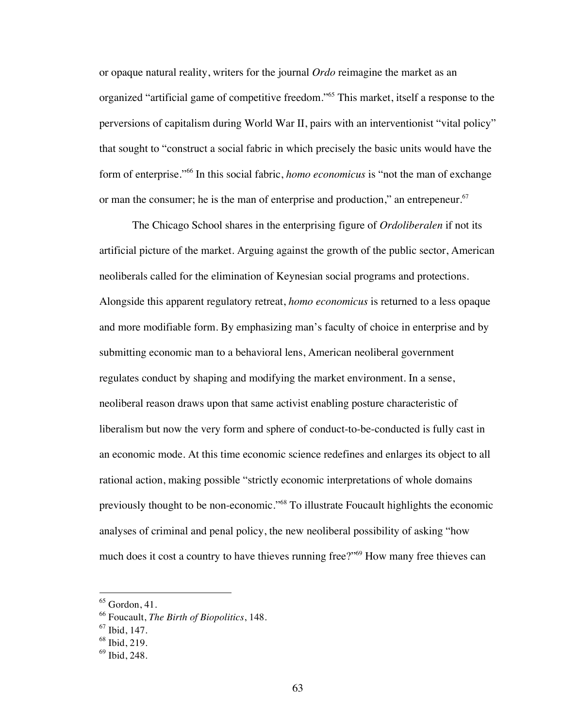or opaque natural reality, writers for the journal *Ordo* reimagine the market as an organized "artificial game of competitive freedom."65 This market, itself a response to the perversions of capitalism during World War II, pairs with an interventionist "vital policy" that sought to "construct a social fabric in which precisely the basic units would have the form of enterprise."66 In this social fabric, *homo economicus* is "not the man of exchange or man the consumer; he is the man of enterprise and production," an entrepeneur.<sup>67</sup>

The Chicago School shares in the enterprising figure of *Ordoliberalen* if not its artificial picture of the market. Arguing against the growth of the public sector, American neoliberals called for the elimination of Keynesian social programs and protections. Alongside this apparent regulatory retreat, *homo economicus* is returned to a less opaque and more modifiable form. By emphasizing man's faculty of choice in enterprise and by submitting economic man to a behavioral lens, American neoliberal government regulates conduct by shaping and modifying the market environment. In a sense, neoliberal reason draws upon that same activist enabling posture characteristic of liberalism but now the very form and sphere of conduct-to-be-conducted is fully cast in an economic mode. At this time economic science redefines and enlarges its object to all rational action, making possible "strictly economic interpretations of whole domains previously thought to be non-economic."68 To illustrate Foucault highlights the economic analyses of criminal and penal policy, the new neoliberal possibility of asking "how much does it cost a country to have thieves running free?"69 How many free thieves can

 $<sup>65</sup>$  Gordon, 41.</sup>

<sup>66</sup> Foucault, *The Birth of Biopolitics*, 148.

 $67$  Ibid, 147.

<sup>68</sup> Ibid, 219.

<sup>69</sup> Ibid, 248.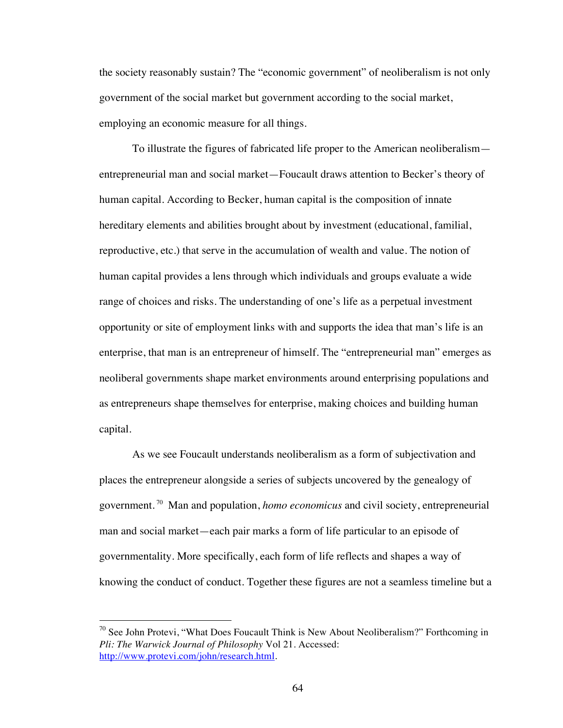the society reasonably sustain? The "economic government" of neoliberalism is not only government of the social market but government according to the social market, employing an economic measure for all things.

To illustrate the figures of fabricated life proper to the American neoliberalism entrepreneurial man and social market—Foucault draws attention to Becker's theory of human capital. According to Becker, human capital is the composition of innate hereditary elements and abilities brought about by investment (educational, familial, reproductive, etc.) that serve in the accumulation of wealth and value. The notion of human capital provides a lens through which individuals and groups evaluate a wide range of choices and risks. The understanding of one's life as a perpetual investment opportunity or site of employment links with and supports the idea that man's life is an enterprise, that man is an entrepreneur of himself. The "entrepreneurial man" emerges as neoliberal governments shape market environments around enterprising populations and as entrepreneurs shape themselves for enterprise, making choices and building human capital.

As we see Foucault understands neoliberalism as a form of subjectivation and places the entrepreneur alongside a series of subjects uncovered by the genealogy of government. 70 Man and population, *homo economicus* and civil society, entrepreneurial man and social market—each pair marks a form of life particular to an episode of governmentality. More specifically, each form of life reflects and shapes a way of knowing the conduct of conduct. Together these figures are not a seamless timeline but a

 $70$  See John Protevi, "What Does Foucault Think is New About Neoliberalism?" Forthcoming in *Pli: The Warwick Journal of Philosophy* Vol 21. Accessed: http://www.protevi.com/john/research.html.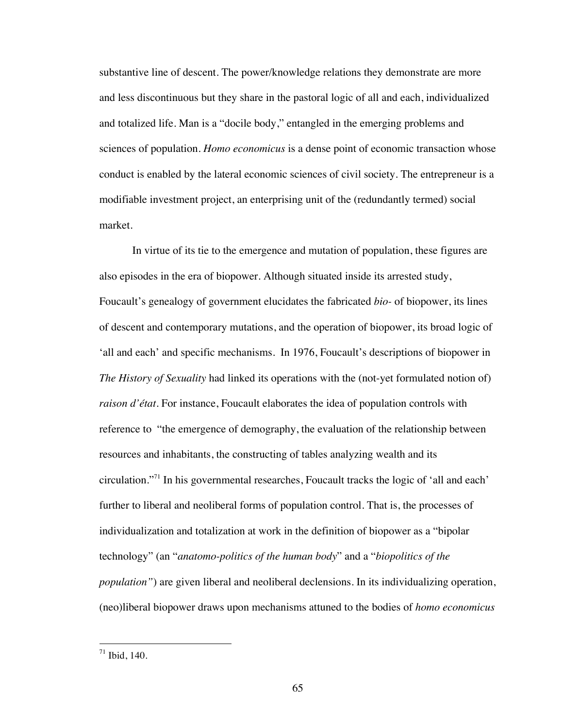substantive line of descent. The power/knowledge relations they demonstrate are more and less discontinuous but they share in the pastoral logic of all and each, individualized and totalized life. Man is a "docile body," entangled in the emerging problems and sciences of population. *Homo economicus* is a dense point of economic transaction whose conduct is enabled by the lateral economic sciences of civil society. The entrepreneur is a modifiable investment project, an enterprising unit of the (redundantly termed) social market.

In virtue of its tie to the emergence and mutation of population, these figures are also episodes in the era of biopower. Although situated inside its arrested study, Foucault's genealogy of government elucidates the fabricated *bio-* of biopower, its lines of descent and contemporary mutations, and the operation of biopower, its broad logic of 'all and each' and specific mechanisms. In 1976, Foucault's descriptions of biopower in *The History of Sexuality* had linked its operations with the (not-yet formulated notion of) *raison d'état*. For instance, Foucault elaborates the idea of population controls with reference to "the emergence of demography, the evaluation of the relationship between resources and inhabitants, the constructing of tables analyzing wealth and its circulation."71 In his governmental researches, Foucault tracks the logic of 'all and each' further to liberal and neoliberal forms of population control. That is, the processes of individualization and totalization at work in the definition of biopower as a "bipolar technology" (an "*anatomo-politics of the human body*" and a "*biopolitics of the population"*) are given liberal and neoliberal declensions. In its individualizing operation, (neo)liberal biopower draws upon mechanisms attuned to the bodies of *homo economicus*

 $71$  Ibid, 140.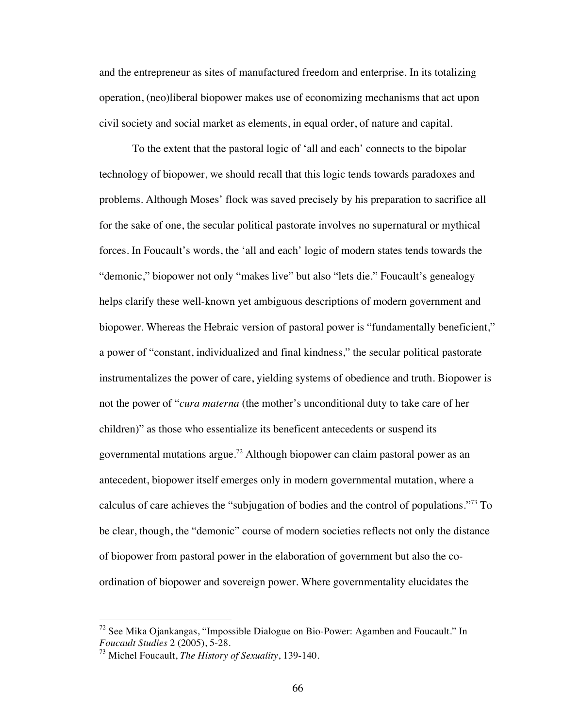and the entrepreneur as sites of manufactured freedom and enterprise. In its totalizing operation, (neo)liberal biopower makes use of economizing mechanisms that act upon civil society and social market as elements, in equal order, of nature and capital.

To the extent that the pastoral logic of 'all and each' connects to the bipolar technology of biopower, we should recall that this logic tends towards paradoxes and problems. Although Moses' flock was saved precisely by his preparation to sacrifice all for the sake of one, the secular political pastorate involves no supernatural or mythical forces. In Foucault's words, the 'all and each' logic of modern states tends towards the "demonic," biopower not only "makes live" but also "lets die." Foucault's genealogy helps clarify these well-known yet ambiguous descriptions of modern government and biopower. Whereas the Hebraic version of pastoral power is "fundamentally beneficient," a power of "constant, individualized and final kindness," the secular political pastorate instrumentalizes the power of care, yielding systems of obedience and truth. Biopower is not the power of "*cura materna* (the mother's unconditional duty to take care of her children)" as those who essentialize its beneficent antecedents or suspend its governmental mutations argue.<sup>72</sup> Although biopower can claim pastoral power as an antecedent, biopower itself emerges only in modern governmental mutation, where a calculus of care achieves the "subjugation of bodies and the control of populations."73 To be clear, though, the "demonic" course of modern societies reflects not only the distance of biopower from pastoral power in the elaboration of government but also the coordination of biopower and sovereign power. Where governmentality elucidates the

 $^{72}$  See Mika Ojankangas, "Impossible Dialogue on Bio-Power: Agamben and Foucault." In *Foucault Studies* 2 (2005), 5-28.

<sup>73</sup> Michel Foucault, *The History of Sexuality*, 139-140.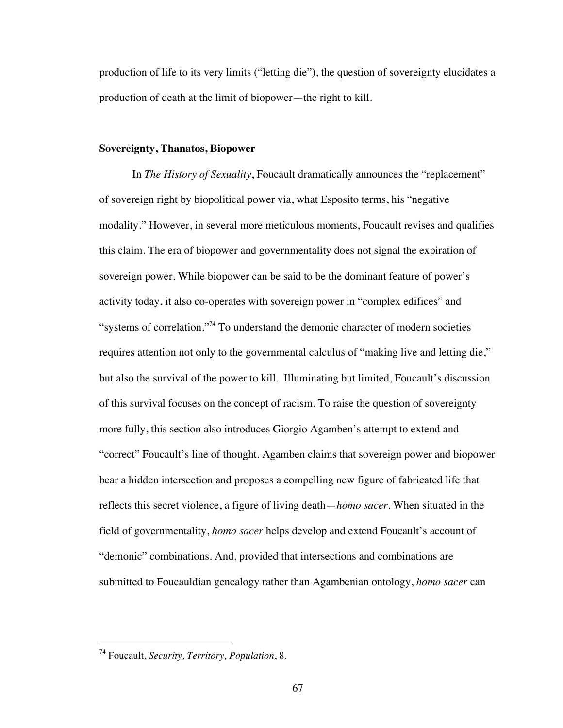production of life to its very limits ("letting die"), the question of sovereignty elucidates a production of death at the limit of biopower—the right to kill.

### **Sovereignty, Thanatos, Biopower**

In *The History of Sexuality*, Foucault dramatically announces the "replacement" of sovereign right by biopolitical power via, what Esposito terms, his "negative modality." However, in several more meticulous moments, Foucault revises and qualifies this claim. The era of biopower and governmentality does not signal the expiration of sovereign power. While biopower can be said to be the dominant feature of power's activity today, it also co-operates with sovereign power in "complex edifices" and "systems of correlation."<sup>74</sup> To understand the demonic character of modern societies requires attention not only to the governmental calculus of "making live and letting die," but also the survival of the power to kill. Illuminating but limited, Foucault's discussion of this survival focuses on the concept of racism. To raise the question of sovereignty more fully, this section also introduces Giorgio Agamben's attempt to extend and "correct" Foucault's line of thought. Agamben claims that sovereign power and biopower bear a hidden intersection and proposes a compelling new figure of fabricated life that reflects this secret violence, a figure of living death—*homo sacer*. When situated in the field of governmentality, *homo sacer* helps develop and extend Foucault's account of "demonic" combinations. And, provided that intersections and combinations are submitted to Foucauldian genealogy rather than Agambenian ontology, *homo sacer* can

 <sup>74</sup> Foucault, *Security, Territory, Population*, 8.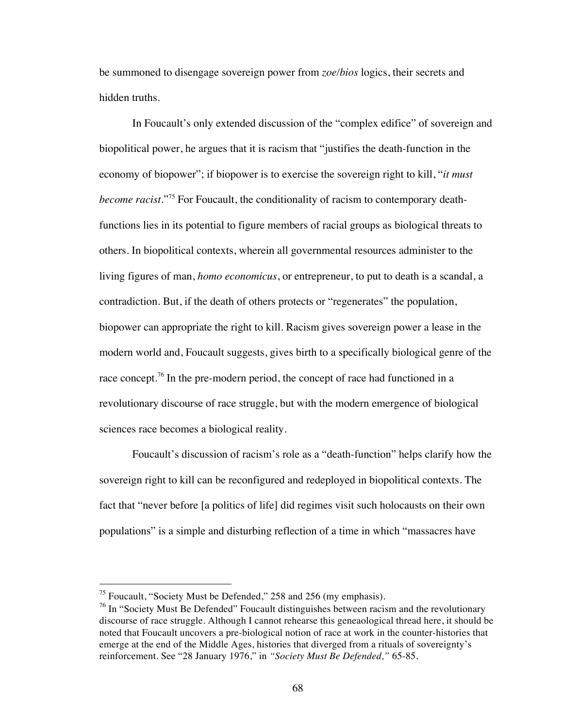be summoned to disengage sovereign power from *zoe/bios* logics, their secrets and hidden truths.

In Foucault's only extended discussion of the "complex edifice" of sovereign and biopolitical power, he argues that it is racism that "justifies the death-function in the economy of biopower"; if biopower is to exercise the sovereign right to kill, "*it must become racist*."75 For Foucault, the conditionality of racism to contemporary deathfunctions lies in its potential to figure members of racial groups as biological threats to others. In biopolitical contexts, wherein all governmental resources administer to the living figures of man, *homo economicus*, or entrepreneur, to put to death is a scandal, a contradiction. But, if the death of others protects or "regenerates" the population, biopower can appropriate the right to kill. Racism gives sovereign power a lease in the modern world and, Foucault suggests, gives birth to a specifically biological genre of the race concept.<sup>76</sup> In the pre-modern period, the concept of race had functioned in a revolutionary discourse of race struggle, but with the modern emergence of biological sciences race becomes a biological reality.

Foucault's discussion of racism's role as a "death-function" helps clarify how the sovereign right to kill can be reconfigured and redeployed in biopolitical contexts. The fact that "never before [a politics of life] did regimes visit such holocausts on their own populations" is a simple and disturbing reflection of a time in which "massacres have

 $<sup>75</sup>$  Foucault, "Society Must be Defended," 258 and 256 (my emphasis).</sup>

 $^{76}$  In "Society Must Be Defended" Foucault distinguishes between racism and the revolutionary discourse of race struggle. Although I cannot rehearse this geneaological thread here, it should be noted that Foucault uncovers a pre-biological notion of race at work in the counter-histories that emerge at the end of the Middle Ages, histories that diverged from a rituals of sovereignty's reinforcement. See "28 January 1976," in *"Society Must Be Defended,"* 65-85.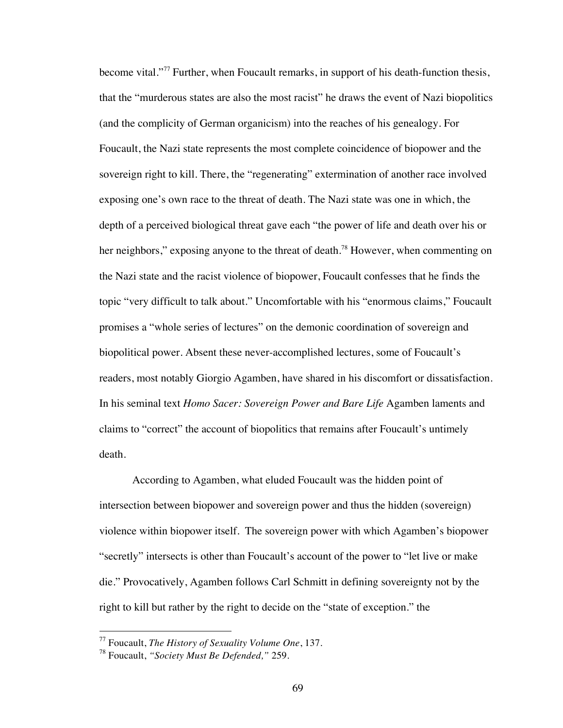become vital."<sup>77</sup> Further, when Foucault remarks, in support of his death-function thesis, that the "murderous states are also the most racist" he draws the event of Nazi biopolitics (and the complicity of German organicism) into the reaches of his genealogy. For Foucault, the Nazi state represents the most complete coincidence of biopower and the sovereign right to kill. There, the "regenerating" extermination of another race involved exposing one's own race to the threat of death. The Nazi state was one in which, the depth of a perceived biological threat gave each "the power of life and death over his or her neighbors," exposing anyone to the threat of death.<sup>78</sup> However, when commenting on the Nazi state and the racist violence of biopower, Foucault confesses that he finds the topic "very difficult to talk about." Uncomfortable with his "enormous claims," Foucault promises a "whole series of lectures" on the demonic coordination of sovereign and biopolitical power. Absent these never-accomplished lectures, some of Foucault's readers, most notably Giorgio Agamben, have shared in his discomfort or dissatisfaction. In his seminal text *Homo Sacer: Sovereign Power and Bare Life* Agamben laments and claims to "correct" the account of biopolitics that remains after Foucault's untimely death.

According to Agamben, what eluded Foucault was the hidden point of intersection between biopower and sovereign power and thus the hidden (sovereign) violence within biopower itself. The sovereign power with which Agamben's biopower "secretly" intersects is other than Foucault's account of the power to "let live or make die." Provocatively, Agamben follows Carl Schmitt in defining sovereignty not by the right to kill but rather by the right to decide on the "state of exception." the

 <sup>77</sup> Foucault, *The History of Sexuality Volume One*, 137.

<sup>78</sup> Foucault, *"Society Must Be Defended,"* 259.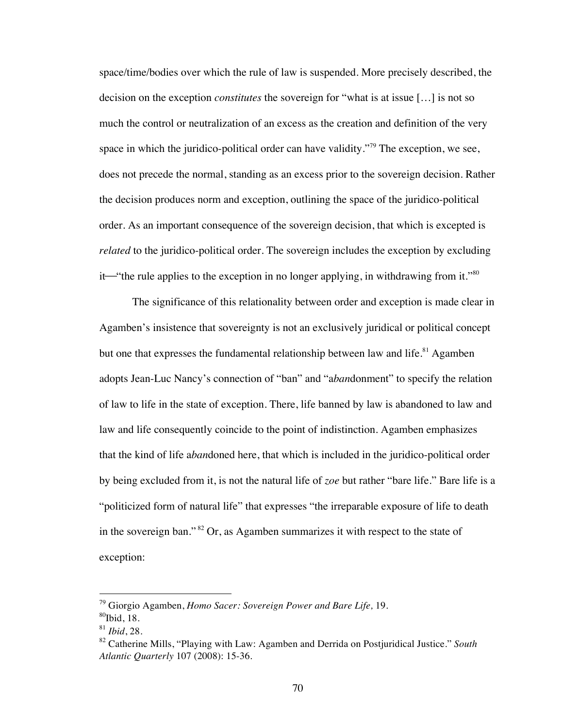space/time/bodies over which the rule of law is suspended. More precisely described, the decision on the exception *constitutes* the sovereign for "what is at issue […] is not so much the control or neutralization of an excess as the creation and definition of the very space in which the juridico-political order can have validity."<sup>79</sup> The exception, we see, does not precede the normal, standing as an excess prior to the sovereign decision. Rather the decision produces norm and exception, outlining the space of the juridico-political order. As an important consequence of the sovereign decision, that which is excepted is *related* to the juridico-political order. The sovereign includes the exception by excluding it—"the rule applies to the exception in no longer applying, in withdrawing from it." $80$ 

The significance of this relationality between order and exception is made clear in Agamben's insistence that sovereignty is not an exclusively juridical or political concept but one that expresses the fundamental relationship between law and life.<sup>81</sup> Agamben adopts Jean-Luc Nancy's connection of "ban" and "a*ban*donment" to specify the relation of law to life in the state of exception. There, life banned by law is abandoned to law and law and life consequently coincide to the point of indistinction. Agamben emphasizes that the kind of life a*ban*doned here, that which is included in the juridico-political order by being excluded from it, is not the natural life of *zoe* but rather "bare life." Bare life is a "politicized form of natural life" that expresses "the irreparable exposure of life to death in the sovereign ban." 82 Or, as Agamben summarizes it with respect to the state of exception:

 <sup>79</sup> Giorgio Agamben, *Homo Sacer: Sovereign Power and Bare Life,* 19.

 $80$ Ibid, 18.

<sup>81</sup> *Ibid*, 28.

<sup>82</sup> Catherine Mills, "Playing with Law: Agamben and Derrida on Postjuridical Justice." *South Atlantic Quarterly* 107 (2008): 15-36.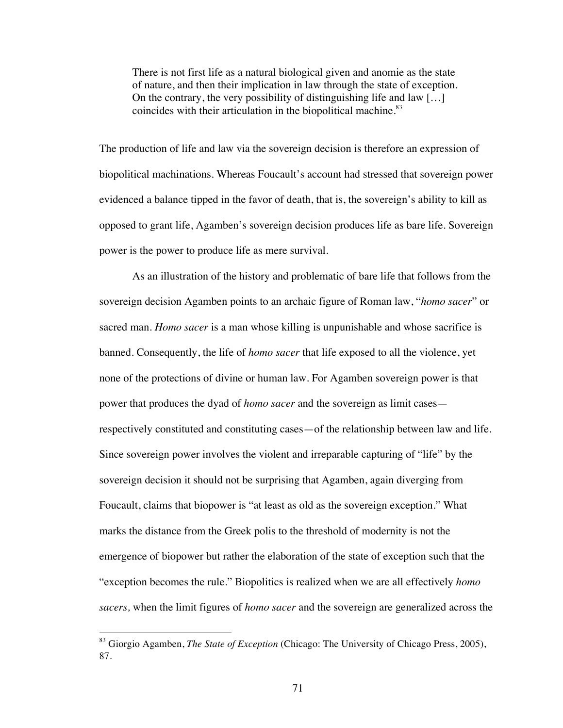There is not first life as a natural biological given and anomie as the state of nature, and then their implication in law through the state of exception. On the contrary, the very possibility of distinguishing life and law […] coincides with their articulation in the biopolitical machine.<sup>83</sup>

The production of life and law via the sovereign decision is therefore an expression of biopolitical machinations. Whereas Foucault's account had stressed that sovereign power evidenced a balance tipped in the favor of death, that is, the sovereign's ability to kill as opposed to grant life, Agamben's sovereign decision produces life as bare life. Sovereign power is the power to produce life as mere survival.

As an illustration of the history and problematic of bare life that follows from the sovereign decision Agamben points to an archaic figure of Roman law, "*homo sacer*" or sacred man. *Homo sacer* is a man whose killing is unpunishable and whose sacrifice is banned. Consequently, the life of *homo sacer* that life exposed to all the violence, yet none of the protections of divine or human law. For Agamben sovereign power is that power that produces the dyad of *homo sacer* and the sovereign as limit cases respectively constituted and constituting cases—of the relationship between law and life. Since sovereign power involves the violent and irreparable capturing of "life" by the sovereign decision it should not be surprising that Agamben, again diverging from Foucault, claims that biopower is "at least as old as the sovereign exception." What marks the distance from the Greek polis to the threshold of modernity is not the emergence of biopower but rather the elaboration of the state of exception such that the "exception becomes the rule." Biopolitics is realized when we are all effectively *homo sacers,* when the limit figures of *homo sacer* and the sovereign are generalized across the

 <sup>83</sup> Giorgio Agamben, *The State of Exception* (Chicago: The University of Chicago Press, 2005), 87.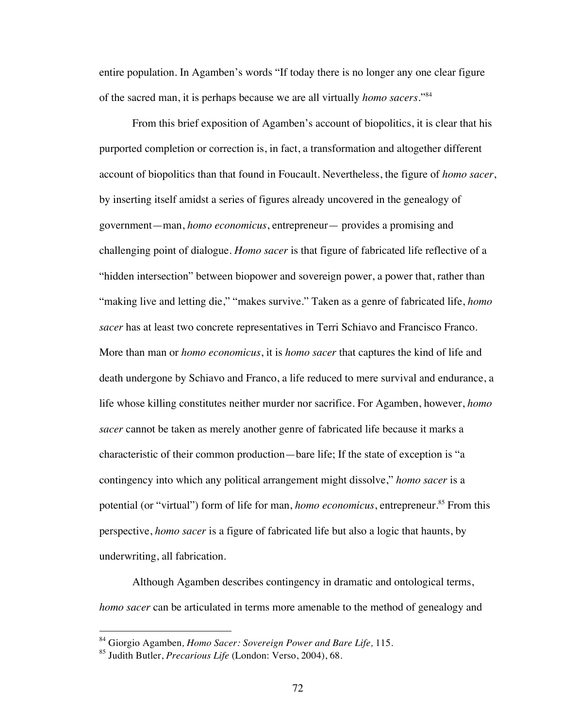entire population. In Agamben's words "If today there is no longer any one clear figure of the sacred man, it is perhaps because we are all virtually *homo sacers*."<sup>84</sup>

From this brief exposition of Agamben's account of biopolitics, it is clear that his purported completion or correction is, in fact, a transformation and altogether different account of biopolitics than that found in Foucault. Nevertheless, the figure of *homo sacer*, by inserting itself amidst a series of figures already uncovered in the genealogy of government—man, *homo economicus*, entrepreneur— provides a promising and challenging point of dialogue. *Homo sacer* is that figure of fabricated life reflective of a "hidden intersection" between biopower and sovereign power, a power that, rather than "making live and letting die," "makes survive." Taken as a genre of fabricated life, *homo sacer* has at least two concrete representatives in Terri Schiavo and Francisco Franco. More than man or *homo economicus*, it is *homo sacer* that captures the kind of life and death undergone by Schiavo and Franco, a life reduced to mere survival and endurance, a life whose killing constitutes neither murder nor sacrifice. For Agamben, however, *homo sacer* cannot be taken as merely another genre of fabricated life because it marks a characteristic of their common production—bare life; If the state of exception is "a contingency into which any political arrangement might dissolve," *homo sacer* is a potential (or "virtual") form of life for man, *homo economicus*, entrepreneur.<sup>85</sup> From this perspective, *homo sacer* is a figure of fabricated life but also a logic that haunts, by underwriting, all fabrication.

Although Agamben describes contingency in dramatic and ontological terms, *homo sacer* can be articulated in terms more amenable to the method of genealogy and

 <sup>84</sup> Giorgio Agamben*, Homo Sacer: Sovereign Power and Bare Life,* 115.

<sup>85</sup> Judith Butler, *Precarious Life* (London: Verso, 2004), 68.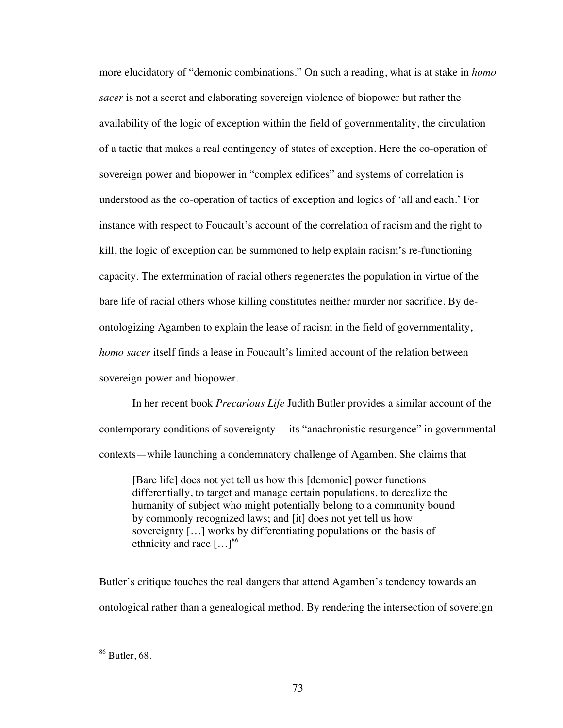more elucidatory of "demonic combinations." On such a reading, what is at stake in *homo sacer* is not a secret and elaborating sovereign violence of biopower but rather the availability of the logic of exception within the field of governmentality, the circulation of a tactic that makes a real contingency of states of exception. Here the co-operation of sovereign power and biopower in "complex edifices" and systems of correlation is understood as the co-operation of tactics of exception and logics of 'all and each.' For instance with respect to Foucault's account of the correlation of racism and the right to kill, the logic of exception can be summoned to help explain racism's re-functioning capacity. The extermination of racial others regenerates the population in virtue of the bare life of racial others whose killing constitutes neither murder nor sacrifice. By deontologizing Agamben to explain the lease of racism in the field of governmentality, *homo sacer* itself finds a lease in Foucault's limited account of the relation between sovereign power and biopower.

In her recent book *Precarious Life* Judith Butler provides a similar account of the contemporary conditions of sovereignty— its "anachronistic resurgence" in governmental contexts—while launching a condemnatory challenge of Agamben. She claims that

[Bare life] does not yet tell us how this [demonic] power functions differentially, to target and manage certain populations, to derealize the humanity of subject who might potentially belong to a community bound by commonly recognized laws; and [it] does not yet tell us how sovereignty […] works by differentiating populations on the basis of ethnicity and race  $[...]^{86}$ 

Butler's critique touches the real dangers that attend Agamben's tendency towards an ontological rather than a genealogical method. By rendering the intersection of sovereign

 $86$  Butler, 68.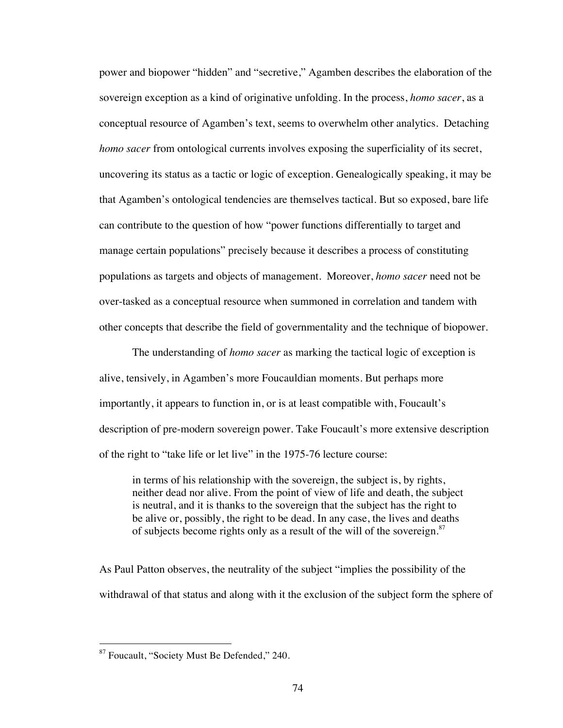power and biopower "hidden" and "secretive," Agamben describes the elaboration of the sovereign exception as a kind of originative unfolding. In the process, *homo sacer*, as a conceptual resource of Agamben's text, seems to overwhelm other analytics. Detaching *homo sacer* from ontological currents involves exposing the superficiality of its secret, uncovering its status as a tactic or logic of exception. Genealogically speaking, it may be that Agamben's ontological tendencies are themselves tactical. But so exposed, bare life can contribute to the question of how "power functions differentially to target and manage certain populations" precisely because it describes a process of constituting populations as targets and objects of management. Moreover, *homo sacer* need not be over-tasked as a conceptual resource when summoned in correlation and tandem with other concepts that describe the field of governmentality and the technique of biopower.

The understanding of *homo sacer* as marking the tactical logic of exception is alive, tensively, in Agamben's more Foucauldian moments. But perhaps more importantly, it appears to function in, or is at least compatible with, Foucault's description of pre-modern sovereign power. Take Foucault's more extensive description of the right to "take life or let live" in the 1975-76 lecture course:

in terms of his relationship with the sovereign, the subject is, by rights, neither dead nor alive. From the point of view of life and death, the subject is neutral, and it is thanks to the sovereign that the subject has the right to be alive or, possibly, the right to be dead. In any case, the lives and deaths of subjects become rights only as a result of the will of the sovereign.<sup>87</sup>

As Paul Patton observes, the neutrality of the subject "implies the possibility of the withdrawal of that status and along with it the exclusion of the subject form the sphere of

 <sup>87</sup> Foucault, "Society Must Be Defended," 240.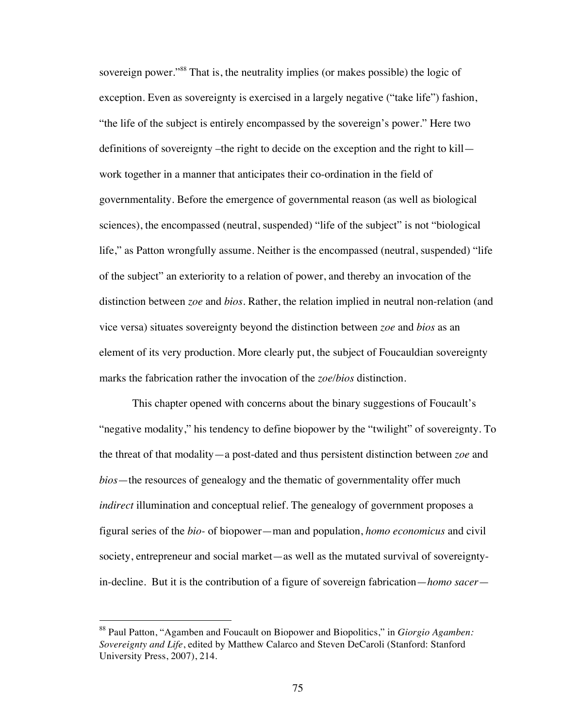sovereign power."<sup>88</sup> That is, the neutrality implies (or makes possible) the logic of exception. Even as sovereignty is exercised in a largely negative ("take life") fashion, "the life of the subject is entirely encompassed by the sovereign's power." Here two definitions of sovereignty –the right to decide on the exception and the right to kill work together in a manner that anticipates their co-ordination in the field of governmentality. Before the emergence of governmental reason (as well as biological sciences), the encompassed (neutral, suspended) "life of the subject" is not "biological life," as Patton wrongfully assume. Neither is the encompassed (neutral, suspended) "life of the subject" an exteriority to a relation of power, and thereby an invocation of the distinction between *zoe* and *bios*. Rather, the relation implied in neutral non-relation (and vice versa) situates sovereignty beyond the distinction between *zoe* and *bios* as an element of its very production. More clearly put, the subject of Foucauldian sovereignty marks the fabrication rather the invocation of the *zoe/bios* distinction.

This chapter opened with concerns about the binary suggestions of Foucault's "negative modality," his tendency to define biopower by the "twilight" of sovereignty. To the threat of that modality—a post-dated and thus persistent distinction between *zoe* and *bios*—the resources of genealogy and the thematic of governmentality offer much *indirect* illumination and conceptual relief. The genealogy of government proposes a figural series of the *bio-* of biopower—man and population, *homo economicus* and civil society, entrepreneur and social market—as well as the mutated survival of sovereigntyin-decline. But it is the contribution of a figure of sovereign fabrication—*homo sacer*—

 <sup>88</sup> Paul Patton, "Agamben and Foucault on Biopower and Biopolitics," in *Giorgio Agamben: Sovereignty and Life*, edited by Matthew Calarco and Steven DeCaroli (Stanford: Stanford University Press, 2007), 214.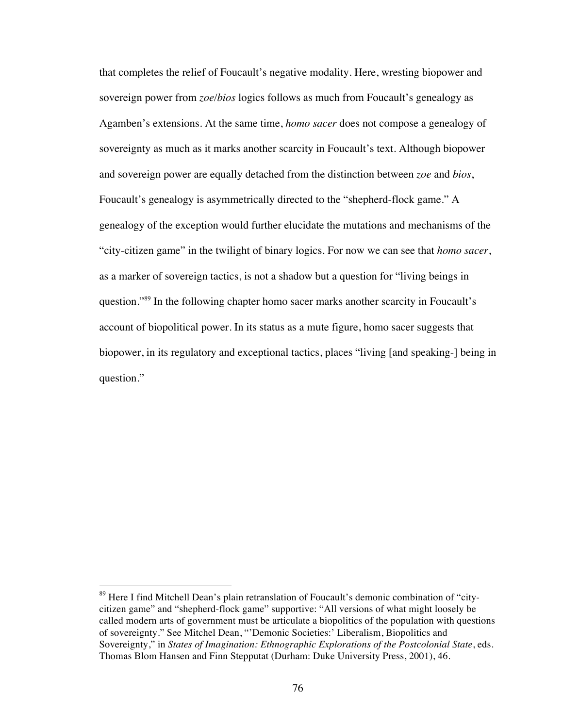that completes the relief of Foucault's negative modality. Here, wresting biopower and sovereign power from *zoe/bios* logics follows as much from Foucault's genealogy as Agamben's extensions. At the same time, *homo sacer* does not compose a genealogy of sovereignty as much as it marks another scarcity in Foucault's text. Although biopower and sovereign power are equally detached from the distinction between *zoe* and *bios*, Foucault's genealogy is asymmetrically directed to the "shepherd-flock game." A genealogy of the exception would further elucidate the mutations and mechanisms of the "city-citizen game" in the twilight of binary logics. For now we can see that *homo sacer*, as a marker of sovereign tactics, is not a shadow but a question for "living beings in question."89 In the following chapter homo sacer marks another scarcity in Foucault's account of biopolitical power. In its status as a mute figure, homo sacer suggests that biopower, in its regulatory and exceptional tactics, places "living [and speaking-] being in question."

<sup>&</sup>lt;sup>89</sup> Here I find Mitchell Dean's plain retranslation of Foucault's demonic combination of "citycitizen game" and "shepherd-flock game" supportive: "All versions of what might loosely be called modern arts of government must be articulate a biopolitics of the population with questions of sovereignty." See Mitchel Dean, "'Demonic Societies:' Liberalism, Biopolitics and Sovereignty," in *States of Imagination: Ethnographic Explorations of the Postcolonial State*, eds. Thomas Blom Hansen and Finn Stepputat (Durham: Duke University Press, 2001), 46.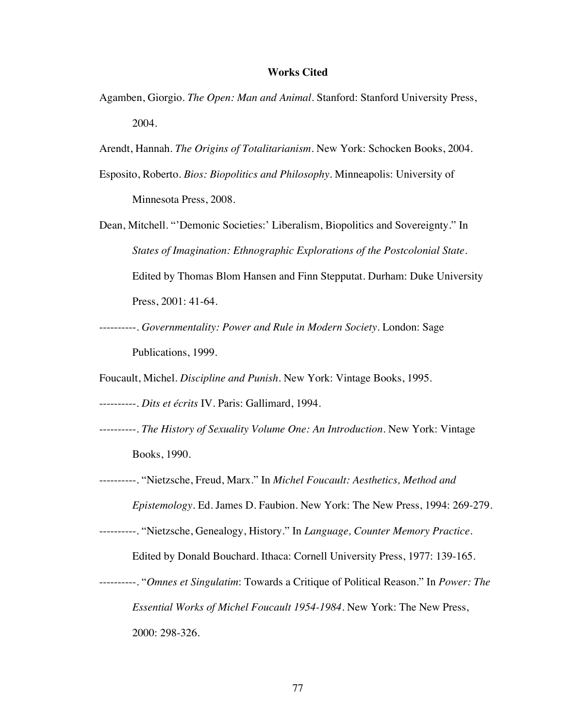## **Works Cited**

- Agamben, Giorgio. *The Open: Man and Animal.* Stanford: Stanford University Press, 2004.
- Arendt, Hannah. *The Origins of Totalitarianism*. New York: Schocken Books, 2004.
- Esposito, Roberto. *Bios: Biopolitics and Philosophy.* Minneapolis: University of Minnesota Press, 2008.
- Dean, Mitchell. "'Demonic Societies:' Liberalism, Biopolitics and Sovereignty." In *States of Imagination: Ethnographic Explorations of the Postcolonial State*. Edited by Thomas Blom Hansen and Finn Stepputat. Durham: Duke University Press, 2001: 41-64.
- ----------. *Governmentality: Power and Rule in Modern Society*. London: Sage Publications, 1999.

Foucault, Michel. *Discipline and Punish*. New York: Vintage Books, 1995.

----------. *Dits et écrits* IV. Paris: Gallimard, 1994.

- ----------. *The History of Sexuality Volume One: An Introduction.* New York: Vintage Books, 1990.
- ----------. "Nietzsche, Freud, Marx." In *Michel Foucault: Aesthetics, Method and Epistemology*. Ed. James D. Faubion. New York: The New Press, 1994: 269-279. ----------. "Nietzsche, Genealogy, History." In *Language, Counter Memory Practice*.

Edited by Donald Bouchard. Ithaca: Cornell University Press, 1977: 139-165.

----------. "*Omnes et Singulatim*: Towards a Critique of Political Reason." In *Power: The Essential Works of Michel Foucault 1954-1984.* New York: The New Press, 2000: 298-326.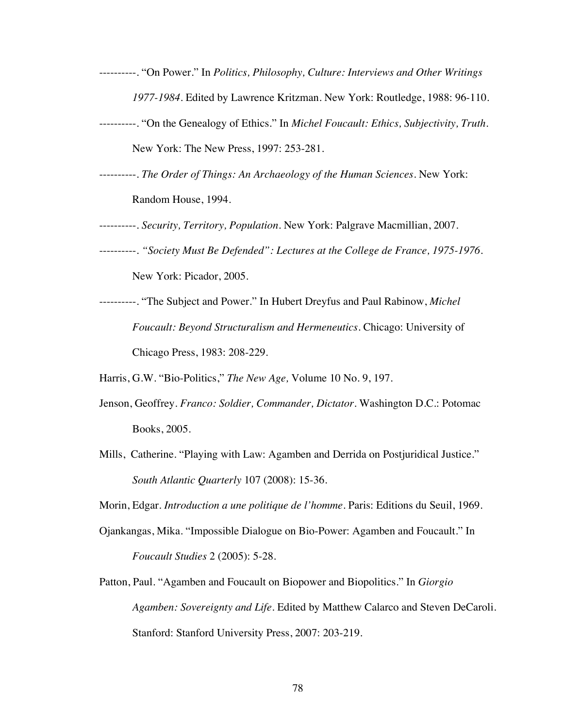- ----------. "On Power." In *Politics, Philosophy, Culture: Interviews and Other Writings 1977-1984.* Edited by Lawrence Kritzman. New York: Routledge, 1988: 96-110.
- ----------. "On the Genealogy of Ethics." In *Michel Foucault: Ethics, Subjectivity, Truth*. New York: The New Press, 1997: 253-281.
- ----------. *The Order of Things: An Archaeology of the Human Sciences*. New York: Random House, 1994.
- ----------. *Security, Territory, Population.* New York: Palgrave Macmillian, 2007.
- ----------. *"Society Must Be Defended": Lectures at the College de France, 1975-1976*. New York: Picador, 2005.
- ----------. "The Subject and Power." In Hubert Dreyfus and Paul Rabinow, *Michel Foucault: Beyond Structuralism and Hermeneutics.* Chicago: University of Chicago Press, 1983: 208-229.

Harris, G.W. "Bio-Politics," *The New Age,* Volume 10 No. 9, 197.

- Jenson, Geoffrey. *Franco: Soldier, Commander, Dictator*. Washington D.C.: Potomac Books, 2005.
- Mills, Catherine. "Playing with Law: Agamben and Derrida on Postjuridical Justice." *South Atlantic Quarterly* 107 (2008): 15-36.

Morin, Edgar. *Introduction a une politique de l'homme*. Paris: Editions du Seuil, 1969.

- Ojankangas, Mika. "Impossible Dialogue on Bio-Power: Agamben and Foucault." In *Foucault Studies* 2 (2005): 5-28.
- Patton, Paul. "Agamben and Foucault on Biopower and Biopolitics." In *Giorgio Agamben: Sovereignty and Life*. Edited by Matthew Calarco and Steven DeCaroli. Stanford: Stanford University Press, 2007: 203-219.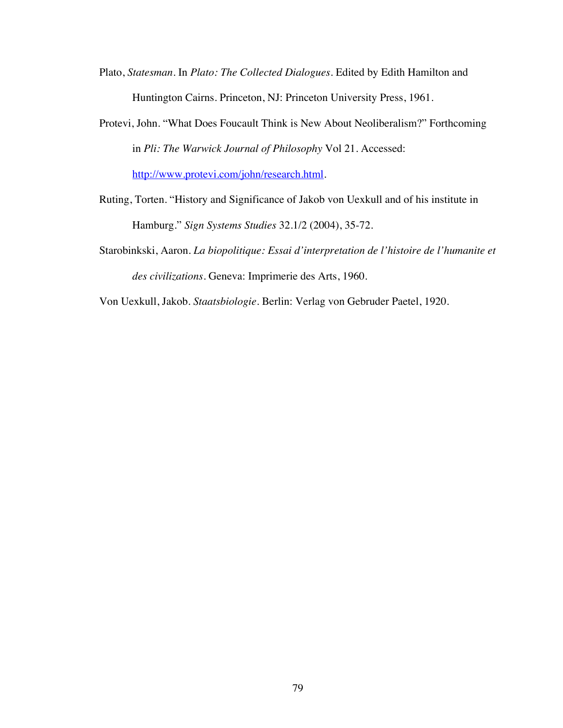- Plato, *Statesman*. In *Plato: The Collected Dialogues*. Edited by Edith Hamilton and Huntington Cairns. Princeton, NJ: Princeton University Press, 1961.
- Protevi, John. "What Does Foucault Think is New About Neoliberalism?" Forthcoming in *Pli: The Warwick Journal of Philosophy* Vol 21. Accessed: http://www.protevi.com/john/research.html.
- Ruting, Torten. "History and Significance of Jakob von Uexkull and of his institute in Hamburg." *Sign Systems Studies* 32.1/2 (2004), 35-72.
- Starobinkski, Aaron. *La biopolitique: Essai d'interpretation de l'histoire de l'humanite et des civilizations.* Geneva: Imprimerie des Arts, 1960.
- Von Uexkull, Jakob. *Staatsbiologie*. Berlin: Verlag von Gebruder Paetel, 1920.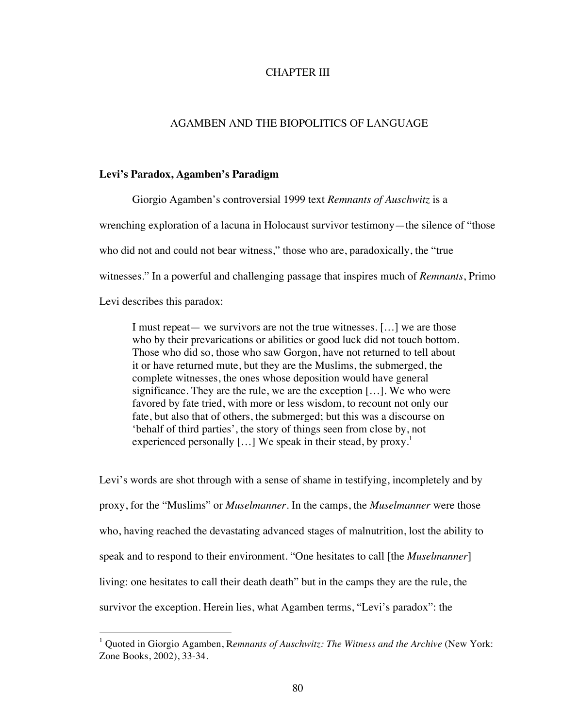# CHAPTER III

### AGAMBEN AND THE BIOPOLITICS OF LANGUAGE

#### **Levi's Paradox, Agamben's Paradigm**

Giorgio Agamben's controversial 1999 text *Remnants of Auschwitz* is a wrenching exploration of a lacuna in Holocaust survivor testimony—the silence of "those who did not and could not bear witness," those who are, paradoxically, the "true witnesses." In a powerful and challenging passage that inspires much of *Remnants*, Primo Levi describes this paradox:

I must repeat— we survivors are not the true witnesses. […] we are those who by their prevarications or abilities or good luck did not touch bottom. Those who did so, those who saw Gorgon, have not returned to tell about it or have returned mute, but they are the Muslims, the submerged, the complete witnesses, the ones whose deposition would have general significance. They are the rule, we are the exception […]. We who were favored by fate tried, with more or less wisdom, to recount not only our fate, but also that of others, the submerged; but this was a discourse on 'behalf of third parties', the story of things seen from close by, not experienced personally  $[...]$  We speak in their stead, by proxy.<sup>1</sup>

Levi's words are shot through with a sense of shame in testifying, incompletely and by proxy, for the "Muslims" or *Muselmanner*. In the camps, the *Muselmanner* were those who, having reached the devastating advanced stages of malnutrition, lost the ability to speak and to respond to their environment. "One hesitates to call [the *Muselmanner*] living: one hesitates to call their death death" but in the camps they are the rule, the survivor the exception. Herein lies, what Agamben terms, "Levi's paradox": the

<sup>&</sup>lt;sup>1</sup> Quoted in Giorgio Agamben, Remnants of Auschwitz: The Witness and the Archive (New York: Zone Books, 2002), 33-34.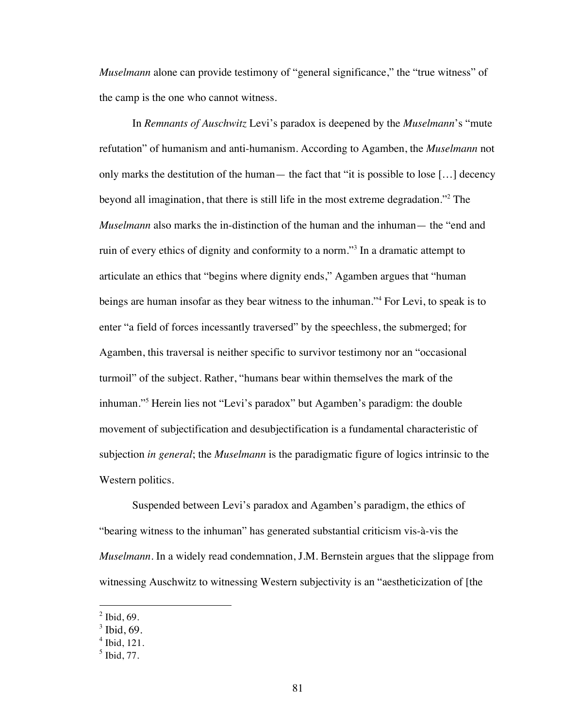*Muselmann* alone can provide testimony of "general significance," the "true witness" of the camp is the one who cannot witness.

In *Remnants of Auschwitz* Levi's paradox is deepened by the *Muselmann*'s "mute refutation" of humanism and anti-humanism. According to Agamben, the *Muselmann* not only marks the destitution of the human— the fact that "it is possible to lose […] decency beyond all imagination, that there is still life in the most extreme degradation."<sup>2</sup> The *Muselmann* also marks the in-distinction of the human and the inhuman— the "end and ruin of every ethics of dignity and conformity to a norm."<sup>3</sup> In a dramatic attempt to articulate an ethics that "begins where dignity ends," Agamben argues that "human beings are human insofar as they bear witness to the inhuman."<sup>4</sup> For Levi, to speak is to enter "a field of forces incessantly traversed" by the speechless, the submerged; for Agamben, this traversal is neither specific to survivor testimony nor an "occasional turmoil" of the subject. Rather, "humans bear within themselves the mark of the inhuman."<sup>5</sup> Herein lies not "Levi's paradox" but Agamben's paradigm: the double movement of subjectification and desubjectification is a fundamental characteristic of subjection *in general*; the *Muselmann* is the paradigmatic figure of logics intrinsic to the Western politics.

Suspended between Levi's paradox and Agamben's paradigm, the ethics of "bearing witness to the inhuman" has generated substantial criticism vis-à-vis the *Muselmann*. In a widely read condemnation, J.M. Bernstein argues that the slippage from witnessing Auschwitz to witnessing Western subjectivity is an "aestheticization of [the

 $<sup>2</sup>$  Ibid, 69.</sup>

 $3$  Ibid, 69.

 $4$  Ibid, 121.

 $<sup>5</sup>$  Ibid, 77.</sup>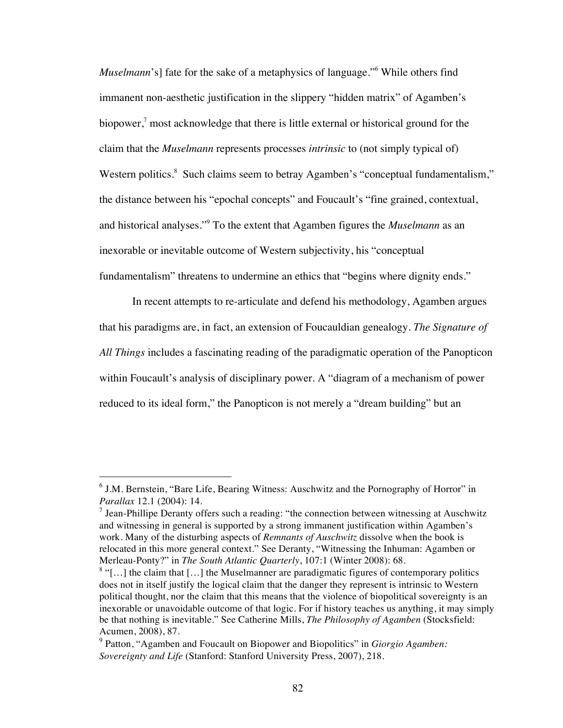*Muselmann*'s] fate for the sake of a metaphysics of language."<sup>6</sup> While others find immanent non-aesthetic justification in the slippery "hidden matrix" of Agamben's biopower,<sup>7</sup> most acknowledge that there is little external or historical ground for the claim that the *Muselmann* represents processes *intrinsic* to (not simply typical of) Western politics.<sup>8</sup> Such claims seem to betray Agamben's "conceptual fundamentalism," the distance between his "epochal concepts" and Foucault's "fine grained, contextual, and historical analyses."9 To the extent that Agamben figures the *Muselmann* as an inexorable or inevitable outcome of Western subjectivity, his "conceptual fundamentalism" threatens to undermine an ethics that "begins where dignity ends."

In recent attempts to re-articulate and defend his methodology, Agamben argues that his paradigms are, in fact, an extension of Foucauldian genealogy. *The Signature of All Things* includes a fascinating reading of the paradigmatic operation of the Panopticon within Foucault's analysis of disciplinary power. A "diagram of a mechanism of power reduced to its ideal form," the Panopticon is not merely a "dream building" but an

 $6$  J.M. Bernstein, "Bare Life, Bearing Witness: Auschwitz and the Pornography of Horror" in *Parallax* 12.1 (2004): 14.

<sup>&</sup>lt;sup>7</sup> Jean-Phillipe Deranty offers such a reading: "the connection between witnessing at Auschwitz and witnessing in general is supported by a strong immanent justification within Agamben's work. Many of the disturbing aspects of *Remnants of Auschwitz* dissolve when the book is relocated in this more general context." See Deranty, "Witnessing the Inhuman: Agamben or Merleau-Ponty?" in *The South Atlantic Quarterly*, 107:1 (Winter 2008): 68.

 $8$  "[...] the claim that [...] the Muselmanner are paradigmatic figures of contemporary politics does not in itself justify the logical claim that the danger they represent is intrinsic to Western political thought, nor the claim that this means that the violence of biopolitical sovereignty is an inexorable or unavoidable outcome of that logic. For if history teaches us anything, it may simply be that nothing is inevitable." See Catherine Mills, *The Philosophy of Agamben* (Stocksfield: Acumen, 2008), 87.

<sup>9</sup> Patton, "Agamben and Foucault on Biopower and Biopolitics" in *Giorgio Agamben: Sovereignty and Life* (Stanford: Stanford University Press, 2007), 218.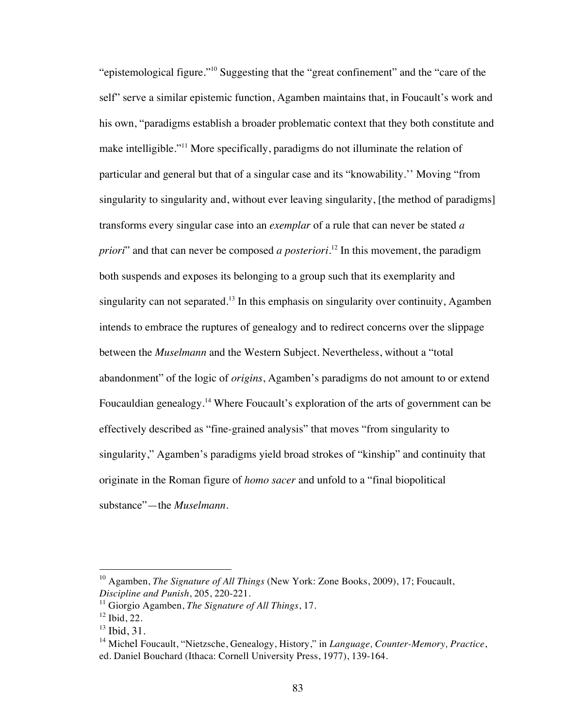"epistemological figure."10 Suggesting that the "great confinement" and the "care of the self" serve a similar epistemic function, Agamben maintains that, in Foucault's work and his own, "paradigms establish a broader problematic context that they both constitute and make intelligible."<sup>11</sup> More specifically, paradigms do not illuminate the relation of particular and general but that of a singular case and its "knowability.'' Moving "from singularity to singularity and, without ever leaving singularity, [the method of paradigms] transforms every singular case into an *exemplar* of a rule that can never be stated *a priori*" and that can never be composed *a posteriori*. 12 In this movement, the paradigm both suspends and exposes its belonging to a group such that its exemplarity and singularity can not separated.<sup>13</sup> In this emphasis on singularity over continuity, Agamben intends to embrace the ruptures of genealogy and to redirect concerns over the slippage between the *Muselmann* and the Western Subject. Nevertheless, without a "total abandonment" of the logic of *origins*, Agamben's paradigms do not amount to or extend Foucauldian genealogy.14 Where Foucault's exploration of the arts of government can be effectively described as "fine-grained analysis" that moves "from singularity to singularity," Agamben's paradigms yield broad strokes of "kinship" and continuity that originate in the Roman figure of *homo sacer* and unfold to a "final biopolitical substance"—the *Muselmann*.

<sup>&</sup>lt;sup>10</sup> Agamben, *The Signature of All Things* (New York: Zone Books, 2009), 17; Foucault, *Discipline and Punish*, 205, 220-221.

<sup>11</sup> Giorgio Agamben, *The Signature of All Things*, 17.

 $12$  Ibid, 22.

 $13$  Ibid, 31.

<sup>14</sup> Michel Foucault, "Nietzsche, Genealogy, History," in *Language, Counter-Memory, Practice*, ed. Daniel Bouchard (Ithaca: Cornell University Press, 1977), 139-164.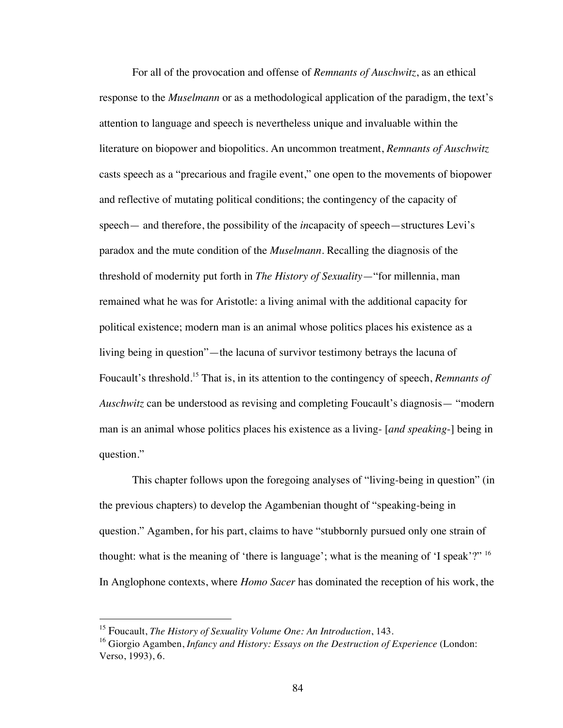For all of the provocation and offense of *Remnants of Auschwitz*, as an ethical response to the *Muselmann* or as a methodological application of the paradigm, the text's attention to language and speech is nevertheless unique and invaluable within the literature on biopower and biopolitics. An uncommon treatment, *Remnants of Auschwitz* casts speech as a "precarious and fragile event," one open to the movements of biopower and reflective of mutating political conditions; the contingency of the capacity of speech— and therefore, the possibility of the *in*capacity of speech—structures Levi's paradox and the mute condition of the *Muselmann*. Recalling the diagnosis of the threshold of modernity put forth in *The History of Sexuality*—"for millennia, man remained what he was for Aristotle: a living animal with the additional capacity for political existence; modern man is an animal whose politics places his existence as a living being in question"—the lacuna of survivor testimony betrays the lacuna of Foucault's threshold.15 That is, in its attention to the contingency of speech, *Remnants of Auschwitz* can be understood as revising and completing Foucault's diagnosis— "modern" man is an animal whose politics places his existence as a living- [*and speaking*-] being in question."

This chapter follows upon the foregoing analyses of "living-being in question" (in the previous chapters) to develop the Agambenian thought of "speaking-being in question." Agamben, for his part, claims to have "stubbornly pursued only one strain of thought: what is the meaning of 'there is language'; what is the meaning of 'I speak'?" <sup>16</sup> In Anglophone contexts, where *Homo Sacer* has dominated the reception of his work, the

 <sup>15</sup> Foucault, *The History of Sexuality Volume One: An Introduction*, 143.

<sup>&</sup>lt;sup>16</sup> Giorgio Agamben, *Infancy and History: Essays on the Destruction of Experience* (London: Verso, 1993), 6.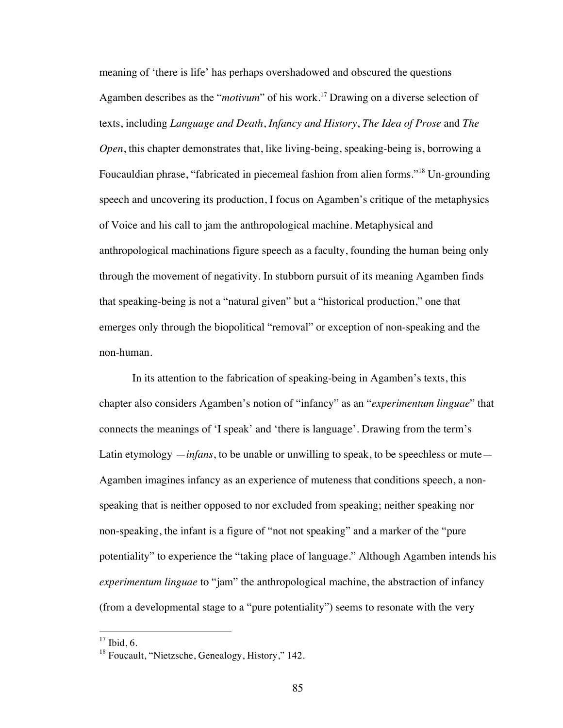meaning of 'there is life' has perhaps overshadowed and obscured the questions Agamben describes as the "*motivum*" of his work.<sup>17</sup> Drawing on a diverse selection of texts, including *Language and Death*, *Infancy and History*, *The Idea of Prose* and *The Open*, this chapter demonstrates that, like living-being, speaking-being is, borrowing a Foucauldian phrase, "fabricated in piecemeal fashion from alien forms."18 Un-grounding speech and uncovering its production, I focus on Agamben's critique of the metaphysics of Voice and his call to jam the anthropological machine. Metaphysical and anthropological machinations figure speech as a faculty, founding the human being only through the movement of negativity. In stubborn pursuit of its meaning Agamben finds that speaking-being is not a "natural given" but a "historical production," one that emerges only through the biopolitical "removal" or exception of non-speaking and the non-human.

In its attention to the fabrication of speaking-being in Agamben's texts, this chapter also considers Agamben's notion of "infancy" as an "*experimentum linguae*" that connects the meanings of 'I speak' and 'there is language'. Drawing from the term's Latin etymology *—infans*, to be unable or unwilling to speak, to be speechless or mute— Agamben imagines infancy as an experience of muteness that conditions speech, a nonspeaking that is neither opposed to nor excluded from speaking; neither speaking nor non-speaking, the infant is a figure of "not not speaking" and a marker of the "pure potentiality" to experience the "taking place of language." Although Agamben intends his *experimentum linguae* to "jam" the anthropological machine, the abstraction of infancy (from a developmental stage to a "pure potentiality") seems to resonate with the very

 $17$  Ibid, 6.

<sup>&</sup>lt;sup>18</sup> Foucault, "Nietzsche, Genealogy, History," 142.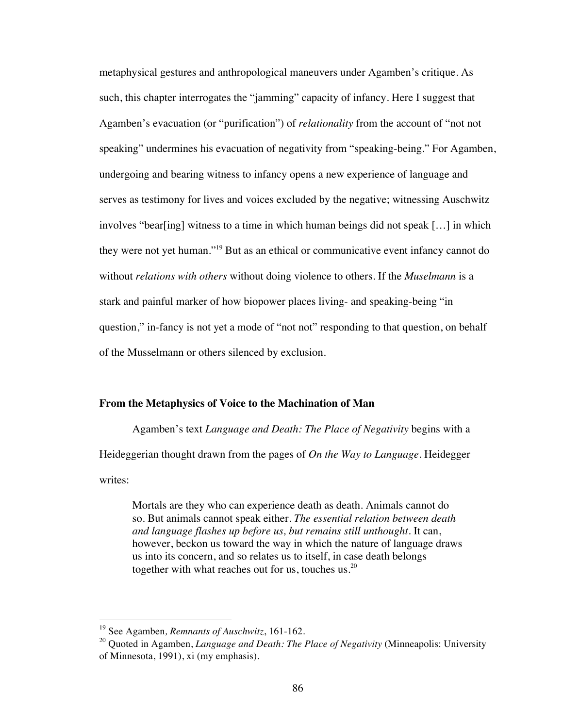metaphysical gestures and anthropological maneuvers under Agamben's critique. As such, this chapter interrogates the "jamming" capacity of infancy. Here I suggest that Agamben's evacuation (or "purification") of *relationality* from the account of "not not speaking" undermines his evacuation of negativity from "speaking-being." For Agamben, undergoing and bearing witness to infancy opens a new experience of language and serves as testimony for lives and voices excluded by the negative; witnessing Auschwitz involves "bear[ing] witness to a time in which human beings did not speak […] in which they were not yet human."19 But as an ethical or communicative event infancy cannot do without *relations with others* without doing violence to others. If the *Muselmann* is a stark and painful marker of how biopower places living- and speaking-being "in question," in-fancy is not yet a mode of "not not" responding to that question, on behalf of the Musselmann or others silenced by exclusion.

## **From the Metaphysics of Voice to the Machination of Man**

Agamben's text *Language and Death: The Place of Negativity* begins with a Heideggerian thought drawn from the pages of *On the Way to Language.* Heidegger writes:

Mortals are they who can experience death as death. Animals cannot do so. But animals cannot speak either. *The essential relation between death and language flashes up before us, but remains still unthought*. It can, however, beckon us toward the way in which the nature of language draws us into its concern, and so relates us to itself, in case death belongs together with what reaches out for us, touches us.<sup>20</sup>

 <sup>19</sup> See Agamben*, Remnants of Auschwitz*, 161-162.

<sup>20</sup> Quoted in Agamben, *Language and Death: The Place of Negativity* (Minneapolis: University of Minnesota, 1991), xi (my emphasis).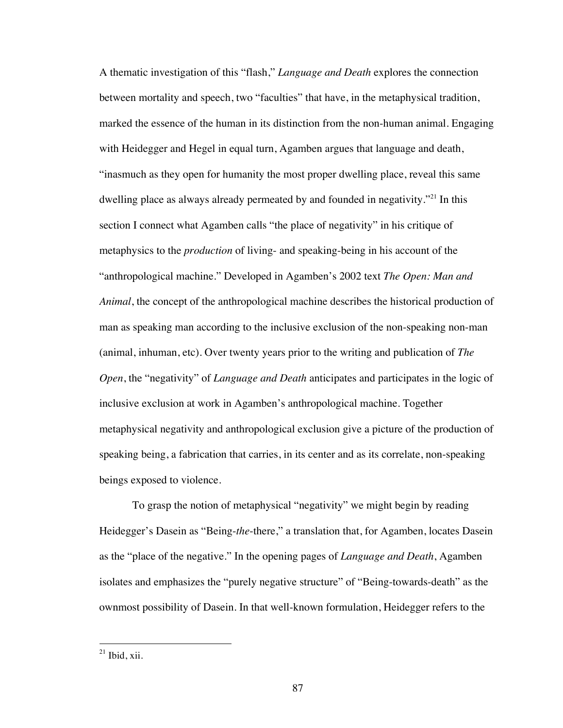A thematic investigation of this "flash," *Language and Death* explores the connection between mortality and speech, two "faculties" that have, in the metaphysical tradition, marked the essence of the human in its distinction from the non-human animal. Engaging with Heidegger and Hegel in equal turn, Agamben argues that language and death, "inasmuch as they open for humanity the most proper dwelling place, reveal this same dwelling place as always already permeated by and founded in negativity."<sup>21</sup> In this section I connect what Agamben calls "the place of negativity" in his critique of metaphysics to the *production* of living- and speaking-being in his account of the "anthropological machine." Developed in Agamben's 2002 text *The Open: Man and Animal*, the concept of the anthropological machine describes the historical production of man as speaking man according to the inclusive exclusion of the non-speaking non-man (animal, inhuman, etc). Over twenty years prior to the writing and publication of *The Open*, the "negativity" of *Language and Death* anticipates and participates in the logic of inclusive exclusion at work in Agamben's anthropological machine. Together metaphysical negativity and anthropological exclusion give a picture of the production of speaking being, a fabrication that carries, in its center and as its correlate, non-speaking beings exposed to violence.

To grasp the notion of metaphysical "negativity" we might begin by reading Heidegger's Dasein as "Being-*the*-there," a translation that, for Agamben, locates Dasein as the "place of the negative." In the opening pages of *Language and Death*, Agamben isolates and emphasizes the "purely negative structure" of "Being-towards-death" as the ownmost possibility of Dasein. In that well-known formulation, Heidegger refers to the

 $21$  Ibid, xii.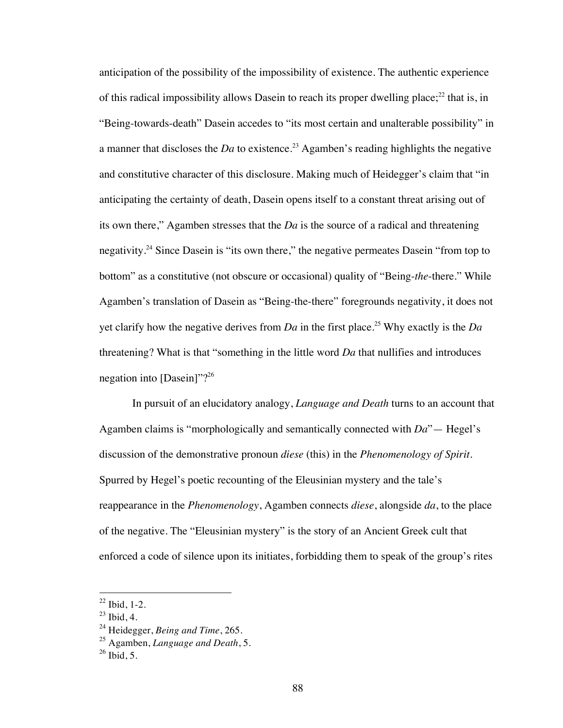anticipation of the possibility of the impossibility of existence. The authentic experience of this radical impossibility allows Dasein to reach its proper dwelling place;<sup>22</sup> that is, in "Being-towards-death" Dasein accedes to "its most certain and unalterable possibility" in a manner that discloses the *Da* to existence.<sup>23</sup> Agamben's reading highlights the negative and constitutive character of this disclosure. Making much of Heidegger's claim that "in anticipating the certainty of death, Dasein opens itself to a constant threat arising out of its own there," Agamben stresses that the *Da* is the source of a radical and threatening negativity.<sup>24</sup> Since Dasein is "its own there," the negative permeates Dasein "from top to bottom" as a constitutive (not obscure or occasional) quality of "Being-*the*-there." While Agamben's translation of Dasein as "Being-the-there" foregrounds negativity, it does not yet clarify how the negative derives from  $Da$  in the first place.<sup>25</sup> Why exactly is the  $Da$ threatening? What is that "something in the little word *Da* that nullifies and introduces negation into [Dasein]"?26

In pursuit of an elucidatory analogy, *Language and Death* turns to an account that Agamben claims is "morphologically and semantically connected with *Da*"— Hegel's discussion of the demonstrative pronoun *diese* (this) in the *Phenomenology of Spirit*. Spurred by Hegel's poetic recounting of the Eleusinian mystery and the tale's reappearance in the *Phenomenology*, Agamben connects *diese*, alongside *da*, to the place of the negative. The "Eleusinian mystery" is the story of an Ancient Greek cult that enforced a code of silence upon its initiates, forbidding them to speak of the group's rites

 $22$  Ibid, 1-2.

 $^{23}$  Ibid, 4.

<sup>24</sup> Heidegger, *Being and Time*, 265.

<sup>25</sup> Agamben, *Language and Death*, 5.

 $^{26}$  Ibid, 5.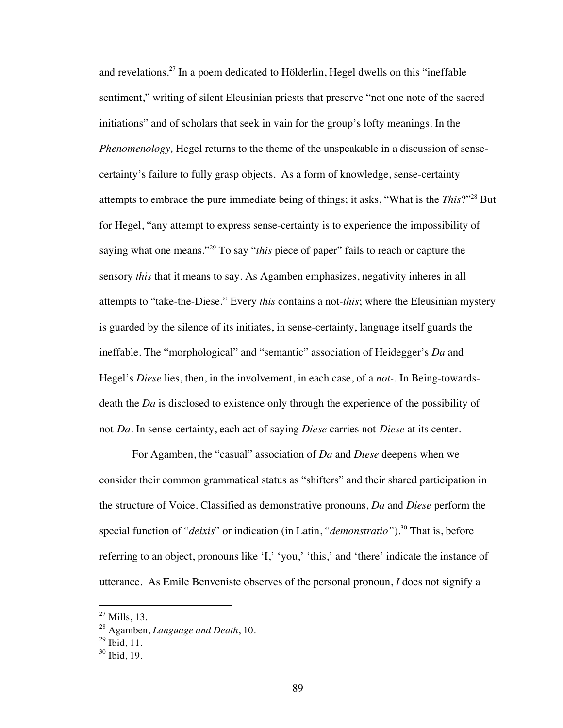and revelations.<sup>27</sup> In a poem dedicated to Hölderlin, Hegel dwells on this "ineffable" sentiment," writing of silent Eleusinian priests that preserve "not one note of the sacred initiations" and of scholars that seek in vain for the group's lofty meanings. In the *Phenomenology,* Hegel returns to the theme of the unspeakable in a discussion of sensecertainty's failure to fully grasp objects. As a form of knowledge, sense-certainty attempts to embrace the pure immediate being of things; it asks, "What is the *This*?"28 But for Hegel, "any attempt to express sense-certainty is to experience the impossibility of saying what one means."29 To say "*this* piece of paper" fails to reach or capture the sensory *this* that it means to say. As Agamben emphasizes, negativity inheres in all attempts to "take-the-Diese." Every *this* contains a not-*this*; where the Eleusinian mystery is guarded by the silence of its initiates, in sense-certainty, language itself guards the ineffable. The "morphological" and "semantic" association of Heidegger's *Da* and Hegel's *Diese* lies, then, in the involvement, in each case, of a *not-.* In Being-towardsdeath the *Da* is disclosed to existence only through the experience of the possibility of not-*Da*. In sense-certainty, each act of saying *Diese* carries not-*Diese* at its center.

For Agamben, the "casual" association of *Da* and *Diese* deepens when we consider their common grammatical status as "shifters" and their shared participation in the structure of Voice. Classified as demonstrative pronouns, *Da* and *Diese* perform the special function of "*deixis*" or indication (in Latin, "*demonstratio*").<sup>30</sup> That is, before referring to an object, pronouns like 'I,' 'you,' 'this,' and 'there' indicate the instance of utterance. As Emile Benveniste observes of the personal pronoun, *I* does not signify a

 $^{27}$  Mills, 13.

<sup>28</sup> Agamben, *Language and Death*, 10.

 $^{29}$  Ibid, 11.

 $30$  Ibid, 19.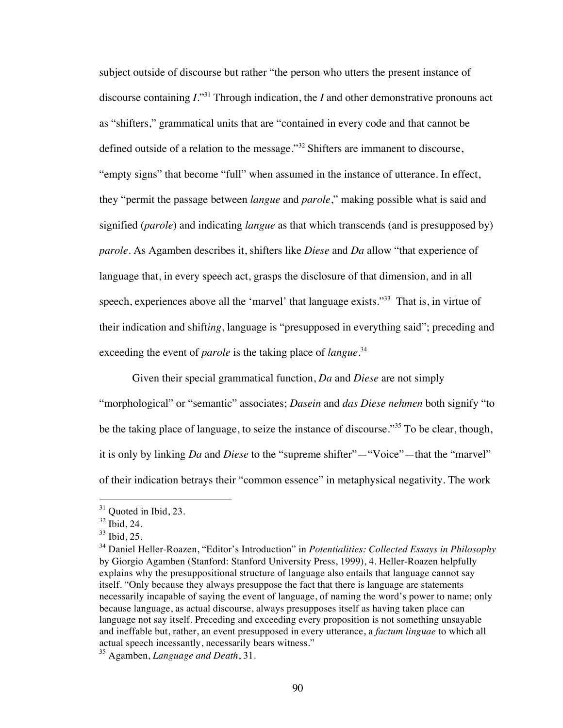subject outside of discourse but rather "the person who utters the present instance of discourse containing  $I^{331}$ . Through indication, the *I* and other demonstrative pronouns act as "shifters," grammatical units that are "contained in every code and that cannot be defined outside of a relation to the message."32 Shifters are immanent to discourse, "empty signs" that become "full" when assumed in the instance of utterance. In effect, they "permit the passage between *langue* and *parole*," making possible what is said and signified (*parole*) and indicating *langue* as that which transcends (and is presupposed by) *parole*. As Agamben describes it, shifters like *Diese* and *Da* allow "that experience of language that, in every speech act, grasps the disclosure of that dimension, and in all speech, experiences above all the 'marvel' that language exists."<sup>33</sup> That is, in virtue of their indication and shift*ing*, language is "presupposed in everything said"; preceding and exceeding the event of *parole* is the taking place of *langue*. 34

Given their special grammatical function, *Da* and *Diese* are not simply

"morphological" or "semantic" associates; *Dasein* and *das Diese nehmen* both signify "to be the taking place of language, to seize the instance of discourse."<sup>35</sup> To be clear, though, it is only by linking *Da* and *Diese* to the "supreme shifter"—"Voice"—that the "marvel" of their indication betrays their "common essence" in metaphysical negativity. The work

 $31$  Quoted in Ibid, 23.

 $32$  Ibid, 24.

<sup>33</sup> Ibid, 25.

<sup>34</sup> Daniel Heller-Roazen, "Editor's Introduction" in *Potentialities: Collected Essays in Philosophy* by Giorgio Agamben (Stanford: Stanford University Press, 1999), 4. Heller-Roazen helpfully explains why the presuppositional structure of language also entails that language cannot say itself. "Only because they always presuppose the fact that there is language are statements necessarily incapable of saying the event of language, of naming the word's power to name; only because language, as actual discourse, always presupposes itself as having taken place can language not say itself. Preceding and exceeding every proposition is not something unsayable and ineffable but, rather, an event presupposed in every utterance, a *factum linguae* to which all actual speech incessantly, necessarily bears witness."

<sup>35</sup> Agamben, *Language and Death*, 31.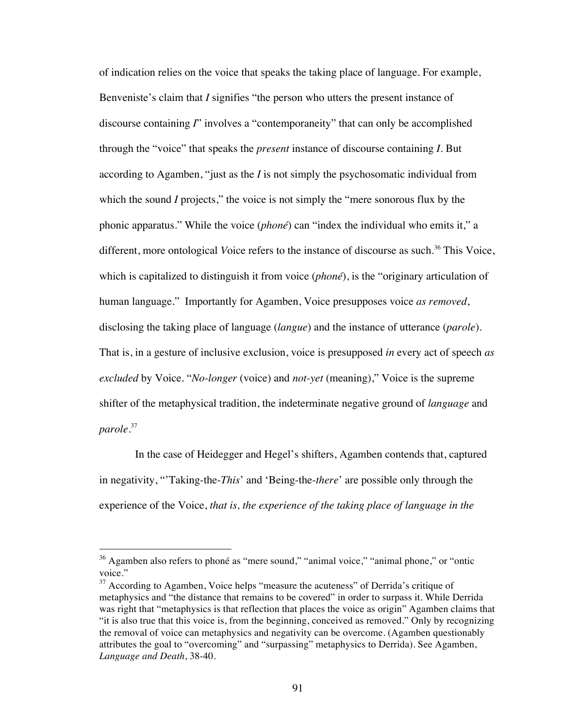of indication relies on the voice that speaks the taking place of language. For example, Benveniste's claim that *I* signifies "the person who utters the present instance of discourse containing *I*" involves a "contemporaneity" that can only be accomplished through the "voice" that speaks the *present* instance of discourse containing *I.* But according to Agamben, "just as the *I* is not simply the psychosomatic individual from which the sound *I* projects," the voice is not simply the "mere sonorous flux by the phonic apparatus." While the voice (*phoné*) can "index the individual who emits it," a different, more ontological *Voice* refers to the instance of discourse as such.<sup>36</sup> This Voice, which is capitalized to distinguish it from voice (*phoné*), is the "originary articulation of human language." Importantly for Agamben, Voice presupposes voice *as removed*, disclosing the taking place of language (*langue*) and the instance of utterance (*parole*). That is, in a gesture of inclusive exclusion, voice is presupposed *in* every act of speech *as excluded* by Voice. "*No-longer* (voice) and *not-yet* (meaning)," Voice is the supreme shifter of the metaphysical tradition, the indeterminate negative ground of *language* and *parole*. 37

 In the case of Heidegger and Hegel's shifters, Agamben contends that, captured in negativity, "'Taking-the-*This*' and 'Being-the-*there*' are possible only through the experience of the Voice, *that is, the experience of the taking place of language in the* 

<sup>&</sup>lt;sup>36</sup> Agamben also refers to phoné as "mere sound," "animal voice," "animal phone," or "ontic voice."

<sup>&</sup>lt;sup>37</sup> According to Agamben, Voice helps "measure the acuteness" of Derrida's critique of metaphysics and "the distance that remains to be covered" in order to surpass it. While Derrida was right that "metaphysics is that reflection that places the voice as origin" Agamben claims that "it is also true that this voice is, from the beginning, conceived as removed." Only by recognizing the removal of voice can metaphysics and negativity can be overcome. (Agamben questionably attributes the goal to "overcoming" and "surpassing" metaphysics to Derrida). See Agamben, *Language and Death*, 38-40.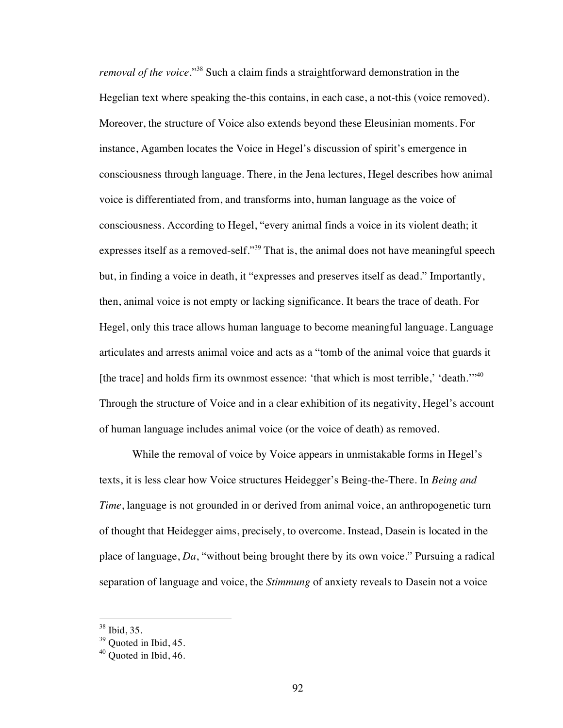*removal of the voice*."38 Such a claim finds a straightforward demonstration in the Hegelian text where speaking the-this contains, in each case, a not-this (voice removed). Moreover, the structure of Voice also extends beyond these Eleusinian moments. For instance, Agamben locates the Voice in Hegel's discussion of spirit's emergence in consciousness through language. There, in the Jena lectures, Hegel describes how animal voice is differentiated from, and transforms into, human language as the voice of consciousness. According to Hegel, "every animal finds a voice in its violent death; it expresses itself as a removed-self."<sup>39</sup> That is, the animal does not have meaningful speech but, in finding a voice in death, it "expresses and preserves itself as dead." Importantly, then, animal voice is not empty or lacking significance. It bears the trace of death. For Hegel, only this trace allows human language to become meaningful language. Language articulates and arrests animal voice and acts as a "tomb of the animal voice that guards it [the trace] and holds firm its ownmost essence: 'that which is most terrible,' 'death.'"<sup>40</sup> Through the structure of Voice and in a clear exhibition of its negativity, Hegel's account of human language includes animal voice (or the voice of death) as removed.

While the removal of voice by Voice appears in unmistakable forms in Hegel's texts, it is less clear how Voice structures Heidegger's Being-the-There. In *Being and Time*, language is not grounded in or derived from animal voice, an anthropogenetic turn of thought that Heidegger aims, precisely, to overcome. Instead, Dasein is located in the place of language, *Da*, "without being brought there by its own voice." Pursuing a radical separation of language and voice, the *Stimmung* of anxiety reveals to Dasein not a voice

 <sup>38</sup> Ibid, 35.

 $39$  Ouoted in Ibid, 45.

 $40$  Quoted in Ibid, 46.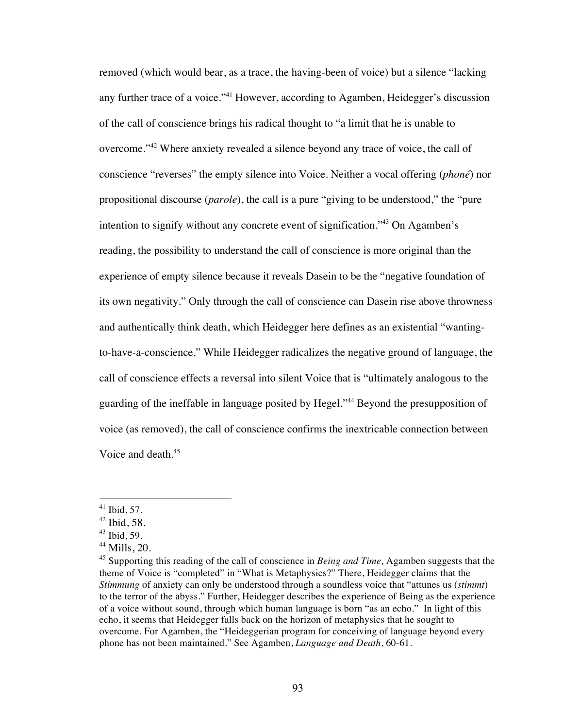removed (which would bear, as a trace, the having-been of voice) but a silence "lacking any further trace of a voice."<sup>41</sup> However, according to Agamben, Heidegger's discussion of the call of conscience brings his radical thought to "a limit that he is unable to overcome."42 Where anxiety revealed a silence beyond any trace of voice, the call of conscience "reverses" the empty silence into Voice. Neither a vocal offering (*phoné*) nor propositional discourse (*parole*), the call is a pure "giving to be understood," the "pure intention to signify without any concrete event of signification."43 On Agamben's reading, the possibility to understand the call of conscience is more original than the experience of empty silence because it reveals Dasein to be the "negative foundation of its own negativity." Only through the call of conscience can Dasein rise above throwness and authentically think death, which Heidegger here defines as an existential "wantingto-have-a-conscience." While Heidegger radicalizes the negative ground of language, the call of conscience effects a reversal into silent Voice that is "ultimately analogous to the guarding of the ineffable in language posited by Hegel."<sup>44</sup> Beyond the presupposition of voice (as removed), the call of conscience confirms the inextricable connection between Voice and death.<sup>45</sup>

 $41$  Ibid, 57.

 $42$  Ibid, 58.

 $43$  Ibid, 59.

 $44$  Mills, 20.

<sup>45</sup> Supporting this reading of the call of conscience in *Being and Time,* Agamben suggests that the theme of Voice is "completed" in "What is Metaphysics?" There, Heidegger claims that the *Stimmung* of anxiety can only be understood through a soundless voice that "attunes us (*stimmt*) to the terror of the abyss." Further, Heidegger describes the experience of Being as the experience of a voice without sound, through which human language is born "as an echo." In light of this echo, it seems that Heidegger falls back on the horizon of metaphysics that he sought to overcome. For Agamben, the "Heideggerian program for conceiving of language beyond every phone has not been maintained." See Agamben, *Language and Death*, 60-61.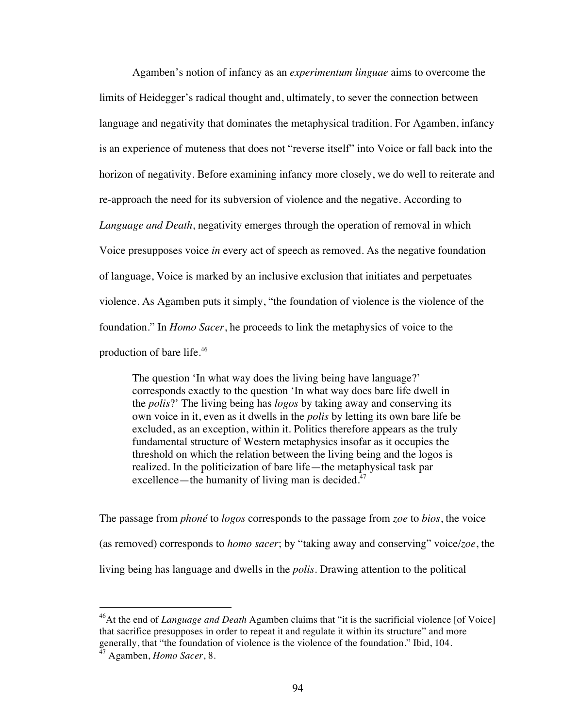Agamben's notion of infancy as an *experimentum linguae* aims to overcome the limits of Heidegger's radical thought and, ultimately, to sever the connection between language and negativity that dominates the metaphysical tradition. For Agamben, infancy is an experience of muteness that does not "reverse itself" into Voice or fall back into the horizon of negativity. Before examining infancy more closely, we do well to reiterate and re-approach the need for its subversion of violence and the negative. According to *Language and Death*, negativity emerges through the operation of removal in which Voice presupposes voice *in* every act of speech as removed. As the negative foundation of language, Voice is marked by an inclusive exclusion that initiates and perpetuates violence. As Agamben puts it simply, "the foundation of violence is the violence of the foundation." In *Homo Sacer*, he proceeds to link the metaphysics of voice to the production of bare life.<sup>46</sup>

The question 'In what way does the living being have language?' corresponds exactly to the question 'In what way does bare life dwell in the *polis*?' The living being has *logos* by taking away and conserving its own voice in it, even as it dwells in the *polis* by letting its own bare life be excluded, as an exception, within it. Politics therefore appears as the truly fundamental structure of Western metaphysics insofar as it occupies the threshold on which the relation between the living being and the logos is realized. In the politicization of bare life—the metaphysical task par excellence—the humanity of living man is decided. $47$ 

The passage from *phoné* to *logos* corresponds to the passage from *zoe* to *bios*, the voice (as removed) corresponds to *homo sacer*; by "taking away and conserving" voice/*zoe*, the living being has language and dwells in the *polis*. Drawing attention to the political

<sup>&</sup>lt;sup>46</sup>At the end of *Language and Death* Agamben claims that "it is the sacrificial violence [of Voice] that sacrifice presupposes in order to repeat it and regulate it within its structure" and more generally, that "the foundation of violence is the violence of the foundation." Ibid, 104.

<sup>47</sup> Agamben, *Homo Sacer*, 8.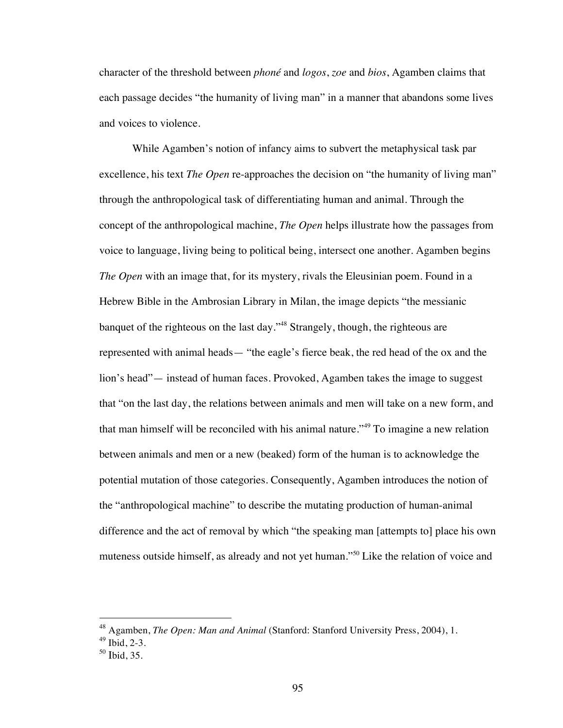character of the threshold between *phoné* and *logos*, *zoe* and *bios*, Agamben claims that each passage decides "the humanity of living man" in a manner that abandons some lives and voices to violence.

While Agamben's notion of infancy aims to subvert the metaphysical task par excellence, his text *The Open* re-approaches the decision on "the humanity of living man" through the anthropological task of differentiating human and animal. Through the concept of the anthropological machine, *The Open* helps illustrate how the passages from voice to language, living being to political being, intersect one another. Agamben begins *The Open* with an image that, for its mystery, rivals the Eleusinian poem. Found in a Hebrew Bible in the Ambrosian Library in Milan, the image depicts "the messianic banquet of the righteous on the last day."48 Strangely, though, the righteous are represented with animal heads— "the eagle's fierce beak, the red head of the ox and the lion's head"— instead of human faces. Provoked, Agamben takes the image to suggest that "on the last day, the relations between animals and men will take on a new form, and that man himself will be reconciled with his animal nature."49 To imagine a new relation between animals and men or a new (beaked) form of the human is to acknowledge the potential mutation of those categories. Consequently, Agamben introduces the notion of the "anthropological machine" to describe the mutating production of human-animal difference and the act of removal by which "the speaking man [attempts to] place his own muteness outside himself, as already and not yet human."50 Like the relation of voice and

 <sup>48</sup> Agamben, *The Open: Man and Animal* (Stanford: Stanford University Press, 2004), 1.

 $49$  Ibid, 2-3.

 $50$  Ibid, 35.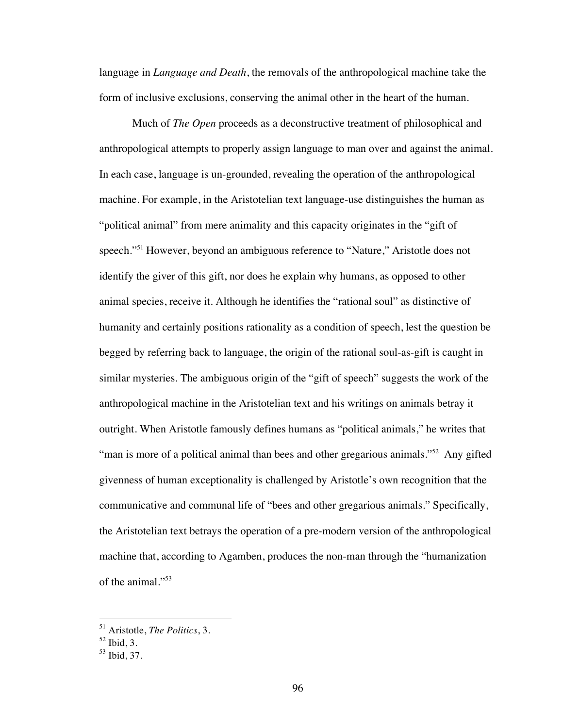language in *Language and Death*, the removals of the anthropological machine take the form of inclusive exclusions, conserving the animal other in the heart of the human.

Much of *The Open* proceeds as a deconstructive treatment of philosophical and anthropological attempts to properly assign language to man over and against the animal. In each case, language is un-grounded, revealing the operation of the anthropological machine. For example, in the Aristotelian text language-use distinguishes the human as "political animal" from mere animality and this capacity originates in the "gift of speech."51 However, beyond an ambiguous reference to "Nature," Aristotle does not identify the giver of this gift, nor does he explain why humans, as opposed to other animal species, receive it. Although he identifies the "rational soul" as distinctive of humanity and certainly positions rationality as a condition of speech, lest the question be begged by referring back to language, the origin of the rational soul-as-gift is caught in similar mysteries. The ambiguous origin of the "gift of speech" suggests the work of the anthropological machine in the Aristotelian text and his writings on animals betray it outright. When Aristotle famously defines humans as "political animals," he writes that "man is more of a political animal than bees and other gregarious animals."<sup>52</sup> Any gifted givenness of human exceptionality is challenged by Aristotle's own recognition that the communicative and communal life of "bees and other gregarious animals." Specifically, the Aristotelian text betrays the operation of a pre-modern version of the anthropological machine that, according to Agamben, produces the non-man through the "humanization of the animal."53

 <sup>51</sup> Aristotle, *The Politics*, 3.

 $52$  Ibid, 3.

<sup>53</sup> Ibid, 37.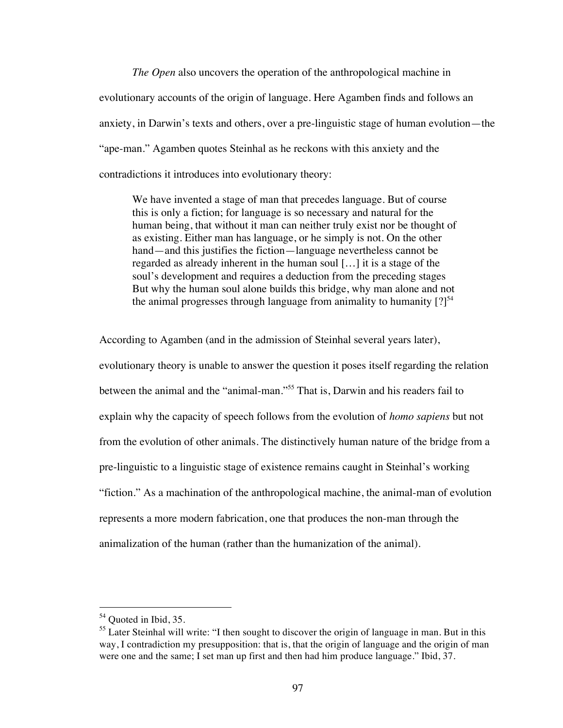*The Open* also uncovers the operation of the anthropological machine in evolutionary accounts of the origin of language. Here Agamben finds and follows an anxiety, in Darwin's texts and others, over a pre-linguistic stage of human evolution—the "ape-man." Agamben quotes Steinhal as he reckons with this anxiety and the contradictions it introduces into evolutionary theory:

We have invented a stage of man that precedes language. But of course this is only a fiction; for language is so necessary and natural for the human being, that without it man can neither truly exist nor be thought of as existing. Either man has language, or he simply is not. On the other hand—and this justifies the fiction—language nevertheless cannot be regarded as already inherent in the human soul […] it is a stage of the soul's development and requires a deduction from the preceding stages But why the human soul alone builds this bridge, why man alone and not the animal progresses through language from animality to humanity  $[?]^{54}$ 

According to Agamben (and in the admission of Steinhal several years later),

evolutionary theory is unable to answer the question it poses itself regarding the relation between the animal and the "animal-man."55 That is, Darwin and his readers fail to explain why the capacity of speech follows from the evolution of *homo sapiens* but not from the evolution of other animals. The distinctively human nature of the bridge from a pre-linguistic to a linguistic stage of existence remains caught in Steinhal's working "fiction." As a machination of the anthropological machine, the animal-man of evolution represents a more modern fabrication, one that produces the non-man through the animalization of the human (rather than the humanization of the animal).

<sup>&</sup>lt;sup>54</sup> Quoted in Ibid, 35.

<sup>&</sup>lt;sup>55</sup> Later Steinhal will write: "I then sought to discover the origin of language in man. But in this way, I contradiction my presupposition: that is, that the origin of language and the origin of man were one and the same; I set man up first and then had him produce language." Ibid, 37.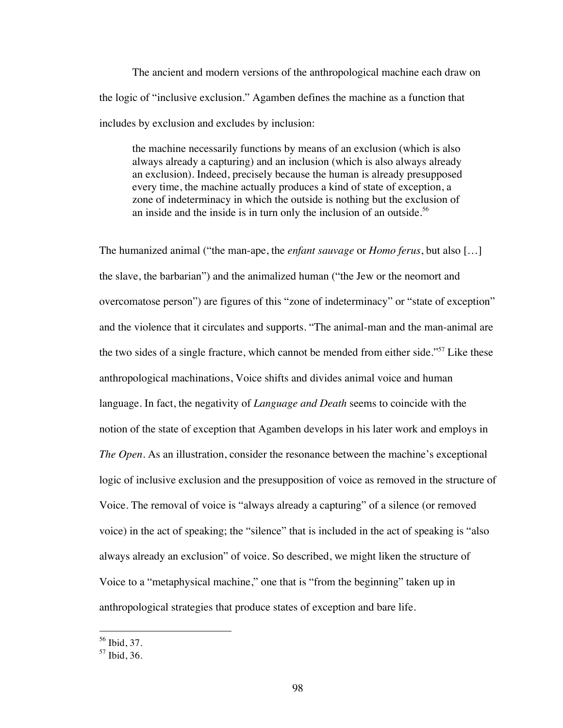The ancient and modern versions of the anthropological machine each draw on the logic of "inclusive exclusion." Agamben defines the machine as a function that includes by exclusion and excludes by inclusion:

the machine necessarily functions by means of an exclusion (which is also always already a capturing) and an inclusion (which is also always already an exclusion). Indeed, precisely because the human is already presupposed every time, the machine actually produces a kind of state of exception, a zone of indeterminacy in which the outside is nothing but the exclusion of an inside and the inside is in turn only the inclusion of an outside.<sup>56</sup>

The humanized animal ("the man-ape, the *enfant sauvage* or *Homo ferus*, but also […] the slave, the barbarian") and the animalized human ("the Jew or the neomort and overcomatose person") are figures of this "zone of indeterminacy" or "state of exception" and the violence that it circulates and supports. "The animal-man and the man-animal are the two sides of a single fracture, which cannot be mended from either side."<sup>57</sup> Like these anthropological machinations, Voice shifts and divides animal voice and human language. In fact, the negativity of *Language and Death* seems to coincide with the notion of the state of exception that Agamben develops in his later work and employs in *The Open*. As an illustration, consider the resonance between the machine's exceptional logic of inclusive exclusion and the presupposition of voice as removed in the structure of Voice. The removal of voice is "always already a capturing" of a silence (or removed voice) in the act of speaking; the "silence" that is included in the act of speaking is "also always already an exclusion" of voice. So described, we might liken the structure of Voice to a "metaphysical machine," one that is "from the beginning" taken up in anthropological strategies that produce states of exception and bare life.

 <sup>56</sup> Ibid, 37.

<sup>57</sup> Ibid, 36.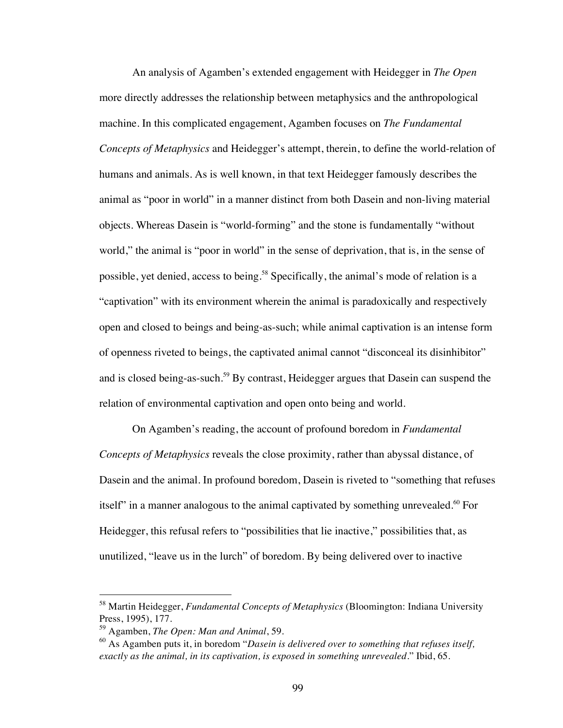An analysis of Agamben's extended engagement with Heidegger in *The Open*  more directly addresses the relationship between metaphysics and the anthropological machine. In this complicated engagement, Agamben focuses on *The Fundamental Concepts of Metaphysics* and Heidegger's attempt, therein, to define the world-relation of humans and animals. As is well known, in that text Heidegger famously describes the animal as "poor in world" in a manner distinct from both Dasein and non-living material objects. Whereas Dasein is "world-forming" and the stone is fundamentally "without world," the animal is "poor in world" in the sense of deprivation, that is, in the sense of possible, yet denied, access to being.<sup>58</sup> Specifically, the animal's mode of relation is a "captivation" with its environment wherein the animal is paradoxically and respectively open and closed to beings and being-as-such; while animal captivation is an intense form of openness riveted to beings, the captivated animal cannot "disconceal its disinhibitor" and is closed being-as-such.<sup>59</sup> By contrast, Heidegger argues that Dasein can suspend the relation of environmental captivation and open onto being and world.

On Agamben's reading, the account of profound boredom in *Fundamental Concepts of Metaphysics* reveals the close proximity, rather than abyssal distance, of Dasein and the animal. In profound boredom, Dasein is riveted to "something that refuses itself" in a manner analogous to the animal captivated by something unrevealed.<sup>60</sup> For Heidegger, this refusal refers to "possibilities that lie inactive," possibilities that, as unutilized, "leave us in the lurch" of boredom. By being delivered over to inactive

 <sup>58</sup> Martin Heidegger, *Fundamental Concepts of Metaphysics* (Bloomington: Indiana University Press, 1995), 177.

<sup>59</sup> Agamben, *The Open: Man and Animal*, 59.

<sup>60</sup> As Agamben puts it, in boredom "*Dasein is delivered over to something that refuses itself, exactly as the animal, in its captivation, is exposed in something unrevealed*." Ibid, 65.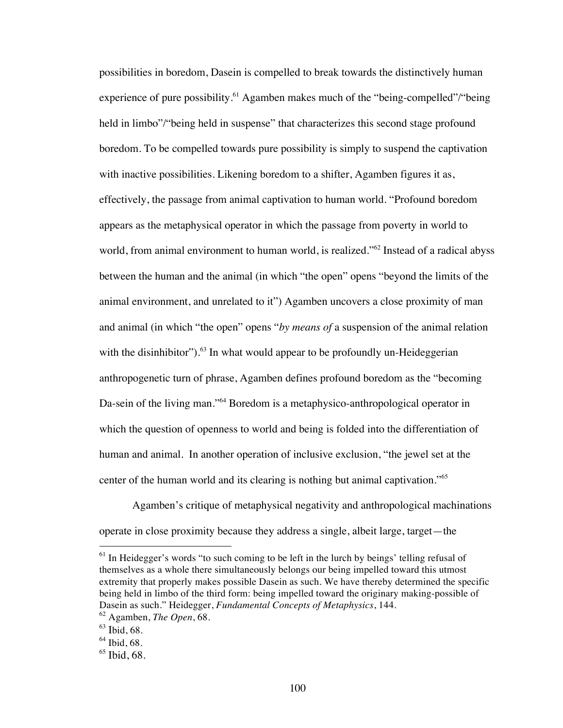possibilities in boredom, Dasein is compelled to break towards the distinctively human experience of pure possibility.<sup>61</sup> Agamben makes much of the "being-compelled"/"being held in limbo"/"being held in suspense" that characterizes this second stage profound boredom. To be compelled towards pure possibility is simply to suspend the captivation with inactive possibilities. Likening boredom to a shifter, Agamben figures it as, effectively, the passage from animal captivation to human world. "Profound boredom appears as the metaphysical operator in which the passage from poverty in world to world, from animal environment to human world, is realized."<sup>62</sup> Instead of a radical abyss between the human and the animal (in which "the open" opens "beyond the limits of the animal environment, and unrelated to it") Agamben uncovers a close proximity of man and animal (in which "the open" opens "*by means of* a suspension of the animal relation with the disinhibitor"). $^{63}$  In what would appear to be profoundly un-Heideggerian anthropogenetic turn of phrase, Agamben defines profound boredom as the "becoming Da-sein of the living man."<sup>64</sup> Boredom is a metaphysico-anthropological operator in which the question of openness to world and being is folded into the differentiation of human and animal. In another operation of inclusive exclusion, "the jewel set at the center of the human world and its clearing is nothing but animal captivation."<sup>65</sup>

Agamben's critique of metaphysical negativity and anthropological machinations operate in close proximity because they address a single, albeit large, target—the

 $<sup>61</sup>$  In Heidegger's words "to such coming to be left in the lurch by beings' telling refusal of</sup> themselves as a whole there simultaneously belongs our being impelled toward this utmost extremity that properly makes possible Dasein as such. We have thereby determined the specific being held in limbo of the third form: being impelled toward the originary making-possible of Dasein as such." Heidegger, *Fundamental Concepts of Metaphysics*, 144.

<sup>62</sup> Agamben, *The Open*, 68.

 $63$  Ibid, 68.

 $64$  Ibid, 68.

 $65$  Ibid, 68.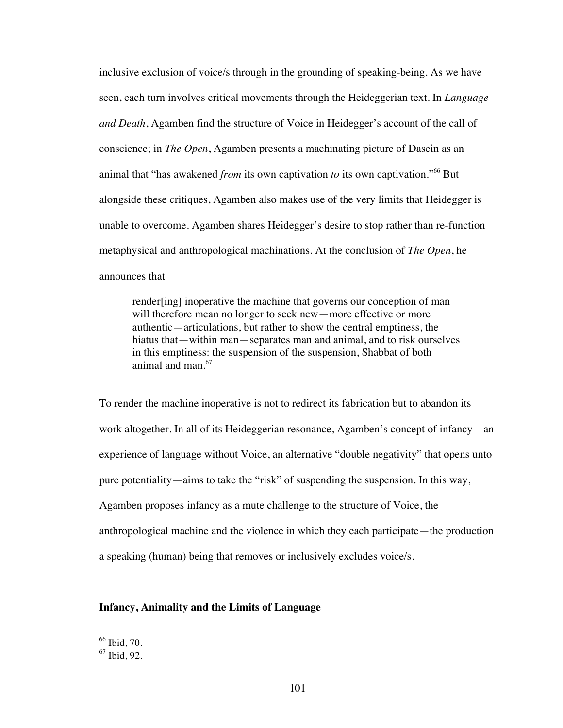inclusive exclusion of voice/s through in the grounding of speaking-being. As we have seen, each turn involves critical movements through the Heideggerian text. In *Language and Death*, Agamben find the structure of Voice in Heidegger's account of the call of conscience; in *The Open*, Agamben presents a machinating picture of Dasein as an animal that "has awakened *from* its own captivation *to* its own captivation."66 But alongside these critiques, Agamben also makes use of the very limits that Heidegger is unable to overcome. Agamben shares Heidegger's desire to stop rather than re-function metaphysical and anthropological machinations. At the conclusion of *The Open*, he announces that

render[ing] inoperative the machine that governs our conception of man will therefore mean no longer to seek new—more effective or more authentic—articulations, but rather to show the central emptiness, the hiatus that—within man—separates man and animal, and to risk ourselves in this emptiness: the suspension of the suspension, Shabbat of both animal and man.<sup>67</sup>

To render the machine inoperative is not to redirect its fabrication but to abandon its work altogether. In all of its Heideggerian resonance, Agamben's concept of infancy—an experience of language without Voice, an alternative "double negativity" that opens unto pure potentiality—aims to take the "risk" of suspending the suspension. In this way, Agamben proposes infancy as a mute challenge to the structure of Voice, the anthropological machine and the violence in which they each participate—the production a speaking (human) being that removes or inclusively excludes voice/s.

## **Infancy, Animality and the Limits of Language**

 $66$  Ibid, 70.

 $67$  Ibid, 92.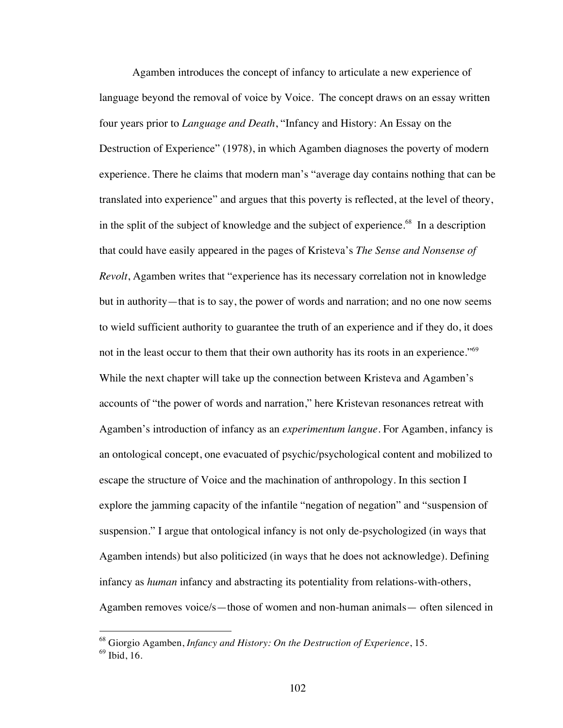Agamben introduces the concept of infancy to articulate a new experience of language beyond the removal of voice by Voice. The concept draws on an essay written four years prior to *Language and Death*, "Infancy and History: An Essay on the Destruction of Experience" (1978), in which Agamben diagnoses the poverty of modern experience. There he claims that modern man's "average day contains nothing that can be translated into experience" and argues that this poverty is reflected, at the level of theory, in the split of the subject of knowledge and the subject of experience.<sup>68</sup> In a description that could have easily appeared in the pages of Kristeva's *The Sense and Nonsense of Revolt*, Agamben writes that "experience has its necessary correlation not in knowledge but in authority—that is to say, the power of words and narration; and no one now seems to wield sufficient authority to guarantee the truth of an experience and if they do, it does not in the least occur to them that their own authority has its roots in an experience."<sup>69</sup> While the next chapter will take up the connection between Kristeva and Agamben's accounts of "the power of words and narration," here Kristevan resonances retreat with Agamben's introduction of infancy as an *experimentum langue.* For Agamben, infancy is an ontological concept, one evacuated of psychic/psychological content and mobilized to escape the structure of Voice and the machination of anthropology. In this section I explore the jamming capacity of the infantile "negation of negation" and "suspension of suspension." I argue that ontological infancy is not only de-psychologized (in ways that Agamben intends) but also politicized (in ways that he does not acknowledge). Defining infancy as *human* infancy and abstracting its potentiality from relations-with-others, Agamben removes voice/s—those of women and non-human animals— often silenced in

 <sup>68</sup> Giorgio Agamben, *Infancy and History: On the Destruction of Experience*, 15.

 $69$  Ibid, 16.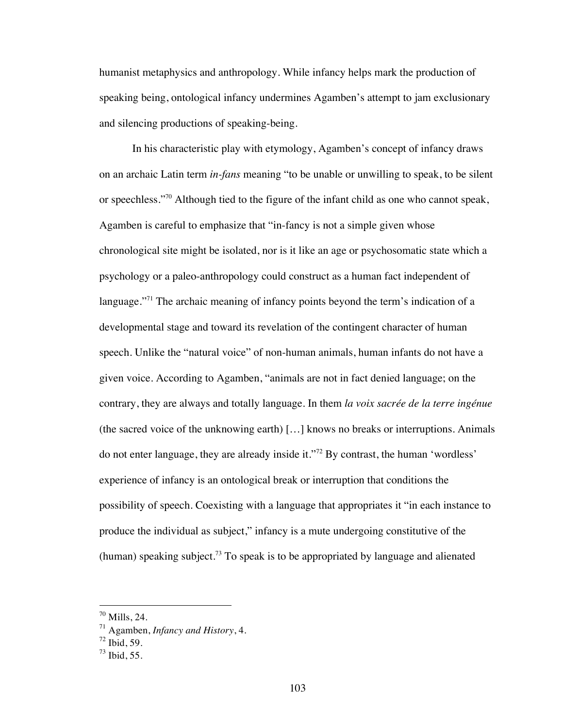humanist metaphysics and anthropology. While infancy helps mark the production of speaking being, ontological infancy undermines Agamben's attempt to jam exclusionary and silencing productions of speaking-being.

In his characteristic play with etymology, Agamben's concept of infancy draws on an archaic Latin term *in-fans* meaning "to be unable or unwilling to speak, to be silent or speechless."70 Although tied to the figure of the infant child as one who cannot speak, Agamben is careful to emphasize that "in-fancy is not a simple given whose chronological site might be isolated, nor is it like an age or psychosomatic state which a psychology or a paleo-anthropology could construct as a human fact independent of language."<sup>71</sup> The archaic meaning of infancy points beyond the term's indication of a developmental stage and toward its revelation of the contingent character of human speech. Unlike the "natural voice" of non-human animals, human infants do not have a given voice. According to Agamben, "animals are not in fact denied language; on the contrary, they are always and totally language. In them *la voix sacrée de la terre ingénue*  (the sacred voice of the unknowing earth) […] knows no breaks or interruptions. Animals do not enter language, they are already inside it."<sup>72</sup> By contrast, the human 'wordless' experience of infancy is an ontological break or interruption that conditions the possibility of speech. Coexisting with a language that appropriates it "in each instance to produce the individual as subject," infancy is a mute undergoing constitutive of the (human) speaking subject.<sup>73</sup> To speak is to be appropriated by language and alienated

 $70$  Mills, 24.

<sup>71</sup> Agamben, *Infancy and History*, 4.

 $72$  Ibid, 59.

 $73$  Ibid, 55.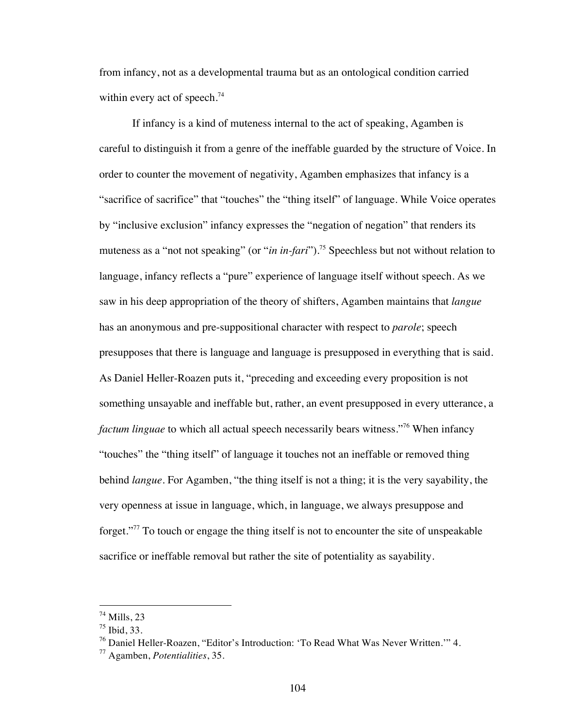from infancy, not as a developmental trauma but as an ontological condition carried within every act of speech. $74$ 

If infancy is a kind of muteness internal to the act of speaking, Agamben is careful to distinguish it from a genre of the ineffable guarded by the structure of Voice. In order to counter the movement of negativity, Agamben emphasizes that infancy is a "sacrifice of sacrifice" that "touches" the "thing itself" of language. While Voice operates by "inclusive exclusion" infancy expresses the "negation of negation" that renders its muteness as a "not not speaking" (or "*in in-fari*").<sup>75</sup> Speechless but not without relation to language, infancy reflects a "pure" experience of language itself without speech. As we saw in his deep appropriation of the theory of shifters, Agamben maintains that *langue* has an anonymous and pre-suppositional character with respect to *parole*; speech presupposes that there is language and language is presupposed in everything that is said. As Daniel Heller-Roazen puts it, "preceding and exceeding every proposition is not something unsayable and ineffable but, rather, an event presupposed in every utterance, a *factum linguae* to which all actual speech necessarily bears witness."<sup>76</sup> When infancy "touches" the "thing itself" of language it touches not an ineffable or removed thing behind *langue*. For Agamben, "the thing itself is not a thing; it is the very sayability, the very openness at issue in language, which, in language, we always presuppose and forget. $177$  To touch or engage the thing itself is not to encounter the site of unspeakable sacrifice or ineffable removal but rather the site of potentiality as sayability.

 $74$  Mills, 23

<sup>75</sup> Ibid, 33.

<sup>76</sup> Daniel Heller-Roazen, "Editor's Introduction: 'To Read What Was Never Written.'" 4.

<sup>77</sup> Agamben, *Potentialities*, 35.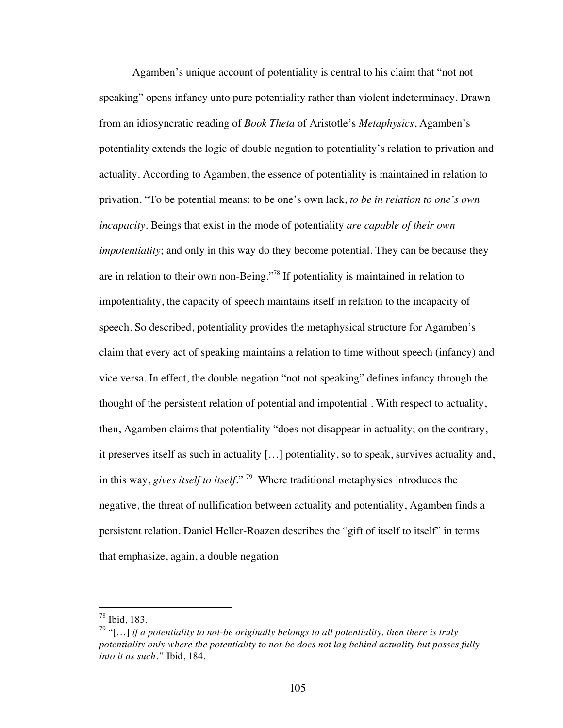Agamben's unique account of potentiality is central to his claim that "not not speaking" opens infancy unto pure potentiality rather than violent indeterminacy. Drawn from an idiosyncratic reading of *Book Theta* of Aristotle's *Metaphysics*, Agamben's potentiality extends the logic of double negation to potentiality's relation to privation and actuality. According to Agamben, the essence of potentiality is maintained in relation to privation. "To be potential means: to be one's own lack, *to be in relation to one's own incapacity*. Beings that exist in the mode of potentiality *are capable of their own impotentiality*; and only in this way do they become potential. They can be because they are in relation to their own non-Being."78 If potentiality is maintained in relation to impotentiality, the capacity of speech maintains itself in relation to the incapacity of speech. So described, potentiality provides the metaphysical structure for Agamben's claim that every act of speaking maintains a relation to time without speech (infancy) and vice versa. In effect, the double negation "not not speaking" defines infancy through the thought of the persistent relation of potential and impotential . With respect to actuality, then, Agamben claims that potentiality "does not disappear in actuality; on the contrary, it preserves itself as such in actuality […] potentiality, so to speak, survives actuality and, in this way, *gives itself to itself*." 79 Where traditional metaphysics introduces the negative, the threat of nullification between actuality and potentiality, Agamben finds a persistent relation. Daniel Heller-Roazen describes the "gift of itself to itself" in terms that emphasize, again, a double negation

 <sup>78</sup> Ibid, 183.

<sup>79</sup> "[…] *if a potentiality to not-be originally belongs to all potentiality, then there is truly potentiality only where the potentiality to not-be does not lag behind actuality but passes fully into it as such."* Ibid, 184.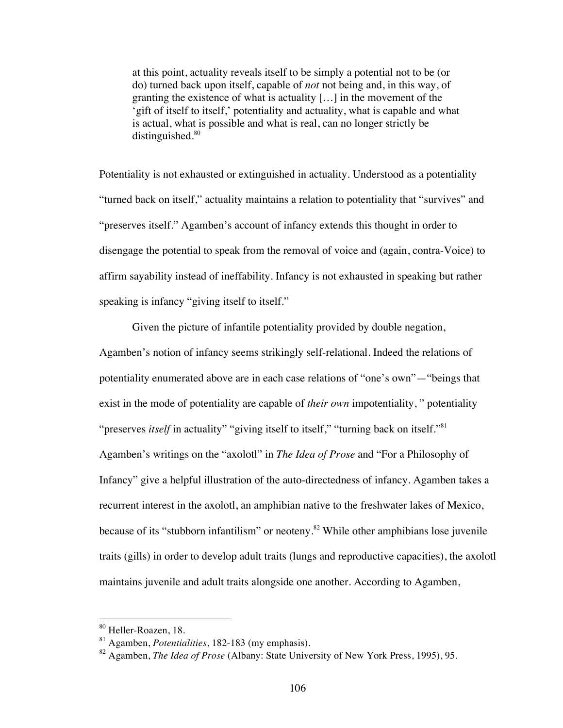at this point, actuality reveals itself to be simply a potential not to be (or do) turned back upon itself, capable of *not* not being and, in this way, of granting the existence of what is actuality […] in the movement of the 'gift of itself to itself,' potentiality and actuality, what is capable and what is actual, what is possible and what is real, can no longer strictly be distinguished. $80$ 

Potentiality is not exhausted or extinguished in actuality. Understood as a potentiality "turned back on itself," actuality maintains a relation to potentiality that "survives" and "preserves itself." Agamben's account of infancy extends this thought in order to disengage the potential to speak from the removal of voice and (again, contra-Voice) to affirm sayability instead of ineffability. Infancy is not exhausted in speaking but rather speaking is infancy "giving itself to itself."

Given the picture of infantile potentiality provided by double negation, Agamben's notion of infancy seems strikingly self-relational. Indeed the relations of potentiality enumerated above are in each case relations of "one's own"—"beings that exist in the mode of potentiality are capable of *their own* impotentiality, " potentiality "preserves *itself* in actuality" "giving itself to itself," "turning back on itself."<sup>81</sup> Agamben's writings on the "axolotl" in *The Idea of Prose* and "For a Philosophy of Infancy" give a helpful illustration of the auto-directedness of infancy. Agamben takes a recurrent interest in the axolotl, an amphibian native to the freshwater lakes of Mexico, because of its "stubborn infantilism" or neoteny.<sup>82</sup> While other amphibians lose juvenile traits (gills) in order to develop adult traits (lungs and reproductive capacities), the axolotl maintains juvenile and adult traits alongside one another. According to Agamben,

 <sup>80</sup> Heller-Roazen, 18.

<sup>81</sup> Agamben, *Potentialities*, 182-183 (my emphasis).

<sup>82</sup> Agamben, *The Idea of Prose* (Albany: State University of New York Press, 1995), 95.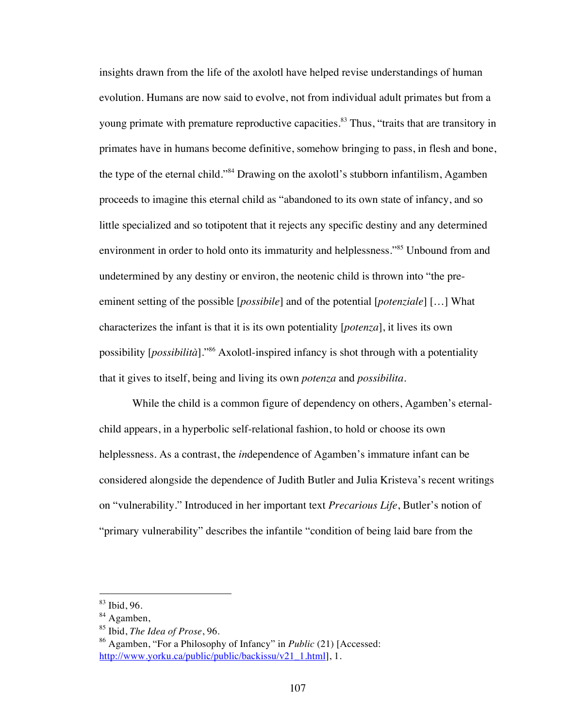insights drawn from the life of the axolotl have helped revise understandings of human evolution. Humans are now said to evolve, not from individual adult primates but from a young primate with premature reproductive capacities.<sup>83</sup> Thus, "traits that are transitory in primates have in humans become definitive, somehow bringing to pass, in flesh and bone, the type of the eternal child."84 Drawing on the axolotl's stubborn infantilism, Agamben proceeds to imagine this eternal child as "abandoned to its own state of infancy, and so little specialized and so totipotent that it rejects any specific destiny and any determined environment in order to hold onto its immaturity and helplessness."<sup>85</sup> Unbound from and undetermined by any destiny or environ, the neotenic child is thrown into "the preeminent setting of the possible [*possibile*] and of the potential [*potenziale*] […] What characterizes the infant is that it is its own potentiality [*potenza*], it lives its own possibility [*possibilità*]."86 Axolotl-inspired infancy is shot through with a potentiality that it gives to itself, being and living its own *potenza* and *possibilita*.

While the child is a common figure of dependency on others, Agamben's eternalchild appears, in a hyperbolic self-relational fashion, to hold or choose its own helplessness. As a contrast, the *in*dependence of Agamben's immature infant can be considered alongside the dependence of Judith Butler and Julia Kristeva's recent writings on "vulnerability." Introduced in her important text *Precarious Life*, Butler's notion of "primary vulnerability" describes the infantile "condition of being laid bare from the

 <sup>83</sup> Ibid, 96.

<sup>84</sup> Agamben,

<sup>85</sup> Ibid, *The Idea of Prose*, 96.

<sup>86</sup> Agamben, "For a Philosophy of Infancy" in *Public* (21) [Accessed: http://www.yorku.ca/public/public/backissu/v21\_1.html], 1.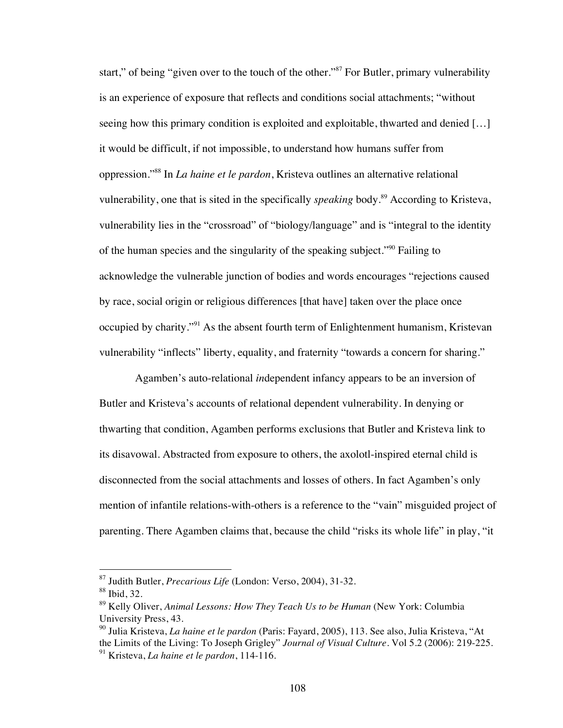start," of being "given over to the touch of the other."<sup>87</sup> For Butler, primary vulnerability is an experience of exposure that reflects and conditions social attachments; "without seeing how this primary condition is exploited and exploitable, thwarted and denied […] it would be difficult, if not impossible, to understand how humans suffer from oppression."88 In *La haine et le pardon*, Kristeva outlines an alternative relational vulnerability, one that is sited in the specifically *speaking* body. 89 According to Kristeva, vulnerability lies in the "crossroad" of "biology/language" and is "integral to the identity of the human species and the singularity of the speaking subject."90 Failing to acknowledge the vulnerable junction of bodies and words encourages "rejections caused by race, social origin or religious differences [that have] taken over the place once occupied by charity."<sup>91</sup> As the absent fourth term of Enlightenment humanism, Kristevan vulnerability "inflects" liberty, equality, and fraternity "towards a concern for sharing."

 Agamben's auto-relational *in*dependent infancy appears to be an inversion of Butler and Kristeva's accounts of relational dependent vulnerability. In denying or thwarting that condition, Agamben performs exclusions that Butler and Kristeva link to its disavowal. Abstracted from exposure to others, the axolotl-inspired eternal child is disconnected from the social attachments and losses of others. In fact Agamben's only mention of infantile relations-with-others is a reference to the "vain" misguided project of parenting. There Agamben claims that, because the child "risks its whole life" in play, "it

 <sup>87</sup> Judith Butler, *Precarious Life* (London: Verso, 2004), 31-32.

<sup>88</sup> Ibid, 32.

<sup>89</sup> Kelly Oliver, *Animal Lessons: How They Teach Us to be Human* (New York: Columbia University Press, 43.

<sup>90</sup> Julia Kristeva, *La haine et le pardon* (Paris: Fayard, 2005), 113. See also, Julia Kristeva, "At the Limits of the Living: To Joseph Grigley" *Journal of Visual Culture*. Vol 5.2 (2006): 219-225. <sup>91</sup> Kristeva, *La haine et le pardon*, 114-116.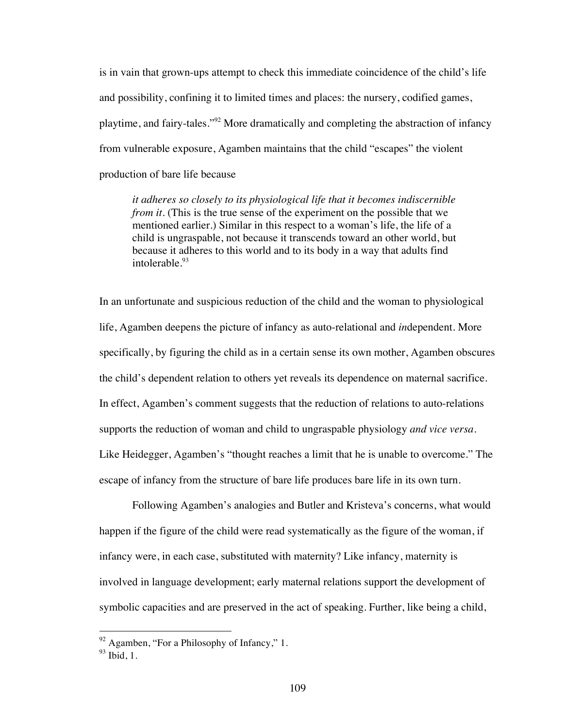is in vain that grown-ups attempt to check this immediate coincidence of the child's life and possibility, confining it to limited times and places: the nursery, codified games, playtime, and fairy-tales."92 More dramatically and completing the abstraction of infancy from vulnerable exposure, Agamben maintains that the child "escapes" the violent production of bare life because

*it adheres so closely to its physiological life that it becomes indiscernible from it*. (This is the true sense of the experiment on the possible that we mentioned earlier.) Similar in this respect to a woman's life, the life of a child is ungraspable, not because it transcends toward an other world, but because it adheres to this world and to its body in a way that adults find intolerable.<sup>93</sup>

In an unfortunate and suspicious reduction of the child and the woman to physiological life, Agamben deepens the picture of infancy as auto-relational and *in*dependent. More specifically, by figuring the child as in a certain sense its own mother, Agamben obscures the child's dependent relation to others yet reveals its dependence on maternal sacrifice. In effect, Agamben's comment suggests that the reduction of relations to auto-relations supports the reduction of woman and child to ungraspable physiology *and vice versa*. Like Heidegger, Agamben's "thought reaches a limit that he is unable to overcome." The escape of infancy from the structure of bare life produces bare life in its own turn.

Following Agamben's analogies and Butler and Kristeva's concerns, what would happen if the figure of the child were read systematically as the figure of the woman, if infancy were, in each case, substituted with maternity? Like infancy, maternity is involved in language development; early maternal relations support the development of symbolic capacities and are preserved in the act of speaking. Further, like being a child,

 $92$  Agamben, "For a Philosophy of Infancy," 1.

 $93$  Ibid, 1.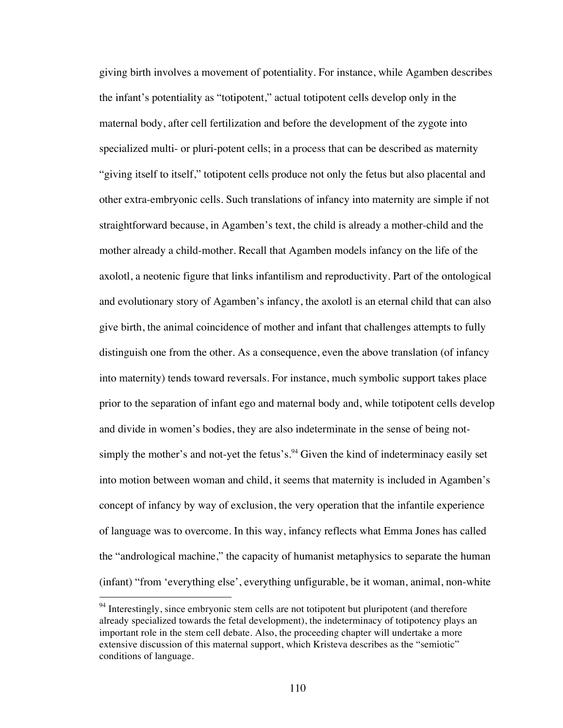giving birth involves a movement of potentiality. For instance, while Agamben describes the infant's potentiality as "totipotent," actual totipotent cells develop only in the maternal body, after cell fertilization and before the development of the zygote into specialized multi- or pluri-potent cells; in a process that can be described as maternity "giving itself to itself," totipotent cells produce not only the fetus but also placental and other extra-embryonic cells. Such translations of infancy into maternity are simple if not straightforward because, in Agamben's text, the child is already a mother-child and the mother already a child-mother. Recall that Agamben models infancy on the life of the axolotl, a neotenic figure that links infantilism and reproductivity. Part of the ontological and evolutionary story of Agamben's infancy, the axolotl is an eternal child that can also give birth, the animal coincidence of mother and infant that challenges attempts to fully distinguish one from the other. As a consequence, even the above translation (of infancy into maternity) tends toward reversals. For instance, much symbolic support takes place prior to the separation of infant ego and maternal body and, while totipotent cells develop and divide in women's bodies, they are also indeterminate in the sense of being notsimply the mother's and not-yet the fetus's.<sup>94</sup> Given the kind of indeterminacy easily set into motion between woman and child, it seems that maternity is included in Agamben's concept of infancy by way of exclusion, the very operation that the infantile experience of language was to overcome. In this way, infancy reflects what Emma Jones has called the "andrological machine," the capacity of humanist metaphysics to separate the human (infant) "from 'everything else', everything unfigurable, be it woman, animal, non-white

<sup>&</sup>lt;sup>94</sup> Interestingly, since embryonic stem cells are not totipotent but pluripotent (and therefore already specialized towards the fetal development), the indeterminacy of totipotency plays an important role in the stem cell debate. Also, the proceeding chapter will undertake a more extensive discussion of this maternal support, which Kristeva describes as the "semiotic" conditions of language.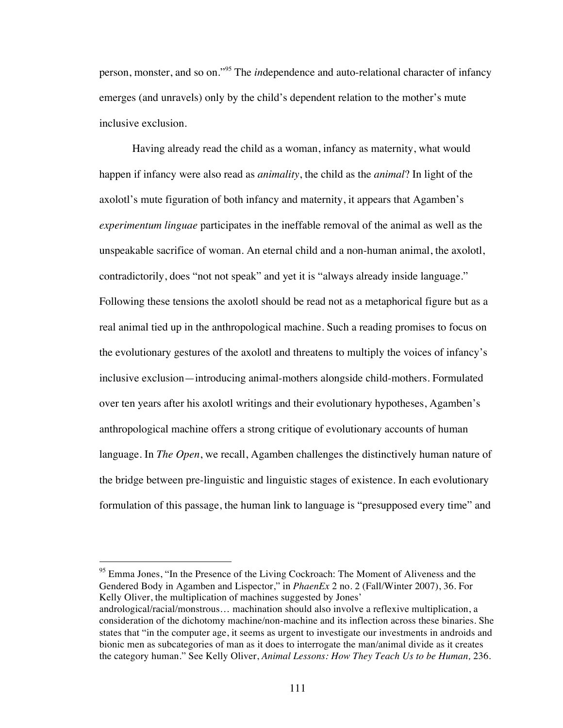person, monster, and so on."<sup>95</sup> The *in*dependence and auto-relational character of infancy emerges (and unravels) only by the child's dependent relation to the mother's mute inclusive exclusion.

Having already read the child as a woman, infancy as maternity, what would happen if infancy were also read as *animality*, the child as the *animal*? In light of the axolotl's mute figuration of both infancy and maternity, it appears that Agamben's *experimentum linguae* participates in the ineffable removal of the animal as well as the unspeakable sacrifice of woman. An eternal child and a non-human animal, the axolotl, contradictorily, does "not not speak" and yet it is "always already inside language." Following these tensions the axolotl should be read not as a metaphorical figure but as a real animal tied up in the anthropological machine. Such a reading promises to focus on the evolutionary gestures of the axolotl and threatens to multiply the voices of infancy's inclusive exclusion—introducing animal-mothers alongside child-mothers. Formulated over ten years after his axolotl writings and their evolutionary hypotheses, Agamben's anthropological machine offers a strong critique of evolutionary accounts of human language. In *The Open*, we recall, Agamben challenges the distinctively human nature of the bridge between pre-linguistic and linguistic stages of existence. In each evolutionary formulation of this passage, the human link to language is "presupposed every time" and

<sup>95</sup> Emma Jones, "In the Presence of the Living Cockroach: The Moment of Aliveness and the Gendered Body in Agamben and Lispector," in *PhaenEx* 2 no. 2 (Fall/Winter 2007), 36. For Kelly Oliver, the multiplication of machines suggested by Jones' andrological/racial/monstrous… machination should also involve a reflexive multiplication, a consideration of the dichotomy machine/non-machine and its inflection across these binaries. She states that "in the computer age, it seems as urgent to investigate our investments in androids and bionic men as subcategories of man as it does to interrogate the man/animal divide as it creates the category human." See Kelly Oliver, *Animal Lessons: How They Teach Us to be Human,* 236.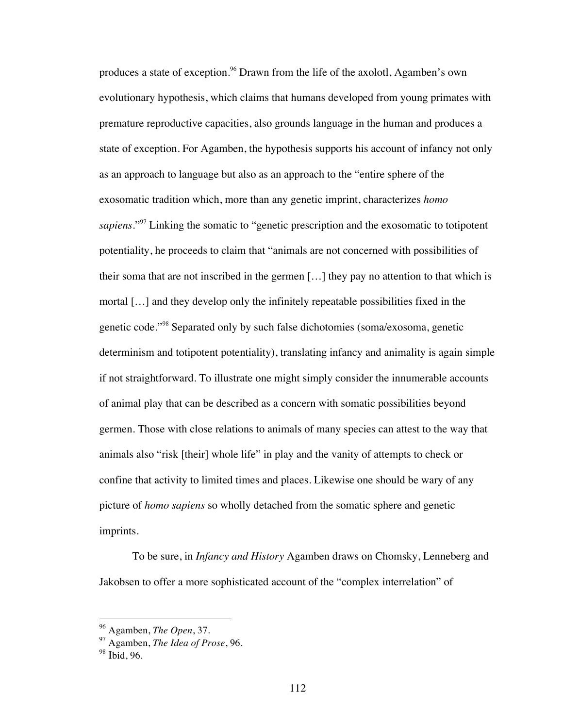produces a state of exception.<sup>96</sup> Drawn from the life of the axolotl, Agamben's own evolutionary hypothesis, which claims that humans developed from young primates with premature reproductive capacities, also grounds language in the human and produces a state of exception. For Agamben, the hypothesis supports his account of infancy not only as an approach to language but also as an approach to the "entire sphere of the exosomatic tradition which, more than any genetic imprint, characterizes *homo sapiens*."97 Linking the somatic to "genetic prescription and the exosomatic to totipotent potentiality, he proceeds to claim that "animals are not concerned with possibilities of their soma that are not inscribed in the germen […] they pay no attention to that which is mortal […] and they develop only the infinitely repeatable possibilities fixed in the genetic code."98 Separated only by such false dichotomies (soma/exosoma, genetic determinism and totipotent potentiality), translating infancy and animality is again simple if not straightforward. To illustrate one might simply consider the innumerable accounts of animal play that can be described as a concern with somatic possibilities beyond germen. Those with close relations to animals of many species can attest to the way that animals also "risk [their] whole life" in play and the vanity of attempts to check or confine that activity to limited times and places. Likewise one should be wary of any picture of *homo sapiens* so wholly detached from the somatic sphere and genetic imprints.

To be sure, in *Infancy and History* Agamben draws on Chomsky, Lenneberg and Jakobsen to offer a more sophisticated account of the "complex interrelation" of

 <sup>96</sup> Agamben, *The Open*, 37.

<sup>97</sup> Agamben, *The Idea of Prose*, 96.

<sup>98</sup> Ibid, 96.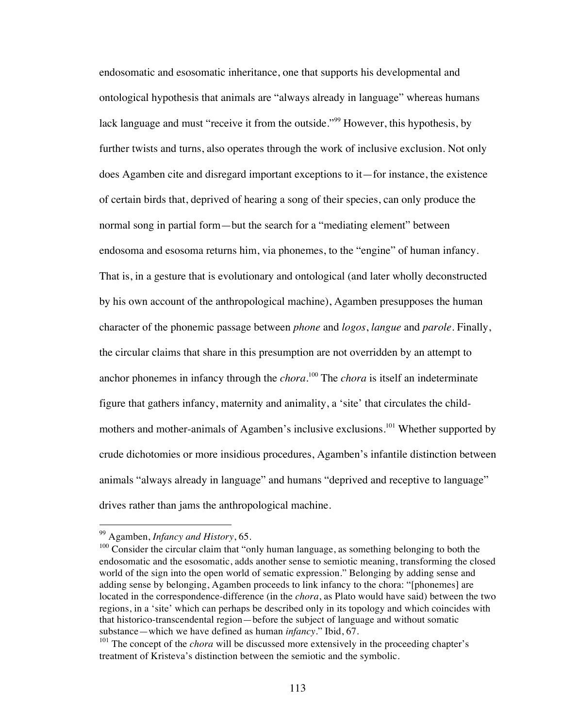endosomatic and esosomatic inheritance, one that supports his developmental and ontological hypothesis that animals are "always already in language" whereas humans lack language and must "receive it from the outside."<sup>99</sup> However, this hypothesis, by further twists and turns, also operates through the work of inclusive exclusion. Not only does Agamben cite and disregard important exceptions to it—for instance, the existence of certain birds that, deprived of hearing a song of their species, can only produce the normal song in partial form—but the search for a "mediating element" between endosoma and esosoma returns him, via phonemes, to the "engine" of human infancy. That is, in a gesture that is evolutionary and ontological (and later wholly deconstructed by his own account of the anthropological machine), Agamben presupposes the human character of the phonemic passage between *phone* and *logos*, *langue* and *parole*. Finally, the circular claims that share in this presumption are not overridden by an attempt to anchor phonemes in infancy through the *chora*. 100 The *chora* is itself an indeterminate figure that gathers infancy, maternity and animality, a 'site' that circulates the childmothers and mother-animals of Agamben's inclusive exclusions.<sup>101</sup> Whether supported by crude dichotomies or more insidious procedures, Agamben's infantile distinction between animals "always already in language" and humans "deprived and receptive to language" drives rather than jams the anthropological machine.

 <sup>99</sup> Agamben, *Infancy and History*, 65.

 $100$  Consider the circular claim that "only human language, as something belonging to both the endosomatic and the esosomatic, adds another sense to semiotic meaning, transforming the closed world of the sign into the open world of sematic expression." Belonging by adding sense and adding sense by belonging, Agamben proceeds to link infancy to the chora: "[phonemes] are located in the correspondence-difference (in the *chora*, as Plato would have said) between the two regions, in a 'site' which can perhaps be described only in its topology and which coincides with that historico-transcendental region—before the subject of language and without somatic substance—which we have defined as human *infancy*." Ibid, 67.

<sup>&</sup>lt;sup>101</sup> The concept of the *chora* will be discussed more extensively in the proceeding chapter's treatment of Kristeva's distinction between the semiotic and the symbolic.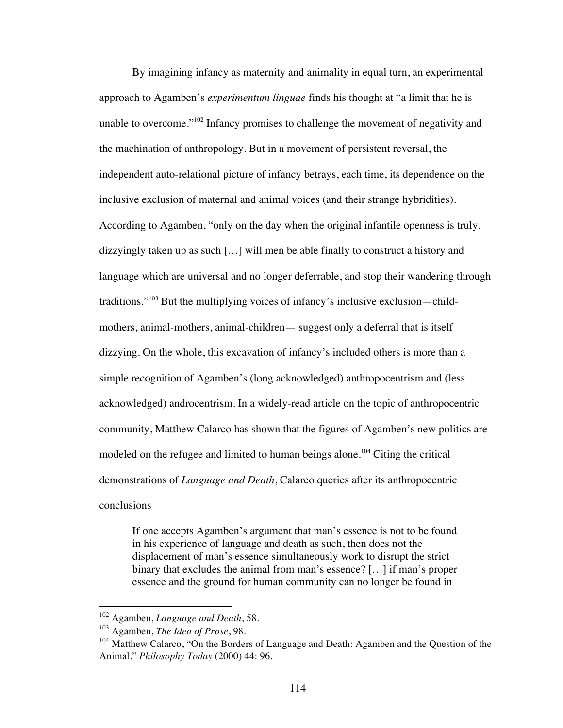By imagining infancy as maternity and animality in equal turn, an experimental approach to Agamben's *experimentum linguae* finds his thought at "a limit that he is unable to overcome."102 Infancy promises to challenge the movement of negativity and the machination of anthropology. But in a movement of persistent reversal, the independent auto-relational picture of infancy betrays, each time, its dependence on the inclusive exclusion of maternal and animal voices (and their strange hybridities). According to Agamben, "only on the day when the original infantile openness is truly, dizzyingly taken up as such […] will men be able finally to construct a history and language which are universal and no longer deferrable, and stop their wandering through traditions."103 But the multiplying voices of infancy's inclusive exclusion—childmothers, animal-mothers, animal-children— suggest only a deferral that is itself dizzying. On the whole, this excavation of infancy's included others is more than a simple recognition of Agamben's (long acknowledged) anthropocentrism and (less acknowledged) androcentrism. In a widely-read article on the topic of anthropocentric community, Matthew Calarco has shown that the figures of Agamben's new politics are modeled on the refugee and limited to human beings alone.<sup>104</sup> Citing the critical demonstrations of *Language and Death*, Calarco queries after its anthropocentric conclusions

If one accepts Agamben's argument that man's essence is not to be found in his experience of language and death as such, then does not the displacement of man's essence simultaneously work to disrupt the strict binary that excludes the animal from man's essence? […] if man's proper essence and the ground for human community can no longer be found in

 <sup>102</sup> Agamben, *Language and Death*, 58.

<sup>103</sup> Agamben, *The Idea of Prose*, 98.

<sup>&</sup>lt;sup>104</sup> Matthew Calarco, "On the Borders of Language and Death: Agamben and the Question of the Animal." *Philosophy Today* (2000) 44: 96.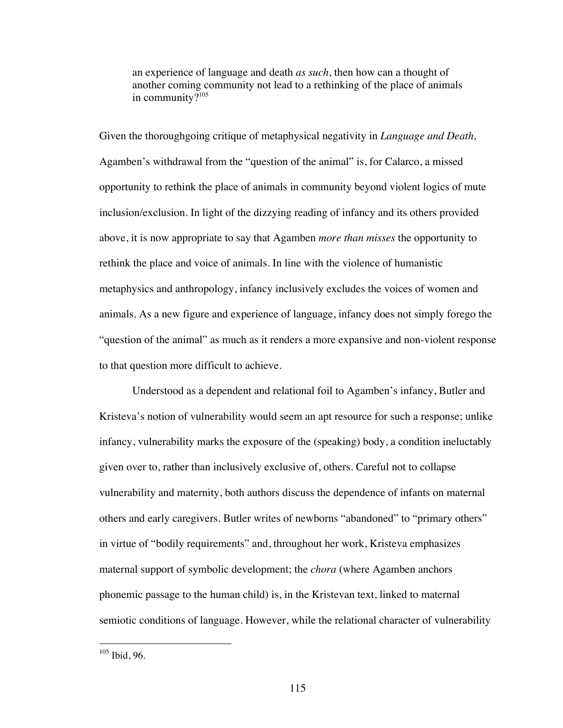an experience of language and death *as such*, then how can a thought of another coming community not lead to a rethinking of the place of animals in community? $105$ 

Given the thoroughgoing critique of metaphysical negativity in *Language and Death,* Agamben's withdrawal from the "question of the animal" is, for Calarco, a missed opportunity to rethink the place of animals in community beyond violent logics of mute inclusion/exclusion. In light of the dizzying reading of infancy and its others provided above, it is now appropriate to say that Agamben *more than misses* the opportunity to rethink the place and voice of animals. In line with the violence of humanistic metaphysics and anthropology, infancy inclusively excludes the voices of women and animals. As a new figure and experience of language, infancy does not simply forego the "question of the animal" as much as it renders a more expansive and non-violent response to that question more difficult to achieve.

Understood as a dependent and relational foil to Agamben's infancy, Butler and Kristeva's notion of vulnerability would seem an apt resource for such a response; unlike infancy, vulnerability marks the exposure of the (speaking) body, a condition ineluctably given over to, rather than inclusively exclusive of, others. Careful not to collapse vulnerability and maternity, both authors discuss the dependence of infants on maternal others and early caregivers. Butler writes of newborns "abandoned" to "primary others" in virtue of "bodily requirements" and, throughout her work, Kristeva emphasizes maternal support of symbolic development; the *chora* (where Agamben anchors phonemic passage to the human child) is, in the Kristevan text, linked to maternal semiotic conditions of language. However, while the relational character of vulnerability

 <sup>105</sup> Ibid, 96.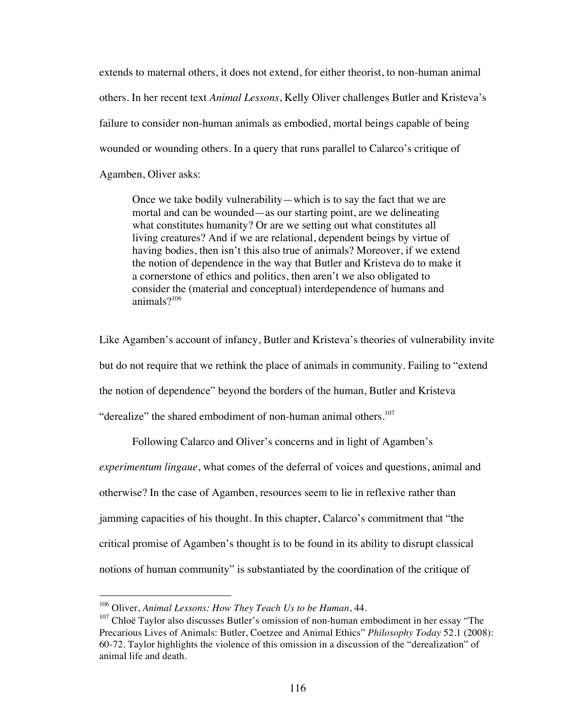extends to maternal others, it does not extend, for either theorist, to non-human animal others. In her recent text *Animal Lessons*, Kelly Oliver challenges Butler and Kristeva's failure to consider non-human animals as embodied, mortal beings capable of being wounded or wounding others. In a query that runs parallel to Calarco's critique of Agamben, Oliver asks:

Once we take bodily vulnerability—which is to say the fact that we are mortal and can be wounded—as our starting point, are we delineating what constitutes humanity? Or are we setting out what constitutes all living creatures? And if we are relational, dependent beings by virtue of having bodies, then isn't this also true of animals? Moreover, if we extend the notion of dependence in the way that Butler and Kristeva do to make it a cornerstone of ethics and politics, then aren't we also obligated to consider the (material and conceptual) interdependence of humans and animals?<sup>106</sup>

Like Agamben's account of infancy, Butler and Kristeva's theories of vulnerability invite but do not require that we rethink the place of animals in community. Failing to "extend the notion of dependence" beyond the borders of the human, Butler and Kristeva "derealize" the shared embodiment of non-human animal others. $107$ 

Following Calarco and Oliver's concerns and in light of Agamben's *experimentum lingaue*, what comes of the deferral of voices and questions, animal and otherwise? In the case of Agamben, resources seem to lie in reflexive rather than jamming capacities of his thought. In this chapter, Calarco's commitment that "the critical promise of Agamben's thought is to be found in its ability to disrupt classical notions of human community" is substantiated by the coordination of the critique of

 <sup>106</sup> Oliver, *Animal Lessons: How They Teach Us to be Human*, 44.

 $107$  Chloë Taylor also discusses Butler's omission of non-human embodiment in her essay "The Precarious Lives of Animals: Butler, Coetzee and Animal Ethics" *Philosophy Today* 52.1 (2008): 60-72. Taylor highlights the violence of this omission in a discussion of the "derealization" of animal life and death.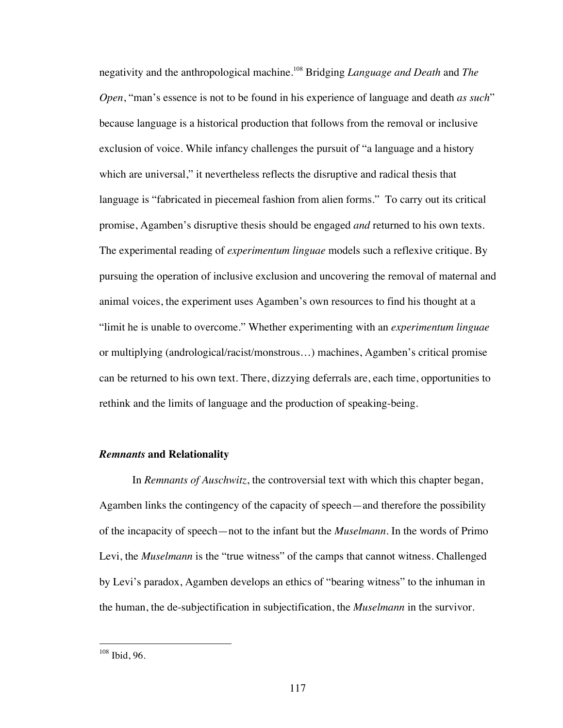negativity and the anthropological machine.108 Bridging *Language and Death* and *The Open*, "man's essence is not to be found in his experience of language and death *as such*" because language is a historical production that follows from the removal or inclusive exclusion of voice. While infancy challenges the pursuit of "a language and a history which are universal," it nevertheless reflects the disruptive and radical thesis that language is "fabricated in piecemeal fashion from alien forms." To carry out its critical promise, Agamben's disruptive thesis should be engaged *and* returned to his own texts. The experimental reading of *experimentum linguae* models such a reflexive critique. By pursuing the operation of inclusive exclusion and uncovering the removal of maternal and animal voices, the experiment uses Agamben's own resources to find his thought at a "limit he is unable to overcome." Whether experimenting with an *experimentum linguae* or multiplying (andrological/racist/monstrous…) machines, Agamben's critical promise can be returned to his own text. There, dizzying deferrals are, each time, opportunities to rethink and the limits of language and the production of speaking-being.

# *Remnants* **and Relationality**

In *Remnants of Auschwitz*, the controversial text with which this chapter began, Agamben links the contingency of the capacity of speech—and therefore the possibility of the incapacity of speech—not to the infant but the *Muselmann*. In the words of Primo Levi, the *Muselmann* is the "true witness" of the camps that cannot witness. Challenged by Levi's paradox, Agamben develops an ethics of "bearing witness" to the inhuman in the human, the de-subjectification in subjectification, the *Muselmann* in the survivor.

 <sup>108</sup> Ibid, 96.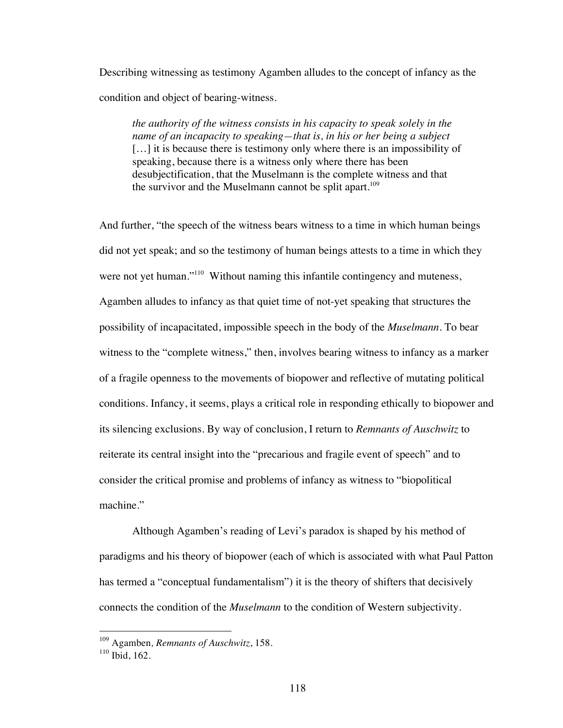Describing witnessing as testimony Agamben alludes to the concept of infancy as the condition and object of bearing-witness.

*the authority of the witness consists in his capacity to speak solely in the name of an incapacity to speaking—that is, in his or her being a subject* [...] it is because there is testimony only where there is an impossibility of speaking, because there is a witness only where there has been desubjectification, that the Muselmann is the complete witness and that the survivor and the Muselmann cannot be split apart.<sup>109</sup>

And further, "the speech of the witness bears witness to a time in which human beings did not yet speak; and so the testimony of human beings attests to a time in which they were not yet human."<sup>110</sup> Without naming this infantile contingency and muteness, Agamben alludes to infancy as that quiet time of not-yet speaking that structures the possibility of incapacitated, impossible speech in the body of the *Muselmann*. To bear witness to the "complete witness," then, involves bearing witness to infancy as a marker of a fragile openness to the movements of biopower and reflective of mutating political conditions. Infancy, it seems, plays a critical role in responding ethically to biopower and its silencing exclusions. By way of conclusion, I return to *Remnants of Auschwitz* to reiterate its central insight into the "precarious and fragile event of speech" and to consider the critical promise and problems of infancy as witness to "biopolitical machine."

Although Agamben's reading of Levi's paradox is shaped by his method of paradigms and his theory of biopower (each of which is associated with what Paul Patton has termed a "conceptual fundamentalism") it is the theory of shifters that decisively connects the condition of the *Muselmann* to the condition of Western subjectivity.

 <sup>109</sup> Agamben*, Remnants of Auschwitz*, 158.

<sup>&</sup>lt;sup>110</sup> Ibid, 162.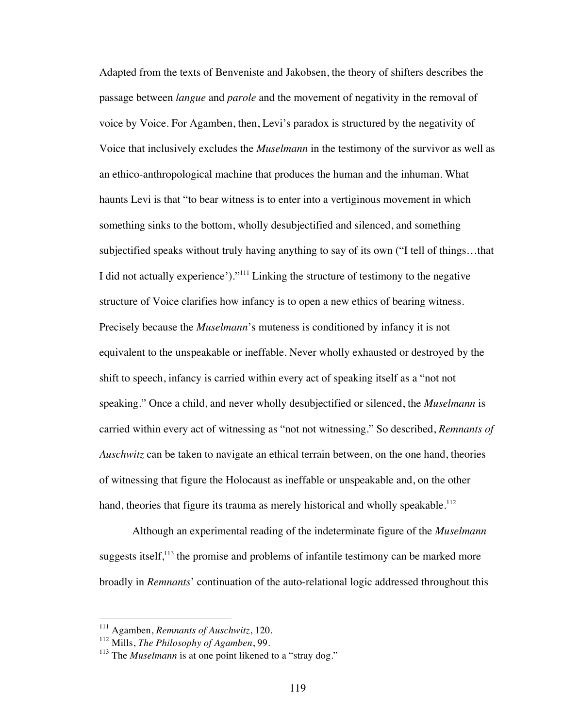Adapted from the texts of Benveniste and Jakobsen, the theory of shifters describes the passage between *langue* and *parole* and the movement of negativity in the removal of voice by Voice. For Agamben, then, Levi's paradox is structured by the negativity of Voice that inclusively excludes the *Muselmann* in the testimony of the survivor as well as an ethico-anthropological machine that produces the human and the inhuman. What haunts Levi is that "to bear witness is to enter into a vertiginous movement in which something sinks to the bottom, wholly desubjectified and silenced, and something subjectified speaks without truly having anything to say of its own ("I tell of things…that I did not actually experience')."111 Linking the structure of testimony to the negative structure of Voice clarifies how infancy is to open a new ethics of bearing witness. Precisely because the *Muselmann*'s muteness is conditioned by infancy it is not equivalent to the unspeakable or ineffable. Never wholly exhausted or destroyed by the shift to speech, infancy is carried within every act of speaking itself as a "not not speaking." Once a child, and never wholly desubjectified or silenced, the *Muselmann* is carried within every act of witnessing as "not not witnessing." So described, *Remnants of Auschwitz* can be taken to navigate an ethical terrain between, on the one hand, theories of witnessing that figure the Holocaust as ineffable or unspeakable and, on the other hand, theories that figure its trauma as merely historical and wholly speakable.<sup>112</sup>

Although an experimental reading of the indeterminate figure of the *Muselmann* suggests itself, $^{113}$  the promise and problems of infantile testimony can be marked more broadly in *Remnants*' continuation of the auto-relational logic addressed throughout this

 <sup>111</sup> Agamben, *Remnants of Auschwitz*, 120.

<sup>112</sup> Mills, *The Philosophy of Agamben*, 99.

<sup>&</sup>lt;sup>113</sup> The *Muselmann* is at one point likened to a "stray dog."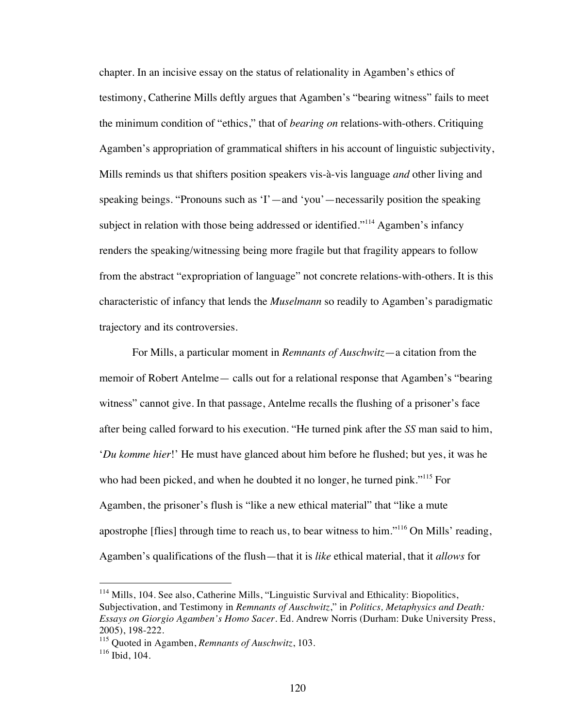chapter. In an incisive essay on the status of relationality in Agamben's ethics of testimony, Catherine Mills deftly argues that Agamben's "bearing witness" fails to meet the minimum condition of "ethics," that of *bearing on* relations-with-others. Critiquing Agamben's appropriation of grammatical shifters in his account of linguistic subjectivity, Mills reminds us that shifters position speakers vis-à-vis language *and* other living and speaking beings. "Pronouns such as 'I'—and 'you'—necessarily position the speaking subject in relation with those being addressed or identified."<sup>114</sup> Agamben's infancy renders the speaking/witnessing being more fragile but that fragility appears to follow from the abstract "expropriation of language" not concrete relations-with-others. It is this characteristic of infancy that lends the *Muselmann* so readily to Agamben's paradigmatic trajectory and its controversies.

For Mills, a particular moment in *Remnants of Auschwitz*—a citation from the memoir of Robert Antelme— calls out for a relational response that Agamben's "bearing witness" cannot give. In that passage, Antelme recalls the flushing of a prisoner's face after being called forward to his execution. "He turned pink after the *SS* man said to him, '*Du komme hier*!' He must have glanced about him before he flushed; but yes, it was he who had been picked, and when he doubted it no longer, he turned pink."<sup>115</sup> For Agamben, the prisoner's flush is "like a new ethical material" that "like a mute apostrophe [flies] through time to reach us, to bear witness to him."116 On Mills' reading, Agamben's qualifications of the flush—that it is *like* ethical material, that it *allows* for

<sup>&</sup>lt;sup>114</sup> Mills, 104. See also, Catherine Mills, "Linguistic Survival and Ethicality: Biopolitics, Subjectivation, and Testimony in *Remnants of Auschwitz*," in *Politics, Metaphysics and Death: Essays on Giorgio Agamben's Homo Sacer*. Ed. Andrew Norris (Durham: Duke University Press, 2005), 198-222.

<sup>115</sup> Quoted in Agamben, *Remnants of Auschwitz*, 103.

 $116$  Ibid, 104.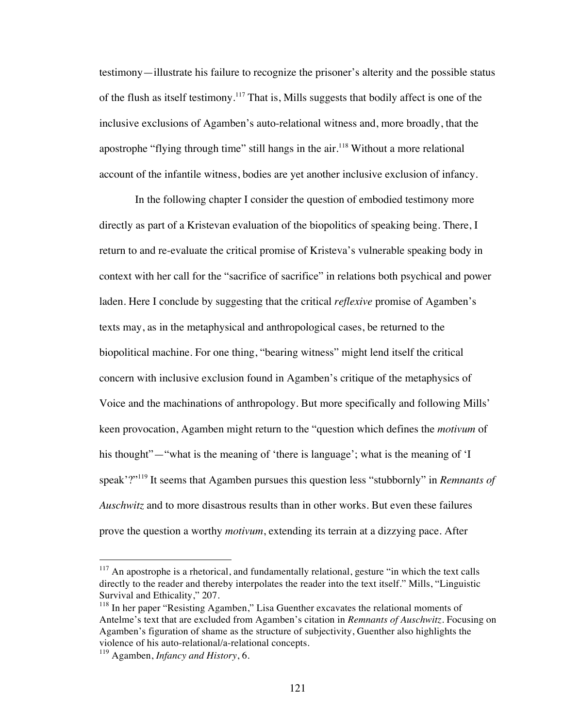testimony—illustrate his failure to recognize the prisoner's alterity and the possible status of the flush as itself testimony.<sup>117</sup> That is, Mills suggests that bodily affect is one of the inclusive exclusions of Agamben's auto-relational witness and, more broadly, that the apostrophe "flying through time" still hangs in the  $air$ <sup>118</sup> Without a more relational account of the infantile witness, bodies are yet another inclusive exclusion of infancy.

 In the following chapter I consider the question of embodied testimony more directly as part of a Kristevan evaluation of the biopolitics of speaking being. There, I return to and re-evaluate the critical promise of Kristeva's vulnerable speaking body in context with her call for the "sacrifice of sacrifice" in relations both psychical and power laden. Here I conclude by suggesting that the critical *reflexive* promise of Agamben's texts may, as in the metaphysical and anthropological cases, be returned to the biopolitical machine. For one thing, "bearing witness" might lend itself the critical concern with inclusive exclusion found in Agamben's critique of the metaphysics of Voice and the machinations of anthropology. But more specifically and following Mills' keen provocation, Agamben might return to the "question which defines the *motivum* of his thought"—"what is the meaning of 'there is language'; what is the meaning of 'I speak'?"119 It seems that Agamben pursues this question less "stubbornly" in *Remnants of Auschwitz* and to more disastrous results than in other works. But even these failures prove the question a worthy *motivum*, extending its terrain at a dizzying pace. After

 $117$  An apostrophe is a rhetorical, and fundamentally relational, gesture "in which the text calls directly to the reader and thereby interpolates the reader into the text itself." Mills, "Linguistic Survival and Ethicality," 207.

<sup>&</sup>lt;sup>118</sup> In her paper "Resisting Agamben," Lisa Guenther excavates the relational moments of Antelme's text that are excluded from Agamben's citation in *Remnants of Auschwitz*. Focusing on Agamben's figuration of shame as the structure of subjectivity, Guenther also highlights the violence of his auto-relational/a-relational concepts.

<sup>119</sup> Agamben, *Infancy and History*, 6.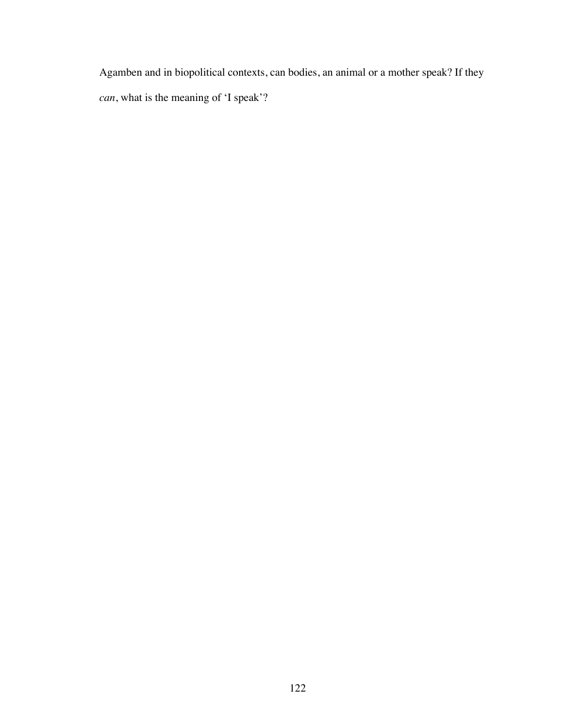Agamben and in biopolitical contexts, can bodies, an animal or a mother speak? If they *can*, what is the meaning of 'I speak'?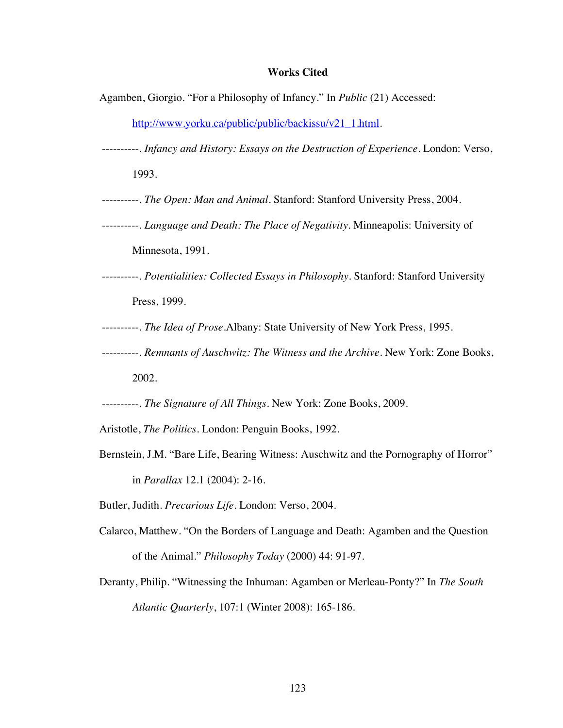# **Works Cited**

Agamben, Giorgio. "For a Philosophy of Infancy." In *Public* (21) Accessed:

http://www.yorku.ca/public/public/backissu/v21\_1.html.

----------. *Infancy and History: Essays on the Destruction of Experience*. London: Verso, 1993.

----------. *The Open: Man and Animal*. Stanford: Stanford University Press, 2004.

----------. *Language and Death: The Place of Negativity*. Minneapolis: University of Minnesota, 1991.

----------. *Potentialities: Collected Essays in Philosophy*. Stanford: Stanford University Press, 1999.

----------. *The Idea of Prose*.Albany: State University of New York Press, 1995.

----------. *Remnants of Auschwitz: The Witness and the Archive.* New York: Zone Books,

2002.

----------. *The Signature of All Things*. New York: Zone Books, 2009.

Aristotle, *The Politics.* London: Penguin Books, 1992.

Bernstein, J.M. "Bare Life, Bearing Witness: Auschwitz and the Pornography of Horror" in *Parallax* 12.1 (2004): 2-16.

Butler, Judith. *Precarious Life*. London: Verso, 2004.

- Calarco, Matthew. "On the Borders of Language and Death: Agamben and the Question of the Animal." *Philosophy Today* (2000) 44: 91-97.
- Deranty, Philip. "Witnessing the Inhuman: Agamben or Merleau-Ponty?" In *The South Atlantic Quarterly*, 107:1 (Winter 2008): 165-186.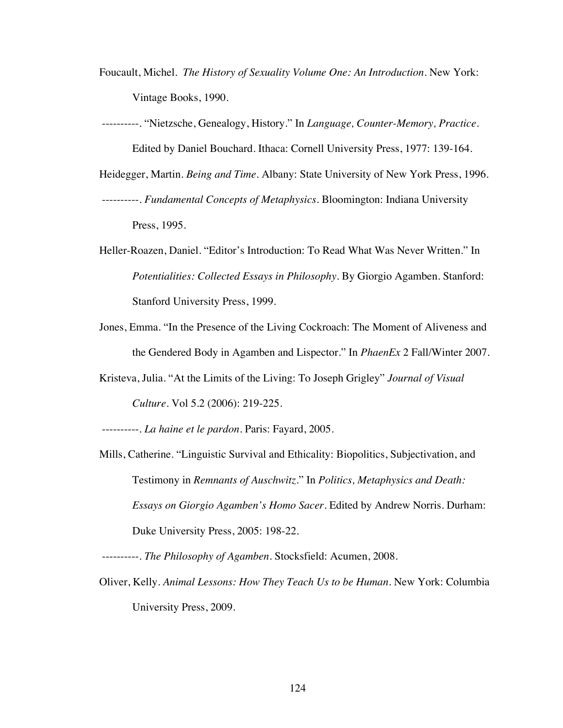- Foucault, Michel. *The History of Sexuality Volume One: An Introduction.* New York: Vintage Books, 1990.
- ----------. "Nietzsche, Genealogy, History." In *Language, Counter-Memory, Practice*. Edited by Daniel Bouchard. Ithaca: Cornell University Press, 1977: 139-164.
- Heidegger, Martin. *Being and Time*. Albany: State University of New York Press, 1996. ----------. *Fundamental Concepts of Metaphysics*. Bloomington: Indiana University Press, 1995.
- Heller-Roazen, Daniel. "Editor's Introduction: To Read What Was Never Written." In *Potentialities: Collected Essays in Philosophy*. By Giorgio Agamben. Stanford: Stanford University Press, 1999.
- Jones, Emma. "In the Presence of the Living Cockroach: The Moment of Aliveness and the Gendered Body in Agamben and Lispector." In *PhaenEx* 2 Fall/Winter 2007.
- Kristeva, Julia. "At the Limits of the Living: To Joseph Grigley" *Journal of Visual Culture*. Vol 5.2 (2006): 219-225.

----------. *La haine et le pardon*. Paris: Fayard, 2005.

Mills, Catherine. "Linguistic Survival and Ethicality: Biopolitics, Subjectivation, and Testimony in *Remnants of Auschwitz*." In *Politics, Metaphysics and Death: Essays on Giorgio Agamben's Homo Sacer*. Edited by Andrew Norris. Durham: Duke University Press, 2005: 198-22.

----------. *The Philosophy of Agamben*. Stocksfield: Acumen, 2008.

Oliver, Kelly. *Animal Lessons: How They Teach Us to be Human*. New York: Columbia University Press, 2009.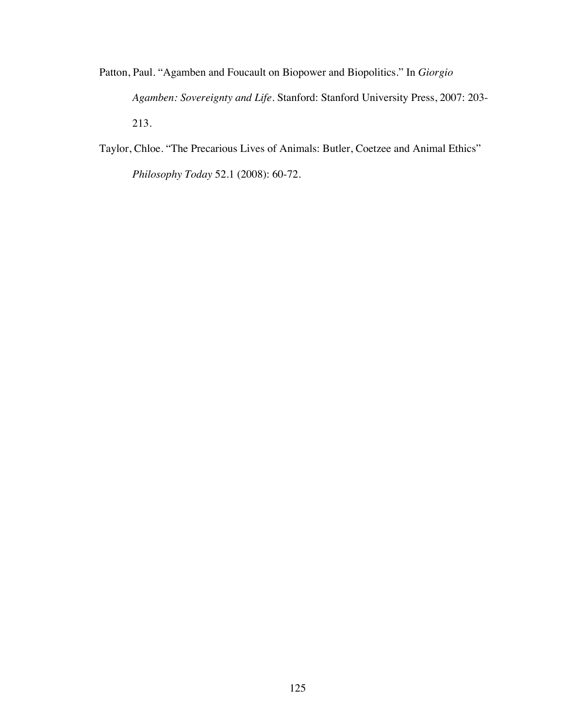- Patton, Paul. "Agamben and Foucault on Biopower and Biopolitics." In *Giorgio Agamben: Sovereignty and Life.* Stanford: Stanford University Press, 2007: 203- 213.
- Taylor, Chloe. "The Precarious Lives of Animals: Butler, Coetzee and Animal Ethics" *Philosophy Today* 52.1 (2008): 60-72.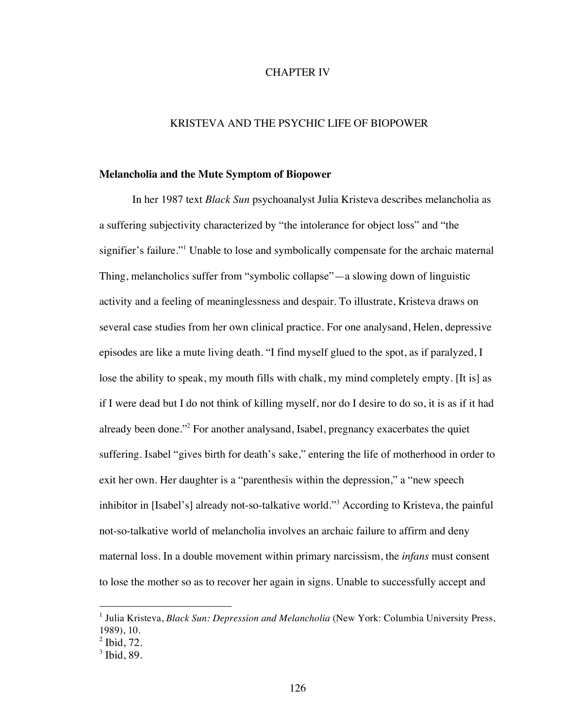# CHAPTER IV

# KRISTEVA AND THE PSYCHIC LIFE OF BIOPOWER

#### **Melancholia and the Mute Symptom of Biopower**

In her 1987 text *Black Sun* psychoanalyst Julia Kristeva describes melancholia as a suffering subjectivity characterized by "the intolerance for object loss" and "the signifier's failure."<sup>1</sup> Unable to lose and symbolically compensate for the archaic maternal Thing, melancholics suffer from "symbolic collapse"—a slowing down of linguistic activity and a feeling of meaninglessness and despair. To illustrate, Kristeva draws on several case studies from her own clinical practice. For one analysand, Helen, depressive episodes are like a mute living death. "I find myself glued to the spot, as if paralyzed, I lose the ability to speak, my mouth fills with chalk, my mind completely empty. [It is] as if I were dead but I do not think of killing myself, nor do I desire to do so, it is as if it had already been done."<sup>2</sup> For another analysand, Isabel, pregnancy exacerbates the quiet suffering. Isabel "gives birth for death's sake," entering the life of motherhood in order to exit her own. Her daughter is a "parenthesis within the depression," a "new speech inhibitor in [Isabel's] already not-so-talkative world."<sup>3</sup> According to Kristeva, the painful not-so-talkative world of melancholia involves an archaic failure to affirm and deny maternal loss. In a double movement within primary narcissism, the *infans* must consent to lose the mother so as to recover her again in signs. Unable to successfully accept and

<sup>&</sup>lt;sup>1</sup> Julia Kristeva, *Black Sun: Depression and Melancholia* (New York: Columbia University Press, 1989), 10.

 $<sup>2</sup>$  Ibid, 72.</sup>

 $3$  Ibid, 89.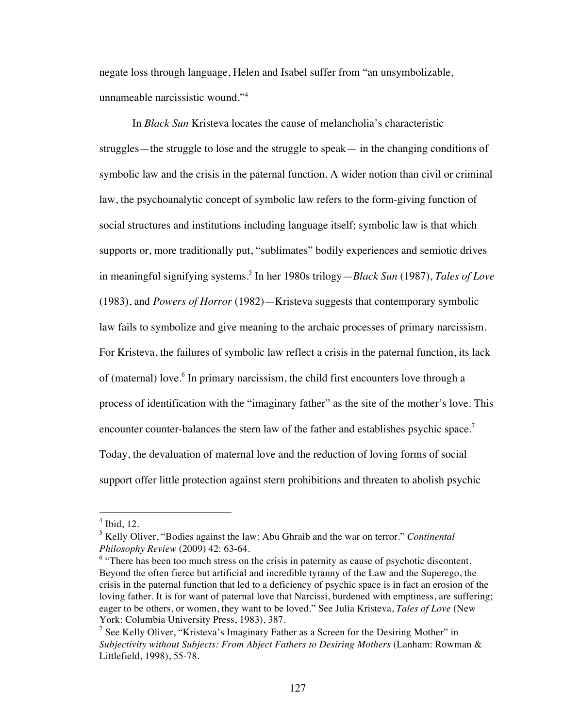negate loss through language, Helen and Isabel suffer from "an unsymbolizable, unnameable narcissistic wound."<sup>4</sup>

In *Black Sun* Kristeva locates the cause of melancholia's characteristic struggles—the struggle to lose and the struggle to speak— in the changing conditions of symbolic law and the crisis in the paternal function. A wider notion than civil or criminal law, the psychoanalytic concept of symbolic law refers to the form-giving function of social structures and institutions including language itself; symbolic law is that which supports or, more traditionally put, "sublimates" bodily experiences and semiotic drives in meaningful signifying systems.<sup>5</sup> In her 1980s trilogy—*Black Sun* (1987), *Tales of Love* (1983), and *Powers of Horror* (1982)—Kristeva suggests that contemporary symbolic law fails to symbolize and give meaning to the archaic processes of primary narcissism. For Kristeva, the failures of symbolic law reflect a crisis in the paternal function, its lack of (maternal) love.<sup>6</sup> In primary narcissism, the child first encounters love through a process of identification with the "imaginary father" as the site of the mother's love. This encounter counter-balances the stern law of the father and establishes psychic space.<sup>7</sup> Today, the devaluation of maternal love and the reduction of loving forms of social support offer little protection against stern prohibitions and threaten to abolish psychic

 $<sup>4</sup>$  Ibid, 12.</sup>

<sup>5</sup> Kelly Oliver, "Bodies against the law: Abu Ghraib and the war on terror." *Continental Philosophy Review* (2009) 42: 63-64.

 $6$  "There has been too much stress on the crisis in paternity as cause of psychotic discontent. Beyond the often fierce but artificial and incredible tyranny of the Law and the Superego, the crisis in the paternal function that led to a deficiency of psychic space is in fact an erosion of the loving father. It is for want of paternal love that Narcissi, burdened with emptiness, are suffering; eager to be others, or women, they want to be loved." See Julia Kristeva, *Tales of Love* (New York: Columbia University Press, 1983), 387.

<sup>&</sup>lt;sup>7</sup> See Kelly Oliver, "Kristeva's Imaginary Father as a Screen for the Desiring Mother" in *Subjectivity without Subjects: From Abject Fathers to Desiring Mothers* (Lanham: Rowman & Littlefield, 1998), 55-78.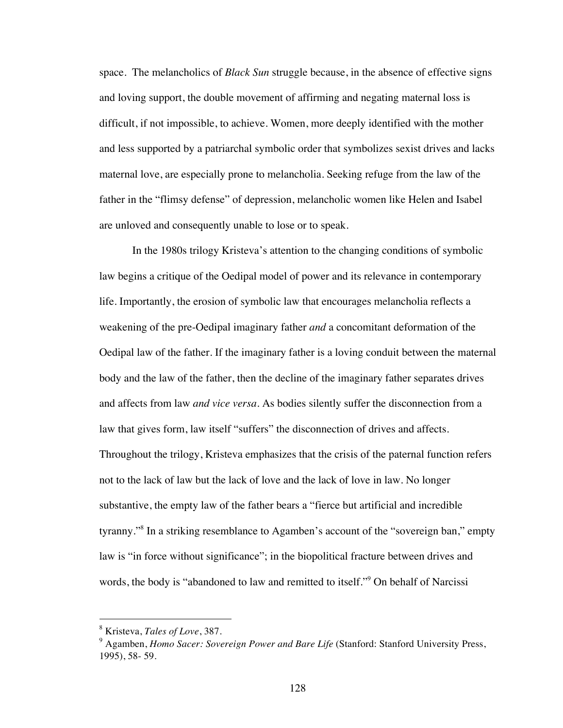space. The melancholics of *Black Sun* struggle because, in the absence of effective signs and loving support, the double movement of affirming and negating maternal loss is difficult, if not impossible, to achieve. Women, more deeply identified with the mother and less supported by a patriarchal symbolic order that symbolizes sexist drives and lacks maternal love, are especially prone to melancholia. Seeking refuge from the law of the father in the "flimsy defense" of depression, melancholic women like Helen and Isabel are unloved and consequently unable to lose or to speak.

In the 1980s trilogy Kristeva's attention to the changing conditions of symbolic law begins a critique of the Oedipal model of power and its relevance in contemporary life. Importantly, the erosion of symbolic law that encourages melancholia reflects a weakening of the pre-Oedipal imaginary father *and* a concomitant deformation of the Oedipal law of the father. If the imaginary father is a loving conduit between the maternal body and the law of the father, then the decline of the imaginary father separates drives and affects from law *and vice versa*. As bodies silently suffer the disconnection from a law that gives form, law itself "suffers" the disconnection of drives and affects. Throughout the trilogy, Kristeva emphasizes that the crisis of the paternal function refers not to the lack of law but the lack of love and the lack of love in law. No longer substantive, the empty law of the father bears a "fierce but artificial and incredible tyranny."8 In a striking resemblance to Agamben's account of the "sovereign ban," empty law is "in force without significance"; in the biopolitical fracture between drives and words, the body is "abandoned to law and remitted to itself."<sup>9</sup> On behalf of Narcissi

 <sup>8</sup> Kristeva, *Tales of Love*, 387.

<sup>9</sup> Agamben, *Homo Sacer: Sovereign Power and Bare Life* (Stanford: Stanford University Press, 1995), 58- 59.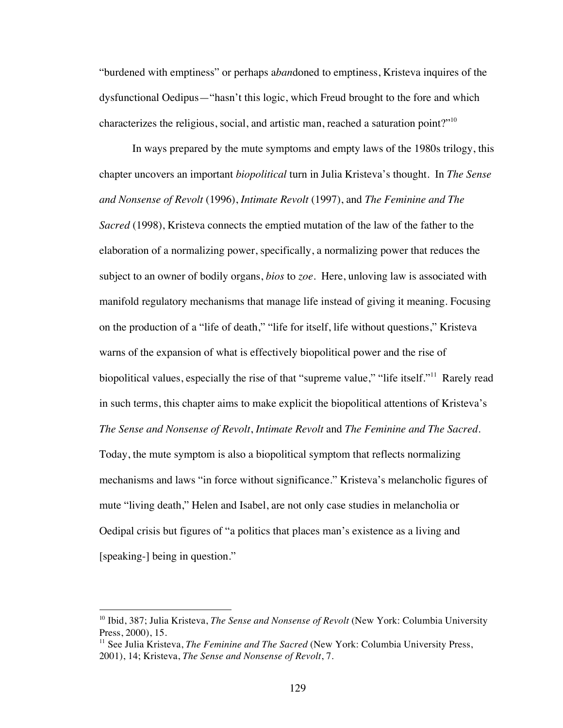"burdened with emptiness" or perhaps a*ban*doned to emptiness, Kristeva inquires of the dysfunctional Oedipus—"hasn't this logic, which Freud brought to the fore and which characterizes the religious, social, and artistic man, reached a saturation point?"10

In ways prepared by the mute symptoms and empty laws of the 1980s trilogy, this chapter uncovers an important *biopolitical* turn in Julia Kristeva's thought. In *The Sense and Nonsense of Revolt* (1996), *Intimate Revolt* (1997), and *The Feminine and The Sacred* (1998), Kristeva connects the emptied mutation of the law of the father to the elaboration of a normalizing power, specifically, a normalizing power that reduces the subject to an owner of bodily organs, *bios* to *zoe*. Here, unloving law is associated with manifold regulatory mechanisms that manage life instead of giving it meaning. Focusing on the production of a "life of death," "life for itself, life without questions," Kristeva warns of the expansion of what is effectively biopolitical power and the rise of biopolitical values, especially the rise of that "supreme value," "life itself."<sup>11</sup> Rarely read in such terms, this chapter aims to make explicit the biopolitical attentions of Kristeva's *The Sense and Nonsense of Revolt*, *Intimate Revolt* and *The Feminine and The Sacred*. Today, the mute symptom is also a biopolitical symptom that reflects normalizing mechanisms and laws "in force without significance." Kristeva's melancholic figures of mute "living death," Helen and Isabel, are not only case studies in melancholia or Oedipal crisis but figures of "a politics that places man's existence as a living and [speaking-] being in question."

<sup>&</sup>lt;sup>10</sup> Ibid, 387; Julia Kristeva, *The Sense and Nonsense of Revolt* (New York: Columbia University Press, 2000), 15.

<sup>&</sup>lt;sup>11</sup> See Julia Kristeva, *The Feminine and The Sacred* (New York: Columbia University Press, 2001), 14; Kristeva, *The Sense and Nonsense of Revolt*, 7.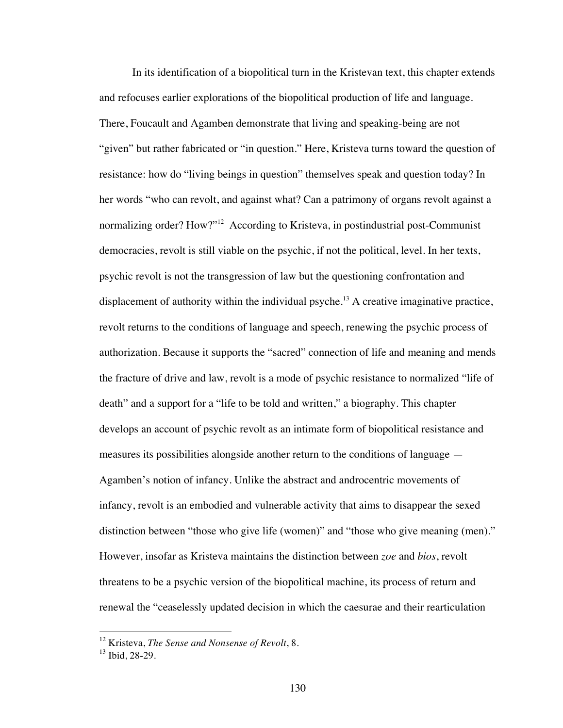In its identification of a biopolitical turn in the Kristevan text, this chapter extends and refocuses earlier explorations of the biopolitical production of life and language. There, Foucault and Agamben demonstrate that living and speaking-being are not "given" but rather fabricated or "in question." Here, Kristeva turns toward the question of resistance: how do "living beings in question" themselves speak and question today? In her words "who can revolt, and against what? Can a patrimony of organs revolt against a normalizing order? How?"<sup>12</sup> According to Kristeva, in postindustrial post-Communist democracies, revolt is still viable on the psychic, if not the political, level. In her texts, psychic revolt is not the transgression of law but the questioning confrontation and displacement of authority within the individual psyche.<sup>13</sup> A creative imaginative practice, revolt returns to the conditions of language and speech, renewing the psychic process of authorization. Because it supports the "sacred" connection of life and meaning and mends the fracture of drive and law, revolt is a mode of psychic resistance to normalized "life of death" and a support for a "life to be told and written," a biography. This chapter develops an account of psychic revolt as an intimate form of biopolitical resistance and measures its possibilities alongside another return to the conditions of language — Agamben's notion of infancy. Unlike the abstract and androcentric movements of infancy, revolt is an embodied and vulnerable activity that aims to disappear the sexed distinction between "those who give life (women)" and "those who give meaning (men)." However, insofar as Kristeva maintains the distinction between *zoe* and *bios*, revolt threatens to be a psychic version of the biopolitical machine, its process of return and renewal the "ceaselessly updated decision in which the caesurae and their rearticulation

 <sup>12</sup> Kristeva, *The Sense and Nonsense of Revolt*, 8.

 $13$  Ibid, 28-29.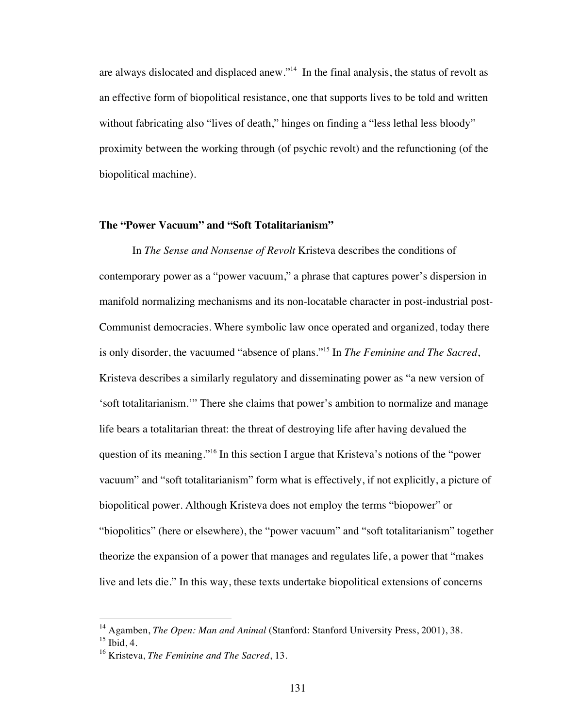are always dislocated and displaced anew."14 In the final analysis, the status of revolt as an effective form of biopolitical resistance, one that supports lives to be told and written without fabricating also "lives of death," hinges on finding a "less lethal less bloody" proximity between the working through (of psychic revolt) and the refunctioning (of the biopolitical machine).

# **The "Power Vacuum" and "Soft Totalitarianism"**

In *The Sense and Nonsense of Revolt* Kristeva describes the conditions of contemporary power as a "power vacuum," a phrase that captures power's dispersion in manifold normalizing mechanisms and its non-locatable character in post-industrial post-Communist democracies. Where symbolic law once operated and organized, today there is only disorder, the vacuumed "absence of plans."15 In *The Feminine and The Sacred*, Kristeva describes a similarly regulatory and disseminating power as "a new version of 'soft totalitarianism.'" There she claims that power's ambition to normalize and manage life bears a totalitarian threat: the threat of destroying life after having devalued the question of its meaning."<sup>16</sup> In this section I argue that Kristeva's notions of the "power" vacuum" and "soft totalitarianism" form what is effectively, if not explicitly, a picture of biopolitical power. Although Kristeva does not employ the terms "biopower" or "biopolitics" (here or elsewhere), the "power vacuum" and "soft totalitarianism" together theorize the expansion of a power that manages and regulates life, a power that "makes live and lets die." In this way, these texts undertake biopolitical extensions of concerns

<sup>&</sup>lt;sup>14</sup> Agamben, *The Open: Man and Animal* (Stanford: Stanford University Press, 2001), 38.

 $15$  Ibid, 4.

<sup>16</sup> Kristeva, *The Feminine and The Sacred*, 13.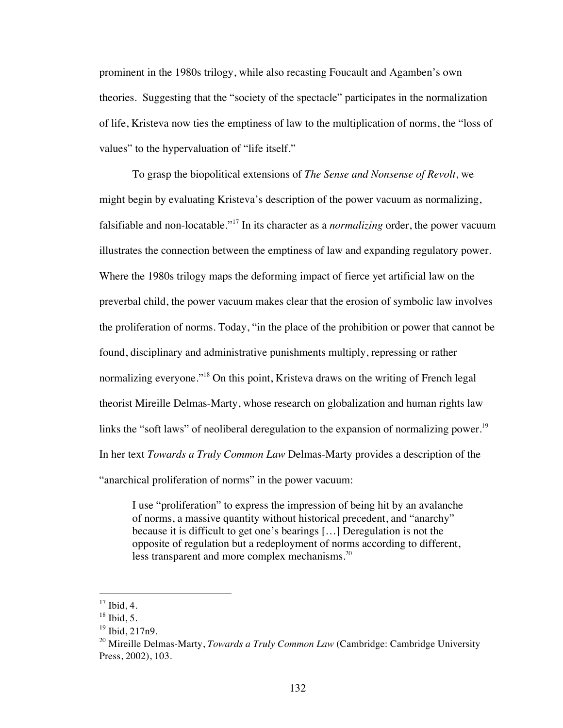prominent in the 1980s trilogy, while also recasting Foucault and Agamben's own theories. Suggesting that the "society of the spectacle" participates in the normalization of life, Kristeva now ties the emptiness of law to the multiplication of norms, the "loss of values" to the hypervaluation of "life itself."

To grasp the biopolitical extensions of *The Sense and Nonsense of Revolt*, we might begin by evaluating Kristeva's description of the power vacuum as normalizing, falsifiable and non-locatable."17 In its character as a *normalizing* order, the power vacuum illustrates the connection between the emptiness of law and expanding regulatory power. Where the 1980s trilogy maps the deforming impact of fierce yet artificial law on the preverbal child, the power vacuum makes clear that the erosion of symbolic law involves the proliferation of norms. Today, "in the place of the prohibition or power that cannot be found, disciplinary and administrative punishments multiply, repressing or rather normalizing everyone."<sup>18</sup> On this point, Kristeva draws on the writing of French legal theorist Mireille Delmas-Marty, whose research on globalization and human rights law links the "soft laws" of neoliberal deregulation to the expansion of normalizing power.<sup>19</sup> In her text *Towards a Truly Common Law* Delmas-Marty provides a description of the "anarchical proliferation of norms" in the power vacuum:

I use "proliferation" to express the impression of being hit by an avalanche of norms, a massive quantity without historical precedent, and "anarchy" because it is difficult to get one's bearings […] Deregulation is not the opposite of regulation but a redeployment of norms according to different, less transparent and more complex mechanisms.<sup>20</sup>

 $17$  Ibid, 4.

 $18$  Ibid, 5.

 $19$  Ibid,  $217n9$ .

<sup>&</sup>lt;sup>20</sup> Mireille Delmas-Marty, *Towards a Truly Common Law* (Cambridge: Cambridge University Press, 2002), 103.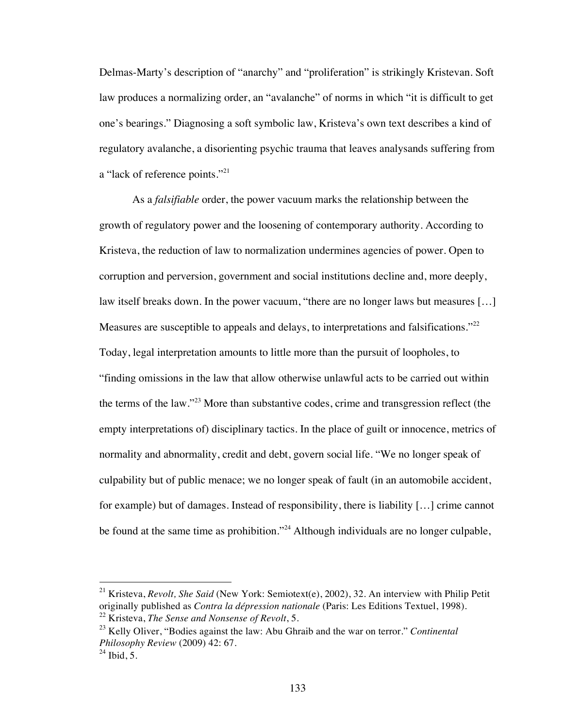Delmas-Marty's description of "anarchy" and "proliferation" is strikingly Kristevan. Soft law produces a normalizing order, an "avalanche" of norms in which "it is difficult to get one's bearings." Diagnosing a soft symbolic law, Kristeva's own text describes a kind of regulatory avalanche, a disorienting psychic trauma that leaves analysands suffering from a "lack of reference points."<sup>21</sup>

As a *falsifiable* order, the power vacuum marks the relationship between the growth of regulatory power and the loosening of contemporary authority. According to Kristeva, the reduction of law to normalization undermines agencies of power. Open to corruption and perversion, government and social institutions decline and, more deeply, law itself breaks down. In the power vacuum, "there are no longer laws but measures […] Measures are susceptible to appeals and delays, to interpretations and falsifications."<sup>22</sup> Today, legal interpretation amounts to little more than the pursuit of loopholes, to "finding omissions in the law that allow otherwise unlawful acts to be carried out within the terms of the law."23 More than substantive codes, crime and transgression reflect (the empty interpretations of) disciplinary tactics. In the place of guilt or innocence, metrics of normality and abnormality, credit and debt, govern social life. "We no longer speak of culpability but of public menace; we no longer speak of fault (in an automobile accident, for example) but of damages. Instead of responsibility, there is liability […] crime cannot be found at the same time as prohibition."<sup>24</sup> Although individuals are no longer culpable,

 <sup>21</sup> Kristeva, *Revolt, She Said* (New York: Semiotext(e), 2002), 32. An interview with Philip Petit originally published as *Contra la dépression nationale* (Paris: Les Editions Textuel, 1998). <sup>22</sup> Kristeva, *The Sense and Nonsense of Revolt*, 5.

<sup>23</sup> Kelly Oliver, "Bodies against the law: Abu Ghraib and the war on terror." *Continental Philosophy Review* (2009) 42: 67.

 $^{24}$  Ibid, 5.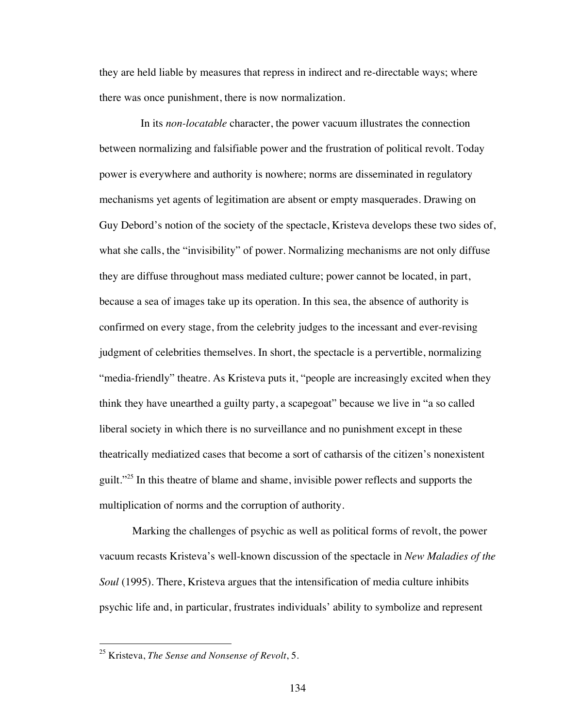they are held liable by measures that repress in indirect and re-directable ways; where there was once punishment, there is now normalization.

 In its *non-locatable* character, the power vacuum illustrates the connection between normalizing and falsifiable power and the frustration of political revolt. Today power is everywhere and authority is nowhere; norms are disseminated in regulatory mechanisms yet agents of legitimation are absent or empty masquerades. Drawing on Guy Debord's notion of the society of the spectacle, Kristeva develops these two sides of, what she calls, the "invisibility" of power. Normalizing mechanisms are not only diffuse they are diffuse throughout mass mediated culture; power cannot be located, in part, because a sea of images take up its operation. In this sea, the absence of authority is confirmed on every stage, from the celebrity judges to the incessant and ever-revising judgment of celebrities themselves. In short, the spectacle is a pervertible, normalizing "media-friendly" theatre. As Kristeva puts it, "people are increasingly excited when they think they have unearthed a guilty party, a scapegoat" because we live in "a so called liberal society in which there is no surveillance and no punishment except in these theatrically mediatized cases that become a sort of catharsis of the citizen's nonexistent guilt."<sup>25</sup> In this theatre of blame and shame, invisible power reflects and supports the multiplication of norms and the corruption of authority.

Marking the challenges of psychic as well as political forms of revolt, the power vacuum recasts Kristeva's well-known discussion of the spectacle in *New Maladies of the Soul* (1995). There, Kristeva argues that the intensification of media culture inhibits psychic life and, in particular, frustrates individuals' ability to symbolize and represent

 <sup>25</sup> Kristeva, *The Sense and Nonsense of Revolt*, 5.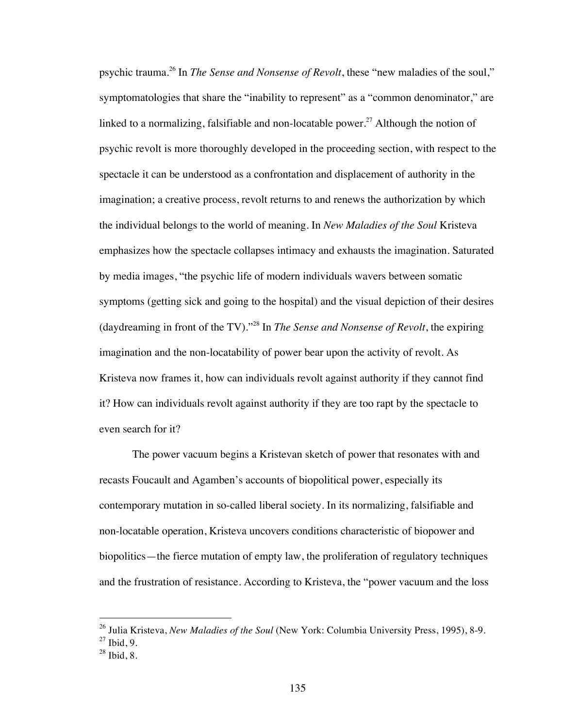psychic trauma.26 In *The Sense and Nonsense of Revolt*, these "new maladies of the soul," symptomatologies that share the "inability to represent" as a "common denominator," are linked to a normalizing, falsifiable and non-locatable power.<sup>27</sup> Although the notion of psychic revolt is more thoroughly developed in the proceeding section, with respect to the spectacle it can be understood as a confrontation and displacement of authority in the imagination; a creative process, revolt returns to and renews the authorization by which the individual belongs to the world of meaning. In *New Maladies of the Soul* Kristeva emphasizes how the spectacle collapses intimacy and exhausts the imagination. Saturated by media images, "the psychic life of modern individuals wavers between somatic symptoms (getting sick and going to the hospital) and the visual depiction of their desires (daydreaming in front of the TV)."28 In *The Sense and Nonsense of Revolt*, the expiring imagination and the non-locatability of power bear upon the activity of revolt. As Kristeva now frames it, how can individuals revolt against authority if they cannot find it? How can individuals revolt against authority if they are too rapt by the spectacle to even search for it?

The power vacuum begins a Kristevan sketch of power that resonates with and recasts Foucault and Agamben's accounts of biopolitical power, especially its contemporary mutation in so-called liberal society. In its normalizing, falsifiable and non-locatable operation, Kristeva uncovers conditions characteristic of biopower and biopolitics—the fierce mutation of empty law, the proliferation of regulatory techniques and the frustration of resistance. According to Kristeva, the "power vacuum and the loss

 <sup>26</sup> Julia Kristeva, *New Maladies of the Soul* (New York: Columbia University Press, 1995), 8-9.  $27$  Ibid, 9.

 $28$  Ibid, 8.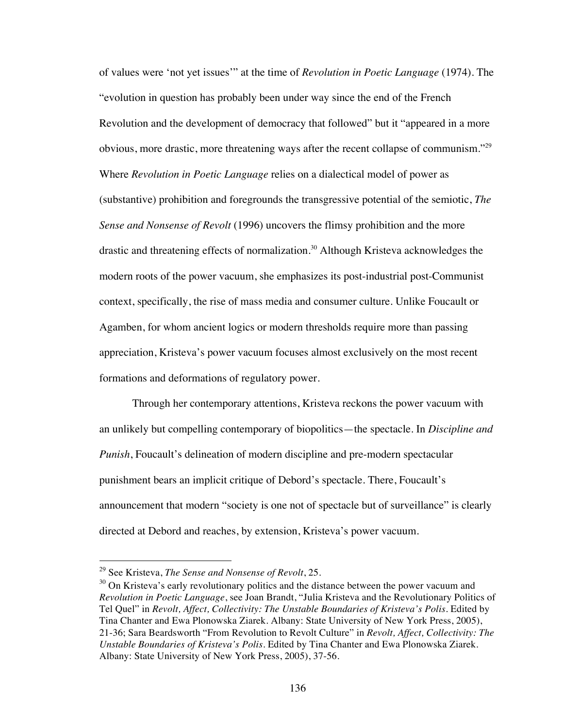of values were 'not yet issues'" at the time of *Revolution in Poetic Language* (1974). The "evolution in question has probably been under way since the end of the French Revolution and the development of democracy that followed" but it "appeared in a more obvious, more drastic, more threatening ways after the recent collapse of communism."<sup>29</sup> Where *Revolution in Poetic Language* relies on a dialectical model of power as (substantive) prohibition and foregrounds the transgressive potential of the semiotic, *The Sense and Nonsense of Revolt* (1996) uncovers the flimsy prohibition and the more drastic and threatening effects of normalization.<sup>30</sup> Although Kristeva acknowledges the modern roots of the power vacuum, she emphasizes its post-industrial post-Communist context, specifically, the rise of mass media and consumer culture. Unlike Foucault or Agamben, for whom ancient logics or modern thresholds require more than passing appreciation, Kristeva's power vacuum focuses almost exclusively on the most recent formations and deformations of regulatory power.

Through her contemporary attentions, Kristeva reckons the power vacuum with an unlikely but compelling contemporary of biopolitics—the spectacle. In *Discipline and Punish*, Foucault's delineation of modern discipline and pre-modern spectacular punishment bears an implicit critique of Debord's spectacle. There, Foucault's announcement that modern "society is one not of spectacle but of surveillance" is clearly directed at Debord and reaches, by extension, Kristeva's power vacuum.

 <sup>29</sup> See Kristeva, *The Sense and Nonsense of Revolt*, 25.

<sup>&</sup>lt;sup>30</sup> On Kristeva's early revolutionary politics and the distance between the power vacuum and *Revolution in Poetic Language*, see Joan Brandt, "Julia Kristeva and the Revolutionary Politics of Tel Quel" in *Revolt, Affect, Collectivity: The Unstable Boundaries of Kristeva's Polis*. Edited by Tina Chanter and Ewa Plonowska Ziarek. Albany: State University of New York Press, 2005), 21-36; Sara Beardsworth "From Revolution to Revolt Culture" in *Revolt, Affect, Collectivity: The Unstable Boundaries of Kristeva's Polis*. Edited by Tina Chanter and Ewa Plonowska Ziarek. Albany: State University of New York Press, 2005), 37-56.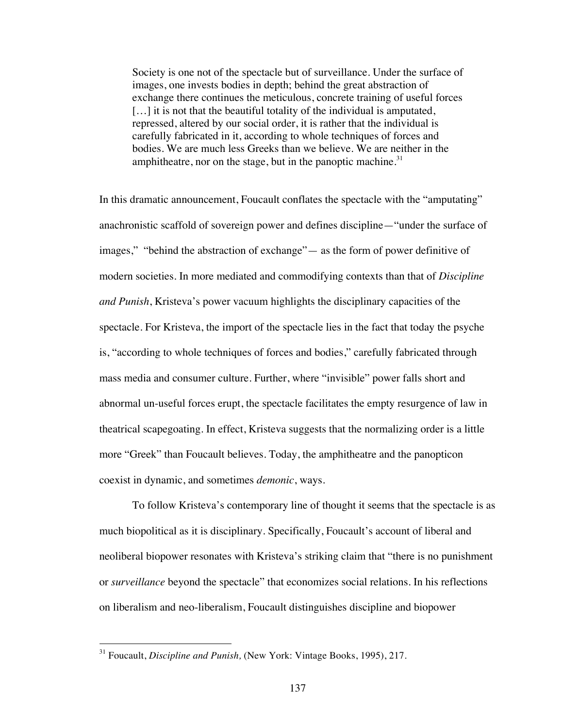Society is one not of the spectacle but of surveillance. Under the surface of images, one invests bodies in depth; behind the great abstraction of exchange there continues the meticulous, concrete training of useful forces [...] it is not that the beautiful totality of the individual is amputated, repressed, altered by our social order, it is rather that the individual is carefully fabricated in it, according to whole techniques of forces and bodies. We are much less Greeks than we believe. We are neither in the amphitheatre, nor on the stage, but in the panoptic machine. $31$ 

In this dramatic announcement, Foucault conflates the spectacle with the "amputating" anachronistic scaffold of sovereign power and defines discipline—"under the surface of images," "behind the abstraction of exchange"— as the form of power definitive of modern societies. In more mediated and commodifying contexts than that of *Discipline and Punish*, Kristeva's power vacuum highlights the disciplinary capacities of the spectacle. For Kristeva, the import of the spectacle lies in the fact that today the psyche is, "according to whole techniques of forces and bodies," carefully fabricated through mass media and consumer culture. Further, where "invisible" power falls short and abnormal un-useful forces erupt, the spectacle facilitates the empty resurgence of law in theatrical scapegoating. In effect, Kristeva suggests that the normalizing order is a little more "Greek" than Foucault believes. Today, the amphitheatre and the panopticon coexist in dynamic, and sometimes *demonic*, ways.

To follow Kristeva's contemporary line of thought it seems that the spectacle is as much biopolitical as it is disciplinary. Specifically, Foucault's account of liberal and neoliberal biopower resonates with Kristeva's striking claim that "there is no punishment or *surveillance* beyond the spectacle" that economizes social relations. In his reflections on liberalism and neo-liberalism, Foucault distinguishes discipline and biopower

 <sup>31</sup> Foucault, *Discipline and Punish,* (New York: Vintage Books, 1995), 217.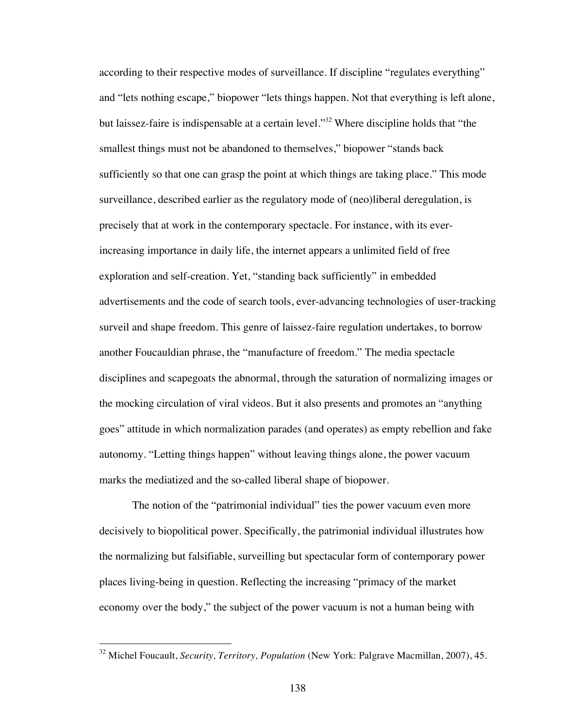according to their respective modes of surveillance. If discipline "regulates everything" and "lets nothing escape," biopower "lets things happen. Not that everything is left alone, but laissez-faire is indispensable at a certain level."32 Where discipline holds that "the smallest things must not be abandoned to themselves," biopower "stands back sufficiently so that one can grasp the point at which things are taking place." This mode surveillance, described earlier as the regulatory mode of (neo)liberal deregulation, is precisely that at work in the contemporary spectacle. For instance, with its everincreasing importance in daily life, the internet appears a unlimited field of free exploration and self-creation. Yet, "standing back sufficiently" in embedded advertisements and the code of search tools, ever-advancing technologies of user-tracking surveil and shape freedom. This genre of laissez-faire regulation undertakes, to borrow another Foucauldian phrase, the "manufacture of freedom." The media spectacle disciplines and scapegoats the abnormal, through the saturation of normalizing images or the mocking circulation of viral videos. But it also presents and promotes an "anything goes" attitude in which normalization parades (and operates) as empty rebellion and fake autonomy. "Letting things happen" without leaving things alone, the power vacuum marks the mediatized and the so-called liberal shape of biopower.

The notion of the "patrimonial individual" ties the power vacuum even more decisively to biopolitical power. Specifically, the patrimonial individual illustrates how the normalizing but falsifiable, surveilling but spectacular form of contemporary power places living-being in question. Reflecting the increasing "primacy of the market economy over the body," the subject of the power vacuum is not a human being with

 <sup>32</sup> Michel Foucault, *Security, Territory, Population* (New York: Palgrave Macmillan, 2007), 45.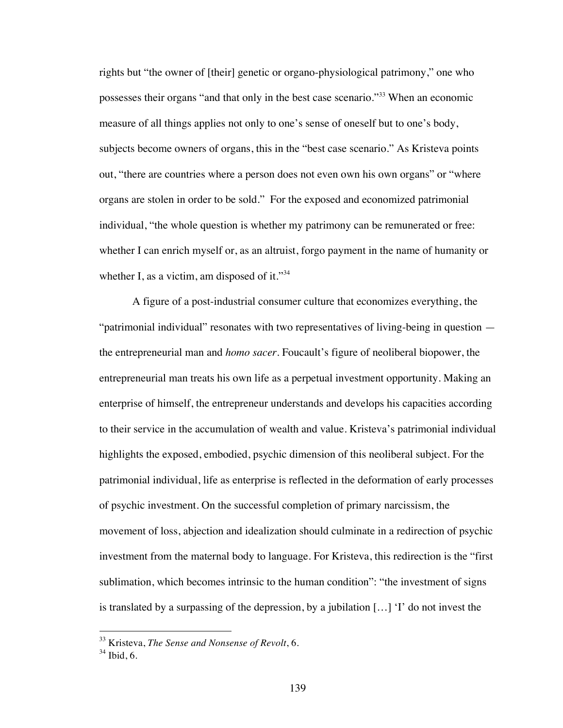rights but "the owner of [their] genetic or organo-physiological patrimony," one who possesses their organs "and that only in the best case scenario."33 When an economic measure of all things applies not only to one's sense of oneself but to one's body, subjects become owners of organs, this in the "best case scenario." As Kristeva points out, "there are countries where a person does not even own his own organs" or "where organs are stolen in order to be sold." For the exposed and economized patrimonial individual, "the whole question is whether my patrimony can be remunerated or free: whether I can enrich myself or, as an altruist, forgo payment in the name of humanity or whether I, as a victim, am disposed of it."<sup>34</sup>

A figure of a post-industrial consumer culture that economizes everything, the "patrimonial individual" resonates with two representatives of living-being in question the entrepreneurial man and *homo sacer*. Foucault's figure of neoliberal biopower, the entrepreneurial man treats his own life as a perpetual investment opportunity. Making an enterprise of himself, the entrepreneur understands and develops his capacities according to their service in the accumulation of wealth and value. Kristeva's patrimonial individual highlights the exposed, embodied, psychic dimension of this neoliberal subject. For the patrimonial individual, life as enterprise is reflected in the deformation of early processes of psychic investment. On the successful completion of primary narcissism, the movement of loss, abjection and idealization should culminate in a redirection of psychic investment from the maternal body to language. For Kristeva, this redirection is the "first sublimation, which becomes intrinsic to the human condition": "the investment of signs is translated by a surpassing of the depression, by a jubilation  $[...]$  'I' do not invest the

 <sup>33</sup> Kristeva, *The Sense and Nonsense of Revolt*, 6.

 $34$  Ibid, 6.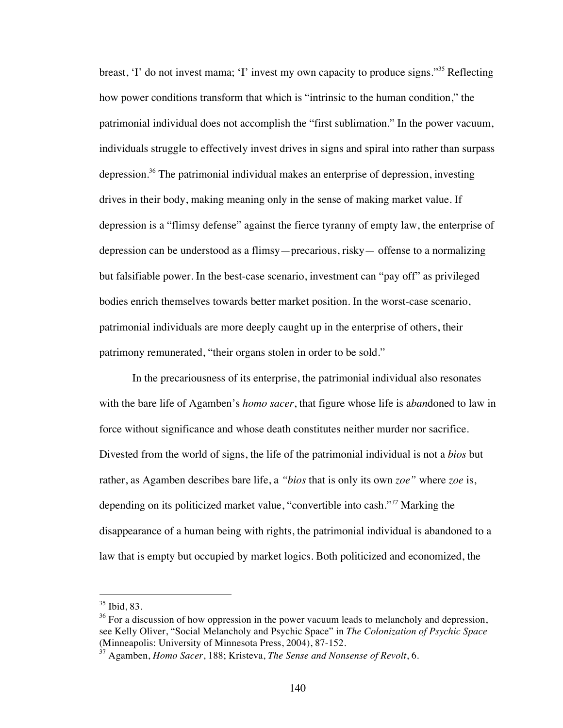breast, 'I' do not invest mama; 'I' invest my own capacity to produce signs."35 Reflecting how power conditions transform that which is "intrinsic to the human condition," the patrimonial individual does not accomplish the "first sublimation." In the power vacuum, individuals struggle to effectively invest drives in signs and spiral into rather than surpass depression.<sup>36</sup> The patrimonial individual makes an enterprise of depression, investing drives in their body, making meaning only in the sense of making market value. If depression is a "flimsy defense" against the fierce tyranny of empty law, the enterprise of depression can be understood as a flimsy—precarious, risky— offense to a normalizing but falsifiable power. In the best-case scenario, investment can "pay off" as privileged bodies enrich themselves towards better market position. In the worst-case scenario, patrimonial individuals are more deeply caught up in the enterprise of others, their patrimony remunerated, "their organs stolen in order to be sold."

In the precariousness of its enterprise, the patrimonial individual also resonates with the bare life of Agamben's *homo sacer*, that figure whose life is a*ban*doned to law in force without significance and whose death constitutes neither murder nor sacrifice. Divested from the world of signs, the life of the patrimonial individual is not a *bios* but rather, as Agamben describes bare life, a *"bios* that is only its own *zoe"* where *zoe* is, depending on its politicized market value, "convertible into cash."*<sup>37</sup>* Marking the disappearance of a human being with rights, the patrimonial individual is abandoned to a law that is empty but occupied by market logics. Both politicized and economized, the

 $35$  Ibid, 83.

 $36$  For a discussion of how oppression in the power vacuum leads to melancholy and depression, see Kelly Oliver, "Social Melancholy and Psychic Space" in *The Colonization of Psychic Space* (Minneapolis: University of Minnesota Press, 2004), 87-152.

<sup>37</sup> Agamben, *Homo Sacer*, 188; Kristeva, *The Sense and Nonsense of Revolt*, 6.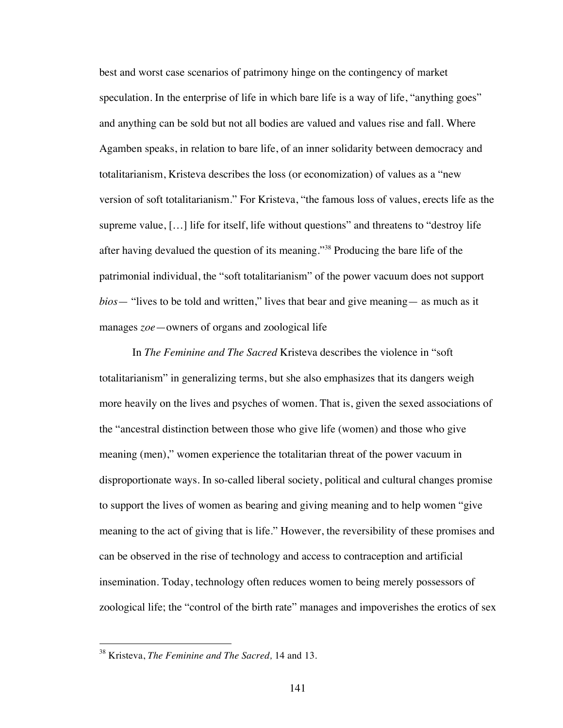best and worst case scenarios of patrimony hinge on the contingency of market speculation. In the enterprise of life in which bare life is a way of life, "anything goes" and anything can be sold but not all bodies are valued and values rise and fall. Where Agamben speaks, in relation to bare life, of an inner solidarity between democracy and totalitarianism, Kristeva describes the loss (or economization) of values as a "new version of soft totalitarianism." For Kristeva, "the famous loss of values, erects life as the supreme value, […] life for itself, life without questions" and threatens to "destroy life after having devalued the question of its meaning."38 Producing the bare life of the patrimonial individual, the "soft totalitarianism" of the power vacuum does not support *bios*— "lives to be told and written," lives that bear and give meaning— as much as it manages *zoe*—owners of organs and zoological life

In *The Feminine and The Sacred* Kristeva describes the violence in "soft totalitarianism" in generalizing terms, but she also emphasizes that its dangers weigh more heavily on the lives and psyches of women. That is, given the sexed associations of the "ancestral distinction between those who give life (women) and those who give meaning (men)," women experience the totalitarian threat of the power vacuum in disproportionate ways. In so-called liberal society, political and cultural changes promise to support the lives of women as bearing and giving meaning and to help women "give meaning to the act of giving that is life." However, the reversibility of these promises and can be observed in the rise of technology and access to contraception and artificial insemination. Today, technology often reduces women to being merely possessors of zoological life; the "control of the birth rate" manages and impoverishes the erotics of sex

 <sup>38</sup> Kristeva, *The Feminine and The Sacred,* 14 and 13.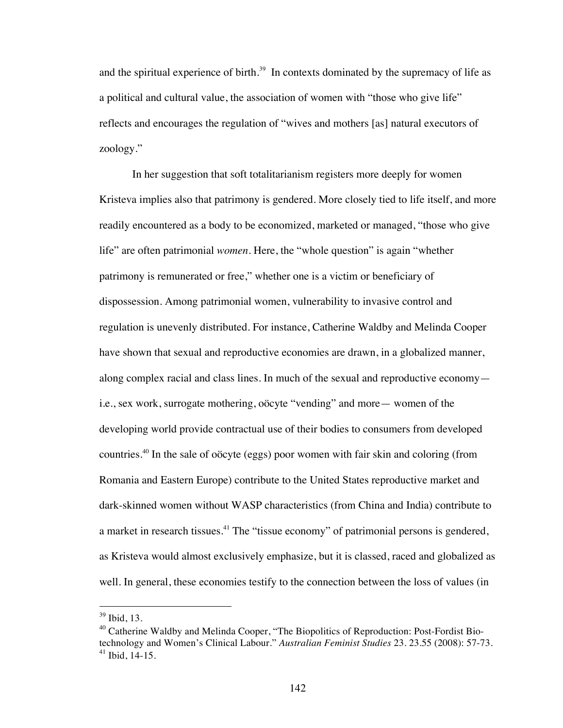and the spiritual experience of birth.<sup>39</sup> In contexts dominated by the supremacy of life as a political and cultural value, the association of women with "those who give life" reflects and encourages the regulation of "wives and mothers [as] natural executors of zoology."

In her suggestion that soft totalitarianism registers more deeply for women Kristeva implies also that patrimony is gendered. More closely tied to life itself, and more readily encountered as a body to be economized, marketed or managed, "those who give life" are often patrimonial *women*. Here, the "whole question" is again "whether patrimony is remunerated or free," whether one is a victim or beneficiary of dispossession. Among patrimonial women, vulnerability to invasive control and regulation is unevenly distributed. For instance, Catherine Waldby and Melinda Cooper have shown that sexual and reproductive economies are drawn, in a globalized manner, along complex racial and class lines. In much of the sexual and reproductive economy i.e., sex work, surrogate mothering, oöcyte "vending" and more— women of the developing world provide contractual use of their bodies to consumers from developed countries.40 In the sale of oöcyte (eggs) poor women with fair skin and coloring (from Romania and Eastern Europe) contribute to the United States reproductive market and dark-skinned women without WASP characteristics (from China and India) contribute to a market in research tissues.<sup>41</sup> The "tissue economy" of patrimonial persons is gendered, as Kristeva would almost exclusively emphasize, but it is classed, raced and globalized as well. In general, these economies testify to the connection between the loss of values (in

 <sup>39</sup> Ibid, 13.

 $40$  Catherine Waldby and Melinda Cooper, "The Biopolitics of Reproduction: Post-Fordist Biotechnology and Women's Clinical Labour." *Australian Feminist Studies* 23. 23.55 (2008): 57-73.  $41$  Ibid, 14-15.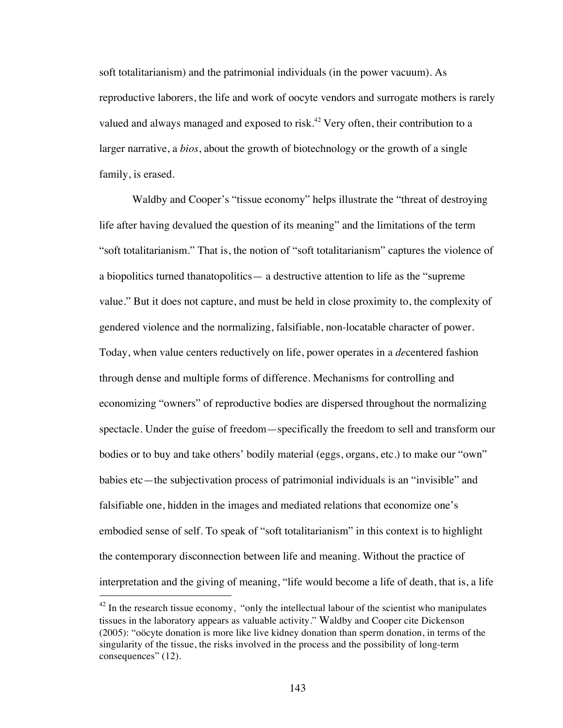soft totalitarianism) and the patrimonial individuals (in the power vacuum). As reproductive laborers, the life and work of oocyte vendors and surrogate mothers is rarely valued and always managed and exposed to risk.<sup>42</sup> Very often, their contribution to a larger narrative, a *bios*, about the growth of biotechnology or the growth of a single family, is erased.

Waldby and Cooper's "tissue economy" helps illustrate the "threat of destroying life after having devalued the question of its meaning" and the limitations of the term "soft totalitarianism." That is, the notion of "soft totalitarianism" captures the violence of a biopolitics turned thanatopolitics— a destructive attention to life as the "supreme value." But it does not capture, and must be held in close proximity to, the complexity of gendered violence and the normalizing, falsifiable, non-locatable character of power. Today, when value centers reductively on life, power operates in a *de*centered fashion through dense and multiple forms of difference. Mechanisms for controlling and economizing "owners" of reproductive bodies are dispersed throughout the normalizing spectacle. Under the guise of freedom—specifically the freedom to sell and transform our bodies or to buy and take others' bodily material (eggs, organs, etc.) to make our "own" babies etc—the subjectivation process of patrimonial individuals is an "invisible" and falsifiable one, hidden in the images and mediated relations that economize one's embodied sense of self. To speak of "soft totalitarianism" in this context is to highlight the contemporary disconnection between life and meaning. Without the practice of interpretation and the giving of meaning, "life would become a life of death, that is, a life

 $42$  In the research tissue economy, "only the intellectual labour of the scientist who manipulates tissues in the laboratory appears as valuable activity." Waldby and Cooper cite Dickenson (2005): "oöcyte donation is more like live kidney donation than sperm donation, in terms of the singularity of the tissue, the risks involved in the process and the possibility of long-term consequences" (12).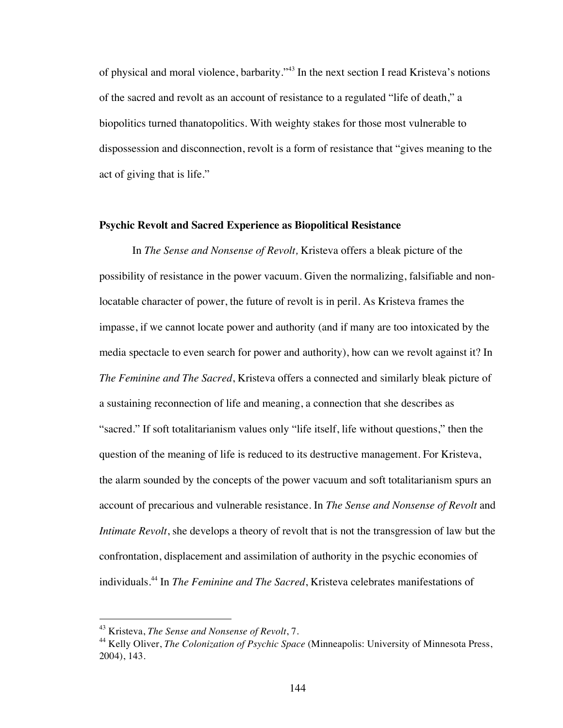of physical and moral violence, barbarity."43 In the next section I read Kristeva's notions of the sacred and revolt as an account of resistance to a regulated "life of death," a biopolitics turned thanatopolitics. With weighty stakes for those most vulnerable to dispossession and disconnection, revolt is a form of resistance that "gives meaning to the act of giving that is life."

## **Psychic Revolt and Sacred Experience as Biopolitical Resistance**

In *The Sense and Nonsense of Revolt,* Kristeva offers a bleak picture of the possibility of resistance in the power vacuum. Given the normalizing, falsifiable and nonlocatable character of power, the future of revolt is in peril. As Kristeva frames the impasse, if we cannot locate power and authority (and if many are too intoxicated by the media spectacle to even search for power and authority), how can we revolt against it? In *The Feminine and The Sacred*, Kristeva offers a connected and similarly bleak picture of a sustaining reconnection of life and meaning, a connection that she describes as "sacred." If soft totalitarianism values only "life itself, life without questions," then the question of the meaning of life is reduced to its destructive management. For Kristeva, the alarm sounded by the concepts of the power vacuum and soft totalitarianism spurs an account of precarious and vulnerable resistance. In *The Sense and Nonsense of Revolt* and *Intimate Revolt*, she develops a theory of revolt that is not the transgression of law but the confrontation, displacement and assimilation of authority in the psychic economies of individuals.44 In *The Feminine and The Sacred*, Kristeva celebrates manifestations of

 <sup>43</sup> Kristeva, *The Sense and Nonsense of Revolt*, 7.

<sup>44</sup> Kelly Oliver, *The Colonization of Psychic Space* (Minneapolis: University of Minnesota Press, 2004), 143.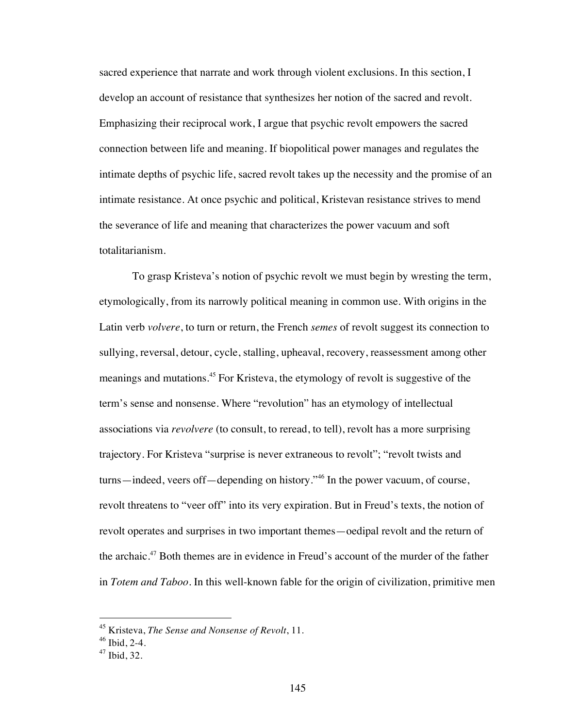sacred experience that narrate and work through violent exclusions. In this section, I develop an account of resistance that synthesizes her notion of the sacred and revolt. Emphasizing their reciprocal work, I argue that psychic revolt empowers the sacred connection between life and meaning. If biopolitical power manages and regulates the intimate depths of psychic life, sacred revolt takes up the necessity and the promise of an intimate resistance. At once psychic and political, Kristevan resistance strives to mend the severance of life and meaning that characterizes the power vacuum and soft totalitarianism.

To grasp Kristeva's notion of psychic revolt we must begin by wresting the term, etymologically, from its narrowly political meaning in common use. With origins in the Latin verb *volvere*, to turn or return, the French *semes* of revolt suggest its connection to sullying, reversal, detour, cycle, stalling, upheaval, recovery, reassessment among other meanings and mutations.45 For Kristeva, the etymology of revolt is suggestive of the term's sense and nonsense. Where "revolution" has an etymology of intellectual associations via *revolvere* (to consult, to reread, to tell), revolt has a more surprising trajectory. For Kristeva "surprise is never extraneous to revolt"; "revolt twists and turns—indeed, veers off—depending on history."46 In the power vacuum, of course, revolt threatens to "veer off" into its very expiration. But in Freud's texts, the notion of revolt operates and surprises in two important themes—oedipal revolt and the return of the archaic.<sup>47</sup> Both themes are in evidence in Freud's account of the murder of the father in *Totem and Taboo*. In this well-known fable for the origin of civilization, primitive men

 <sup>45</sup> Kristeva, *The Sense and Nonsense of Revolt*, 11.

 $46$  Ibid, 2-4.

 $47$  Ibid, 32.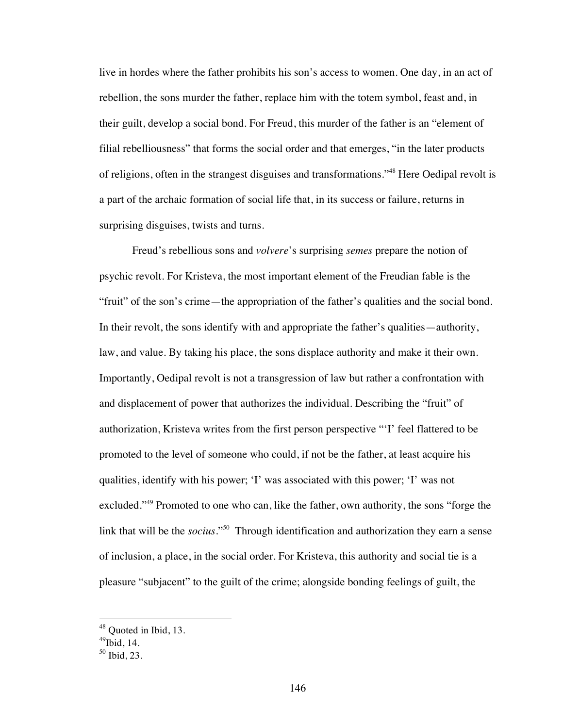live in hordes where the father prohibits his son's access to women. One day, in an act of rebellion, the sons murder the father, replace him with the totem symbol, feast and, in their guilt, develop a social bond. For Freud, this murder of the father is an "element of filial rebelliousness" that forms the social order and that emerges, "in the later products of religions, often in the strangest disguises and transformations."48 Here Oedipal revolt is a part of the archaic formation of social life that, in its success or failure, returns in surprising disguises, twists and turns.

Freud's rebellious sons and *volvere*'s surprising *semes* prepare the notion of psychic revolt. For Kristeva, the most important element of the Freudian fable is the "fruit" of the son's crime—the appropriation of the father's qualities and the social bond. In their revolt, the sons identify with and appropriate the father's qualities—authority, law, and value. By taking his place, the sons displace authority and make it their own. Importantly, Oedipal revolt is not a transgression of law but rather a confrontation with and displacement of power that authorizes the individual. Describing the "fruit" of authorization, Kristeva writes from the first person perspective "'I' feel flattered to be promoted to the level of someone who could, if not be the father, at least acquire his qualities, identify with his power; 'I' was associated with this power; 'I' was not excluded."<sup>49</sup> Promoted to one who can, like the father, own authority, the sons "forge the link that will be the *socius*."<sup>50</sup> Through identification and authorization they earn a sense of inclusion, a place, in the social order. For Kristeva, this authority and social tie is a pleasure "subjacent" to the guilt of the crime; alongside bonding feelings of guilt, the

<sup>&</sup>lt;sup>48</sup> Quoted in Ibid, 13.

 $^{49}$ Ibid, 14.

<sup>50</sup> Ibid, 23.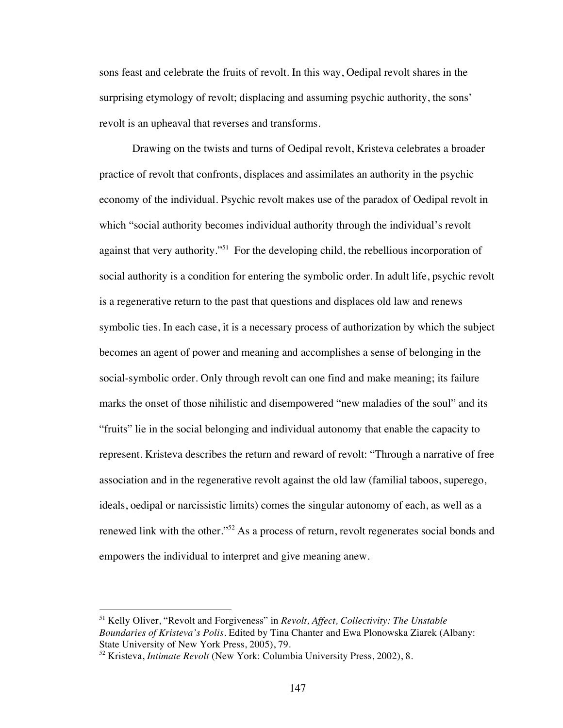sons feast and celebrate the fruits of revolt. In this way, Oedipal revolt shares in the surprising etymology of revolt; displacing and assuming psychic authority, the sons' revolt is an upheaval that reverses and transforms.

Drawing on the twists and turns of Oedipal revolt, Kristeva celebrates a broader practice of revolt that confronts, displaces and assimilates an authority in the psychic economy of the individual. Psychic revolt makes use of the paradox of Oedipal revolt in which "social authority becomes individual authority through the individual's revolt against that very authority."<sup>51</sup> For the developing child, the rebellious incorporation of social authority is a condition for entering the symbolic order. In adult life, psychic revolt is a regenerative return to the past that questions and displaces old law and renews symbolic ties. In each case, it is a necessary process of authorization by which the subject becomes an agent of power and meaning and accomplishes a sense of belonging in the social-symbolic order. Only through revolt can one find and make meaning; its failure marks the onset of those nihilistic and disempowered "new maladies of the soul" and its "fruits" lie in the social belonging and individual autonomy that enable the capacity to represent. Kristeva describes the return and reward of revolt: "Through a narrative of free association and in the regenerative revolt against the old law (familial taboos, superego, ideals, oedipal or narcissistic limits) comes the singular autonomy of each, as well as a renewed link with the other."<sup>52</sup> As a process of return, revolt regenerates social bonds and empowers the individual to interpret and give meaning anew.

 <sup>51</sup> Kelly Oliver, "Revolt and Forgiveness" in *Revolt, Affect, Collectivity: The Unstable Boundaries of Kristeva's Polis*. Edited by Tina Chanter and Ewa Plonowska Ziarek (Albany: State University of New York Press, 2005), 79.

<sup>52</sup> Kristeva, *Intimate Revolt* (New York: Columbia University Press, 2002), 8.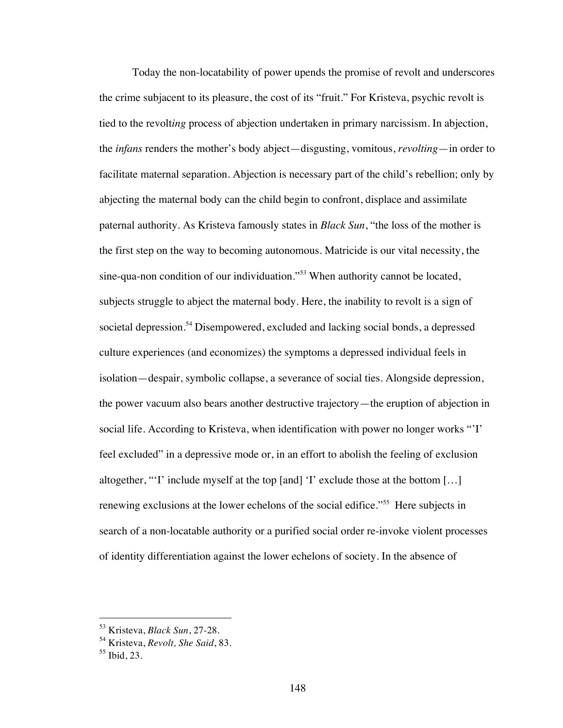Today the non-locatability of power upends the promise of revolt and underscores the crime subjacent to its pleasure, the cost of its "fruit." For Kristeva, psychic revolt is tied to the revolt*ing* process of abjection undertaken in primary narcissism. In abjection, the *infans* renders the mother's body abject—disgusting, vomitous, *revolting*—in order to facilitate maternal separation. Abjection is necessary part of the child's rebellion; only by abjecting the maternal body can the child begin to confront, displace and assimilate paternal authority. As Kristeva famously states in *Black Sun*, "the loss of the mother is the first step on the way to becoming autonomous. Matricide is our vital necessity, the sine-qua-non condition of our individuation."<sup>53</sup> When authority cannot be located, subjects struggle to abject the maternal body. Here, the inability to revolt is a sign of societal depression.<sup>54</sup> Disempowered, excluded and lacking social bonds, a depressed culture experiences (and economizes) the symptoms a depressed individual feels in isolation—despair, symbolic collapse, a severance of social ties. Alongside depression, the power vacuum also bears another destructive trajectory—the eruption of abjection in social life. According to Kristeva, when identification with power no longer works "'I' feel excluded" in a depressive mode or, in an effort to abolish the feeling of exclusion altogether, "'I' include myself at the top [and] 'I' exclude those at the bottom […] renewing exclusions at the lower echelons of the social edifice.<sup>"55</sup> Here subjects in search of a non-locatable authority or a purified social order re-invoke violent processes of identity differentiation against the lower echelons of society. In the absence of

 <sup>53</sup> Kristeva, *Black Sun*, 27-28.

<sup>54</sup> Kristeva, *Revolt, She Said*, 83.

<sup>55</sup> Ibid, 23.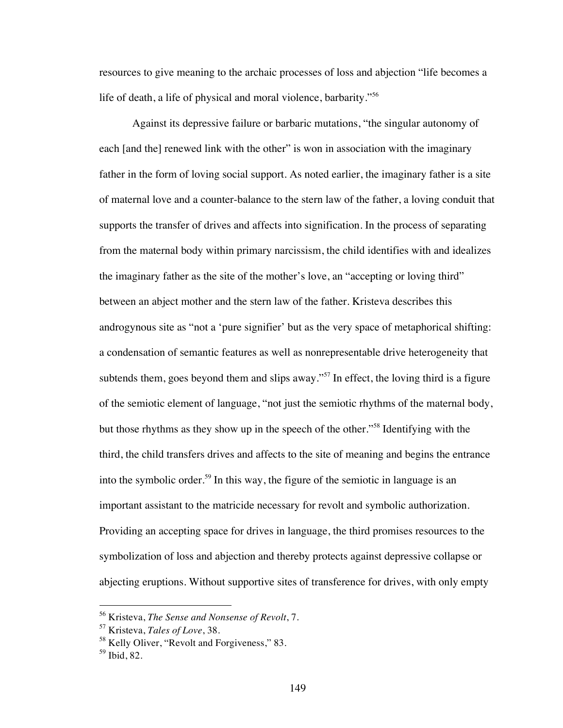resources to give meaning to the archaic processes of loss and abjection "life becomes a life of death, a life of physical and moral violence, barbarity."<sup>56</sup>

Against its depressive failure or barbaric mutations, "the singular autonomy of each [and the] renewed link with the other" is won in association with the imaginary father in the form of loving social support. As noted earlier, the imaginary father is a site of maternal love and a counter-balance to the stern law of the father, a loving conduit that supports the transfer of drives and affects into signification. In the process of separating from the maternal body within primary narcissism, the child identifies with and idealizes the imaginary father as the site of the mother's love, an "accepting or loving third" between an abject mother and the stern law of the father. Kristeva describes this androgynous site as "not a 'pure signifier' but as the very space of metaphorical shifting: a condensation of semantic features as well as nonrepresentable drive heterogeneity that subtends them, goes beyond them and slips away."<sup>57</sup> In effect, the loving third is a figure of the semiotic element of language, "not just the semiotic rhythms of the maternal body, but those rhythms as they show up in the speech of the other."58 Identifying with the third, the child transfers drives and affects to the site of meaning and begins the entrance into the symbolic order.<sup>59</sup> In this way, the figure of the semiotic in language is an important assistant to the matricide necessary for revolt and symbolic authorization. Providing an accepting space for drives in language, the third promises resources to the symbolization of loss and abjection and thereby protects against depressive collapse or abjecting eruptions. Without supportive sites of transference for drives, with only empty

 <sup>56</sup> Kristeva, *The Sense and Nonsense of Revolt*, 7.

<sup>57</sup> Kristeva, *Tales of Love*, 38.

<sup>&</sup>lt;sup>58</sup> Kelly Oliver, "Revolt and Forgiveness," 83.

<sup>59</sup> Ibid, 82.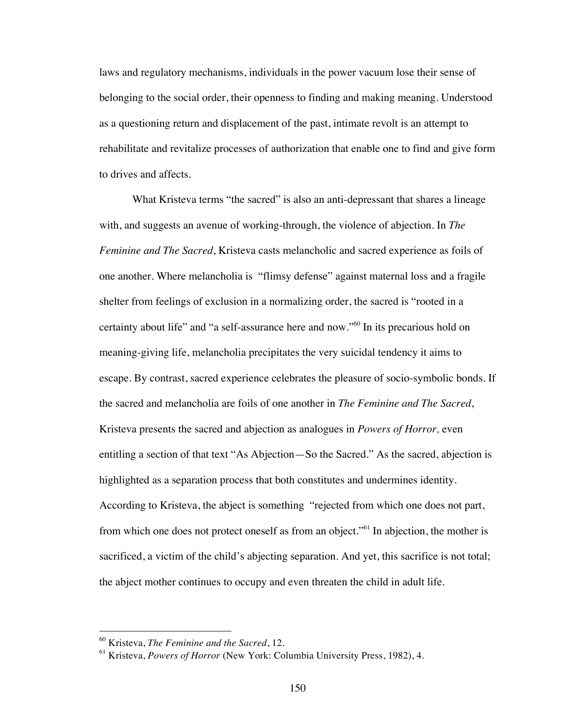laws and regulatory mechanisms, individuals in the power vacuum lose their sense of belonging to the social order, their openness to finding and making meaning. Understood as a questioning return and displacement of the past, intimate revolt is an attempt to rehabilitate and revitalize processes of authorization that enable one to find and give form to drives and affects.

What Kristeva terms "the sacred" is also an anti-depressant that shares a lineage with, and suggests an avenue of working-through, the violence of abjection. In *The Feminine and The Sacred*, Kristeva casts melancholic and sacred experience as foils of one another. Where melancholia is "flimsy defense" against maternal loss and a fragile shelter from feelings of exclusion in a normalizing order, the sacred is "rooted in a certainty about life" and "a self-assurance here and now."60 In its precarious hold on meaning-giving life, melancholia precipitates the very suicidal tendency it aims to escape. By contrast, sacred experience celebrates the pleasure of socio-symbolic bonds. If the sacred and melancholia are foils of one another in *The Feminine and The Sacred*, Kristeva presents the sacred and abjection as analogues in *Powers of Horror,* even entitling a section of that text "As Abjection—So the Sacred." As the sacred, abjection is highlighted as a separation process that both constitutes and undermines identity. According to Kristeva, the abject is something "rejected from which one does not part, from which one does not protect oneself as from an object."<sup>61</sup> In abjection, the mother is sacrificed, a victim of the child's abjecting separation. And yet, this sacrifice is not total; the abject mother continues to occupy and even threaten the child in adult life.

 <sup>60</sup> Kristeva, *The Feminine and the Sacred*, 12.

<sup>61</sup> Kristeva, *Powers of Horror* (New York: Columbia University Press, 1982), 4.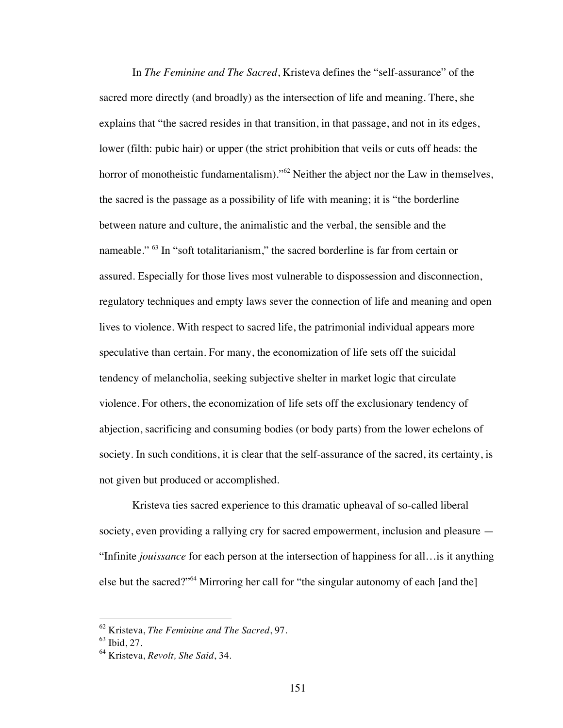In *The Feminine and The Sacred*, Kristeva defines the "self-assurance" of the sacred more directly (and broadly) as the intersection of life and meaning. There, she explains that "the sacred resides in that transition, in that passage, and not in its edges, lower (filth: pubic hair) or upper (the strict prohibition that veils or cuts off heads: the horror of monotheistic fundamentalism)."<sup>62</sup> Neither the abject nor the Law in themselves, the sacred is the passage as a possibility of life with meaning; it is "the borderline between nature and culture, the animalistic and the verbal, the sensible and the nameable." <sup>63</sup> In "soft totalitarianism," the sacred borderline is far from certain or assured. Especially for those lives most vulnerable to dispossession and disconnection, regulatory techniques and empty laws sever the connection of life and meaning and open lives to violence. With respect to sacred life, the patrimonial individual appears more speculative than certain. For many, the economization of life sets off the suicidal tendency of melancholia, seeking subjective shelter in market logic that circulate violence. For others, the economization of life sets off the exclusionary tendency of abjection, sacrificing and consuming bodies (or body parts) from the lower echelons of society. In such conditions, it is clear that the self-assurance of the sacred, its certainty, is not given but produced or accomplished.

Kristeva ties sacred experience to this dramatic upheaval of so-called liberal society, even providing a rallying cry for sacred empowerment, inclusion and pleasure — "Infinite *jouissance* for each person at the intersection of happiness for all…is it anything else but the sacred?"64 Mirroring her call for "the singular autonomy of each [and the]

 <sup>62</sup> Kristeva, *The Feminine and The Sacred*, 97.

 $63$  Ibid, 27.

<sup>64</sup> Kristeva, *Revolt, She Said*, 34.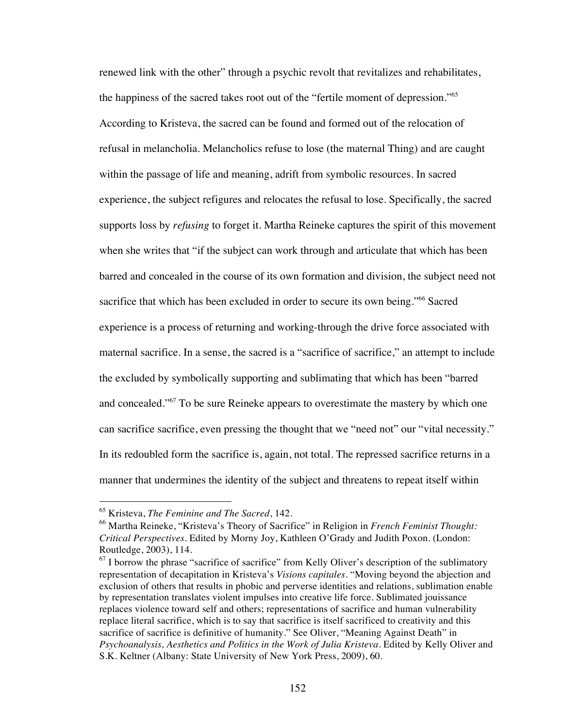renewed link with the other" through a psychic revolt that revitalizes and rehabilitates, the happiness of the sacred takes root out of the "fertile moment of depression."<sup>65</sup> According to Kristeva, the sacred can be found and formed out of the relocation of refusal in melancholia. Melancholics refuse to lose (the maternal Thing) and are caught within the passage of life and meaning, adrift from symbolic resources. In sacred experience, the subject refigures and relocates the refusal to lose. Specifically, the sacred supports loss by *refusing* to forget it. Martha Reineke captures the spirit of this movement when she writes that "if the subject can work through and articulate that which has been barred and concealed in the course of its own formation and division, the subject need not sacrifice that which has been excluded in order to secure its own being."<sup>66</sup> Sacred experience is a process of returning and working-through the drive force associated with maternal sacrifice. In a sense, the sacred is a "sacrifice of sacrifice," an attempt to include the excluded by symbolically supporting and sublimating that which has been "barred and concealed."<sup>67</sup> To be sure Reineke appears to overestimate the mastery by which one can sacrifice sacrifice, even pressing the thought that we "need not" our "vital necessity." In its redoubled form the sacrifice is, again, not total. The repressed sacrifice returns in a manner that undermines the identity of the subject and threatens to repeat itself within

 <sup>65</sup> Kristeva, *The Feminine and The Sacred*, 142.

<sup>66</sup> Martha Reineke, "Kristeva's Theory of Sacrifice" in Religion in *French Feminist Thought: Critical Perspectives.* Edited by Morny Joy, Kathleen O'Grady and Judith Poxon. (London: Routledge, 2003), 114.

 $<sup>67</sup>$  I borrow the phrase "sacrifice of sacrifice" from Kelly Oliver's description of the sublimatory</sup> representation of decapitation in Kristeva's *Visions capitales*. "Moving beyond the abjection and exclusion of others that results in phobic and perverse identities and relations, sublimation enable by representation translates violent impulses into creative life force. Sublimated jouissance replaces violence toward self and others; representations of sacrifice and human vulnerability replace literal sacrifice, which is to say that sacrifice is itself sacrificed to creativity and this sacrifice of sacrifice is definitive of humanity." See Oliver, "Meaning Against Death" in *Psychoanalysis, Aesthetics and Politics in the Work of Julia Kristeva*. Edited by Kelly Oliver and S.K. Keltner (Albany: State University of New York Press, 2009), 60.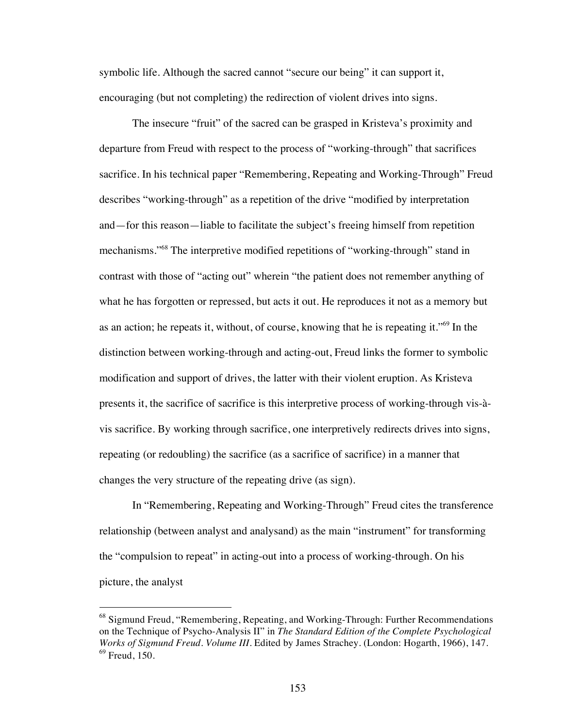symbolic life. Although the sacred cannot "secure our being" it can support it, encouraging (but not completing) the redirection of violent drives into signs.

The insecure "fruit" of the sacred can be grasped in Kristeva's proximity and departure from Freud with respect to the process of "working-through" that sacrifices sacrifice. In his technical paper "Remembering, Repeating and Working-Through" Freud describes "working-through" as a repetition of the drive "modified by interpretation and—for this reason—liable to facilitate the subject's freeing himself from repetition mechanisms."68 The interpretive modified repetitions of "working-through" stand in contrast with those of "acting out" wherein "the patient does not remember anything of what he has forgotten or repressed, but acts it out. He reproduces it not as a memory but as an action; he repeats it, without, of course, knowing that he is repeating it."69 In the distinction between working-through and acting-out, Freud links the former to symbolic modification and support of drives, the latter with their violent eruption. As Kristeva presents it, the sacrifice of sacrifice is this interpretive process of working-through vis-àvis sacrifice. By working through sacrifice, one interpretively redirects drives into signs, repeating (or redoubling) the sacrifice (as a sacrifice of sacrifice) in a manner that changes the very structure of the repeating drive (as sign).

In "Remembering, Repeating and Working-Through" Freud cites the transference relationship (between analyst and analysand) as the main "instrument" for transforming the "compulsion to repeat" in acting-out into a process of working-through. On his picture, the analyst

<sup>&</sup>lt;sup>68</sup> Sigmund Freud, "Remembering, Repeating, and Working-Through: Further Recommendations on the Technique of Psycho-Analysis II" in *The Standard Edition of the Complete Psychological Works of Sigmund Freud. Volume III*. Edited by James Strachey. (London: Hogarth, 1966), 147.  $69$  Freud, 150.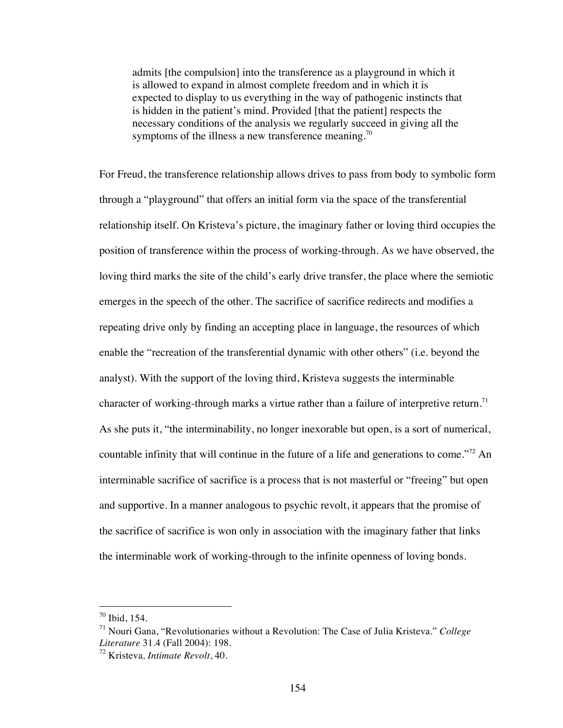admits [the compulsion] into the transference as a playground in which it is allowed to expand in almost complete freedom and in which it is expected to display to us everything in the way of pathogenic instincts that is hidden in the patient's mind. Provided [that the patient] respects the necessary conditions of the analysis we regularly succeed in giving all the symptoms of the illness a new transference meaning.<sup>70</sup>

For Freud, the transference relationship allows drives to pass from body to symbolic form through a "playground" that offers an initial form via the space of the transferential relationship itself. On Kristeva's picture, the imaginary father or loving third occupies the position of transference within the process of working-through. As we have observed, the loving third marks the site of the child's early drive transfer, the place where the semiotic emerges in the speech of the other. The sacrifice of sacrifice redirects and modifies a repeating drive only by finding an accepting place in language, the resources of which enable the "recreation of the transferential dynamic with other others" (i.e. beyond the analyst). With the support of the loving third, Kristeva suggests the interminable character of working-through marks a virtue rather than a failure of interpretive return.<sup>71</sup> As she puts it, "the interminability, no longer inexorable but open, is a sort of numerical, countable infinity that will continue in the future of a life and generations to come."<sup>72</sup> An interminable sacrifice of sacrifice is a process that is not masterful or "freeing" but open and supportive. In a manner analogous to psychic revolt, it appears that the promise of the sacrifice of sacrifice is won only in association with the imaginary father that links the interminable work of working-through to the infinite openness of loving bonds.

 $70$  Ibid, 154.

<sup>71</sup> Nouri Gana, "Revolutionaries without a Revolution: The Case of Julia Kristeva." *College Literature* 31.4 (Fall 2004): 198.

<sup>72</sup> Kristeva*, Intimate Revolt*, 40.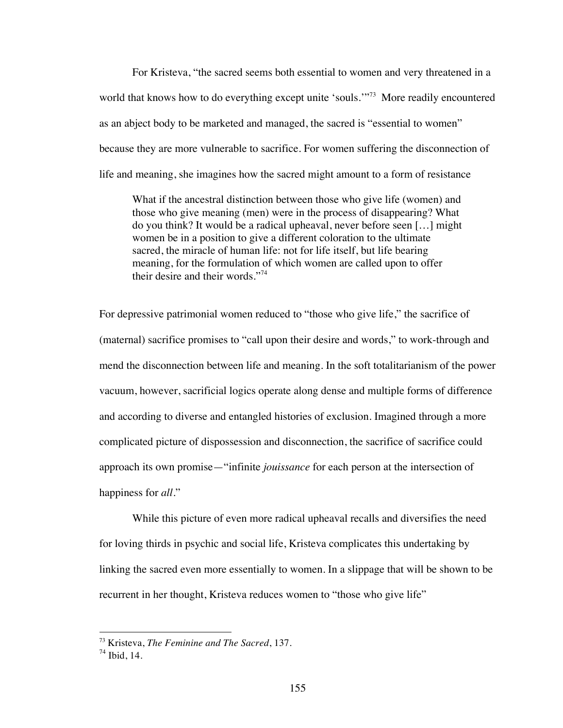For Kristeva, "the sacred seems both essential to women and very threatened in a world that knows how to do everything except unite 'souls."<sup>73</sup> More readily encountered as an abject body to be marketed and managed, the sacred is "essential to women" because they are more vulnerable to sacrifice. For women suffering the disconnection of life and meaning, she imagines how the sacred might amount to a form of resistance

What if the ancestral distinction between those who give life (women) and those who give meaning (men) were in the process of disappearing? What do you think? It would be a radical upheaval, never before seen […] might women be in a position to give a different coloration to the ultimate sacred, the miracle of human life: not for life itself, but life bearing meaning, for the formulation of which women are called upon to offer their desire and their words."<sup>74</sup>

For depressive patrimonial women reduced to "those who give life," the sacrifice of (maternal) sacrifice promises to "call upon their desire and words," to work-through and mend the disconnection between life and meaning. In the soft totalitarianism of the power vacuum, however, sacrificial logics operate along dense and multiple forms of difference and according to diverse and entangled histories of exclusion. Imagined through a more complicated picture of dispossession and disconnection, the sacrifice of sacrifice could approach its own promise—"infinite *jouissance* for each person at the intersection of happiness for *all*."

While this picture of even more radical upheaval recalls and diversifies the need for loving thirds in psychic and social life, Kristeva complicates this undertaking by linking the sacred even more essentially to women. In a slippage that will be shown to be recurrent in her thought, Kristeva reduces women to "those who give life"

 <sup>73</sup> Kristeva, *The Feminine and The Sacred*, 137.

 $74$  Ibid, 14.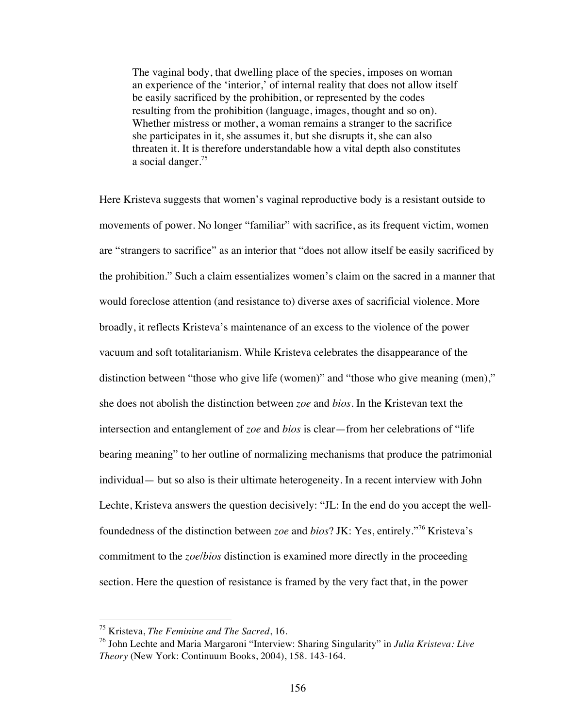The vaginal body, that dwelling place of the species, imposes on woman an experience of the 'interior,' of internal reality that does not allow itself be easily sacrificed by the prohibition, or represented by the codes resulting from the prohibition (language, images, thought and so on). Whether mistress or mother, a woman remains a stranger to the sacrifice she participates in it, she assumes it, but she disrupts it, she can also threaten it. It is therefore understandable how a vital depth also constitutes a social danger.<sup>75</sup>

Here Kristeva suggests that women's vaginal reproductive body is a resistant outside to movements of power. No longer "familiar" with sacrifice, as its frequent victim, women are "strangers to sacrifice" as an interior that "does not allow itself be easily sacrificed by the prohibition." Such a claim essentializes women's claim on the sacred in a manner that would foreclose attention (and resistance to) diverse axes of sacrificial violence. More broadly, it reflects Kristeva's maintenance of an excess to the violence of the power vacuum and soft totalitarianism. While Kristeva celebrates the disappearance of the distinction between "those who give life (women)" and "those who give meaning (men)," she does not abolish the distinction between *zoe* and *bios*. In the Kristevan text the intersection and entanglement of *zoe* and *bios* is clear—from her celebrations of "life bearing meaning" to her outline of normalizing mechanisms that produce the patrimonial individual— but so also is their ultimate heterogeneity. In a recent interview with John Lechte, Kristeva answers the question decisively: "JL: In the end do you accept the wellfoundedness of the distinction between *zoe* and *bios*? JK: Yes, entirely."76 Kristeva's commitment to the *zoe*/*bios* distinction is examined more directly in the proceeding section. Here the question of resistance is framed by the very fact that, in the power

 <sup>75</sup> Kristeva, *The Feminine and The Sacred*, 16.

<sup>76</sup> John Lechte and Maria Margaroni "Interview: Sharing Singularity" in *Julia Kristeva: Live Theory* (New York: Continuum Books, 2004), 158. 143-164.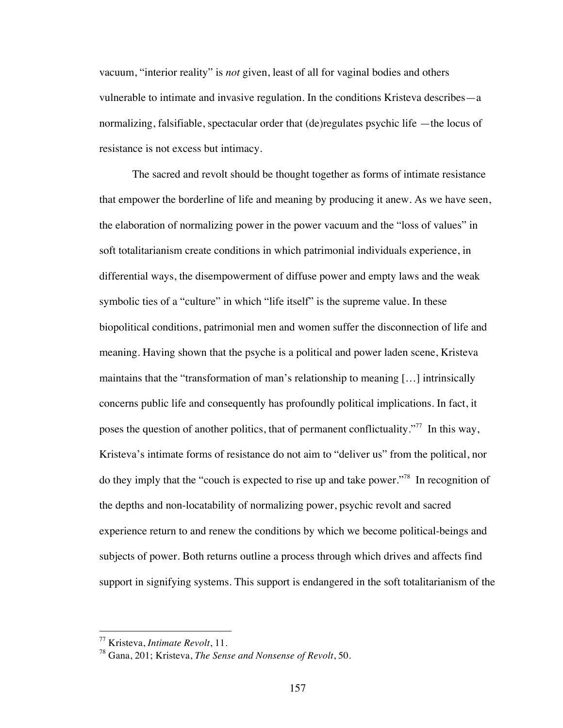vacuum, "interior reality" is *not* given, least of all for vaginal bodies and others vulnerable to intimate and invasive regulation. In the conditions Kristeva describes—a normalizing, falsifiable, spectacular order that (de)regulates psychic life —the locus of resistance is not excess but intimacy.

The sacred and revolt should be thought together as forms of intimate resistance that empower the borderline of life and meaning by producing it anew. As we have seen, the elaboration of normalizing power in the power vacuum and the "loss of values" in soft totalitarianism create conditions in which patrimonial individuals experience, in differential ways, the disempowerment of diffuse power and empty laws and the weak symbolic ties of a "culture" in which "life itself" is the supreme value. In these biopolitical conditions, patrimonial men and women suffer the disconnection of life and meaning. Having shown that the psyche is a political and power laden scene, Kristeva maintains that the "transformation of man's relationship to meaning […] intrinsically concerns public life and consequently has profoundly political implications. In fact, it poses the question of another politics, that of permanent conflictuality."<sup>77</sup> In this way, Kristeva's intimate forms of resistance do not aim to "deliver us" from the political, nor do they imply that the "couch is expected to rise up and take power."78 In recognition of the depths and non-locatability of normalizing power, psychic revolt and sacred experience return to and renew the conditions by which we become political-beings and subjects of power. Both returns outline a process through which drives and affects find support in signifying systems. This support is endangered in the soft totalitarianism of the

 <sup>77</sup> Kristeva, *Intimate Revolt*, 11.

<sup>78</sup> Gana, 201; Kristeva, *The Sense and Nonsense of Revolt*, 50.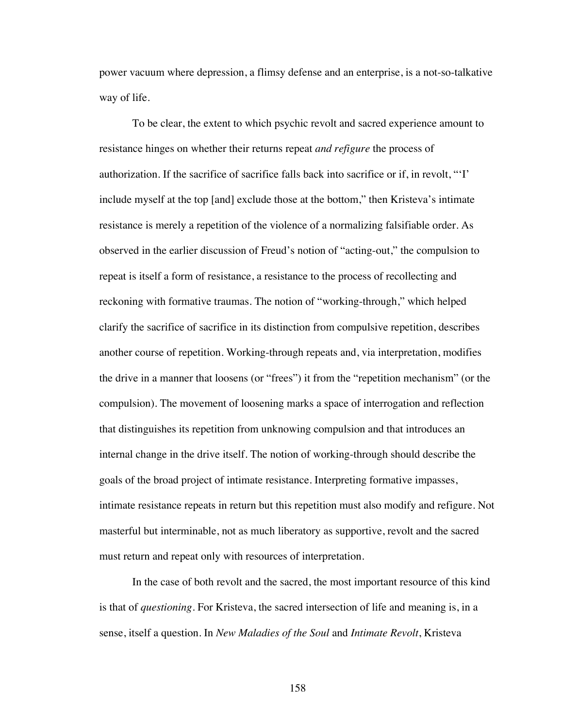power vacuum where depression, a flimsy defense and an enterprise, is a not-so-talkative way of life.

To be clear, the extent to which psychic revolt and sacred experience amount to resistance hinges on whether their returns repeat *and refigure* the process of authorization. If the sacrifice of sacrifice falls back into sacrifice or if, in revolt, "'I' include myself at the top [and] exclude those at the bottom," then Kristeva's intimate resistance is merely a repetition of the violence of a normalizing falsifiable order. As observed in the earlier discussion of Freud's notion of "acting-out," the compulsion to repeat is itself a form of resistance, a resistance to the process of recollecting and reckoning with formative traumas. The notion of "working-through," which helped clarify the sacrifice of sacrifice in its distinction from compulsive repetition, describes another course of repetition. Working-through repeats and, via interpretation, modifies the drive in a manner that loosens (or "frees") it from the "repetition mechanism" (or the compulsion). The movement of loosening marks a space of interrogation and reflection that distinguishes its repetition from unknowing compulsion and that introduces an internal change in the drive itself. The notion of working-through should describe the goals of the broad project of intimate resistance. Interpreting formative impasses, intimate resistance repeats in return but this repetition must also modify and refigure. Not masterful but interminable, not as much liberatory as supportive, revolt and the sacred must return and repeat only with resources of interpretation.

In the case of both revolt and the sacred, the most important resource of this kind is that of *questioning*. For Kristeva, the sacred intersection of life and meaning is, in a sense, itself a question. In *New Maladies of the Soul* and *Intimate Revolt*, Kristeva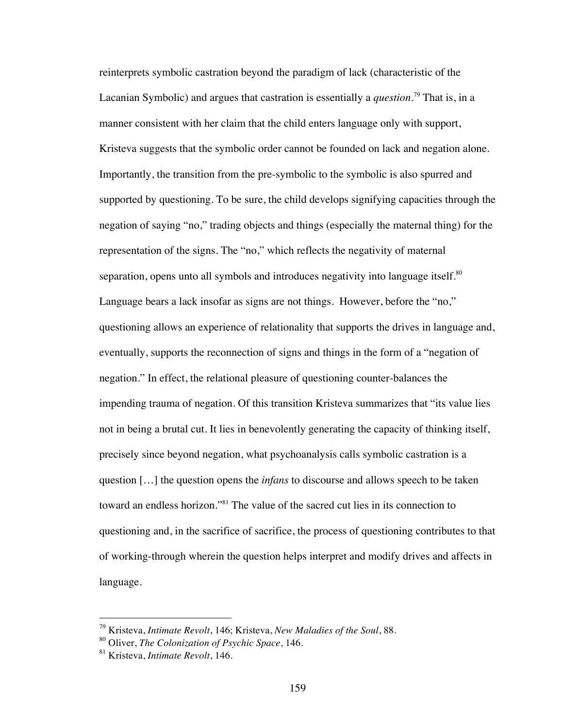reinterprets symbolic castration beyond the paradigm of lack (characteristic of the Lacanian Symbolic) and argues that castration is essentially a *question*. 79 That is, in a manner consistent with her claim that the child enters language only with support, Kristeva suggests that the symbolic order cannot be founded on lack and negation alone. Importantly, the transition from the pre-symbolic to the symbolic is also spurred and supported by questioning. To be sure, the child develops signifying capacities through the negation of saying "no," trading objects and things (especially the maternal thing) for the representation of the signs. The "no," which reflects the negativity of maternal separation, opens unto all symbols and introduces negativity into language itself. $80$ Language bears a lack insofar as signs are not things. However, before the "no," questioning allows an experience of relationality that supports the drives in language and, eventually, supports the reconnection of signs and things in the form of a "negation of negation." In effect, the relational pleasure of questioning counter-balances the impending trauma of negation. Of this transition Kristeva summarizes that "its value lies not in being a brutal cut. It lies in benevolently generating the capacity of thinking itself, precisely since beyond negation, what psychoanalysis calls symbolic castration is a question […] the question opens the *infans* to discourse and allows speech to be taken toward an endless horizon."81 The value of the sacred cut lies in its connection to questioning and, in the sacrifice of sacrifice, the process of questioning contributes to that of working-through wherein the question helps interpret and modify drives and affects in language.

 <sup>79</sup> Kristeva, *Intimate Revolt*, 146; Kristeva, *New Maladies of the Soul*, 88.

<sup>80</sup> Oliver, *The Colonization of Psychic Space*, 146.

<sup>81</sup> Kristeva, *Intimate Revolt*, 146.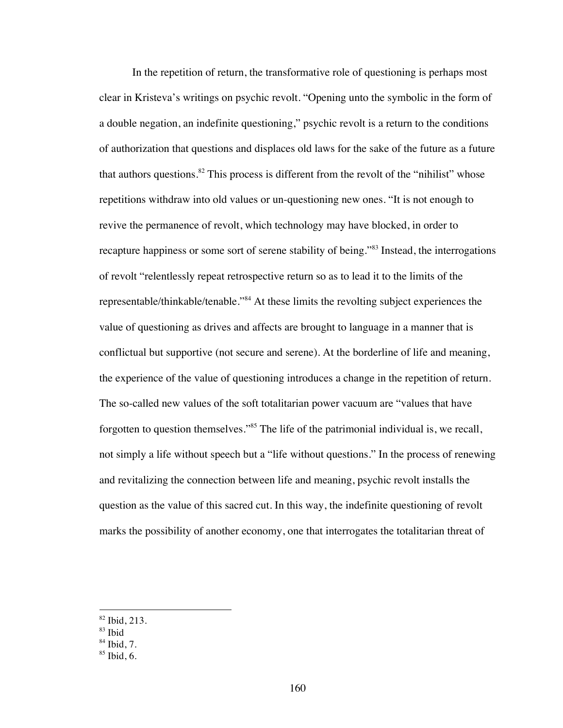In the repetition of return, the transformative role of questioning is perhaps most clear in Kristeva's writings on psychic revolt. "Opening unto the symbolic in the form of a double negation, an indefinite questioning," psychic revolt is a return to the conditions of authorization that questions and displaces old laws for the sake of the future as a future that authors questions.<sup>82</sup> This process is different from the revolt of the "nihilist" whose repetitions withdraw into old values or un-questioning new ones. "It is not enough to revive the permanence of revolt, which technology may have blocked, in order to recapture happiness or some sort of serene stability of being."<sup>83</sup> Instead, the interrogations of revolt "relentlessly repeat retrospective return so as to lead it to the limits of the representable/thinkable/tenable."84 At these limits the revolting subject experiences the value of questioning as drives and affects are brought to language in a manner that is conflictual but supportive (not secure and serene). At the borderline of life and meaning, the experience of the value of questioning introduces a change in the repetition of return. The so-called new values of the soft totalitarian power vacuum are "values that have forgotten to question themselves."<sup>85</sup> The life of the patrimonial individual is, we recall, not simply a life without speech but a "life without questions." In the process of renewing and revitalizing the connection between life and meaning, psychic revolt installs the question as the value of this sacred cut. In this way, the indefinite questioning of revolt marks the possibility of another economy, one that interrogates the totalitarian threat of

 <sup>82</sup> Ibid, 213.

<sup>83</sup> Ibid

 $84$  Ibid, 7.

 $85$  Ibid, 6.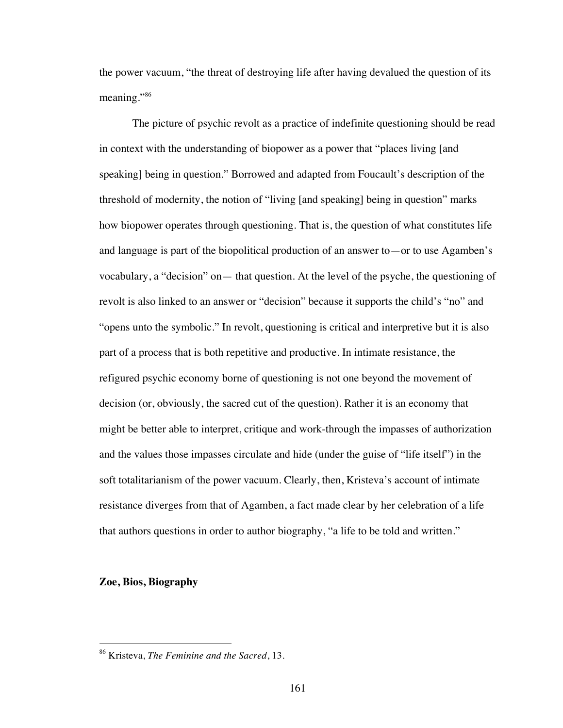the power vacuum, "the threat of destroying life after having devalued the question of its meaning."<sup>86</sup>

The picture of psychic revolt as a practice of indefinite questioning should be read in context with the understanding of biopower as a power that "places living [and speaking] being in question." Borrowed and adapted from Foucault's description of the threshold of modernity, the notion of "living [and speaking] being in question" marks how biopower operates through questioning. That is, the question of what constitutes life and language is part of the biopolitical production of an answer to—or to use Agamben's vocabulary, a "decision" on— that question. At the level of the psyche, the questioning of revolt is also linked to an answer or "decision" because it supports the child's "no" and "opens unto the symbolic." In revolt, questioning is critical and interpretive but it is also part of a process that is both repetitive and productive. In intimate resistance, the refigured psychic economy borne of questioning is not one beyond the movement of decision (or, obviously, the sacred cut of the question). Rather it is an economy that might be better able to interpret, critique and work-through the impasses of authorization and the values those impasses circulate and hide (under the guise of "life itself") in the soft totalitarianism of the power vacuum. Clearly, then, Kristeva's account of intimate resistance diverges from that of Agamben, a fact made clear by her celebration of a life that authors questions in order to author biography, "a life to be told and written."

## **Zoe, Bios, Biography**

 <sup>86</sup> Kristeva, *The Feminine and the Sacred*, 13.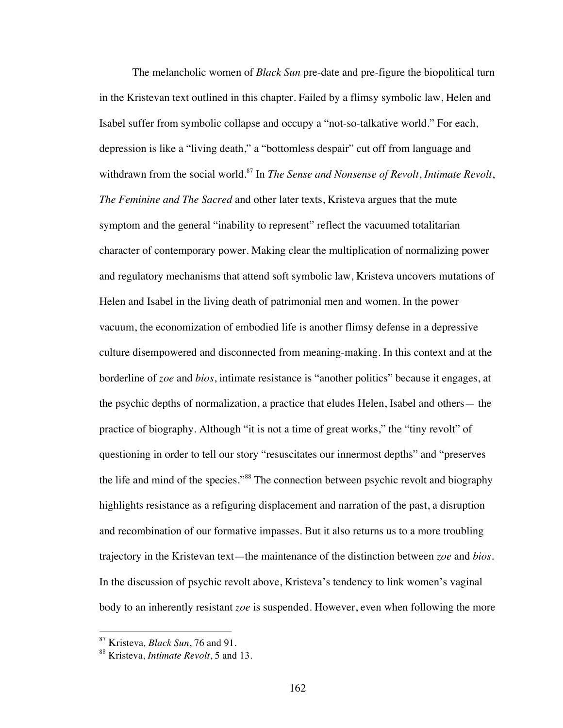The melancholic women of *Black Sun* pre-date and pre-figure the biopolitical turn in the Kristevan text outlined in this chapter. Failed by a flimsy symbolic law, Helen and Isabel suffer from symbolic collapse and occupy a "not-so-talkative world." For each, depression is like a "living death," a "bottomless despair" cut off from language and withdrawn from the social world.87 In *The Sense and Nonsense of Revolt*, *Intimate Revolt*, *The Feminine and The Sacred* and other later texts, Kristeva argues that the mute symptom and the general "inability to represent" reflect the vacuumed totalitarian character of contemporary power. Making clear the multiplication of normalizing power and regulatory mechanisms that attend soft symbolic law, Kristeva uncovers mutations of Helen and Isabel in the living death of patrimonial men and women. In the power vacuum, the economization of embodied life is another flimsy defense in a depressive culture disempowered and disconnected from meaning-making. In this context and at the borderline of *zoe* and *bios*, intimate resistance is "another politics" because it engages, at the psychic depths of normalization, a practice that eludes Helen, Isabel and others— the practice of biography. Although "it is not a time of great works," the "tiny revolt" of questioning in order to tell our story "resuscitates our innermost depths" and "preserves the life and mind of the species."<sup>88</sup> The connection between psychic revolt and biography highlights resistance as a refiguring displacement and narration of the past, a disruption and recombination of our formative impasses. But it also returns us to a more troubling trajectory in the Kristevan text—the maintenance of the distinction between *zoe* and *bios*. In the discussion of psychic revolt above, Kristeva's tendency to link women's vaginal body to an inherently resistant *zoe* is suspended. However, even when following the more

 <sup>87</sup> Kristeva*, Black Sun*, 76 and 91.

<sup>88</sup> Kristeva, *Intimate Revolt*, 5 and 13.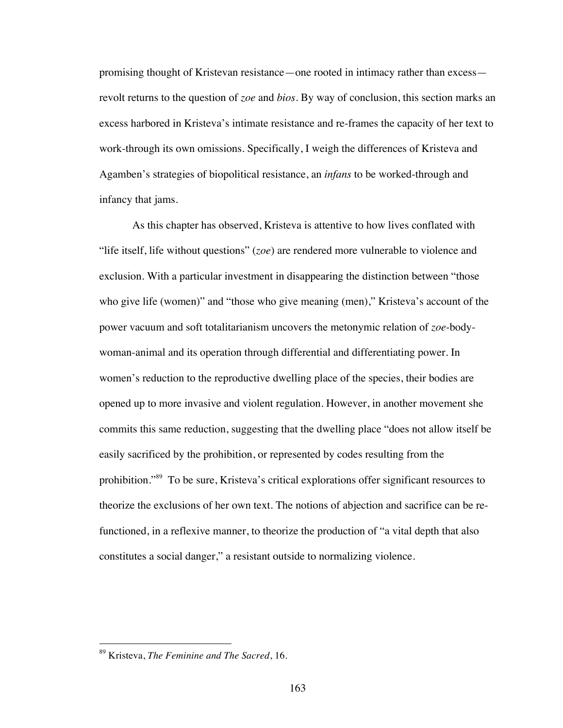promising thought of Kristevan resistance—one rooted in intimacy rather than excess revolt returns to the question of *zoe* and *bios*. By way of conclusion, this section marks an excess harbored in Kristeva's intimate resistance and re-frames the capacity of her text to work-through its own omissions. Specifically, I weigh the differences of Kristeva and Agamben's strategies of biopolitical resistance, an *infans* to be worked-through and infancy that jams.

As this chapter has observed, Kristeva is attentive to how lives conflated with "life itself, life without questions" (*zoe*) are rendered more vulnerable to violence and exclusion. With a particular investment in disappearing the distinction between "those who give life (women)" and "those who give meaning (men)," Kristeva's account of the power vacuum and soft totalitarianism uncovers the metonymic relation of *zoe*-bodywoman-animal and its operation through differential and differentiating power. In women's reduction to the reproductive dwelling place of the species, their bodies are opened up to more invasive and violent regulation. However, in another movement she commits this same reduction, suggesting that the dwelling place "does not allow itself be easily sacrificed by the prohibition, or represented by codes resulting from the prohibition."<sup>89</sup> To be sure, Kristeva's critical explorations offer significant resources to theorize the exclusions of her own text. The notions of abjection and sacrifice can be refunctioned, in a reflexive manner, to theorize the production of "a vital depth that also constitutes a social danger," a resistant outside to normalizing violence.

 <sup>89</sup> Kristeva, *The Feminine and The Sacred*, 16.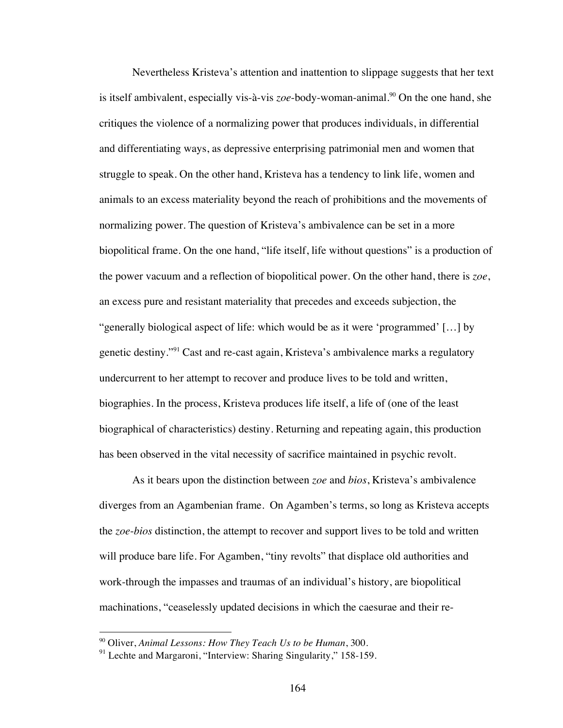Nevertheless Kristeva's attention and inattention to slippage suggests that her text is itself ambivalent, especially vis-à-vis  $zoe$ -body-woman-animal.<sup>90</sup> On the one hand, she critiques the violence of a normalizing power that produces individuals, in differential and differentiating ways, as depressive enterprising patrimonial men and women that struggle to speak. On the other hand, Kristeva has a tendency to link life, women and animals to an excess materiality beyond the reach of prohibitions and the movements of normalizing power. The question of Kristeva's ambivalence can be set in a more biopolitical frame. On the one hand, "life itself, life without questions" is a production of the power vacuum and a reflection of biopolitical power. On the other hand, there is *zoe*, an excess pure and resistant materiality that precedes and exceeds subjection, the "generally biological aspect of life: which would be as it were 'programmed' […] by genetic destiny."91 Cast and re-cast again, Kristeva's ambivalence marks a regulatory undercurrent to her attempt to recover and produce lives to be told and written, biographies. In the process, Kristeva produces life itself, a life of (one of the least biographical of characteristics) destiny. Returning and repeating again, this production has been observed in the vital necessity of sacrifice maintained in psychic revolt.

As it bears upon the distinction between *zoe* and *bios*, Kristeva's ambivalence diverges from an Agambenian frame. On Agamben's terms, so long as Kristeva accepts the *zoe*-*bios* distinction, the attempt to recover and support lives to be told and written will produce bare life. For Agamben, "tiny revolts" that displace old authorities and work-through the impasses and traumas of an individual's history, are biopolitical machinations, "ceaselessly updated decisions in which the caesurae and their re-

 <sup>90</sup> Oliver, *Animal Lessons: How They Teach Us to be Human*, 300.

<sup>&</sup>lt;sup>91</sup> Lechte and Margaroni, "Interview: Sharing Singularity," 158-159.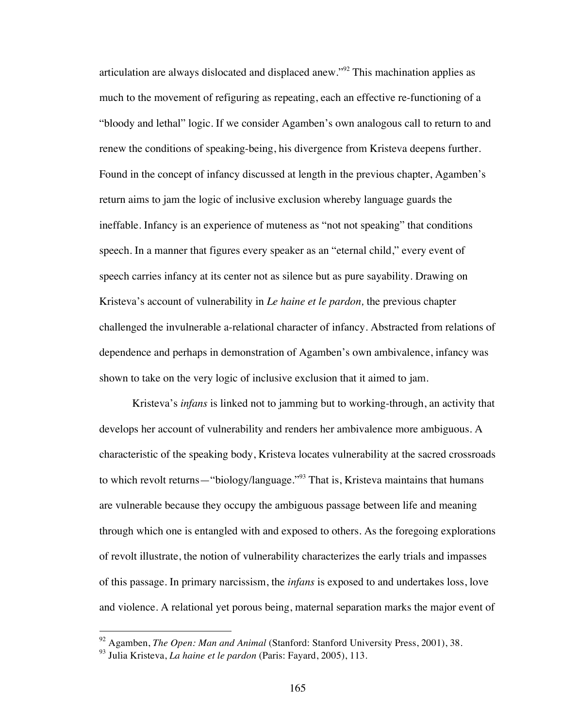articulation are always dislocated and displaced anew."92 This machination applies as much to the movement of refiguring as repeating, each an effective re-functioning of a "bloody and lethal" logic. If we consider Agamben's own analogous call to return to and renew the conditions of speaking-being, his divergence from Kristeva deepens further. Found in the concept of infancy discussed at length in the previous chapter, Agamben's return aims to jam the logic of inclusive exclusion whereby language guards the ineffable. Infancy is an experience of muteness as "not not speaking" that conditions speech. In a manner that figures every speaker as an "eternal child," every event of speech carries infancy at its center not as silence but as pure sayability. Drawing on Kristeva's account of vulnerability in *Le haine et le pardon,* the previous chapter challenged the invulnerable a-relational character of infancy. Abstracted from relations of dependence and perhaps in demonstration of Agamben's own ambivalence, infancy was shown to take on the very logic of inclusive exclusion that it aimed to jam.

Kristeva's *infans* is linked not to jamming but to working-through, an activity that develops her account of vulnerability and renders her ambivalence more ambiguous. A characteristic of the speaking body, Kristeva locates vulnerability at the sacred crossroads to which revolt returns—"biology/language."<sup>93</sup> That is, Kristeva maintains that humans are vulnerable because they occupy the ambiguous passage between life and meaning through which one is entangled with and exposed to others. As the foregoing explorations of revolt illustrate, the notion of vulnerability characterizes the early trials and impasses of this passage. In primary narcissism, the *infans* is exposed to and undertakes loss, love and violence. A relational yet porous being, maternal separation marks the major event of

 <sup>92</sup> Agamben, *The Open: Man and Animal* (Stanford: Stanford University Press, 2001), 38.

<sup>93</sup> Julia Kristeva, *La haine et le pardon* (Paris: Fayard, 2005), 113.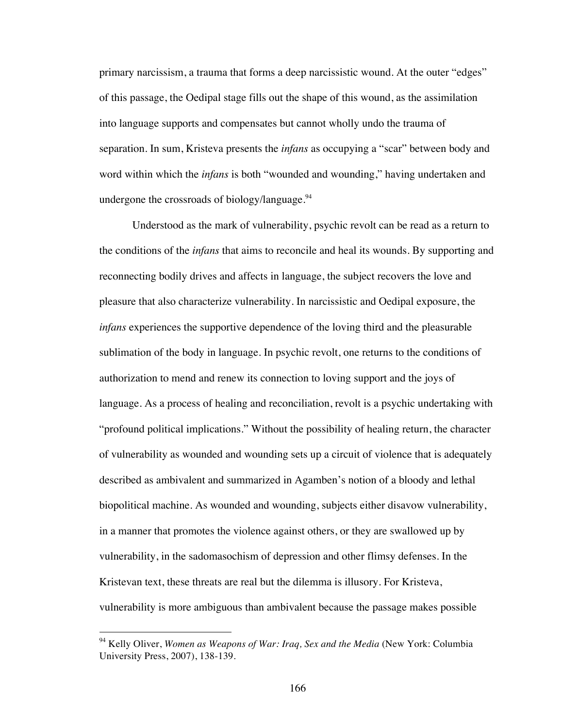primary narcissism, a trauma that forms a deep narcissistic wound. At the outer "edges" of this passage, the Oedipal stage fills out the shape of this wound, as the assimilation into language supports and compensates but cannot wholly undo the trauma of separation. In sum, Kristeva presents the *infans* as occupying a "scar" between body and word within which the *infans* is both "wounded and wounding," having undertaken and undergone the crossroads of biology/language. $94$ 

Understood as the mark of vulnerability, psychic revolt can be read as a return to the conditions of the *infans* that aims to reconcile and heal its wounds. By supporting and reconnecting bodily drives and affects in language, the subject recovers the love and pleasure that also characterize vulnerability. In narcissistic and Oedipal exposure, the *infans* experiences the supportive dependence of the loving third and the pleasurable sublimation of the body in language. In psychic revolt, one returns to the conditions of authorization to mend and renew its connection to loving support and the joys of language. As a process of healing and reconciliation, revolt is a psychic undertaking with "profound political implications." Without the possibility of healing return, the character of vulnerability as wounded and wounding sets up a circuit of violence that is adequately described as ambivalent and summarized in Agamben's notion of a bloody and lethal biopolitical machine. As wounded and wounding, subjects either disavow vulnerability, in a manner that promotes the violence against others, or they are swallowed up by vulnerability, in the sadomasochism of depression and other flimsy defenses. In the Kristevan text, these threats are real but the dilemma is illusory. For Kristeva, vulnerability is more ambiguous than ambivalent because the passage makes possible

 <sup>94</sup> Kelly Oliver, *Women as Weapons of War: Iraq, Sex and the Media* (New York: Columbia University Press, 2007), 138-139.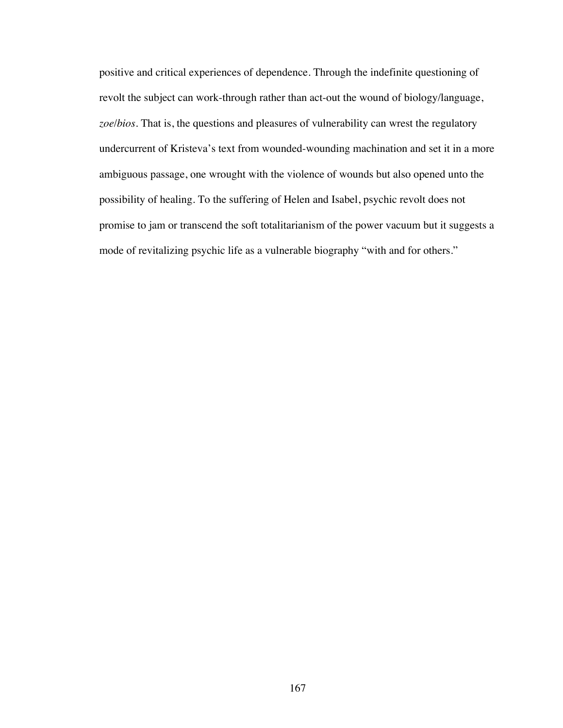positive and critical experiences of dependence. Through the indefinite questioning of revolt the subject can work-through rather than act-out the wound of biology/language, *zoe*/*bios*. That is, the questions and pleasures of vulnerability can wrest the regulatory undercurrent of Kristeva's text from wounded-wounding machination and set it in a more ambiguous passage, one wrought with the violence of wounds but also opened unto the possibility of healing. To the suffering of Helen and Isabel, psychic revolt does not promise to jam or transcend the soft totalitarianism of the power vacuum but it suggests a mode of revitalizing psychic life as a vulnerable biography "with and for others."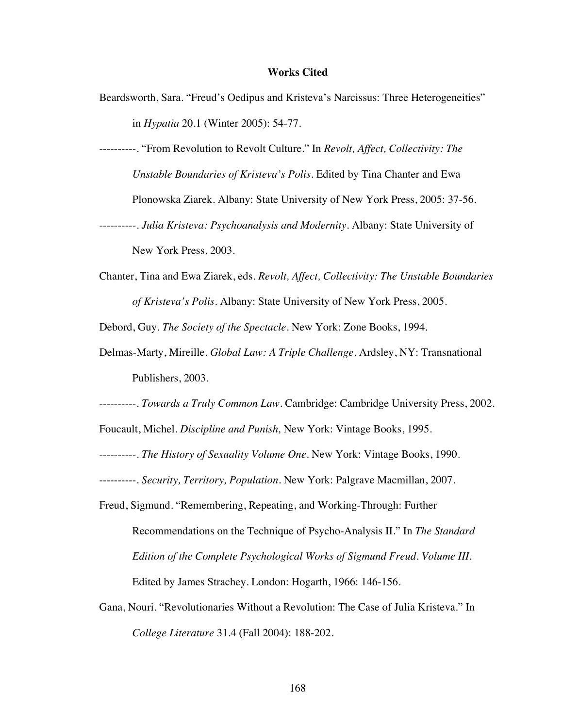## **Works Cited**

- Beardsworth, Sara. "Freud's Oedipus and Kristeva's Narcissus: Three Heterogeneities" in *Hypatia* 20.1 (Winter 2005): 54-77.
- ----------. "From Revolution to Revolt Culture." In *Revolt, Affect, Collectivity: The Unstable Boundaries of Kristeva's Polis*. Edited by Tina Chanter and Ewa Plonowska Ziarek. Albany: State University of New York Press, 2005: 37-56. ----------. *Julia Kristeva: Psychoanalysis and Modernity*. Albany: State University of

New York Press, 2003.

Chanter, Tina and Ewa Ziarek, eds. *Revolt, Affect, Collectivity: The Unstable Boundaries of Kristeva's Polis*. Albany: State University of New York Press, 2005.

Debord, Guy. *The Society of the Spectacle*. New York: Zone Books, 1994.

- Delmas-Marty, Mireille*. Global Law: A Triple Challenge.* Ardsley, NY: Transnational Publishers, 2003.
- ----------. *Towards a Truly Common Law.* Cambridge: Cambridge University Press, 2002.
- Foucault, Michel. *Discipline and Punish,* New York: Vintage Books, 1995.
- ----------. *The History of Sexuality Volume One*. New York: Vintage Books, 1990.
- ----------. *Security, Territory, Population.* New York: Palgrave Macmillan, 2007.
- Freud, Sigmund. "Remembering, Repeating, and Working-Through: Further Recommendations on the Technique of Psycho-Analysis II." In *The Standard Edition of the Complete Psychological Works of Sigmund Freud. Volume III*. Edited by James Strachey. London: Hogarth, 1966: 146-156.
- Gana, Nouri. "Revolutionaries Without a Revolution: The Case of Julia Kristeva." In *College Literature* 31.4 (Fall 2004): 188-202.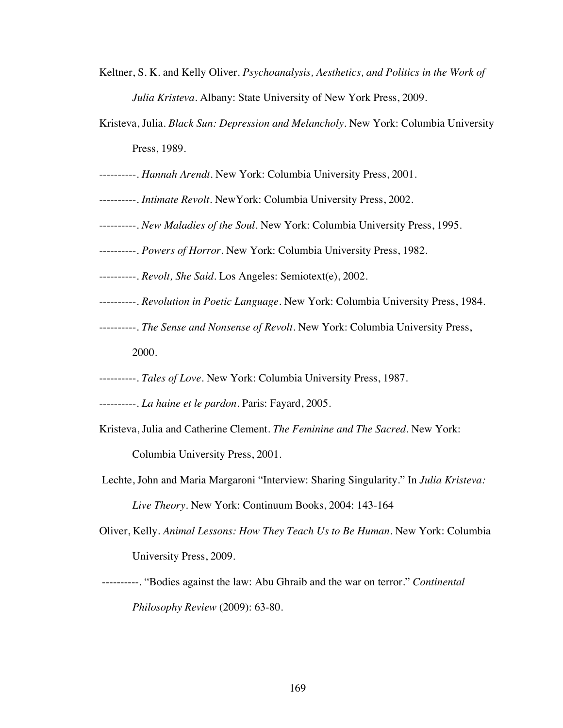- Keltner, S. K. and Kelly Oliver. *Psychoanalysis, Aesthetics, and Politics in the Work of Julia Kristeva*. Albany: State University of New York Press, 2009.
- Kristeva, Julia. *Black Sun: Depression and Melancholy*. New York: Columbia University Press, 1989.
- ----------. *Hannah Arendt.* New York: Columbia University Press, 2001.
- ----------. *Intimate Revolt*. NewYork: Columbia University Press, 2002.
- ----------. *New Maladies of the Soul*. New York: Columbia University Press, 1995.
- ----------. *Powers of Horror*. New York: Columbia University Press, 1982.
- ----------. *Revolt, She Said*. Los Angeles: Semiotext(e), 2002.
- ----------. *Revolution in Poetic Language*. New York: Columbia University Press, 1984.
- ----------. *The Sense and Nonsense of Revolt*. New York: Columbia University Press, 2000.
- ----------. *Tales of Love*. New York: Columbia University Press, 1987.
- ----------. *La haine et le pardon*. Paris: Fayard, 2005.
- Kristeva, Julia and Catherine Clement. *The Feminine and The Sacred*. New York: Columbia University Press, 2001.
- Lechte, John and Maria Margaroni "Interview: Sharing Singularity." In *Julia Kristeva: Live Theory*. New York: Continuum Books, 2004: 143-164
- Oliver, Kelly. *Animal Lessons: How They Teach Us to Be Human*. New York: Columbia University Press, 2009.
- ----------. "Bodies against the law: Abu Ghraib and the war on terror." *Continental Philosophy Review* (2009): 63-80.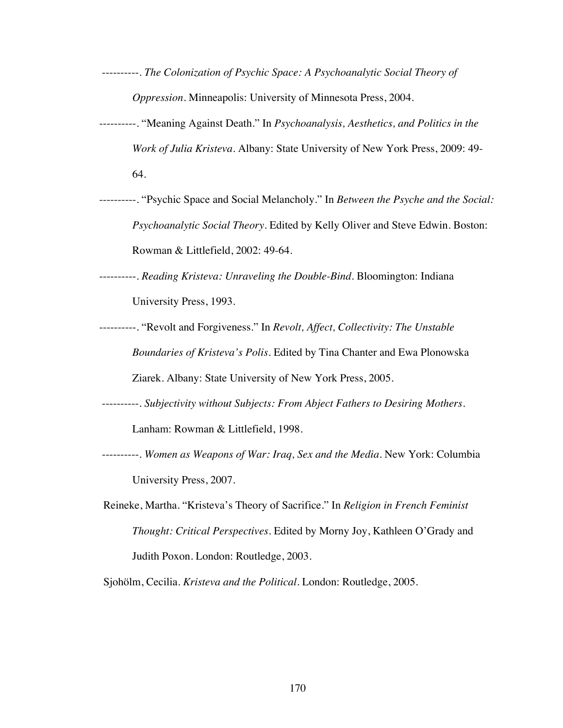- ----------. *The Colonization of Psychic Space: A Psychoanalytic Social Theory of Oppression*. Minneapolis: University of Minnesota Press, 2004.
- ----------. "Meaning Against Death." In *Psychoanalysis, Aesthetics, and Politics in the Work of Julia Kristeva*. Albany: State University of New York Press, 2009: 49- 64.
- ----------. "Psychic Space and Social Melancholy." In *Between the Psyche and the Social: Psychoanalytic Social Theory*. Edited by Kelly Oliver and Steve Edwin. Boston: Rowman & Littlefield, 2002: 49-64.

----------. *Reading Kristeva: Unraveling the Double-Bind*. Bloomington: Indiana University Press, 1993.

- ----------. "Revolt and Forgiveness." In *Revolt, Affect, Collectivity: The Unstable Boundaries of Kristeva's Polis*. Edited by Tina Chanter and Ewa Plonowska Ziarek. Albany: State University of New York Press, 2005.
- ----------. *Subjectivity without Subjects: From Abject Fathers to Desiring Mothers*. Lanham: Rowman & Littlefield, 1998.
- ----------. *Women as Weapons of War: Iraq, Sex and the Media*. New York: Columbia University Press, 2007.
- Reineke, Martha. "Kristeva's Theory of Sacrifice." In *Religion in French Feminist Thought: Critical Perspectives.* Edited by Morny Joy, Kathleen O'Grady and Judith Poxon. London: Routledge, 2003.

Sjohölm, Cecilia. *Kristeva and the Political*. London: Routledge, 2005.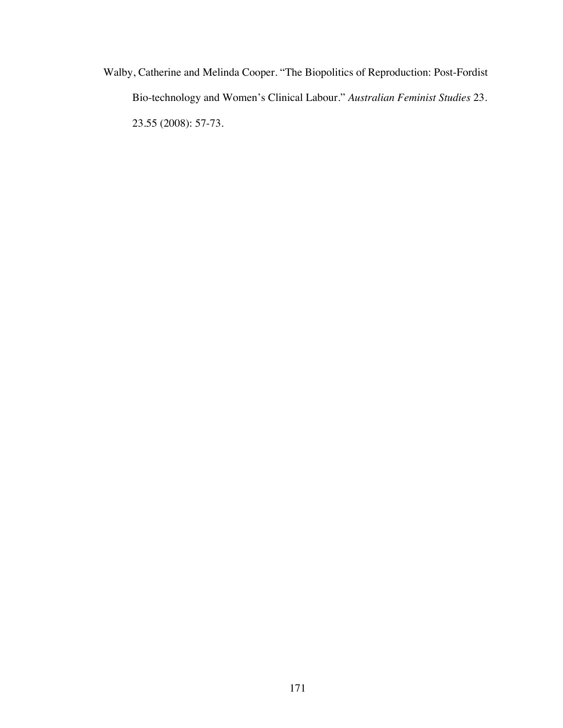Walby, Catherine and Melinda Cooper. "The Biopolitics of Reproduction: Post-Fordist Bio-technology and Women's Clinical Labour." *Australian Feminist Studies* 23. 23.55 (2008): 57-73.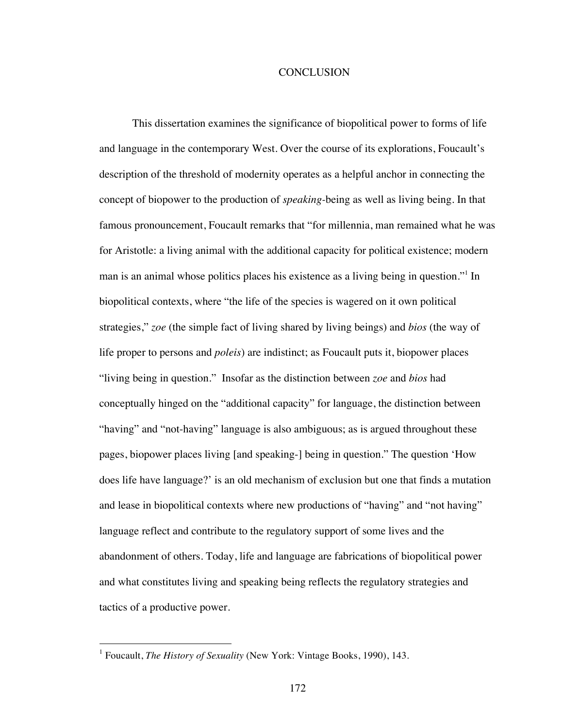## **CONCLUSION**

This dissertation examines the significance of biopolitical power to forms of life and language in the contemporary West. Over the course of its explorations, Foucault's description of the threshold of modernity operates as a helpful anchor in connecting the concept of biopower to the production of *speaking-*being as well as living being. In that famous pronouncement, Foucault remarks that "for millennia, man remained what he was for Aristotle: a living animal with the additional capacity for political existence; modern man is an animal whose politics places his existence as a living being in question." In biopolitical contexts, where "the life of the species is wagered on it own political strategies," *zoe* (the simple fact of living shared by living beings) and *bios* (the way of life proper to persons and *poleis*) are indistinct; as Foucault puts it, biopower places "living being in question." Insofar as the distinction between *zoe* and *bios* had conceptually hinged on the "additional capacity" for language, the distinction between "having" and "not-having" language is also ambiguous; as is argued throughout these pages, biopower places living [and speaking-] being in question." The question 'How does life have language?' is an old mechanism of exclusion but one that finds a mutation and lease in biopolitical contexts where new productions of "having" and "not having" language reflect and contribute to the regulatory support of some lives and the abandonment of others. Today, life and language are fabrications of biopolitical power and what constitutes living and speaking being reflects the regulatory strategies and tactics of a productive power.

 <sup>1</sup> Foucault, *The History of Sexuality* (New York: Vintage Books, 1990), 143.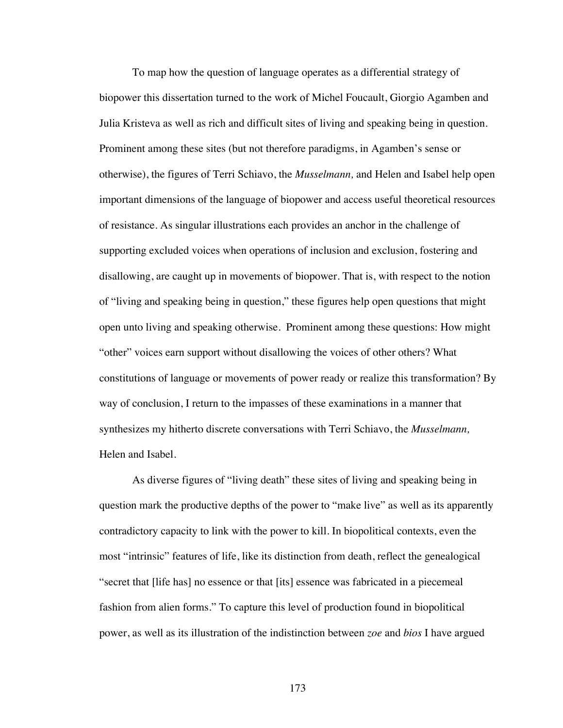To map how the question of language operates as a differential strategy of biopower this dissertation turned to the work of Michel Foucault, Giorgio Agamben and Julia Kristeva as well as rich and difficult sites of living and speaking being in question. Prominent among these sites (but not therefore paradigms, in Agamben's sense or otherwise), the figures of Terri Schiavo, the *Musselmann,* and Helen and Isabel help open important dimensions of the language of biopower and access useful theoretical resources of resistance. As singular illustrations each provides an anchor in the challenge of supporting excluded voices when operations of inclusion and exclusion, fostering and disallowing, are caught up in movements of biopower. That is, with respect to the notion of "living and speaking being in question," these figures help open questions that might open unto living and speaking otherwise. Prominent among these questions: How might "other" voices earn support without disallowing the voices of other others? What constitutions of language or movements of power ready or realize this transformation? By way of conclusion, I return to the impasses of these examinations in a manner that synthesizes my hitherto discrete conversations with Terri Schiavo, the *Musselmann,*  Helen and Isabel.

As diverse figures of "living death" these sites of living and speaking being in question mark the productive depths of the power to "make live" as well as its apparently contradictory capacity to link with the power to kill. In biopolitical contexts, even the most "intrinsic" features of life, like its distinction from death, reflect the genealogical "secret that [life has] no essence or that [its] essence was fabricated in a piecemeal fashion from alien forms." To capture this level of production found in biopolitical power, as well as its illustration of the indistinction between *zoe* and *bios* I have argued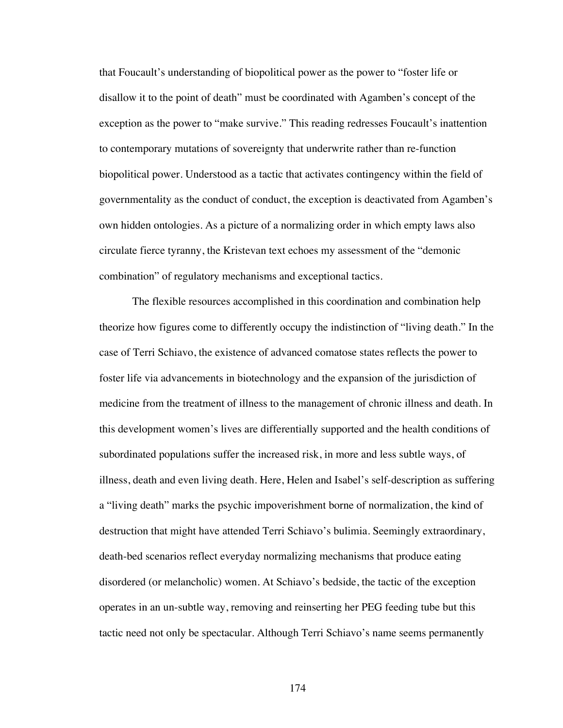that Foucault's understanding of biopolitical power as the power to "foster life or disallow it to the point of death" must be coordinated with Agamben's concept of the exception as the power to "make survive." This reading redresses Foucault's inattention to contemporary mutations of sovereignty that underwrite rather than re-function biopolitical power. Understood as a tactic that activates contingency within the field of governmentality as the conduct of conduct, the exception is deactivated from Agamben's own hidden ontologies. As a picture of a normalizing order in which empty laws also circulate fierce tyranny, the Kristevan text echoes my assessment of the "demonic combination" of regulatory mechanisms and exceptional tactics.

The flexible resources accomplished in this coordination and combination help theorize how figures come to differently occupy the indistinction of "living death." In the case of Terri Schiavo, the existence of advanced comatose states reflects the power to foster life via advancements in biotechnology and the expansion of the jurisdiction of medicine from the treatment of illness to the management of chronic illness and death. In this development women's lives are differentially supported and the health conditions of subordinated populations suffer the increased risk, in more and less subtle ways, of illness, death and even living death. Here, Helen and Isabel's self-description as suffering a "living death" marks the psychic impoverishment borne of normalization, the kind of destruction that might have attended Terri Schiavo's bulimia. Seemingly extraordinary, death-bed scenarios reflect everyday normalizing mechanisms that produce eating disordered (or melancholic) women. At Schiavo's bedside, the tactic of the exception operates in an un-subtle way, removing and reinserting her PEG feeding tube but this tactic need not only be spectacular. Although Terri Schiavo's name seems permanently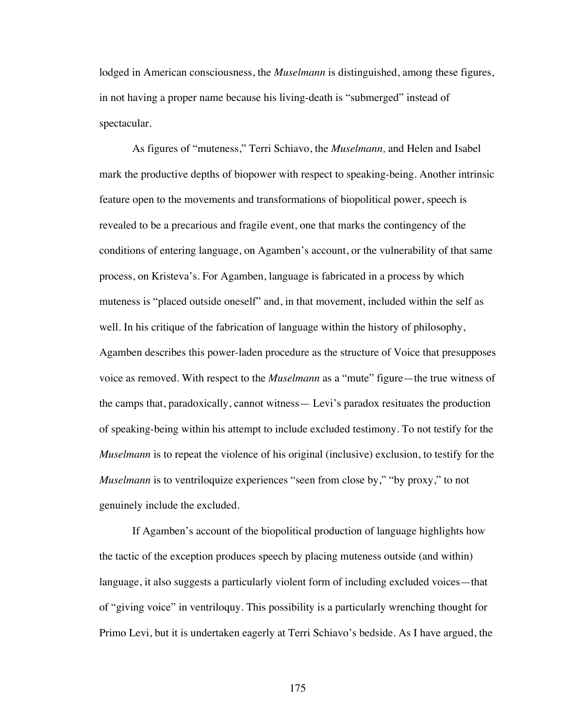lodged in American consciousness, the *Muselmann* is distinguished, among these figures, in not having a proper name because his living-death is "submerged" instead of spectacular.

As figures of "muteness," Terri Schiavo, the *Muselmann,* and Helen and Isabel mark the productive depths of biopower with respect to speaking-being. Another intrinsic feature open to the movements and transformations of biopolitical power, speech is revealed to be a precarious and fragile event, one that marks the contingency of the conditions of entering language, on Agamben's account, or the vulnerability of that same process, on Kristeva's. For Agamben, language is fabricated in a process by which muteness is "placed outside oneself" and, in that movement, included within the self as well. In his critique of the fabrication of language within the history of philosophy, Agamben describes this power-laden procedure as the structure of Voice that presupposes voice as removed. With respect to the *Muselmann* as a "mute" figure—the true witness of the camps that, paradoxically, cannot witness— Levi's paradox resituates the production of speaking-being within his attempt to include excluded testimony. To not testify for the *Muselmann* is to repeat the violence of his original (inclusive) exclusion, to testify for the *Muselmann* is to ventriloquize experiences "seen from close by," "by proxy," to not genuinely include the excluded.

If Agamben's account of the biopolitical production of language highlights how the tactic of the exception produces speech by placing muteness outside (and within) language, it also suggests a particularly violent form of including excluded voices—that of "giving voice" in ventriloquy. This possibility is a particularly wrenching thought for Primo Levi, but it is undertaken eagerly at Terri Schiavo's bedside. As I have argued, the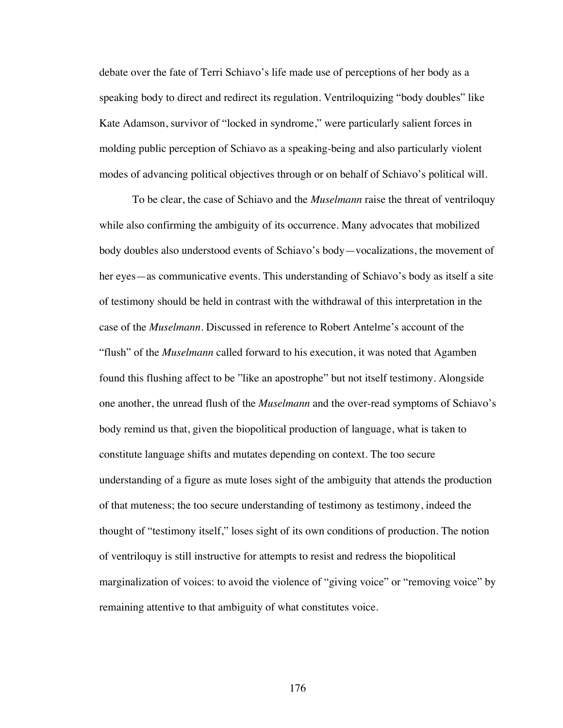debate over the fate of Terri Schiavo's life made use of perceptions of her body as a speaking body to direct and redirect its regulation. Ventriloquizing "body doubles" like Kate Adamson, survivor of "locked in syndrome," were particularly salient forces in molding public perception of Schiavo as a speaking-being and also particularly violent modes of advancing political objectives through or on behalf of Schiavo's political will.

To be clear, the case of Schiavo and the *Muselmann* raise the threat of ventriloquy while also confirming the ambiguity of its occurrence. Many advocates that mobilized body doubles also understood events of Schiavo's body—vocalizations, the movement of her eyes—as communicative events. This understanding of Schiavo's body as itself a site of testimony should be held in contrast with the withdrawal of this interpretation in the case of the *Muselmann*. Discussed in reference to Robert Antelme's account of the "flush" of the *Muselmann* called forward to his execution, it was noted that Agamben found this flushing affect to be "like an apostrophe" but not itself testimony. Alongside one another, the unread flush of the *Muselmann* and the over-read symptoms of Schiavo's body remind us that, given the biopolitical production of language, what is taken to constitute language shifts and mutates depending on context. The too secure understanding of a figure as mute loses sight of the ambiguity that attends the production of that muteness; the too secure understanding of testimony as testimony, indeed the thought of "testimony itself," loses sight of its own conditions of production. The notion of ventriloquy is still instructive for attempts to resist and redress the biopolitical marginalization of voices: to avoid the violence of "giving voice" or "removing voice" by remaining attentive to that ambiguity of what constitutes voice.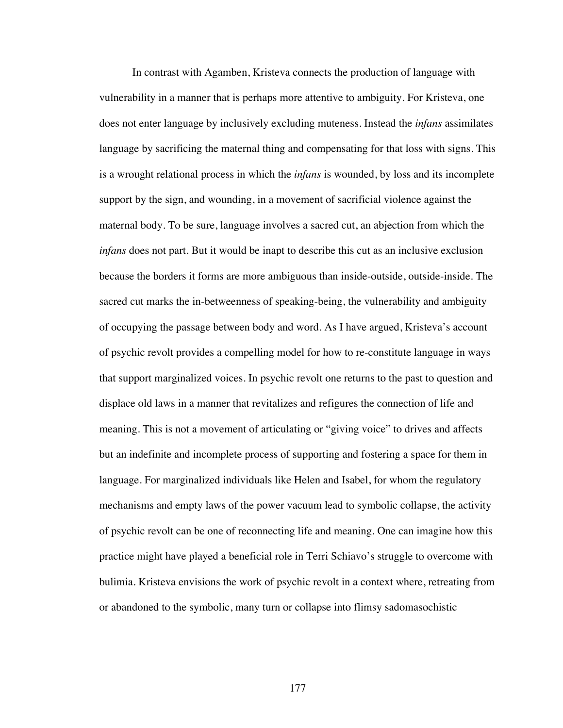In contrast with Agamben, Kristeva connects the production of language with vulnerability in a manner that is perhaps more attentive to ambiguity. For Kristeva, one does not enter language by inclusively excluding muteness. Instead the *infans* assimilates language by sacrificing the maternal thing and compensating for that loss with signs. This is a wrought relational process in which the *infans* is wounded, by loss and its incomplete support by the sign, and wounding, in a movement of sacrificial violence against the maternal body. To be sure, language involves a sacred cut, an abjection from which the *infans* does not part. But it would be inapt to describe this cut as an inclusive exclusion because the borders it forms are more ambiguous than inside-outside, outside-inside. The sacred cut marks the in-betweenness of speaking-being, the vulnerability and ambiguity of occupying the passage between body and word. As I have argued, Kristeva's account of psychic revolt provides a compelling model for how to re-constitute language in ways that support marginalized voices. In psychic revolt one returns to the past to question and displace old laws in a manner that revitalizes and refigures the connection of life and meaning. This is not a movement of articulating or "giving voice" to drives and affects but an indefinite and incomplete process of supporting and fostering a space for them in language. For marginalized individuals like Helen and Isabel, for whom the regulatory mechanisms and empty laws of the power vacuum lead to symbolic collapse, the activity of psychic revolt can be one of reconnecting life and meaning. One can imagine how this practice might have played a beneficial role in Terri Schiavo's struggle to overcome with bulimia. Kristeva envisions the work of psychic revolt in a context where, retreating from or abandoned to the symbolic, many turn or collapse into flimsy sadomasochistic

177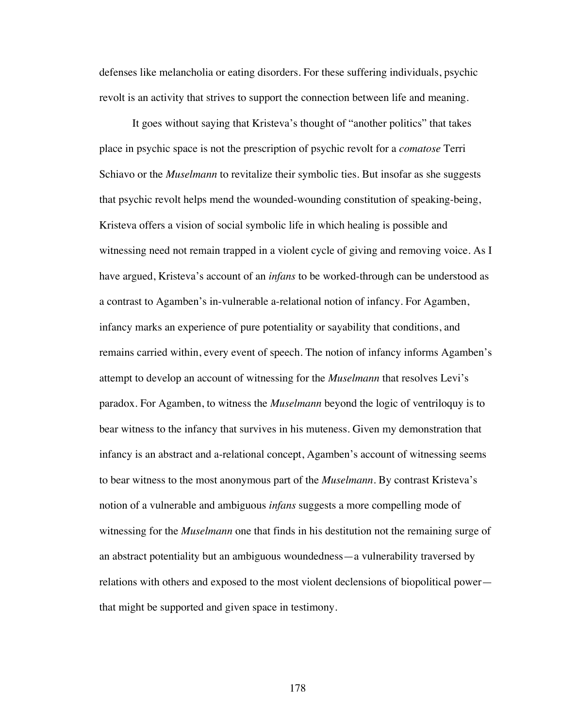defenses like melancholia or eating disorders. For these suffering individuals, psychic revolt is an activity that strives to support the connection between life and meaning.

It goes without saying that Kristeva's thought of "another politics" that takes place in psychic space is not the prescription of psychic revolt for a *comatose* Terri Schiavo or the *Muselmann* to revitalize their symbolic ties. But insofar as she suggests that psychic revolt helps mend the wounded-wounding constitution of speaking-being, Kristeva offers a vision of social symbolic life in which healing is possible and witnessing need not remain trapped in a violent cycle of giving and removing voice. As I have argued, Kristeva's account of an *infans* to be worked-through can be understood as a contrast to Agamben's in-vulnerable a-relational notion of infancy. For Agamben, infancy marks an experience of pure potentiality or sayability that conditions, and remains carried within, every event of speech. The notion of infancy informs Agamben's attempt to develop an account of witnessing for the *Muselmann* that resolves Levi's paradox. For Agamben, to witness the *Muselmann* beyond the logic of ventriloquy is to bear witness to the infancy that survives in his muteness. Given my demonstration that infancy is an abstract and a-relational concept, Agamben's account of witnessing seems to bear witness to the most anonymous part of the *Muselmann*. By contrast Kristeva's notion of a vulnerable and ambiguous *infans* suggests a more compelling mode of witnessing for the *Muselmann* one that finds in his destitution not the remaining surge of an abstract potentiality but an ambiguous woundedness—a vulnerability traversed by relations with others and exposed to the most violent declensions of biopolitical power that might be supported and given space in testimony.

178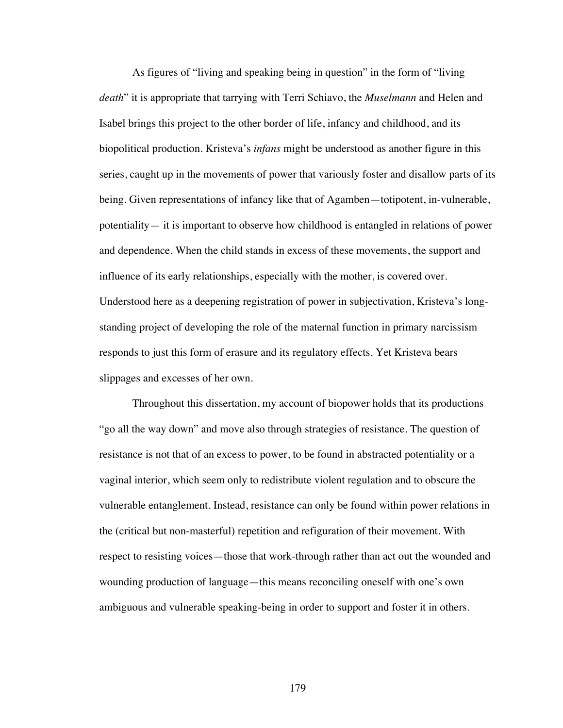As figures of "living and speaking being in question" in the form of "living *death*" it is appropriate that tarrying with Terri Schiavo, the *Muselmann* and Helen and Isabel brings this project to the other border of life, infancy and childhood, and its biopolitical production. Kristeva's *infans* might be understood as another figure in this series, caught up in the movements of power that variously foster and disallow parts of its being. Given representations of infancy like that of Agamben—totipotent, in-vulnerable, potentiality— it is important to observe how childhood is entangled in relations of power and dependence. When the child stands in excess of these movements, the support and influence of its early relationships, especially with the mother, is covered over. Understood here as a deepening registration of power in subjectivation, Kristeva's longstanding project of developing the role of the maternal function in primary narcissism responds to just this form of erasure and its regulatory effects. Yet Kristeva bears slippages and excesses of her own.

Throughout this dissertation, my account of biopower holds that its productions "go all the way down" and move also through strategies of resistance. The question of resistance is not that of an excess to power, to be found in abstracted potentiality or a vaginal interior, which seem only to redistribute violent regulation and to obscure the vulnerable entanglement. Instead, resistance can only be found within power relations in the (critical but non-masterful) repetition and refiguration of their movement. With respect to resisting voices—those that work-through rather than act out the wounded and wounding production of language—this means reconciling oneself with one's own ambiguous and vulnerable speaking-being in order to support and foster it in others.

179